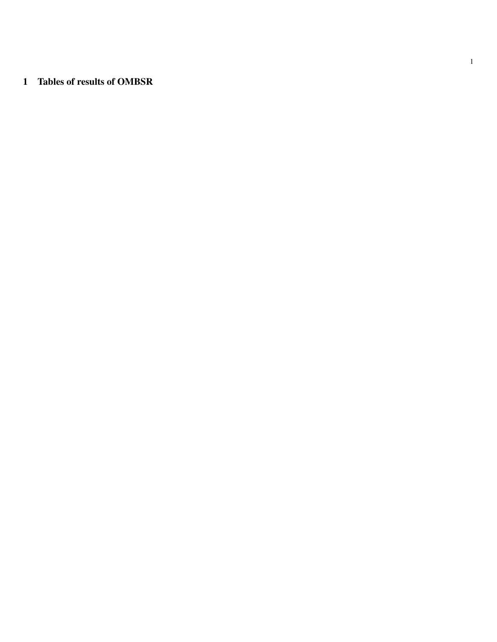## 1 Tables of results of OMBSR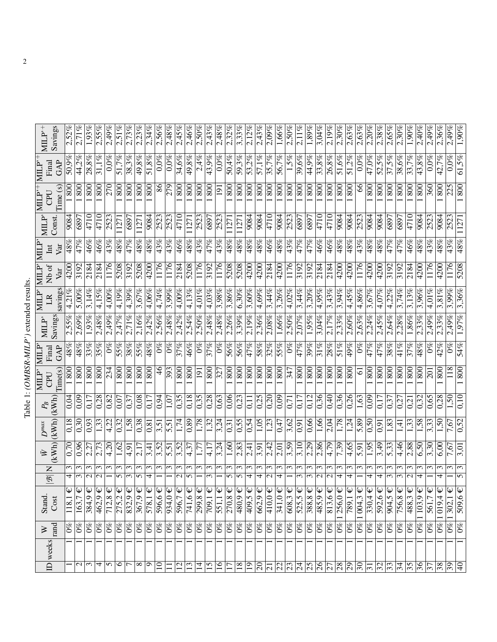| j<br>i<br>i<br>ì            |
|-----------------------------|
| $\frac{1}{\zeta}$<br>ì<br>I |
|                             |

| $MLP^+$                                                                                 | Savings | 2,52%      | 2,71%                  | 1,93%                       | 2,55%                       | 2,49%                   | 2,51%       | 2,73%           | 2,23%        | 2,34%                      | 2,56%                  | 2,48%              | 2.45%              | 2,46%                 | 2,50%            | 2,43%                        | 2,48%                  | $2,32\%$                   | 3,33%                  | 2,12%                  | 2,43%       | 2,09%                           | $1,66\%$    | 2,50%                       | 2,11%                      | 1,89%                           | 3,04%                       | 2,19%                      | $2,30\%$                   | $\sqrt{2,}63\%$ | 2,63%                | 2.20%             | 2.38%                  | 2,65%                  | 2,30%                 | 1,90%                                 | 2.40%             | $2,49\%$                        | 2,36%                    | 2,49%                       | $\frac{1}{90\%}$         |
|-----------------------------------------------------------------------------------------|---------|------------|------------------------|-----------------------------|-----------------------------|-------------------------|-------------|-----------------|--------------|----------------------------|------------------------|--------------------|--------------------|-----------------------|------------------|------------------------------|------------------------|----------------------------|------------------------|------------------------|-------------|---------------------------------|-------------|-----------------------------|----------------------------|---------------------------------|-----------------------------|----------------------------|----------------------------|-----------------|----------------------|-------------------|------------------------|------------------------|-----------------------|---------------------------------------|-------------------|---------------------------------|--------------------------|-----------------------------|--------------------------|
| Final<br>MILP'                                                                          | GAP     | 50,9%      | 44,2%                  | 28,8%                       | 31,1%                       | $0.0\%$                 | $51.7\%$    | 38,3%           | 49,8%        | 51,8%                      | $\overline{0,0\%}$     | $0,0\%$            | 34,6%              | 49,8%                 | 2,4%             | 43,9%                        | $0.0\%$                | 50,4%                      | $\sqrt{59,3\%}$        | $53,2\%$               | 57,1%       | 35,7%                           | 56,7%       | 1,5%                        | 39,6%                      | 44,9%                           | $\overline{33,8\%}$         | $26.8\%$                   | $\frac{51,6\%}{2,6\%}$     | 51,2%           | $0.0\%$              | $\sqrt{47,0\%}$   | 52.5%                  | 37,5%                  | 38,6%                 | 33,7%                                 | 43,8%             | $0,0\%$                         | 42,7%                    | $0,0\%$                     | 61,5%                    |
| $\mathbb{M} \mathbb{L} \mathbb{P}^+$<br>CPU                                             | Time(s) | $\rm{800}$ | $\frac{80}{1}$         | 800                         | 800                         | 270                     | 800         | 800             | 800          | $\frac{80}{1}$             | 86                     | $\overline{279}$   | 800                | $\frac{80}{1}$        | 800              | $\overline{\frac{80}{50}}$   | <u>[61</u>             | $\overline{\frac{80}{50}}$ | 800                    | $\overline{800}$       | 800         | 800                             | 800         | 800                         | $\overline{\frac{80}{50}}$ | 800                             | $\frac{80}{1}$              | 800                        | $\overline{\overline{80}}$ | 800             | 8                    | 800               | $\overline{800}$       | 800                    | 800                   | $\frac{80}{6}$                        | $\overline{80}$   | 360                             | 800                      | 225                         | $\frac{80}{1}$           |
| MILP'                                                                                   | Const.  | 9084       | 6897                   | 4710                        | 4710                        | 2523                    | 127         | 689             | 127          | 9084                       | 2523                   | 2523               | 4710               | $\overline{1127}$     | 252.             | 689                          | 2523                   | $\overline{127}$           | 1127                   | 9084                   | 9084        | 4710                            | 9084        | 252                         | $\sqrt{689}$               | 689                             | 4710                        | 4710                       | $\frac{9084}{5}$           | 9084            | 2523                 | 9084              | 9084                   | $\frac{689}{689}$      | 689                   | $\frac{1}{4710}$                      | 9084              | 2523                            | 9084                     | 252                         | 1127                     |
| NЩ<br>Int                                                                               | Var     | 48%        | $\sqrt{47%}$           | 46%                         | 46%                         | 43%                     | 48%         | 47%             | 48%          | 48%                        | 43%                    | $\frac{43\%}{2\%}$ | 46%                | $\frac{48\%}{25}$     | 43%              | 47%                          | 43%                    | $\sqrt{48\%}$              | 48%                    | 48%                    | 48%         | 46%                             | 48%         | 43%                         | $\frac{47\%}{25}$          | 47%                             | 46%                         | 46%                        | $\sqrt{48\%}$              | 48%             | 43%                  | 48%               | 48%                    | 47%                    | 47%                   | 46%                                   | 48%               | 43%                             | 48%                      | $\frac{43\%}{2\%}$          | 48%                      |
| MILP'<br>Nb of                                                                          | Var     | 4200       | 3192                   | 2184                        | $\frac{184}{2184}$          | 1176                    | 5208        | 3192            | 5208         | 4200                       | 1176                   | 1176               | 2184               | 5208                  | 1176             | 3192                         | 1176                   | 5208                       | 5208                   | $\overline{4200}$      | 4200        | 2184                            | 4200        | 1176                        | 3192                       | 3192                            | 2184                        | $\frac{184}{2184}$         | $\frac{1}{200}$            | 4200            | 1176                 | 4200              | $\overline{4200}$      | 3192                   | 3192                  | 2184                                  | $\overline{4200}$ | 1176                            | 4200                     | 1176                        | 5208                     |
| MILP'<br>$\mathbb{R}$                                                                   | savings | $4,21\%$   | 5,00%                  | 3,14%                       | 4,15%                       | 4,00%                   | 4,19%       | 4,39%           | 3,67%        | 4,06%                      | 4,74%                  | $3,99\%$           | $4,00\%$           | $4,13\%$              | $4,01\%$         | 4,03%                        | 3.98%                  | $\overline{3,86\%}$        | 6,30%                  | 3,60%                  | 4,69%       | 3,44%                           | 3,26%       | 4,02%                       | 3,44%                      | 3,20%                           | 4,95%                       | 3,43%                      | 3.94%                      | 4,45%           | $4,86\%$             | 3,67%             | 4,07%                  | 4,22%                  | 3,74%                 | 3,13%                                 | 3.96%             | $\frac{5}{10}$                  | 3,81                     | 3,99%                       | 3,36%                    |
| MILP'                                                                                   | Savings | 2.55%      | $2,69\%$               | 1,93%                       | $2,48\%$                    | 2,49%                   | 2.47%       | 2,71%           | 2.16%        | 2,42%                      | $2,56\%$               | 2,48%              | 2.42%              | 2,54%                 | 2,50%            | $2,48\%$                     | 2,48%                  | 2,26%                      | $3,39\%$               | 2.19%                  | 2,36%       | 2,08%                           | 1,66%       | 2,50%                       | $\sqrt{2,07\%}$            | 1,95%                           | 3,04%                       | $2.17\%$                   | 2,33%                      | 2,60%           | 2,63%                | 2.24%             | 2.45%                  | 2,64%                  | 2.28%                 | $1,86\%$                              | 2.33%             | 2,49%                           | 2,33%                    | 2,49%                       | 1,97%                    |
| MLP<br>Final                                                                            | GAP     | $48\%$     | 48%                    | 33%                         | 35%                         | $\mathcal{S}^{\otimes}$ | 55%         | 38%             | 55%          | 48%                        | $0\%$                  | $\overline{60}$    | 37%                | 46%                   | $\partial\%$     | 37%                          | $^{66}$                | $56\%$                     | $\overline{56\%}$      | $\frac{47\%}{25}$      | 288         | 32%                             | 55%         | $\mathcal{O}^{\mathscr{O}}$ | $\overline{47}$ %          | 39%                             | 31%                         | 28%                        | $51\%$                     | 49%             | $0\%$                | 47%               | 47%                    | 38%                    | 41%                   | 37%                                   | $\sqrt{48\%}$     | $^{66}$                         | 42%                      | $\mathcal{O}^{\mathcal{B}}$ | 54%                      |
| MILP<br>CPU                                                                             | Time(s) | 800        | $\frac{80}{2}$         | 800                         | 800                         | 234                     | 800         | 800             | 800          | 800                        | $\frac{4}{6}$          | $\overline{393}$   | 800                | $\frac{80}{2}$        | $\overline{191}$ | $\overline{\text{80}}$       | $\overline{327}$       |                            | $\overline{800}$       | $\overline{800}$       | 800         | 800                             | 800         | 347                         | 800                        | 800                             | $\overline{\text{80}}$      | 800                        | $\overline{\text{80}}$     | 800             | ত                    | 800               | 800                    | 800                    | 800                   | $\frac{80}{1}$                        | $\overline{80}$   | $\overline{5}$                  | 800                      | 118                         | 800                      |
| $P_{\!B}$                                                                               | (kWh)   | 0,04       | 0,09                   | 0,17                        | 0,28                        | $\overline{0.82}$       | 0,07        | 0,37            | 0,08         | 0.17                       | 0,94                   | $\sqrt{5}$         | 0,35               | $\sqrt{0,18}$         | 0,35             | 0,28                         | $\frac{1}{0,63}$       | $\sqrt{0,06}$              | 0,23                   | $\overline{0.1}$       | 0,25        | 0,20                            | 0,09        | $\overline{0,7}$            | 0,17                       | 0,12                            | 0,36                        | 0,40                       | $\frac{6}{36}$             | 0,26            | 1,63                 | 0,09              | 0.17                   | 0,37                   | 0,27                  | $\overline{0}$                        | $\overline{0.32}$ | 0,65                            | 0,28                     | 1,50                        | 0.10                     |
| $D^{\max}$                                                                              | (KWh)   | 0,18       | 0,30                   | 0,93                        | 1,33                        | 4,22                    | 0.32        | 1,58            | 0,38         | 0,81                       | 3,51                   | 5,51               | 1,74               | $\sqrt{0.89}$         | 1,78             | $\sqrt{1,32}$                | 3,24                   | $\overline{0,31}$          | 0,55                   | 0,54                   | 1,05        | 1,23                            | 0,47        | 3,62                        | $\sqrt{91}$                | 0,66                            | 1,66                        | 2,04                       | 1,78                       | 1,24            | 5,89                 | $\overline{0.50}$ | 0.91                   | 1,83                   | न्                    | $\overline{1.33}$                     | $\frac{1}{28}$    | 3,33                            | 50                       | 7,67                        | 0,52                     |
| $\begin{array}{ c } \hline \bar{\mathbb{W}} \ \hline \text{(KWh)} \ \hline \end{array}$ |         | 0,70       | 0,96                   | 2,27                        | 2,73                        | 4,20                    | 1,62        | 4.91            | 2,17         | 3,41                       | 3,52                   | $\overline{5,51}$  | 3,52               | 4,37                  | 1,77             | 4,17                         | 3,24                   | 1,60                       | 2,83                   | 2,41                   | 3,91        | 2,42                            | 2,01        | 3,59                        | 3,10                       | 2,29                            | $\frac{2,86}{ }$            | 4,79                       | 7,39                       | 4,65            | 5,91                 | $\overline{.95}$  | 3,49                   | 5,33                   | 4,46                  | $\frac{2,88}{.}$                      | $\frac{6,50}{5}$  | 3,30                            | 6,00                     | 7,67                        | 3,01                     |
| $\mathsf{z}$<br>$\overline{\mathcal{B}}$                                                |         | ω<br>4     | $\omega$<br>$\epsilon$ | $\epsilon$<br>$\mathcal{L}$ | $\omega$<br>$\mathbf{c}$    | ξ                       | ω<br>5      | $\epsilon$<br>3 | ω<br>5       | 3<br>4                     | $\epsilon$             | $\epsilon$         | 3<br>$\mathcal{L}$ | $\epsilon$<br>5       | $\mathfrak{g}$   | $\epsilon$<br>$\mathfrak{g}$ | 3                      | $\sim$<br>n                | ω<br>5                 | $\epsilon$<br>4        | 3<br>4      | 3<br>$\mathcal{C}$              | ω<br>4      | ω                           | ω<br>ω                     | ω<br>3                          | $\epsilon$<br>$\mathcal{L}$ | $\epsilon$<br>$\mathbf{C}$ | $\epsilon$<br>4            | ω<br>4          | $\mathfrak{g}$       | 3<br>4            | 3<br>4                 | ω<br>3                 | $\epsilon$<br>3       | $\epsilon$<br>$\overline{\mathsf{c}}$ | $\epsilon$<br>4   | ω                               | 4                        | $\sim$                      | $\epsilon$<br>$\sqrt{ }$ |
| Stand.                                                                                  | Cost    | Ψ<br>118,1 | 163,7                  | $384,9 \in$                 | $462,9 \in$                 | 712,8 $\epsilon$        | $275,2 \in$ | $832.9 \in$     | $367,9 \in$  | $\overline{578}$ , 1 $\in$ | $\overline{5}96,6 \in$ | $934,0 \in$        | $596,7 \in$        | $\overline{741}$ ,6 € | Ψ<br>299,8       | Ψ<br>$\overline{709,1}$      | $\overline{551,1} \in$ | $\overline{270,8}$         | $\overline{480,9} \in$ | $\overline{409,5} \in$ | $662.9 \in$ | $410,0 \in$                     | $341,0 \in$ | $608,3 \in$                 | $525,5 \in$                | $388,8 \in$                     | $\overline{485,9} \in$      | $813,6 \in$                | $\overline{256,0}$         | 789,1           | ₩<br>$\sqrt{1004.3}$ | $330,4 \in$       | $\overline{592,6} \in$ | $\overline{904}$ , 5 € | $\overline{756}$ ,8 € | $488,3 \in$                           | 103,9             | ₩<br>561,7                      | $\mathsf \psi$<br>1019,4 | $\frac{1}{302,1}$           | $\overline{509,6} \in$   |
| $\geq$                                                                                  | rand    | $0\%$      | $\frac{6}{6}$          | $\frac{6}{6}$               | $\mathcal{O}^{\mathcal{O}}$ | $\frac{6}{2}$           | $0\%$       | $\frac{6}{6}$   | $\partial\%$ | $\frac{8}{2}$              | $0\%$                  | $\frac{2}{2}$      | $0\%$              | $\frac{6}{2}$         | $\frac{6}{6}$    | $\frac{6}{2}$                | $\frac{8}{2}$          | $\frac{6}{2}$              | $0\%$                  | $\frac{6}{6}$          | $0\%$       | $\mathcal{O}_{\infty}^{\infty}$ | $0\%$       | $\frac{9}{2}$               | $\frac{6}{2}$              | $\mathcal{O}_{\infty}^{\infty}$ | $0\%$                       | $\frac{92}{6}$             | $\overline{0\%}$           | $0\%$           | $0\%$                | $\sqrt{6}$        | $\sqrt{6}$             | $0\%$                  | $0\%$                 | $\frac{6}{2}$                         | $\frac{6}{2}$     | $\mathcal{O}_{\infty}^{\infty}$ | $0\%$                    | $  \omega_0$                | $\overline{0\%}$         |
| ID weeks                                                                                |         |            |                        |                             |                             |                         |             |                 |              |                            |                        |                    |                    |                       |                  |                              |                        |                            |                        |                        |             |                                 |             |                             |                            |                                 |                             |                            |                            |                 |                      |                   |                        |                        |                       |                                       |                   |                                 |                          |                             |                          |
|                                                                                         |         |            | $\frac{1}{2}$          |                             | $\overline{\mathcal{A}}$    | $\sim$                  | $\circ$     | $\overline{ }$  | $\infty$     | $\overline{\circ}$         | $\overline{10}$        | $\mathbf{I}$       | 12                 | $\overline{13}$       | $\overline{4}$   | $\overline{5}$               | 16                     | $\overline{17}$            | 18                     | $\overline{19}$        | $20\,$      | $\overline{c}$                  |             |                             |                            | z z z z z z z                   |                             |                            | $\frac{28}{29}$            |                 | $\frac{1}{3}$        |                   | 32                     | $\sqrt{3}$             | $rac{34}{35}$         |                                       | $rac{36}{37}$     |                                 | 38                       | $\overline{\mathcal{E}}$    | $\overline{40}$          |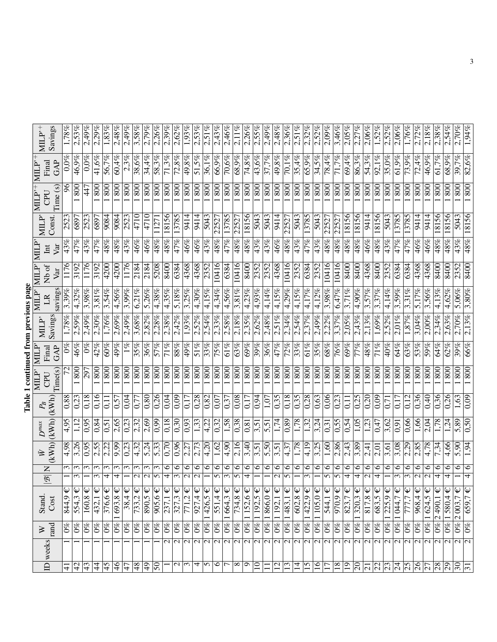| S<br>S<br>S |  |
|-------------|--|
|             |  |
| i<br>i      |  |
|             |  |
|             |  |
| į           |  |
|             |  |
|             |  |
|             |  |

| $\text{MILP}^{+}$                                                                                         | Savings       | $1,78\%$      | 2,53%                  | 2,49%       | 2,29%                   | 1,83%           | 2,48%                           | 2,49%         | 3,58%                           | $2,79\%$                   | 2,26%                  | 2,39%                    | 2,62%                           | 1,93%                    | 2,53%                         | 2,51%               | 2.43%                           | $\sqrt{2,46\%}$                     | $2,11\%$                             | 2,26%                                          | 2,55%                       | 2,49%                   | 2,48%                    | 2,36%                | 2,51%                                      | 2,32%                | 2,52%                      | $2,09\%$                                   | 3,46%                | 2.05%                                       | 2,27%                                 | 2,06%                                     | 1,52%                         | 2.52%                    | 2,06%                                      | $1,76\%$             | 2.72%                        | 2,18%                                                     | 2,38%              | 2.54%               | 2,70%                                      | 1,94%                                                          |
|-----------------------------------------------------------------------------------------------------------|---------------|---------------|------------------------|-------------|-------------------------|-----------------|---------------------------------|---------------|---------------------------------|----------------------------|------------------------|--------------------------|---------------------------------|--------------------------|-------------------------------|---------------------|---------------------------------|-------------------------------------|--------------------------------------|------------------------------------------------|-----------------------------|-------------------------|--------------------------|----------------------|--------------------------------------------|----------------------|----------------------------|--------------------------------------------|----------------------|---------------------------------------------|---------------------------------------|-------------------------------------------|-------------------------------|--------------------------|--------------------------------------------|----------------------|------------------------------|-----------------------------------------------------------|--------------------|---------------------|--------------------------------------------|----------------------------------------------------------------|
| MLP                                                                                                       | GAP<br>Final  | $0.0\%$       | 46,9%                  | $0.0\%$     | 41,6%                   | 56,7%           | 60,4%                           | 2,3%          | 38,6%                           | $\sqrt{34,4\%}$            | 58,3%                  | 71,3%                    | 72,8%                           | 49,8%                    | 51,5%                         | 36,1%               | 66,9%                           | $\frac{1}{70,6\%}$                  | 68,9%                                | 74,8%                                          | 43,6%                       | 37,7%                   | $\sqrt{49,8\%}$          | 70,1%                | 35,4%                                      | 65,9%                | 34,5%                      | 78,4%                                      | 71,7%                | 69.4%                                       | 86,3%                                 | 54,3%                                     | 92,1%                         | 35,0%                    | 61,9%                                      | 73,9%                | 72,4%                        | $\sqrt{46,9\%}$                                           | $61,7\%$           | 68,9%               | 39,7%                                      | 82,6%                                                          |
| $MLP^+$<br>CPU                                                                                            | Time(s)       | 96            | 800                    | 447         | 800                     | 800             | 800                             | 800           | 800                             | $\frac{80}{100}$           | 800                    | 800                      | 800                             | 800                      | $\overline{\frac{800}{500}}$  | 800                 | $\frac{80}{1}$                  | $\frac{80}{1}$                      | 800                                  | $\frac{80}{1}$                                 | 800                         | 800                     | $\frac{80}{1}$           | 800                  | 800                                        | 800                  | 800                        | $\frac{80}{1}$                             | 800                  | 800                                         | 800                                   | 800                                       | $\frac{80}{1}$                | $\overline{\frac{80}{}}$ | 800                                        | 800                  | 800                          | 800                                                       | 800                | 800                 | $\frac{80}{6}$                             | 800                                                            |
| MILP'                                                                                                     | Const.        | 252           | 6897                   | 2523        | 689                     | 9084            | 9084                            | 2523          | 4710                            | 4710                       | 1127                   | 18156                    | 3785                            | 9414                     | 9414                          | 5043                | 2252                            | 13785                               | 2252                                 | 18156                                          | 5043                        | 5043                    | $\frac{14}{9414}$        | 2252'                | 5043                                       | 13785                | 504                        | 2252                                       | 2252                 | 18156                                       | 18156                                 | 9414                                      | 18156                         | 5043                     | 3785                                       | 3785                 | 9414                         | 9414                                                      | 8156               | 8156                | 5043                                       | 18156                                                          |
| MLP<br>$\rm{I\!m}$                                                                                        | Var           | $\sqrt{43\%}$ | 47%                    | 43%         | 47%                     | 48%             | 48%                             | 43%           | 46%                             | 46%                        | 48%                    | 48%                      | 47%                             | 46%                      | 46%                           | 43%                 | 48%                             | 47%                                 | 48%                                  | 48%                                            | 43%                         | 43%                     | 46%                      | 48%                  | 43%                                        | 47%                  | 43%                        | $\sqrt{48%}$                               | 48%                  | 48%                                         | 48%                                   | 46%                                       | 48%                           | 43%                      | $\overline{47\%}$                          | 47%                  | 46%                          | 46%                                                       | 48%                | 48%                 | 43%                                        | 48%                                                            |
| MLP<br>Nb of                                                                                              | Var           | 1176          | 3192                   | 1176        | 3192                    | 4200            | 4200                            | 1176          | 2184                            | 2184                       | 5208                   | 8400                     | 6384                            | 4368                     | 4368                          | 2352                | 10416                           | 6384                                | 10416                                | 8400                                           | 2352                        | 2352                    | 4368                     | 10416                | 2352                                       | 6384                 | 2352                       | 10416                                      | 10416                | 8400                                        | 8400                                  | 4368                                      | 8400                          | 2352                     | 6384                                       | 6384                 | 4368                         | 4368                                                      | 8400               | 8400                | 2352                                       | 8400                                                           |
| MILP'<br>LR                                                                                               | savings       | 3.39%         | 4,32%                  | 3.98%       | 3,81%                   | 3,54%           | 4,56%                           | 3,99%         | 6.21%                           | 5,26%                      | 4,38%                  | 4,35%                    | 5,18%                           | 3,25%                    | $\frac{4,30\%}{4,20\%}$       | $4,15\%$            | 4.34%                           | 4,56%                               | 3,81%                                | 4,23%                                          | 4,93%                       | 4,14%                   | 4,15%                    | 4,29%                | 4,15%                                      | $4,17\%$             | 4,12%                      | 3,98%                                      | 6,47%                | 3,71%                                       | 4,90%                                 | 3,57%                                     | 3,37%                         | 4,14%                    | 3,59%                                      | 3,31%                | 5.17%                        | 3,56%                                                     | 4,13%              | 4,62%               | 5,06%                                      | 3,80%                                                          |
| $\text{MLP}^*$                                                                                            | Savings       | 1,78%         | $2,59\%$               | 2.49%       | $2,30\%$                | 1,76%           | 2,69%                           | 2,49%         | 3.68%                           | 2,82%                      | 2.28%                  | 2,38%                    | 2,42%                           | 1.93%                    | 2,52%                         | 2,54%               | 2.33%                           | 2,58%                               | $2,18\%$                             | 2,35%                                          | 2,62%                       | 2,48%                   | $2,51\%$                 | 2,34%                | 2,54%                                      | 2.37%                | 2.49%                      | 2,22%                                      | 3,37%                | $2.05\%$                                    | 2.43%                                 | $2.13\%$                                  | $1,69\%$                      | 2.52%                    | $2,01\%$                                   | 1,87%                | 3,04%                        | 2,00%                                                     | 2,34%              | 2,63%               | $2,70\%$                                   | 2,13%                                                          |
| MILP<br>Final                                                                                             | GAP           | $0\%$         | 46%                    | $0\%$       | 42%                     | 60%             | 49%                             | $1\%$         | 35%                             | 36%                        | $\frac{2}{2}$          | 71%                      | 88%                             | 49%                      | 51%                           | 33%                 | $\sqrt{25\%}$                   | $\frac{26}{10}$                     | 63%                                  | 69%                                            | 39%                         | 36%                     | 47%                      | 72%                  | 33%                                        | $61\%$               | 35%                        | $\frac{988}{2}$                            | 76%                  | 69%                                         | 77%                                   | 48%                                       | 71%                           | 40%                      | 64%                                        | 63%                  | 53%                          | 59%                                                       | 64%                | 62%                 | 39%                                        | 66%                                                            |
| MILP<br>CPU                                                                                               | Time(s)       |               | 800                    | 297         | 800                     | 800             | 800                             | 800           | 800                             | $\frac{80}{2}$             | 800                    | 800                      | 800                             | 800                      | 800                           | 800                 | $\overline{\text{80}}$          | 800                                 | 800                                  | $\overline{\text{80}}$                         | 800                         | 800                     | 800                      | 800                  | 800                                        | 800                  | 800                        | $\overline{\overline{80}}$                 | 800                  | 800                                         | 800                                   | 800                                       | $\overline{\text{28}}$        | 800                      | 800                                        | 800                  | 800                          | $\overline{800}$                                          | 800                | 800                 | 800                                        | 800                                                            |
| $P_{\!B}$                                                                                                 | (kWh)         | $\sqrt{0.88}$ | 0,23                   | 0.18        | 0,16                    | $\Xi$           | 0,57                            | 0,04          | 0,77                            | 0,80                       | 0,26                   | 0,04                     | 0,09                            | 0.17                     | 0,28                          | 0,82                | $\sqrt{0.07}$                   | $\sqrt{0.37}$                       | 0,08                                 | $\overline{0}$ .                               | 0,94                        | 1,07                    | 55(                      | 0,18                 | $\sqrt{35}$                                | 0,28                 | 0,63                       | 0,06                                       | 0,23                 | $\overline{0}$                              | 0,25                                  | 0,20                                      | $\overline{0.09}$             | <b>C</b>                 | 0,17                                       | 0,12                 | 0,36                         | 0,40                                                      | 0,36               | 0,26                | 1,63                                       | 0,09                                                           |
| $\begin{array}{ c } \hline \bar{\rm w} & D^{max} \ \hline ({\rm kWh}) & ({\rm kWh}) \ \hline \end{array}$ |               | $\sqrt{4,95}$ | 1,12                   | 0.95        | 0,84                    | 0,51            | 2,65                            | 0,23          | 2,32                            | 2,69                       | $\frac{66}{20}$        | 0,18                     | 0,30                            | 0.93                     | $\overline{1,33}$             | 4,22                | $\sqrt{0.32}$                   | $\frac{1,58}{\sqrt{2}}$             | 0,38                                 | 0,81                                           | 3,51                        | 5,51                    | 1,74                     | 0,89                 | 1,78                                       | 1,32                 | $\frac{3.24}{ }$           | $\sqrt{0.31}$                              | 0,55                 | 0,54                                        | $\overline{1,05}$                     | 1,23                                      | 0,47                          | 3,62                     | $\overline{0.91}$                          | 0,66                 | 1,66                         | $\overline{2,04}$                                         | 1,78               | 1,24                | 5,89                                       | 0,50                                                           |
|                                                                                                           |               | 4,98          | 3,26                   | 0.95        | 2,55                    | 2,22            | 9.99                            | 0,23          | 4,32                            | $\overline{5,24}$          | $\overline{5.33}$      | $\sqrt{0.70}$            | 0,96                            | 2,27                     | 2,73                          | 4,20                | 1,62                            | $\sqrt{6.4}$                        | 2,16                                 | 3,40                                           | 3,51                        | 5,50                    | 3,51                     | 4,37                 | 1,78                                       | 4,19                 | 3,25                       | 1,60                                       | 2,86                 | $\frac{2.43}{ }$                            | 3,89                                  | $\frac{1}{2,41}$                          | $\overline{2,01}$             | 3,61                     | 3,08                                       | 2,29                 | 2,85                         | 4,78                                                      | 7,34               | 4,66                | 5,90                                       | 1,94                                                           |
|                                                                                                           | $\frac{1}{2}$ | ω             | 3<br>3                 | 3           | 3<br>3                  | $\epsilon$<br>4 | ω<br>4                          | ω             | $\epsilon$<br>$\mathbf{\Omega}$ | $\epsilon$<br>$\mathbf{C}$ | 3<br>$\mathbf{v}$      | ∘<br>4                   | $\circ$<br>ω                    | $\circ$<br>$\mathcal{L}$ | $\circ$<br>$\mathbf{\Omega}$  | ७                   | ७<br>5                          | $\circ$<br>$\overline{\mathcal{E}}$ | $\circ$<br>$\sigma$                  | 6<br>4                                         | ∘                           | 6                       | $\circ$<br>$\mathcal{C}$ | ७<br>$\sigma$        | $\circ$                                    | ∘<br>ω               | ७                          | $\circ$<br>5                               | ७<br>5               | ७<br>4                                      | $\circ$<br>4                          | $\circ$<br>$\mathbf{\Omega}$              | $\circ$<br>4                  | $\circ$                  | ७<br>3                                     | ७<br>3               | ∘<br>$\overline{\mathsf{c}}$ | $\circ$<br>$\overline{\mathsf{c}}$                        | ∘<br>4             | 6<br>4              | $\circ$                                    | $\circ$<br>4                                                   |
| <b>Stand</b>                                                                                              | Cost          | 844,9         | $\overline{554,3} \in$ | $160,8 \in$ | $\overline{432}, 1 \in$ | $376,6 \in$     | $\overline{693,8} \in$          | $38,4 \in$    | 733,2                           | $30,5 \in$                 | $\overline{905,6} \in$ | $\overline{237}, 1 \in$  | $327,3 \in$                     | $\overline{771}$ ,2 €    | $\overline{927,4} \in$        | $426,5 \in$         | $\overline{551}$ ,4 €           | $\sqrt{1664.3 \epsilon}$            | Ψ<br>734,8                           | $\overline{1152,6}$ €                          | $\overline{192,5}$ €        | $1866,0 \in$            | Ψ<br>$\frac{1192,1}{2}$  | $1483,1 \in$         | $\overline{602,8} \in$                     | $\sqrt{1422.9}$      | $\overline{105}$ , $0 \in$ | $544,1 \in$                                | $970,9 \in$          | $823,7 \in$                                 | $\sqrt{1320,3 \in}$                   | ₩<br>817,8                                | $\overline{683,5}$            | $225,9 \in$              | $1044,7 \in$                               | 777,7                | $\overline{968}$ ,4 €        | $\downarrow \hspace*{-1mm} \downarrow$<br>$\sqrt{1624.5}$ | $\sqrt{2490}$ ,1   | $1580,4 \in$        | $0\%$ 2 003,7 €                            | $659,7 \in$                                                    |
| $\gtrsim$                                                                                                 | rand          | $0\%$         | $0\%$                  | $0\%$       | $0\%$                   | $0\%$           | $\mathcal{O}_{\infty}^{\infty}$ | $0\%$         | $0\%$                           | $0\%$                      | $0\%$                  | $0\%$                    | $0\%$                           | $0\%$                    | $\sqrt{6}$                    | $0\%$               | $0\%$                           | $\overline{0\%}$                    | $0\%$                                | $0\%$                                          | $\mathcal{O}^{\otimes}$     | $0\%$                   | $0\%$                    | $0\%$                | $0\%$                                      | $0\%$                | $0\%$                      | $\frac{6}{2}$                              | $0\%$                | $0\%$                                       | $\omega_0$                            | $0\%$                                     | $0\%$                         | $\frac{6}{2}$            | $0\%$                                      | $0\%$                | $0\%$                        | $ 0\% $                                                   | $\overline{0\%}$   | $ 0\% $             |                                            | $0\%$                                                          |
|                                                                                                           | ID weeks      | $\frac{1}{4}$ | $\overline{42}$        | 43          | $\overline{4}$          | 45              | $\frac{4}{6}$                   | $\frac{1}{4}$ | $\overline{\frac{48}{5}}$       | $\frac{1}{9}$              | $\overline{50}$        | $\overline{\mathcal{C}}$ | $\overline{c}$<br>$\frac{1}{2}$ | $\overline{\mathsf{c}}$  | $\overline{\mathcal{C}}$<br>4 | $\overline{c}$<br>S | $\overline{c}$<br>$\frac{6}{7}$ | $\overline{\mathbf{c}}$             | $\overline{\mathcal{C}}$<br>$\infty$ | $\overline{\mathcal{C}}$<br>$\overline{\circ}$ | $\mathbf{C}$<br>$\supseteq$ | $\mathcal{L}$<br>$\Box$ | $\sim$<br>$\overline{c}$ | Z<br>$\overline{13}$ | $\overline{\mathcal{C}}$<br>$\overline{1}$ | $\overline{c}$<br>15 | $\mathcal{L}$<br>16        | $\overline{\mathsf{c}}$<br>$\overline{17}$ | $\overline{c}$<br>18 | $\overline{\mathcal{C}}$<br>$\overline{19}$ | $\overline{c}$<br>$\overline{\infty}$ | $\overline{\mathsf{c}}$<br>$\overline{c}$ | $\overline{\mathbf{c}}$<br>23 | $\overline{\mathcal{C}}$ | $\overline{\mathcal{C}}$<br>$\overline{5}$ | 2<br>$\overline{25}$ | $\sim$<br>$\overline{26}$    | $\overline{\mathsf{c}}$<br>$\overline{27}$                | $\mathbf{C}$<br>28 | Z<br>$\overline{5}$ | $\overline{2}$<br>$\overline{\mathcal{E}}$ | $\overline{\mathbf{c}}$<br>$\overline{\overline{\overline{}}}$ |
|                                                                                                           |               |               |                        |             |                         |                 |                                 |               |                                 |                            |                        |                          |                                 |                          |                               |                     |                                 |                                     |                                      |                                                |                             |                         |                          |                      |                                            |                      |                            |                                            |                      |                                             |                                       |                                           |                               |                          |                                            |                      |                              |                                                           |                    |                     |                                            |                                                                |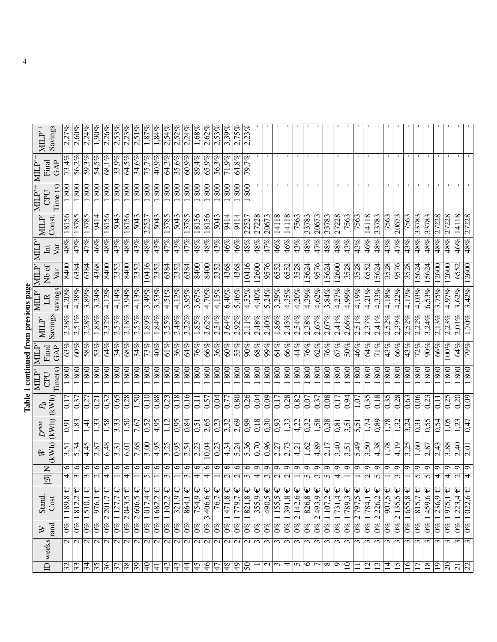| i |  |
|---|--|
|   |  |
| ı |  |
|   |  |
|   |  |
|   |  |
|   |  |
|   |  |
|   |  |

| $\text{MLP}^+$                           | Savings  | 2,27%                    | $2,60\%$                  | 2.24%                    | 1,90%                      | 2,26%        | 2,53%                     | 2.23%               | $2,51\%$                 | $1,87\%$                 | 1,84%               | 2,54%                     | 2,52%            | 2.24%                   | $1,68\%$                  | $2,62\%$                 | 2,53%                    | 3,39%              | 2.75%                        | 2.23%                   |                          |                        |                      |                        |                            |                             |                          |                            |                        |                      |                             |                                |                           |                          |                            |                     |                          |                          |                     |                         |                      |                          |
|------------------------------------------|----------|--------------------------|---------------------------|--------------------------|----------------------------|--------------|---------------------------|---------------------|--------------------------|--------------------------|---------------------|---------------------------|------------------|-------------------------|---------------------------|--------------------------|--------------------------|--------------------|------------------------------|-------------------------|--------------------------|------------------------|----------------------|------------------------|----------------------------|-----------------------------|--------------------------|----------------------------|------------------------|----------------------|-----------------------------|--------------------------------|---------------------------|--------------------------|----------------------------|---------------------|--------------------------|--------------------------|---------------------|-------------------------|----------------------|--------------------------|
| Final<br><b>NILLP</b>                    | GAP      | 73,4%                    | 56,2%                     | 59,3%                    | 54,5%                      | 68,1%        | 33,9%                     | 64,5%               | 34,6%                    | 75,7%                    | 40,9%               | 64,2%                     | 35,6%            | 60,9%                   | 89,4%                     | 65,9%                    | 36,3%                    | 71,9%              | 64,8%                        | 79,7%                   |                          |                        |                      |                        |                            |                             |                          |                            |                        |                      |                             |                                |                           |                          |                            |                     |                          |                          |                     |                         |                      |                          |
| $\mathrm{MLP'}$ $\mathrm{MLP'}^+$<br>CPU | Time (s) | 800                      | 800                       | $\overline{800}$         | 800                        | 800          | 800                       | 800                 | 800                      | 800                      | 800                 | 800                       | 800              | 800                     | $\overline{\frac{80}{5}}$ | 800                      | 800                      | 800                | 800                          | $\overline{800}$        |                          |                        |                      |                        |                            |                             |                          |                            |                        |                      |                             |                                |                           |                          |                            |                     |                          |                          |                     |                         |                      |                          |
|                                          | Const.   | 18156                    | 13785                     | 13785                    | 9414                       | 18156        | 5043                      | 18156               | 5043                     | 2252'                    | 5043                | 3785                      | 5043             | 3785                    | 18156                     | 18156                    | 5043                     | $\frac{6}{414}$    | 9414                         | 2252                    | 27228                    | 20673                  | 14118                | 14118                  | 7563                       | 33783                       | 2067                     | $\frac{378}{3}$            | 27228                  | 7563                 | 7563                        | 14118                          | 3378.                     | 7563                     | 20673                      | 7563                | 33783                    | 33783                    | 27228               | 27228                   | 14118                | 27228                    |
| $\mathbb{MLP}^n$<br>$\rm{I\!n}$          | Var      | 48%                      | 47%                       | 47%                      | 46%                        | 48%          | 43%                       | 48%                 | 43%                      | 48%                      | 43%                 | 47%                       | 43%              | $\frac{47\%}{25}$       | $\sqrt{48%}$              | 48%                      | 43%                      | 46%                | 46%                          | $\sqrt{48\%}$           | 48%                      | 47%                    | 46%                  | 46%                    | $\frac{43\%}{2\%}$         | 48%                         | 47%                      | 48%                        | 48%                    | 43%                  | $\frac{43\%}{2\%}$          | 46%                            | 48%                       | 43%                      | 47%                        | 43%                 | 48%                      | $\sqrt{48%}$             | 48%                 | 48%                     | 46%                  | 48%                      |
| MLP<br>Nb of                             |          | 8400                     | 6384                      | 6384                     | 4368                       | 8400         | 2352                      | 8400                | 2352                     | 10416                    | 2352                | 6384                      | 2352             | 6384                    | 8400                      | 8400                     | 2352                     | 4368               | 4368                         | 10416                   | 12600                    | 9576                   | 6552                 | 6552                   | 3528                       | .5624                       | 9576                     | 5624                       | 12600                  | 3528                 | 3528                        | 6552                           | .5624                     | 3528                     | 9576                       | 3528                | .5624                    | 15624                    | 12600               | .2600                   | 6552                 | 12600                    |
| MILP'<br>$\mathbb{R}$                    | savings  | 4.20%                    | $4,38\%$                  | 3,89%                    | 3,24%                      | 4,12%        | 4,14%                     | 3,94%               | 4,13%                    | 3,49%                    | 3,53%               | 4,51%                     | 4,12%            | 3.95%                   | 3,67%                     | 4,70%                    | 4,15%                    | 6,40%              | 5,46%                        | 4,52%                   | $4.40\%$                 | 5,24%                  | 3,29%                | 4,35%                  | $\frac{4.20\%}{4.20\%}$    | 4,39%                       | 4,62%                    | 3,84%                      | 4,27%                  | $4.99\%$             | $\frac{4.19\%}{4.19\%}$     | 4,21%                          | 4,33%                     | 4,18%                    | .22%<br>4,                 | 4,17%               | 4,03%                    | 6,53%                    | 3,75%               | 4.97%                   | 3,62%                | 3,42%                    |
| $\text{MILP}^*$                          | Savings  | 2,38%                    | 2,51%                     | 2,28%                    | $1,88\%$                   | 2,32%        | 2,53%                     | 2.18%               | 2,53%                    | 1,89%                    | 1,84%               | 2.55%                     | 2,48%            | 2.22%                   | $\overline{1,85\%}$       | 2,62%                    | 2,54%                    | 3,64%              | 2.92%                        | $2,11\%$                | 2,48%                    | 2,40%                  | 1,86%                | 2,43%                  | $2,54\%$                   | 2,38%                       | 2,67%                    | 2,07%                      | 2,41%                  | 2,66%                | 2.51%                       | 2.37%                          | 2,41%                     | 2,52%                    | $2.39\%$                   | 2,52%               | 2.22%                    | 3.24%                    | 2.13%               | 2.23%                   | $2,01\%$             | 1,70%                    |
| MLP<br>Final                             | GAP      | $\overline{63\%}$        | 90%                       | 288                      | 53%                        | 64%          | 34%                       | 68%                 | 34%                      | 73%                      | 40%                 | 61%                       | 36%              | 64%                     | 76%                       | 66%                      | 36%                      | 60%                | 55%                          | $\frac{90\%}{20\%}$     | 989                      | 99%                    | 64%                  | 66%                    | $\frac{4\%}{\%}$           | 76%                         | 62%                      | 76%                        | 67%                    | 50%                  | $\frac{46\%}{25}$           | 64%                            | 71%                       | 43%                      | 66%                        | 43%                 | 72%                      | 90%                      | 66%                 | $00\%$                  | 64%                  | 79%                      |
| MILP<br>CPU                              | Time(s)  | 800                      | $\overline{800}$          | 800                      | 800                        | 800          | 800                       | 800                 | 800                      | 800                      | 800                 | 800                       | 800              | 800                     | $\frac{80}{2}$            | 800                      | 800                      | 800                | 800                          | $\overline{\text{80}}$  | $\overline{800}$         | 800                    | 800                  | 800                    | $\overline{\overline{80}}$ | 800                         | 800                      | $\overline{\overline{80}}$ | 800                    | 800                  | $\overline{\overline{800}}$ | 800                            | $\overline{\frac{80}{2}}$ | $\overline{\frac{80}{}}$ | 800                        | 800                 | 800                      | $\overline{800}$         | 800                 | 800                     | 800                  | 800                      |
| (kWh)<br>$P_{\!B}$                       |          | $\overline{c}$           | 0,37                      | $\sqrt{27}$              | 0,21                       | 0,32         | 0,65                      | 0,28                | 1,50                     | 0,10                     | 0,88                | 0,23                      | 0,18             | 0,16                    | $\overline{0}$            | 0,57                     | 0,04                     | 0,77               | 0,80                         | $\frac{0,26}{5}$        | 0,04                     | 0,09                   | 0,17                 | 0,28                   | $\sqrt{0.82}$              | 0,07                        | 0,37                     | 0,08                       | 0,17                   | 0,94                 | 1,07                        | 0,35                           | 0,18                      | 0,35                     | 0,28                       | 0,63                | 0,06                     | $\frac{23}{2}$           | $\overline{0}$      | 0,25                    | $\frac{0.20}{20}$    | 0,09                     |
| (kWh)<br>$D^{\max}$                      |          | $\overline{0.91}$        | 1,83                      | नि<br>न                  | $\ddot{3}$                 | 1,58         | 3,33                      | 1,50                | 7,67                     | 0,52                     | $\sqrt{4.95}$       | 1,12                      | 0,95             | $\sqrt{0.84}$           | $\sqrt{0.51}$             | 2,65                     | $\overline{0.23}$        | 2,32               | $\frac{2.69}{2}$             | $\sqrt{6.0}$            | $\sqrt{18}$              | 0,30                   | 0,93                 | 1,33                   | $\frac{1}{2}$              | 0,32                        | 1,58                     | $\frac{86}{20}$            | 0, 81                  | 3,51                 | $\overline{5,51}$           | 1,74                           | $\overline{0.89}$         | 1,78                     | 1,32                       | 3,24                | $\sqrt{31}$              | $\frac{65}{5}$           | 0,54                | 1,05                    | 1,23                 | 0.47                     |
| (kWh)<br>$\bar{\bowtie}$                 |          | $\overline{3,5}$         | 5,34                      | 4,45                     | 2,87                       | 6,48         | 3,31                      | 6,01                | 7,68                     | $\frac{3,00}{2}$         | 4,95                | $\frac{3.25}{ }$          | $\frac{1}{0.95}$ | 2,54                    | 2,23                      | 10,04                    | 0,23                     | 4,34               | $\overline{5.24}$            | 5,36                    | $\overline{0,70}$        | 0,96                   | 2,27                 | 2,73                   | $\sqrt{4,21}$              | 1,62                        | 4,89                     | 2,17                       | 3,40                   | 3,51                 | $\frac{6}{5}$               | 3,50                           | $\frac{4,38}{ }$          | 1,78                     | 4.19                       | 3,25                | 1,60                     | 2,87                     | 2,43                | 3,88                    | 2,40                 | 2,01                     |
| Z<br>$\overline{\mathcal{B}}$            |          | ७<br>4                   | $\circ$<br>$\mathfrak{c}$ | ∘<br>3                   | ७<br>$\mathbf{\Omega}$     | ७<br>4       | ७                         | ∘<br>4              | ७                        | ∘<br>5                   | ७                   | $\circ$<br>$\mathfrak{m}$ | ∘                | ∘<br>3                  | $\circ$<br>4              | ७<br>4                   | ∘                        | ∘<br>$\mathcal{L}$ | ७<br>$\overline{\mathsf{c}}$ | ७<br>5                  | ం<br>4                   | Ō                      | ᡡ<br>$\mathbf{\sim}$ | ᡋ<br>$\mathbf{\Omega}$ | ం                          | ᢒ<br>5                      | Ō<br>ω                   | Ō<br>S                     | $\circ$<br>4           | Ō                    | $\circ$                     | $\circ$<br>$\mathcal{C}$       | ᡡ<br>n                    | Ō                        | ా<br>3                     | ᡡ                   | ○<br>5                   | O<br>5                   | Ō<br>4              | Ō<br>4                  | $\sigma$<br>$\sim$   | Ō<br>4                   |
| Stand.                                   | Cost     | Ψ<br>$\frac{1189.8}{2}$  | $0\%$  1812,2€            | $\overline{1510,1} \in$  | $\overline{976}$ , 1 $\in$ | $2201,7 \in$ | $\frac{1}{1}$ 127,7 $\in$ | $0\%$  2043,5 $\in$ | $0\%$  2 606,5 €         | $\frac{1}{26}$ 1 017,4 € | $0\%$  1682.2 $\in$ | $102.2 \in$               | $321,9 \in$      | $\overline{8}64.1 \in$  | $754.9 \in$               | $3406,6 \in$             | 76,7 $\in$               | $0\%$ 1471,8 €     | $\overline{779}$ ,7 $\in$    | $\overline{1821,8}$ €   | $355.9 \in$              | $\overline{490,5} \in$ | $1155,5 \in$         | $1391,8 \in$           | $2142,6 \in$               | $826,8 \overline{\epsilon}$ | $0\%$  2493,9€           | $\frac{1}{2}$ 107,2 €      | $\frac{1}{2}$ 1731,4 € | $\overline{789,3}$ € | $\frac{1}{2}$ 797,5 €       | $\overline{0\%}$  1784,1 $\in$ | $2226,2 \in$              | $\overline{907,5} \in$   | $\overline{2135}$ ,5 $\in$ | $0\%$  1655,8 $\in$ | $815.7 \in$              | $\overline{1459,6} \in$  | $0\%$  1236,9 $\in$ | $\sqrt{1975}$ , 1 $\in$ | $\overline{223,4}$ € | $0\%$  1 022,6 €         |
| $\gtrsim$                                | rand     | $\overline{0\%}$         |                           | $0\%$                    | $\frac{6}{2}$              | $0\%$        | $0\%$                     |                     |                          |                          |                     | $0\%$                     | $0\%$            | $0\%$                   | $\frac{8}{6}$             | $0\%$                    | $0\%$                    |                    | $0\%$                        | $\overline{0\%}$        | $\frac{6}{2}$            | $\overline{0\%}$       | $0\%$                | $0\%$                  | $\overline{0\%}$           | $0\%$                       |                          |                            |                        | $0\%$                |                             |                                | $0\%$                     | $0\%$                    | $0\%$                      |                     | $0\%$                    | $0\%$                    |                     | $0\%$                   | $0\%$  1             |                          |
| ID weeks                                 |          | $\overline{\mathsf{c}}$  | $\overline{\mathcal{C}}$  | $\overline{\mathcal{C}}$ | $\sim$                     | $\mathbf{C}$ | $\mathbf{\Omega}$         | $\mathcal{L}$       | $\overline{\mathcal{C}}$ | $\overline{\mathcal{C}}$ | $\sim$              | $\overline{\mathcal{C}}$  | $\overline{c}$   | $\overline{\mathsf{N}}$ | $\overline{\mathsf{c}}$   | $\overline{\mathcal{C}}$ | $\overline{\mathcal{C}}$ | $\mathcal{L}$      | $\overline{\mathsf{c}}$      | $\overline{\mathsf{c}}$ | $\epsilon$               | $\epsilon$             | $\epsilon$           | $\epsilon$             | $\overline{\mathcal{E}}$   | 3                           | $\epsilon$               | $\sim$                     | $\epsilon$             | $\overline{5}$       | $\epsilon$                  | $\overline{\mathfrak{c}}$      | $\sim$                    | $\overline{\mathcal{E}}$ | $\tilde{\phantom{0}}$      | 3                   | $\overline{\mathcal{E}}$ | $\overline{\mathcal{E}}$ | $\epsilon$          | $\epsilon$              | $\tilde{\xi}$        | $\overline{\mathcal{E}}$ |
|                                          |          | $\overline{\mathcal{E}}$ | $\overline{3}$            | $\frac{34}{35}$          |                            | 36           | $\overline{\mathcal{E}}$  | $\overline{38}$     | $\overline{39}$          | $\overline{\mathbb{R}}$  | $\frac{1}{4}$       | $ \mathcal{F} $           | 43               | $\overline{4}$          | $\overline{5}$            | 46                       | 47                       | 48                 | $\overline{5}$               | $\overline{50}$         | $\overline{\phantom{0}}$ | $\mathcal{L}$          | $ \omega $ 4         |                        | $\sim$                     | 9                           | $\overline{\phantom{a}}$ | ∣∞                         | $\sigma$               | $\overline{10}$      | $\Box$                      | $\overline{c}$                 | 13                        | $\overline{4}$           | 15                         | $\overline{16}$     | $\overline{17}$          | $\overline{18}$          | $\overline{0}$      | $\overline{0}$          | 21                   | 22                       |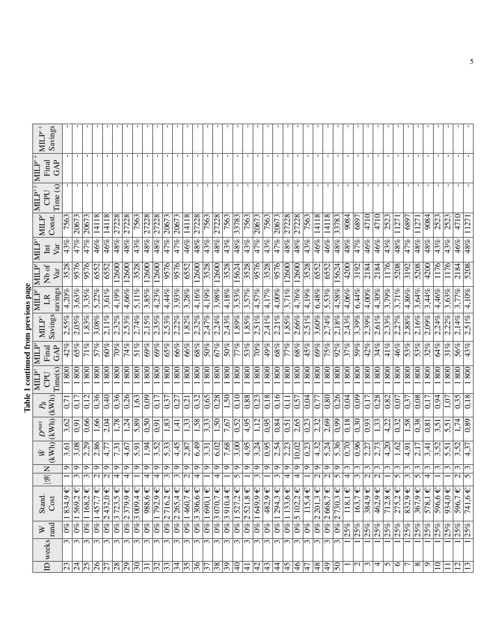## Table 1 continued from previous page Table 1 continued from previous page

| $MLP^+$                                          | Savings             |                          |                          |                          |                            |                   |                                |                               |                 |                   |                          |                            |                            |                           |                          |                           |                               |                           |                          |                                |                                 |                |                                |                 |                                |                           |                           |                              |                           |                       |                            |                                       |                                           |               |                     |                |                     |                   |             |                |                         |             |
|--------------------------------------------------|---------------------|--------------------------|--------------------------|--------------------------|----------------------------|-------------------|--------------------------------|-------------------------------|-----------------|-------------------|--------------------------|----------------------------|----------------------------|---------------------------|--------------------------|---------------------------|-------------------------------|---------------------------|--------------------------|--------------------------------|---------------------------------|----------------|--------------------------------|-----------------|--------------------------------|---------------------------|---------------------------|------------------------------|---------------------------|-----------------------|----------------------------|---------------------------------------|-------------------------------------------|---------------|---------------------|----------------|---------------------|-------------------|-------------|----------------|-------------------------|-------------|
| $MLP^+$<br>Final                                 | GAP                 |                          |                          |                          |                            |                   |                                |                               |                 |                   |                          |                            |                            |                           |                          |                           |                               |                           |                          |                                |                                 |                |                                |                 |                                |                           |                           |                              |                           |                       |                            |                                       |                                           |               |                     |                |                     |                   |             |                |                         |             |
| $\text{MLP}'\left \text{MLP}'^{+}\right $<br>CPU | Time (s)            |                          |                          |                          |                            |                   |                                |                               |                 |                   |                          |                            |                            |                           |                          |                           |                               |                           |                          |                                |                                 |                |                                |                 |                                |                           |                           |                              |                           |                       |                            |                                       |                                           |               |                     |                |                     |                   |             |                |                         |             |
|                                                  | Const.              | 7563                     | 20673                    | 2067                     | 14118                      | 14118             | 27228                          | 27228                         | 7563            | 27228             | 27228                    | 20673                      | 20673                      | 1411                      | 27228                    | 7563                      | 27228                         | 7563                      | 33783                    | 7563                           | 20673                           | 7563           | 20673                          | 27228           | 27228                          | 7563                      | 1411                      | 14118                        | 33783                     | 9084                  | 6897                       | 4710                                  | 4710                                      | 2523          | 127                 | 6897           | $\sqrt{27}$         | 9084              | 2523        | 2523           | 0147                    | 11271       |
| MILP<br>$\overline{\mathbf{H}}$                  | Var                 | 43%                      | 47%                      | 47%                      | 46%                        | 46%               | 48%                            | 48%                           | 43%             | 48%               | 48%                      | $\overline{47\%}$          | 47%                        | 46%                       | $\sqrt{48%}$             | 43%                       | 48%                           | 43%                       | 48%                      | 43%                            | 47%                             | 43%            | 47%                            | 48%             | 48%                            | 43%                       | 46%                       | 46%                          | 48%                       | 48%                   | $\sqrt{47\%}$              | 46%                                   | 46%                                       | 43%           | 48%                 | 47%            | 48%                 | $\sqrt{48%}$      | 43%         | 43%            | 46%                     | 48%         |
| <b>MILP</b><br>Nb of                             | $\sqrt{\mathbf{a}}$ | 3528                     | 9576                     | 9576                     | 6552                       | 6552              | 12600                          | 12600                         | 3528            | 12600             | 12600                    | 9576                       | 9576                       | 6552                      | $\frac{12600}{ }$        | 3528                      | 12600                         | 3528                      | 15624                    | 3528                           | 9576                            | 3528           | 9256                           | 12600           | 12600                          | 3528                      | 6552                      | 6552                         | 15624                     | 4200                  | $\frac{3192}{2}$           | 2184                                  | 2184                                      | 1176          | 5208                | 3192           | 5208                | $\frac{1}{200}$   | 1176        | 1176           | 2184                    | 5208        |
| MILP'<br>$\mathbb{R}$                            | savings             | 4.20%                    | 3,63%                    | 3.35%                    | 5.22%                      | $3.61\%$          | 4,19%                          | $4,66\%$                      | 5,11%           | 3,85%             | 4.23%                    | 4,44%                      | 3,93%                      | 3,28%                     | $4.16\%$                 | $4,19\%$                  | 3.98%                         | 4,18%                     | 3,53%                    | $3,57\%$                       | 4,57%                           | 4.17%          | $4,00\%$                       | 3,71%           | 4,76%                          | 4,19%                     | 6,48%                     | 5.53%                        | $4,58\%$                  | 4,06%                 | 6,44%                      | 4,00%                                 | 4,30%                                     | 3.79%         | $3.71\%$            | 4,86%          | 3,64%               | 3,44%             | 4,46%       | 3,63%          | 3,77%                   | $4.10\%$    |
| $\text{MLP}^*$                                   | Savings             | 2,55%                    | 2,05%                    | 1,83%                    | 3,08%                      | $2.11\%$          | 2,32%                          | 2,53%                         | 2,74%           | 2,15%             | 2,35%                    | 2.53%                      | 2.22%                      | 1,82%                     | 2,32%                    | 2,47%                     | 2.24%                         | 2.43%                     | 1,89%                    | $1,85\%$                       | 2.51%                           | 2,41%          | 2,21%                          | 1,85%           | 2,66%                          | $2,51\%$                  | 3,60%                     | 2,74%                        | $2,18\%$                  | 2.43%                 | 3.39%                      | 2,39%                                 | $2,61\%$                                  | 2,33%         | .27%<br>$\sim$      | 2,88%          | 2,16%               | $2,09\%$          | 2,24%       | .22%<br>$\sim$ | 2,14%                   | 2,51%       |
| <b>NIILP</b><br>Final                            | GAP                 | 42%                      | 65%                      | 71%                      | 57%                        | 60%               | 70%                            | 74%                           | 51%             | 69%               | 69%                      | 65%                        | 66%                        | 66%                       | 989                      | 50%                       | 67%                           | 50%                       | 77%                      | 53%                            | 70%                             | 49%            | 68%                            | 77%             | 989                            | 45%                       | 69%                       | 75%                          | 92%                       | 37%                   | 59%                        | 42%                                   | $\overline{34\%}$                         | 41%           | 46%                 | 53%            | 53%                 | 32%               | 64%         | 31%            | 56%                     | 43%         |
| $\text{MILP}^*$<br>CPU                           | Time(s)             | 800                      | 800                      | 800                      | 800                        | 800               | 800                            | 800                           | 800             | 800               | 800                      | 800                        | 800                        | 800                       | $\frac{80}{1}$           | 800                       | 800                           | 800                       | 800                      |                                | 800                             | 800            | 800                            | 800             | $\frac{80}{1}$                 | 800                       | 800                       | $\overline{\frac{80}{50}}$   | 800                       | 800                   | $\overline{\frac{80}{50}}$ | 800                                   | $\overline{\frac{80}{50}}$                | 800           | 800                 | 800            | 800                 | $\overline{800}$  | 800         | 800            | 800                     | 800         |
| $P_{\!B}$                                        | (kWh)               | 0.7                      | 0,17                     | 0.12                     | 0,36                       | 0,40              | 0,36                           | 0,26                          | 1,63            | 0,09              | 0,17                     | 0,37                       | 0,27                       | $\overline{\overline{2}}$ | $\sqrt{0.32}$            | 0,65                      | 0,28                          | 1,50                      | 0.10                     | $\sqrt{0.88}$                  | $\overline{0.23}$               | 0,18           | 0,16                           | 0.11            | 0,57                           | 0,04                      | $0.7^{\circ}$             | $\sqrt{0.80}$                | 0,26                      | $\sqrt{0.04}$         | $\frac{60}{20}$            | 0.17                                  | 0,28                                      | $\sqrt{0.82}$ | 0.07                | 0,37           | $\overline{0.08}$   | 0.17              | 0,94        | 1,07           | 0,35                    | 0.18        |
| $D^{\max}$                                       | (kWh)(kWh)          | 3,62                     | $\frac{1}{2}$            | 0,66                     | 1,66                       | 2.04              | 1,78                           | 1,24                          | 5,89            | $\overline{0.50}$ | 0,91                     | 1,83                       | 1,41                       | $\overline{1,33}$         | 1,58                     | 3,33                      | 1,50                          | 7,67                      | 0,52                     | $\sqrt{4,95}$                  | 1,12                            | 0,95           | 0,84                           | 0,51            | 2,65                           | 0,23                      | 2,32                      | $\frac{2,69}{ }$             | 0,99                      | 0,18                  | $\overline{0.30}$          | 0,93                                  | 1,33                                      | 4,22          | 0,32                | 1,58           | 0,38                | $\overline{0,81}$ | 3,51        | 5,51           | 1,74                    | 0,89        |
| Ŵ                                                |                     | $\overline{3,61}$        | 3,08                     | 2,29                     | 2,86                       | 4,77              | 7,31                           | 4,67                          | 5,91            | 1,94              | $\overline{3,52}$        | 5.33                       | 4,45                       | 2,87                      | 6,49                     | 3,31                      | 6,02                          | 7,68                      | 3,00                     | $\sqrt{4,95}$                  | 3,24                            | 0,95           | 2,54                           | 2,23            | 10,02                          | 0,23                      | 4,32                      | 5,24                         | 5,36                      | 0,70                  | $\frac{96}{0}$             | 2.27                                  | 2,73                                      | 4,20          | 1,62                | 4,91           | $\frac{2.17}{2.17}$ | 3,41              | 3,52        | 5,51           | 3,52                    | 4,37        |
| $\mathsf{Z}% _{0}$<br>$\overline{\mathscr{B}}$   |                     | ç                        | O<br>3                   | ٥<br>3                   | $\sigma$<br>$\sim$         | ഗ<br>$\mathbf{C}$ | σ<br>$\overline{4}$            | ా<br>4                        | ᡋ               | ᡋ<br>4            | ٥<br>4                   | O<br>$\tilde{\phantom{0}}$ | ç<br>$\epsilon$            | ○<br>$\mathbf{\Omega}$    | ం<br>4                   | O                         | ᢒ<br>4                        | ç                         | Ó<br>$\sigma$            | Ó                              | O<br>3                          | $\circ$        | ç<br>$\epsilon$                | ٩<br>4          | σ<br>4                         | ూ                         | Ō<br>$\sim$               | Ō<br>$\overline{\mathsf{N}}$ | O<br>$\sim$               | $\epsilon$<br>4       | 3<br>3                     | $\epsilon$<br>$\overline{\mathsf{c}}$ | $\mathfrak{c}$<br>$\overline{\mathsf{N}}$ | ω             | $\mathfrak{c}$<br>5 | $\omega$<br>3  | $\epsilon$<br>ln    | $\epsilon$<br>4   | $\omega$    | $\omega$       | $\sim$<br>$\sim$ $\sim$ | 3           |
| Stand.                                           | Cost                | $0\%$ 1834,9             | $\frac{1}{69}$ 1 569,2 € | $0\%$  1168,2€           | $\frac{1}{1457}$ , $7 \in$ | $0\%$ 2 432,0 €   | $\overline{0\%}$ 3 723,5 $\in$ | $\frac{1}{\sqrt{6}}$ 2379.9 € | $0\%$ 3 009,4 € | $988,6 \in$       | $0\%$  1792.9 €          | $0\%$ 2716,2 €             | $\frac{1}{2}$ 0% 2 265,4 € | $0\%$  1460,7€            | $\overline{0\%}$ 306,6 € | $0\%$  1690,1€            | $\hat{\psi}$<br>$0\%$ 3 070.7 | $0\%$  3910,4€            | $\bm{\Psi}$<br>0% 1527,2 | $\overline{0\%}$ 2 521,8 $\in$ | $\overline{0\%}$   1649,9 $\in$ | $482.9 \in$    | $\overline{0\%}$   294,3 $\in$ | $0\%$ 1 133,6 € | $\frac{1}{\sqrt{6}}$ 5 102,2 € | $115,4 \in$               | $2201,3 \in$              | $\overline{0\%}$ 2 668,7 €   | $0\%$ 2 730,3 €           | $\downarrow$<br>118,1 | $163.7 \in$                | $384.9 \in$                           | $462.9 \in$                               | $712,8 \in$   | $275.2 \in$         | $832,9 \in$    | $367.9 \in$         | $578,1 \in$       | $596,6 \in$ | $934.0 \in$    | 596,7 $\in$             | 741,6 $\in$ |
| $\gtrsim$                                        | rand                |                          |                          |                          |                            |                   |                                |                               |                 | $\omega_0$        |                          |                            |                            |                           |                          |                           |                               |                           |                          |                                |                                 | $0\%$          |                                |                 |                                | $0\%$                     | $0\%$                     |                              |                           | 25%                   | 25%                        | 25%                                   | 25%                                       | 25%           | 25%                 | 25%            | 25%                 | 25%               | 25%         | 25%            | 25%                     | 25%         |
| ID weeks                                         |                     | 3                        | $\overline{s}$           | $\overline{\mathcal{E}}$ | $\overline{\mathcal{E}}$   | 3                 | $\overline{3}$                 | 3                             | 3               | $\epsilon$        | 3                        | $\overline{3}$             | $\overline{\mathcal{E}}$   | $\overline{3}$            | $\overline{3}$           | $\overline{\mathfrak{c}}$ | $\overline{3}$                | $\overline{\mathfrak{c}}$ | 3                        | $\overline{s}$                 | $\overline{3}$                  | $\overline{3}$ | $\overline{\mathfrak{c}}$      | 3               | $\overline{\mathfrak{c}}$      | $\overline{\mathfrak{c}}$ | $\overline{\mathfrak{c}}$ | $\overline{\mathcal{E}}$     | $\overline{\mathfrak{c}}$ |                       |                            |                                       |                                           |               |                     |                |                     |                   |             |                |                         |             |
|                                                  |                     | $\overline{\mathcal{E}}$ | $\overline{5}$           | $\frac{25}{26}$          |                            | 27                |                                | 8 8                           | $\infty$        | $\overline{5}$    | $\overline{\mathcal{E}}$ | $ \widetilde{\mathbb{S}}$  | $\frac{34}{5}$             |                           | $\frac{95}{36}$          | $\overline{37}$           | $\frac{8}{39}$                |                           | $\Theta$                 | $\vert \pm$                    | $\overline{d}$                  | 43             | $\overline{4}$                 | 45              | 46                             | 47                        | 48                        | $\frac{6}{4}$                | $\overline{50}$           |                       | $\mathcal{L}$              | $\sim$                                | 4                                         | $\sim$        | 6                   | $\overline{ }$ | ∣∞                  | $\sigma$          | $\Xi$       | $\Xi$          | $\overline{c}$          | 13          |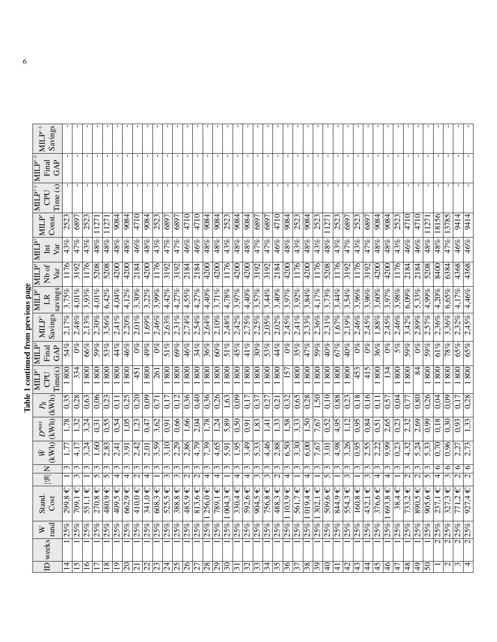| i                    |  |
|----------------------|--|
| :                    |  |
| ֚֚֚֬<br>יי יי היה הי |  |
|                      |  |
|                      |  |
| i                    |  |
|                      |  |
|                      |  |
|                      |  |

| $MLP^+$                                          | Savings    |                    |                            |                 |                      |               |                  |                     |                                 |                     |                         |                  |                 |                                 |                                        |                 |                      |                        |                             |                     |             |             |                    |                                                                                                                               |                  |                                |                             |                   |                         |                            |                        |                              |                     |                   |                   |                     |                                       |                  |                      |                                     |                                     |                  |
|--------------------------------------------------|------------|--------------------|----------------------------|-----------------|----------------------|---------------|------------------|---------------------|---------------------------------|---------------------|-------------------------|------------------|-----------------|---------------------------------|----------------------------------------|-----------------|----------------------|------------------------|-----------------------------|---------------------|-------------|-------------|--------------------|-------------------------------------------------------------------------------------------------------------------------------|------------------|--------------------------------|-----------------------------|-------------------|-------------------------|----------------------------|------------------------|------------------------------|---------------------|-------------------|-------------------|---------------------|---------------------------------------|------------------|----------------------|-------------------------------------|-------------------------------------|------------------|
| $MILP^+$<br>Final                                | GAP        |                    |                            |                 |                      |               |                  |                     |                                 |                     |                         |                  |                 |                                 |                                        |                 |                      |                        |                             |                     |             |             |                    |                                                                                                                               |                  |                                |                             |                   |                         |                            |                        |                              |                     |                   |                   |                     |                                       |                  |                      |                                     |                                     |                  |
| $\text{MLP}'\left \text{MLP}'^{+}\right $<br>CPU | Time (s)   |                    |                            |                 |                      |               |                  |                     |                                 |                     |                         |                  |                 |                                 |                                        |                 |                      |                        |                             |                     |             |             |                    |                                                                                                                               |                  |                                |                             |                   |                         |                            |                        |                              |                     |                   |                   |                     |                                       |                  |                      |                                     |                                     |                  |
|                                                  | Const.     | 2523               | 6897                       | 2523            | 127                  | 11271         | 9084             | 9084                | 4710                            | 9084                | 2523                    | 6897             | 6897            | 4710                            | 4710                                   | 9084            | $\frac{9084}{ }$     | 2523                   | 9084                        | $\frac{9084}{1}$    | 6897        | 6897        | 4710               | 9084                                                                                                                          | 2523             | 9084                           | 2523                        | $\overline{271}$  | 2523                    | 6897                       | 2523                   | 6897                         | $\frac{9084}{x}$    | 9084              | 2523              | 4710                | 4710                                  | 11271            | 8156                 | 3785                                | 9414                                | 9414             |
| MLP<br>$\rm{Int}$                                | Var        | $\sqrt{43%}$       | 47%                        | 43%             | 48%                  | 48%           | 48%              | $\overline{48\%}$   | 46%                             | 48%                 | 43%                     | 47%              | 47%             | 46%                             | $\overline{46}$ %                      | 48%             | 48%                  | $\frac{43\%}{2\%}$     | 48%                         | $\sqrt{48\%}$       | 47%         | 47%         | 46%                | 48%                                                                                                                           | 43%              | $\sqrt{48%$                    | 43%                         | $\frac{48\%}{25}$ | 43%                     | $\sqrt{47\%}$              | 43%                    | 47%                          | 48%                 | $\overline{48}\%$ | $\overline{43\%}$ | 46%                 | 46%                                   | $\sqrt{48%}$     | 48%                  | 47%                                 | 46%                                 | 46%              |
| <b>MILP</b><br>Nb of                             | Var        | $\frac{911}{1176}$ | 3192                       | 1176            | 5208                 | 5208          | 4200             | 4200                | $\frac{184}{2184}$              | 4200                | 1176                    | 3192             | 3192            | 2184                            | 2184                                   | 4200            | $\sqrt{4200}$        | 1176                   | 4200                        | $\overline{4200}$   | 3192        | 3192        | 2184               | 4200                                                                                                                          | 1176             | 4200                           | 1176                        | 5208              | 1176                    | 3192                       | 1176                   | 3192                         | $\frac{4200}{5}$    | $\frac{1}{200}$   | 1176              | 2184                | 2184                                  | 5208             | 8400                 | 6384                                | 4368                                | 4368             |
| MILP'<br>LR                                      | savings    | 3,75%              | $4,01\%$                   | 3.93%           | 4,01%                | $6,42\%$      | 4,04%            | 4,12%               | 3,30%                           | 3,22%               | $\frac{3.99\%}{2.39\%}$ | 4,42%            | 4,27%           | $\frac{4,55\%}{4,55\%}$         | 4.27%                                  | $4,40\%$        | 3,71%                | $\frac{4,78\%}{4,8\%}$ | 3,97%                       | 4,40%               | 3,57%       | 3,44%       | 3,40%              | 3,97%                                                                                                                         | 3.92%            | 3,84%                          | 4,17%                       | 3,73%             | 3,44%                   | 3,54%                      | 3,96%                  | 3,96%                        | $3,\overline{60\%}$ | 3.97%             | 3.98%             | $6,09\%$            | 5,33%                                 | 4,99%            | 4,20%                | 6,65%                               | 4,17%                               | 4,46%            |
| $\text{MLP}^*$                                   | Savings    | 2.17%              | 2,48%                      | 2.13%           | $2,30\%$             | 3,56%         | 2.41%            | 2.20%               | $2.01\%$                        | 1,69%               | 2,46%                   | 2,63%            | $2,31\%$        | 2,74%                           | 2,54%                                  | 2,64%           | 2,10%                | 2,48%                  | 2,42%                       | 2,75%               | 2.25%       | 2,05%       | 2,02%              | 2,45%                                                                                                                         | $2.41\%$         | 2,33%                          | 2,36%                       | 2,31%             | 1,67%                   | 2.19%                      | 2.46%                  | 2.45%                        | 1,88%               | 2.45%             | $2,46\%$          | 3,42%               | 2,89%                                 | 2,57%            | $2,36\%$             | 3,36%                               | $2,32\%$                            | 2,45%            |
| MILP<br>Final                                    | GAP        | 54%                | $\frac{6}{2}$              | 66%             | 59%                  | 53%           | 44%              | 46%                 | $0\%$                           | 49%                 | $0\%$                   | 51%              | 69%             | 46%                             | $\frac{34\%}{25}$                      | 36%             | 60%                  | $\frac{2}{21}$         | 45%                         | 41%                 | 30%         | $53\%$      | 44%                | $0\%$                                                                                                                         | 35%              | 47%                            | 59%                         | $\sqrt{40\%}$     | 67%                     | 40%                        | $\frac{9}{6}$          | $0\%$                        | 36%                 | $0\%$             | $5\%$             | 59%                 | $0\%$                                 | $59\%$           | 61%                  | 78%                                 | 65%                                 | 65%              |
| MILP'<br>CPU                                     | Time(s)    | 800                | 334                        | 800             | 800                  | 800           | 800              | 800                 | 451                             | 800                 | 261                     | 800              | 800             | 800                             |                                        | 800             | 800                  | $\frac{80}{1}$         | 800                         |                     | 800         | 800         | 800                | 157                                                                                                                           | 800              | 800                            | 800                         | $\frac{80}{1}$    | 800                     | 800                        | $\overline{45}$        | 415                          |                     | 134               | 800               | 800                 | 84                                    | $\overline{800}$ | 800                  | 800                                 | 800                                 | $\overline{800}$ |
| $\mathcal{P}_B$                                  | (kWh)      | 0,35               | 0,28                       | 0,63            | 0,06                 | 0,23          | 0.1              | 0.25                | 0,20                            | 0,09                | 0,71                    | 0,17             | 0,12            | 0,36                            | 0,40                                   | 0,36            | $\frac{6}{26}$       | 1,63                   | 0,09                        | 0.17                | 0,37        | 0,27        | 0,21               | 0,32                                                                                                                          | 0,65             | 0,28                           | 1,50                        | 0,10              | 0,88                    | 0,23                       | 0,18                   | 0.16                         | 0,11                | $\sqrt{0.57}$     | 0,04              | 0,77                | 0,80                                  | $\frac{0,26}{5}$ | 0,04                 | 0,09                                | 0,17                                | 0,28             |
| $D^{\max}$                                       | (kWh)(kWh) | 1,78               | 1,32                       | 3,24            | 0,31                 | 0,55          | 0,54             | 1,05                | 1,23                            | 0,47                | 3,62                    | 0,91             | 0,66            | 1,66                            | $\frac{2,04}{ }$                       | 1,78            | $\frac{1.24}{ }$     | 5,89                   | 0,50                        | 0,91                | 1,83        | 1,41        | $\overline{1,33}$  | 1,58                                                                                                                          | 3,33             | 1,50                           | 7,67                        | $\frac{52}{2}$    | 4,95                    | $\frac{1}{1}$              | $\frac{56}{20}$        | 0,84                         | $\overline{0.51}$   | 2,65              | 0,23              | 2,32                | 2,69                                  | $\sqrt{6.0}$     | 0,18                 | $\frac{1}{0.30}$                    | 0,93                                | 1,33             |
| $\bar{\mathbb{X}}$                               |            |                    | 4,17                       | 3,24            | 1,60                 | 2,83          | $\overline{2,4}$ | 3,91                | 2,42                            | 2,01                | $\frac{3,59}{ }$        | 3,10             | 2,29            | 2,86                            | 4,79                                   | 7,39            | 4,65                 | $\overline{5.91}$      | 1,95                        | $\frac{3,49}{}$     | 5,33        | 4,46        | 2,88               | 6,50                                                                                                                          | $\frac{3.30}{ }$ | 6,00                           | 7,67                        | $\overline{3,01}$ | 4,98                    | $\frac{3.26}{ }$           | $\frac{6.0}{26}$       | 2,55                         | 2,22                | $\frac{65}{6}$    | 0,23              | 4,32                | 5,24                                  | 5,33             | 0,70                 | $\frac{96}{20}$                     | 2,27                                | 2.73             |
| $\frac{1}{N}$                                    |            | 3                  | $\epsilon$<br>ω            | $\epsilon$      | $\epsilon$<br>5      | ω<br>$\sigma$ | ς<br>4           | ω<br>4              | $\epsilon$<br>$\mathbf{\Omega}$ | $\epsilon$<br>4     | $\epsilon$              | $\epsilon$<br>3  | ω<br>$\epsilon$ | $\mathfrak{c}$<br>$\mathcal{L}$ | $\epsilon$<br>$\overline{\mathcal{C}}$ | $\epsilon$<br>4 | $\omega$<br>4        | $\sim$                 | $\omega$<br>4               | $\epsilon$<br>4     | ო<br>3      | ς<br>3      | $\omega$<br>$\sim$ | $\epsilon$<br>4                                                                                                               | $\epsilon$       | 3<br>4                         | ς                           | ω<br>5            | ω                       | $\mathfrak{c}$<br>$\infty$ | 3                      | $\epsilon$<br>$\mathfrak{m}$ | $\omega$<br>4       | 3<br>4            | 3                 | 3<br>$\overline{C}$ | $\epsilon$<br>$\overline{\mathsf{c}}$ | $\epsilon$<br>ln | ∘<br>4               | $\circ$<br>$\overline{\mathcal{E}}$ | $\circ$<br>$\overline{\mathcal{N}}$ | $\circ$          |
| Stand.                                           | Cost       | 862                | $\overline{709}$ , $1 \in$ | 551,1 €         | $\overline{270,8}$ € | 480,9€        | $409,5 \in$      | $662,9 \in$         | $410.0 \in$                     | $341,0$ €           | $\overline{608,3}$      | 525,5 $\epsilon$ | $388,8 \in$     | $\overline{485.9 \in}$          | $\sqrt{813.6}$                         | $256,0 \in$     | $\overline{789,1}$ € | $25\%$ 1 004,3 €       | $330,4 \in$                 | $592,6 \in$         | $904,5 \in$ | $756,8 \in$ | $488,3 \in$        | $25\%$ 1 103,9 €                                                                                                              | $561,7 \in$      | $\frac{25\%}{1019.4\text{ E}}$ | $\frac{25\%}{25\%}$ 509,6 € |                   | 844,9€                  | $554,3 \in$                | $\overline{160,8 \in}$ | $432,1 \in$                  | $376,6 \in$         | $1693,8 \in$      | $38,4 \in$        | $733.2 \in$         | $\overline{890,5}$                    | $905,6 \in$      | $\overline{237,1}$ € | $327,3 \in$                         | $771,2 \in$                         | $927,4 \in$      |
| $\gtrsim$                                        | rand       | 25%                | 25%                        | 25%             | 25%                  | 25%           | 25%              | $\frac{35\%}{25\%}$ | 25%                             | $\frac{25\%}{25\%}$ |                         | 25%              | 25%             | 25%                             | $\frac{25\%}{25\%}$ 1                  |                 | 25%                  |                        | 25%                         | $\frac{25\%}{25\%}$ |             | 25%         | 25%                |                                                                                                                               | 25%              |                                |                             |                   | 25%                     | $\frac{25\%}{25\%}$        |                        | 25%                          | $\frac{25%}{25%}$   |                   | 25%               | 25%                 | 25%                                   | 25%              | 25%                  | 25%                                 | 25%                                 | 25%              |
| ID weeks                                         |            |                    |                            |                 |                      |               |                  |                     |                                 |                     |                         |                  |                 |                                 |                                        |                 |                      |                        |                             |                     |             |             |                    |                                                                                                                               |                  |                                |                             |                   |                         |                            |                        |                              |                     |                   |                   |                     |                                       |                  | $\overline{c}$       | $\frac{1}{2}$ ম                     |                                     |                  |
|                                                  |            | $\overline{4}$     | 15                         | $\overline{16}$ | $\overline{17}$      | 18            | $\overline{0}$   | $\overline{5}$      | $ \overline{z} $                | z z                 |                         | z z z z          |                 |                                 |                                        | $\frac{28}{30}$ |                      |                        | $\frac{1}{3}$ $\frac{1}{3}$ |                     |             |             |                    | $\frac{1}{3}$ $\frac{1}{3}$ $\frac{1}{3}$ $\frac{1}{3}$ $\frac{1}{3}$ $\frac{1}{3}$ $\frac{1}{3}$ $\frac{1}{3}$ $\frac{1}{3}$ |                  |                                |                             |                   | $\vert \frac{4}{\vert}$ | $\frac{42}{43}$            |                        | $\overline{4}$               | $\frac{5}{5}$       | $\frac{4}{6}$     | $\frac{1}{4}$     | 48                  | $\frac{1}{9}$                         | $\overline{50}$  |                      | $\frac{2}{3}$                       |                                     | 4                |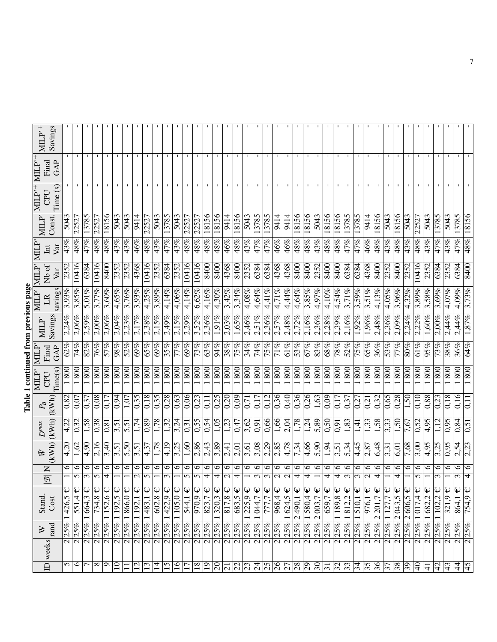## Table 1 continued from previous page Table 1 continued from previous page

| ID weeks                      | $\gtrsim$             | <b>Stand</b>                                     | $\mathsf{z}$<br>$\overline{\mathscr{B}}$ | 它                           | $D^{\max}$              | $P_{\!B}$         | MILP'<br>CPU               | MLP<br>Final      | $\text{MLP}^*$ | MILP'<br>LR | MILP <sup>*</sup><br>Nb of | <b>NIIIN</b><br>$\rm{Int}$ |                   | $\text{MLP}'\left \text{MLP}'^{+}\right $<br>CPU | $MLP^+$<br>Final | $MLP^+$ |
|-------------------------------|-----------------------|--------------------------------------------------|------------------------------------------|-----------------------------|-------------------------|-------------------|----------------------------|-------------------|----------------|-------------|----------------------------|----------------------------|-------------------|--------------------------------------------------|------------------|---------|
|                               | rand                  | Cost                                             |                                          |                             | (kWh)(kWh)              | (kWh)             | Time(s)                    | GAP               | Savings        | savings     | Var                        | Var                        | Const.            | Time (s)                                         | GAP              | Savings |
| $\overline{\mathcal{C}}$      | 25%                   | 1426,5                                           |                                          | $\sqrt{4,20}$<br>$\circ$    | $\sqrt{4.22}$           | 0,82              | 800                        | 62%               | 2.24%          | 3.93%       | 2352                       | $\sqrt{43\%}$              | $\frac{5043}{50}$ |                                                  |                  |         |
|                               | $\sqrt{25\%}$         | $\overline{551,4} \in$                           | 5                                        | 1,62<br>$\circ$             | 0,32                    | 0,07              | 800                        | 74%               | $2,06\%$       | 3,85%       | 10416                      | 48%                        | 22527             |                                                  |                  |         |
|                               | 2 25%                 | $1664.3 \in$                                     | 3                                        | 4,90<br>$\circ$             | 1,58                    | 0.37              | 800                        | 82%               | 2.59%          | 5.01%       | 6384                       | 47%                        | 3785              |                                                  |                  |         |
| $\overline{\mathbf{c}}$       | $ 25\% $              | $\overline{734,8} \in$                           | 5                                        | 2,16<br>∘                   | 0,38                    | 0,08              | 800                        | 76%               | $2,00\%$       | 3,77%       | 10416                      | 48%                        | 2252              |                                                  |                  |         |
| $\sigma$                      | 2 25%                 | $\overline{152,6} \in$                           | 4                                        | 3,40<br>७                   | 0,81                    | 0,17              | 800                        | 57%               | $2,06\%$       | 3,60%       | 8400                       | 48%                        | 18156             |                                                  |                  |         |
| $\overline{\mathbf{c}}$       | 25%                   | $\overline{192,5}$ €                             |                                          | 3,51<br>∘                   | 3,51                    | 0,94              | 800                        | 98%               | 2,04%          | 4,65%       | 2352                       | 43%                        | 5043              |                                                  |                  |         |
|                               |                       | $2 25\% 1866,0 \in$                              |                                          | 5,50<br>∘                   | 5,51                    | 1,07              | 800                        | 52%               | 2.23%          | 3,76%       | 2352                       | $\frac{43}{\%}$            | 5043              |                                                  |                  |         |
| $\overline{\mathbf{c}}$       |                       | $\frac{25\%}{1192.1}$                            | $\mathbf{\sim}$                          | 3,51<br>$\circ$             | 1,74                    | 0,35              | 800                        | 69%               | 2.17%          | 3.93%       | 4368                       | 46%                        | 9414              |                                                  |                  |         |
| $\overline{13}$               |                       | $\sqrt{2 25\% 1483,1}$ €                         | $\Omega$                                 | 4,37<br>∘                   | 0,89                    | 0,18              | 800                        | 65%               | 2,38%          | 4,25%       | 10416                      | 48%                        | 2252              |                                                  |                  |         |
| $\overline{1}$                | $\frac{25\%}{25\%}$   | $\overline{602,8} \in$                           |                                          | 1,78<br>∘                   | 1,78                    | $\overline{0.35}$ | 800                        | 69%               | 2,15%          | 3,89%       | 2352                       | 43%                        | 5043              |                                                  |                  |         |
| $\overline{51}$               | 2 25%                 | $1422,9 \in$                                     | 3                                        | 4,19<br>∘                   | 1,32                    | 0,28              | 800                        | 35%               | 2,49%          | 4,14%       | 6384                       | $\overline{47\%}$          | 3785              |                                                  |                  |         |
| 16                            | 2 25%                 | $105,0 \in$                                      |                                          | 3,25<br>∘                   | 3,24                    | 0,63              | 800                        | 77%               | 2,15%          | $4,06\%$    | 2352                       | 43%                        | 5043              |                                                  |                  |         |
|                               | 2 25%                 | $\overline{\mathsf{P}}$<br>544,1                 | 5                                        | 1,60<br>७                   | 0,31                    | 0,06              | 800                        | 69%               | 2,29%          | 4,14%       | 10416                      | 48%                        | 2252              |                                                  |                  |         |
| $\overline{\mathbf{c}}$<br>18 | 25%                   | $\overline{970,9}$                               | 5                                        | $\frac{2,86}{ }$<br>$\circ$ | $\frac{0.55}{5}$        | $\overline{0.23}$ | $\overline{800}$           | $\overline{73\%}$ | 3,52%          | 6,62%       | 10416                      | $\sqrt{48%}$               | 22527             |                                                  |                  |         |
| $\overline{\infty}$           | 2 25%                 | $\overline{823}$ , $7 \in$                       | 4                                        | 2,43<br>$\circ$             | 0,54                    | 0,11              | 800                        | 63%               | 2,36%          | 4,16%       | 8400                       | 48%                        | 18156             |                                                  |                  |         |
|                               | $2 25\% $             | $\overline{1320,3}$ €                            | 4                                        | $\frac{3.89}{ }$<br>∘       | $\overline{1,05}$       | 0,25              | 800                        | 94%               | 1.91%          | 4,30%       | 8400                       | 48%                        | 18156             |                                                  |                  |         |
|                               | $\sqrt{2 25%}$        | $\sqrt{817.8}$                                   | $\overline{\mathsf{c}}$                  | $\frac{1}{2,41}$<br>$\circ$ | $\overline{123}$        | $\overline{0.20}$ | $\frac{80}{1}$             | 38%               | $2,03\%$       | 3,42%       | 4368                       | 46%                        | 9414              |                                                  |                  |         |
| $\frac{23}{24}$               | 2 25%                 | $683,5 \in$                                      | 4                                        | 2,01<br>$\circ$             | 0,47                    | 0,09              | 800                        | 75%               | 1,65%          | 3,34%       | 8400                       | 48%                        | 8156              |                                                  |                  |         |
|                               |                       | $\frac{2 25\% 1225,9 \in}{2 25\% 1044,7 \infty}$ |                                          | 3,61<br>७                   | 3,62                    | 0,7               | $\overline{\text{80}}$     | 34%               | 2,46%          | $4,08\%$    | 2352                       | $\sqrt{43%}$               | 5043              |                                                  |                  |         |
|                               |                       |                                                  | 3                                        | 3,08<br>∘                   | 0,91                    | 0.17              | 800                        | 74%               | 2.51%          | 4,64%       | 6384                       | 47%                        | 3785              |                                                  |                  |         |
| $\overline{\mathbf{c}}$       | 25%                   | 777,7 €                                          | 3                                        | 2,29<br>∘                   | 0,66                    | 0,12              | 800                        | 75%               | 2,36%          | 4,41%       | 6384                       | 47%                        | 3785              |                                                  |                  |         |
|                               | 25%<br>$\overline{c}$ | $968,4 \in$                                      | $\sim$                                   | 2,85<br>∘                   | 1,66                    | 0,36              | 800                        | 71%               | 2,57%          | 4,71%       | 4368                       | 46%                        | 9414              |                                                  |                  |         |
|                               |                       | $2 25\% 1624,5 \in$                              | $\mathbf{C}$                             | 4,78<br>७                   | 2,04                    | 0,40              | 800                        | 61%               | 2,48%          | 4,44%       | 4368                       | 46%                        | 9414              |                                                  |                  |         |
| $\overline{c}$                |                       | $25\%$ 2490,1 €                                  | 4                                        | 7,34<br>$\circ$             | 1,78                    | 0,36              | 800                        | 53%               | 2,72%          | 4,64%       | 8400                       | $\sqrt{48%$                | 18156             |                                                  |                  |         |
|                               |                       | $\frac{2}{2}$ 25% $\frac{1}{380,4}$              | 4                                        | 4,66<br>∘                   | 1,24                    | 0,26              | 800                        | 67%               | $2,16\%$       | $3,85\%$    | 8400                       | 48%                        | 18156             |                                                  |                  |         |
|                               |                       | $\hat{\bm{\psi}}$<br>$2 25\% 2003,7$             |                                          | $\frac{1}{5}$<br>$\circ$    | 5,89                    | 1,63              | 800                        | 83%               | 2,36%          | 4,97%       | 2352                       | 43%                        | 5043              |                                                  |                  |         |
| $\overline{\mathbf{c}}$       | 25%                   | $\overline{659}$ , $7 \in$                       | 4                                        | $\frac{1.94}{ }$<br>$\circ$ | $\frac{0.50}{2}$        | $\sqrt{0.09}$     | $\overline{\frac{80}{50}}$ | <b>989</b>        | 2,28%          | 4,10%       | 8400                       | 48%                        | 8156              |                                                  |                  |         |
|                               |                       | $2 25\% 1189,8 \in$                              | 4                                        | 3,51<br>$\circ$             | 0,91                    | 0,17              | 800                        | 78%               | 2,39%          | 4,54%       | 8400                       | 48%                        | 18156             |                                                  |                  |         |
|                               |                       | $2 25\% 1812,2 \in$                              | $\mathfrak{c}$                           | 5.34<br>∘                   | 1,83                    | 0,37              | 800                        | 52%               | 2,16%          | 3,71%       | 6384                       | $\sqrt{47\%}$              | 3785              |                                                  |                  |         |
|                               |                       | $\frac{2}{2}$ 25% $\frac{1}{2}$ 510,1 $\in$      | $\overline{\mathfrak{c}}$                | 4,45<br>∘                   | 1,41                    | 0,27              | 800                        | 75%               | 1,92%          | 3,59%       | 6384                       | 47%                        | .3785             |                                                  |                  |         |
|                               | 2 25%                 | $\hat{\bm{\psi}}$<br>$\frac{1}{976,1}$           | $\mathbf{\Omega}$                        | 2,87<br>$\circ$             | 1,33                    | 0,21              | 800                        | 65%               | 1.96%          | 3,51%       | 4368                       | 46%                        | 9414              |                                                  |                  |         |
|                               |                       | $2 25\% 2201,7$                                  | 4                                        | 6,48<br>$\circ$             | $\frac{1,58}{\sqrt{2}}$ | 0,32              | $\overline{\frac{80}{}}$   | 36%               | 2,48%          | 4,13%       | 8400                       | $\overline{48\%}$          | 8156              |                                                  |                  |         |
|                               |                       | $2\overline{\left 25\% \right 1127,7}$           |                                          | 3,31<br>७                   | $\overline{3,33}$       | 0,65              | $\overline{\frac{80}{}}$   | 53%               | 2.36%          | 4.05%       | 2352                       | 43%                        | 5043              |                                                  |                  |         |
| $\overline{\mathbf{c}}$       |                       | $35\%$ 2043,5 €                                  | 4                                        | 5.01<br>७                   | 1,50                    | 0,28              | 800                        | 77%               | 2.09%          | 3.96%       | 8400                       | 48%                        | 8156              |                                                  |                  |         |
|                               |                       | $2 25\% 2606,5 \in$                              |                                          | 7,68<br>∘                   | 7,67                    | 1,50              | 800                        | 80%               | 2,24%          | 4,32%       | 2352                       | 43%                        | 5043              |                                                  |                  |         |
|                               |                       | $2 25\% 1017.4 \in$                              | 5                                        | 3,00<br>$\circ$             | 0,52                    | $\rm _{0.10}$     | 800                        | 61%               | 2.22%          | 3,89%       | 10416                      | 48%                        | 2252              |                                                  |                  |         |
| $\overline{\mathcal{C}}$      |                       | $25\%$ 1682,2 €                                  |                                          | $\sqrt{4.95}$<br>$\circ$    | $\frac{4.95}{ }$        | $\sqrt{0.88}$     | $\overline{800}$           | 95%               | 1,60%          | 3,58%       | 2352                       | $\sqrt{43\%}$              | 5043              |                                                  |                  |         |
| $\overline{\mathbf{c}}$       |                       | 25% 1102,2                                       | ω                                        | 3,25<br>$\circ$             | 1,12                    | 0,23              | 800                        | 73%               | $2,00\%$       | 3,69%       | 6384                       | 47%                        | 3785              |                                                  |                  |         |
| <u>নমান</u>                   | 25%                   | $321.9 \in$                                      |                                          | 0,95<br>∘                   | 0,95                    | 0,18              | 800                        | 38%               | 2,44%          | 4,07%       | 2352                       | 43%                        | 5043              |                                                  |                  |         |
|                               | 25%                   | $864,1 \in$                                      | $\epsilon$                               | 2,54<br>$\circ$             | $\sqrt{0.84}$           | 0,16              | $\frac{80}{1}$             | 36%               | 2,44%          | 4,09%       | 6384                       | 47%                        | 3785              |                                                  |                  |         |
|                               | 25%                   | $754.9 \in$                                      | 4                                        | $\frac{2.23}{ }$<br>$\circ$ | 0,51                    | $\overline{11}$   | 800                        | 64%               | 1,87%          | 3,73%       | 8400                       | 48%                        | 18156             |                                                  |                  |         |
|                               |                       |                                                  |                                          |                             |                         |                   |                            |                   |                |             |                            |                            |                   |                                                  |                  |         |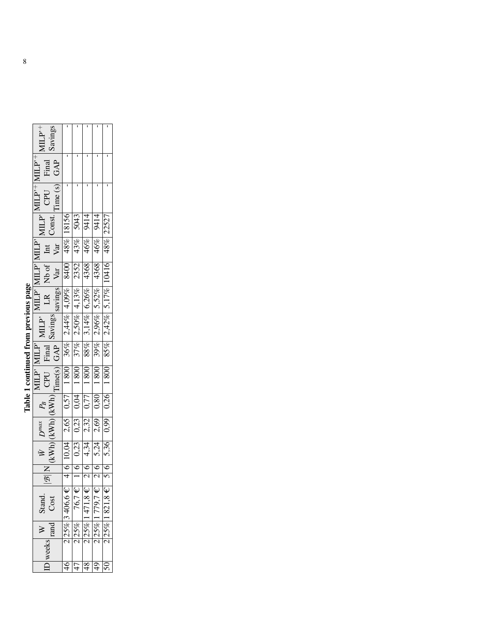| i                        |  |
|--------------------------|--|
| :                        |  |
| ֚֚֚֬<br>Ì<br>i<br>֚֚֡֡֡֡ |  |
|                          |  |
|                          |  |
| $\ddot{\phantom{a}}$     |  |
|                          |  |
|                          |  |
| j                        |  |

| Savings<br>$\rm dL^{p+}$                                                                                                                                                                                                                                                                                                                                                                     |                                                                                |                  |                     |                            |                 |
|----------------------------------------------------------------------------------------------------------------------------------------------------------------------------------------------------------------------------------------------------------------------------------------------------------------------------------------------------------------------------------------------|--------------------------------------------------------------------------------|------------------|---------------------|----------------------------|-----------------|
| $MLP^+$<br>Final<br>GAP                                                                                                                                                                                                                                                                                                                                                                      |                                                                                |                  |                     |                            |                 |
| $\frac{ \text{MLP'}^{+} }{ \text{CPU} }$<br>Time(s)<br>$\begin{tabular}{ll} \hline & MILP' MILP' MILP' MILP' MILP' MILP' MILP' MILP' L.R & No of\nA Bavings savings Var' Var\n\begin{tabular}{ll} \hline GAP & Savings \\ \hline 36\% & 2,44\% & 4,09\% & 8400 & 48\% & 18156 \\ \hline 1800 & 37\% & 2,50\% & 4,13\% & 2,352 & 43\% & 50' \\ \hline 1800 & 88\% & 3,14\% & 6,26\% & 4368 &$ |                                                                                |                  |                     |                            |                 |
|                                                                                                                                                                                                                                                                                                                                                                                              |                                                                                |                  |                     |                            |                 |
|                                                                                                                                                                                                                                                                                                                                                                                              |                                                                                |                  |                     |                            |                 |
|                                                                                                                                                                                                                                                                                                                                                                                              |                                                                                |                  |                     |                            |                 |
|                                                                                                                                                                                                                                                                                                                                                                                              |                                                                                |                  |                     |                            |                 |
|                                                                                                                                                                                                                                                                                                                                                                                              |                                                                                |                  |                     |                            |                 |
|                                                                                                                                                                                                                                                                                                                                                                                              |                                                                                |                  |                     |                            |                 |
|                                                                                                                                                                                                                                                                                                                                                                                              |                                                                                |                  |                     |                            |                 |
| $\left(\text{kWh}\right)\left(\text{kWh}\right)$<br>$P_{B}$                                                                                                                                                                                                                                                                                                                                  | 250                                                                            | 0,04             | $\overline{0.77}$   | 0,80                       | 0,26            |
| $D^{max}$                                                                                                                                                                                                                                                                                                                                                                                    | $\begin{array}{ c c c c c } \hline 4 & 6 & 10,04 & 2,65 \\ \hline \end{array}$ | 0,23             | 2,32                | 2,69                       | 0,99            |
| KWh <br>i<br>≫                                                                                                                                                                                                                                                                                                                                                                               |                                                                                | 0,23             | 4,34                | 5,24                       | 5,36            |
|                                                                                                                                                                                                                                                                                                                                                                                              |                                                                                |                  |                     |                            | $\frac{2}{5}$   |
|                                                                                                                                                                                                                                                                                                                                                                                              |                                                                                |                  |                     |                            |                 |
| W   Stand.<br>Cost                                                                                                                                                                                                                                                                                                                                                                           | $2 25\% 3406,6E $                                                              | $2 25\% $ 76,7 € | $25\%$ 1471,8 $\in$ | $25\%$ 179,7 $\varepsilon$ | $25\%$ 1821,8 € |
| rand<br>D weeks                                                                                                                                                                                                                                                                                                                                                                              |                                                                                |                  |                     |                            |                 |
|                                                                                                                                                                                                                                                                                                                                                                                              |                                                                                |                  |                     |                            |                 |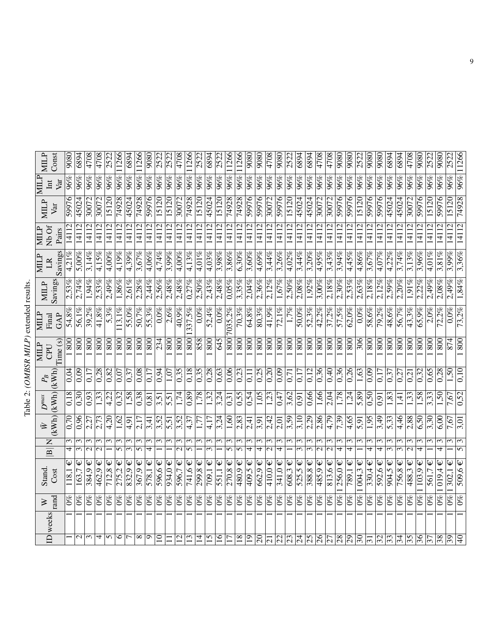Table 2: (OMBSR MILP) extended results. Table 2: *(OMBSR MILP)* extended results.

| $\overline{\Xi}$                   | weeks | tand<br>⋗                   | Stand.<br>Cost                        | $\overline{z}$<br>$\boxed{\mathbf{B}}$ | 它                               | $\begin{array}{c c} W&D^{max}&P_B\ (KWh)\ (kWh)\ (kWh) \end{array}$<br>$D^{\max}$ |                                          | Time(s)<br><b>NIILP</b><br>CPU | MILP<br>GAP<br>Final | Savings<br><b>MILP</b> | Savings<br>MILP<br>$\mathbb{R}$ | Nb Of<br><b>MILP</b><br>Pairs     | MILP<br>Var | MILP<br>Var<br>$\rm{Int}$ | <b>MILP</b><br>Const |
|------------------------------------|-------|-----------------------------|---------------------------------------|----------------------------------------|---------------------------------|-----------------------------------------------------------------------------------|------------------------------------------|--------------------------------|----------------------|------------------------|---------------------------------|-----------------------------------|-------------|---------------------------|----------------------|
|                                    |       | $^{66}$                     | Ψ<br>118,1                            | $\overline{\mathbf{f}}$                | 0,70<br>ς                       | 0,18                                                                              | 0.04                                     | 800                            | 54,8%                | 2,53%                  | 4,21%                           | 1411                              | 59976       | $96\%$                    | $\overline{080}$     |
| $\sim$                             |       | $0\%$                       | Ψ<br>163,7                            |                                        | 0,96<br>$\sim$                  | 0,30                                                                              | 0,09                                     | 800                            | 56,1%                | 2,74%                  | 5,00%                           | 1411                              | 45024       | 96%                       | 6894                 |
| $\epsilon$                         |       | $0\%$                       | Ψ<br>384,9                            | $\overline{\mathsf{c}}$                | 2,27<br>3                       | 0,93                                                                              | 0,17                                     | 800                            | 39,2%                | 1,94%                  | 3,14%                           | 14112                             | 30072       | 96%                       | 4708                 |
| 4                                  |       | $0\%$                       | Ψ<br>462,9                            |                                        | 2,73<br>$\epsilon$              | 1,33                                                                              | 0,28                                     | 800                            | $41,8\%$             | 2,53%                  | 4,15%                           | 14112                             | 30072       | 96%                       | 4708                 |
| 5                                  |       | ರಿಶಿ                        | Ψ<br>712,8                            |                                        | 4,20<br>3                       | $\frac{1}{2}$                                                                     | 0,82                                     | $800\,$                        | $5.3\%$              | 2.49%                  | $4.00\%$                        | 14112                             | 15120       | 96%                       | 2522                 |
| ٥                                  |       | $0\%$                       | 275,2                                 | 5                                      | 1,62<br>ω                       | 0,32                                                                              | 0.07                                     | 800                            | 13.1%                | 1,86%                  | 4,19%                           | $\mathbf{r}$<br>$\vec{1}$         | 74928       | 96%                       | 11266                |
|                                    |       | $0\%$                       | $\mathsf \Psi$<br>832,9               | $\overline{3}$                         | $-4,91$<br>ω                    | 1,58                                                                              | 0,37                                     | 800                            | 55,0%                | 2,61%                  | $4,39\%$                        | 14112                             | 45024       | $96\%$                    | 6894                 |
| ${}^{\circ}$                       |       | $0\%$                       | Ψ<br>367,9                            | 5                                      | 2,17<br>ω                       | 0,38                                                                              | 0,08                                     | 800                            | 50,7%                | 2,28%                  | 3,67%                           | $\Xi$                             | 74928       | 96%                       | 1266                 |
| $\circ$                            |       | $0\%$                       | Ψ<br>578,1                            | 4                                      | 3,41<br>3                       | 0,81                                                                              | 0.17                                     | 800                            | 55,3%                | 2,44%                  | 4,06%                           | 14112                             | 59976       | 96%                       | 9080                 |
| $\Omega$                           |       | $0\%$                       | Ψ<br>596,6                            |                                        | 3,52<br>$\epsilon$              | 3,51                                                                              | 0,94                                     | 234                            | $0.0\%$              | 2,56%                  | 4,74%                           | 14112                             | 15120       | 96%                       | 2522                 |
|                                    |       | $0\%$                       | $\mathsf \omega$<br>$\frac{934,0}{ }$ |                                        | $\overline{5,51}$<br>$\epsilon$ | 5,51                                                                              | $1,0\overline{7}$                        | $\frac{80}{1}$                 | 2,6%                 | $\sqrt{2,48\%}$        | 3,99%                           | 14112                             | 15120       | $\frac{96}{96}$           | $\frac{252}{25}$     |
| 12                                 |       | $\mathcal{O}^{\otimes 0}$   | Ψ<br>596,7                            | $\overline{\mathsf{c}}$                | 3,52<br>3                       | 1,74                                                                              | 0,35                                     | 800                            | 40.9%                | 2,48%                  | $4.00\%$                        | 14112                             | 30072       | 96%                       | 4708                 |
| $\overline{13}$                    |       | $0\%$                       | $\mathsf \omega$<br>741,6             | $\overline{5}$                         | $\sqrt{4,37}$<br>3              | $\frac{89}{2}$                                                                    | 0,18                                     |                                | .337,5%              | 0,27%                  | 4,13%                           | 14112                             | 74928       | 96%                       | 11266                |
| $\overline{1}$                     |       | $0\%$                       | Ψ<br>299,8                            |                                        | 1,77<br>ω                       | 1,78                                                                              | 0,35                                     | 858                            | $0.0\%$              | 2,50%                  | $4,01\%$                        | 14112                             | 15120       | 96%                       | 2522                 |
| 15                                 |       | $0\%$                       | Ψ<br>$\frac{1}{709}$ , 1              |                                        | 4,17<br>3                       | 1,32                                                                              | 0,28                                     | 800                            | $\sqrt{52,4\%}$      | 2,43%                  | 4,03%                           | 14112                             | 45024       | 96%                       | 6894                 |
| $\overline{16}$<br>$\overline{17}$ |       | $0\%$                       | Ψ<br>551,1                            |                                        | 3,24<br>3                       | 3,24                                                                              | 0,63                                     | 3                              | $0.0\%$              | 2,48%                  | 3,98%                           | 14112                             | 15120       | 96%                       | 2522                 |
|                                    |       | $\sqrt{6}$                  | Ψ<br>270,8                            | $\mathbf{v}$                           | 1,60<br>$\sim$                  | $\overline{0.31}$                                                                 | $\sqrt{0.06}$                            | $\overline{800}$               | 7035.2%              | 0.05%                  | $3,86\%$                        | 2<br>$\Xi$                        | 74928       | $\overline{96\%}$         | 1266                 |
| $\overline{18}$                    |       | $\mathcal{O}_{\mathscr{C}}$ | Ψ<br>480,9                            | 5                                      | 2,83<br>3                       | 0,55                                                                              | 0,23                                     | 800                            | 70,3%                | 3,35%                  | 6,30%                           | 14112                             | 74928       | $96\%$                    | 11266                |
| $\vert 9 \vert$                    |       | $0\%$                       | Ψ<br>409.5                            | 4                                      | 2,41<br>$\epsilon$              | 0,54                                                                              | $\overline{0.11}$                        | 800                            | 64,8%                | 2.04%                  | 3,60%                           | 14112                             | 59976       | 96%                       | 9080                 |
| $\overline{0}$                     |       | $\mathcal{O}^{\otimes 0}$   | $\mathsf \Psi$<br>662.9               | $\overline{\mathbf{f}}$                | 3,91<br>ω                       | 1,05                                                                              | 0,25                                     | 800                            | 80,3%                | 2,36%                  | $4,69\%$                        | 14112                             | 59976       | 96%                       | 9080                 |
| $\overline{c}$                     |       | $0\%$                       | $410,0$ €                             | $\mathcal{L}$                          | 2,42<br>ω                       | 1,23                                                                              | 0,20                                     | 800                            | 41,9%                | 2.12%                  | 3,44%                           | $\Xi$<br>$\overline{4}$           | 30072       | 96%                       | 4708                 |
| $\overline{c}$                     |       | $0\%$                       | Ψ<br>341,0                            | 4                                      | 2,01<br>Σ                       | 0,47                                                                              | 0,09                                     | 800                            | 72,1%                | 1,67%                  | 3,26%                           | 14112                             | 59976       | $\overline{96}$ %         | 9080                 |
| $\overline{c}$                     |       | $0\%$                       | Ψ<br>608,3                            |                                        | 3,59<br>$\mathfrak{m}$          | 3,62                                                                              | 0,71                                     | 800                            | 1,7%                 | 2,50%                  | 4,02%                           | 14112                             | 15120       | 96%                       | 2522                 |
| $\overline{5}$                     |       | $0\%$                       | Ψ<br>525,5                            |                                        | 3,10<br>3                       | 16,0                                                                              | 0.17                                     | 800                            | 50,0%                | 2,08%                  | 3,44%                           | 12<br>$\vec{4}$                   | 45024       | 96%                       | 6894                 |
| $\overline{5}$                     |       | $0\%$                       | Ψ<br>388,8                            |                                        | 2,29<br>ω                       | 0,66                                                                              | 0,12                                     | 800                            | 52,3%                | 1,92%                  | 3,20%                           | 14112                             | 45024       | 96%                       | 6894                 |
| $\frac{9}{2}$                      |       | $0\%$                       | 485,9€                                |                                        | 2,86<br>ω                       | 1,66                                                                              | 0,36                                     | 800                            | 42,2%                | 3,00%                  | 4,95%                           | 14112                             | 30072       | 96%                       | 4708                 |
| $\overline{27}$                    |       | $\%$                        | $813,6 \in$                           | $\overline{\mathbf{c}}$                | 4,79<br>$\epsilon$              | 2,04                                                                              | 0,40                                     | 800                            | 37,2%                | 2,18%                  | 3,43%                           | 14112                             | 30072       | 96%                       | 4708                 |
| $ \mathbb{S} $                     |       | $\mathcal{O}\%$             | $256.0 \in$                           | 4                                      | 7,39<br>3                       | $\sqrt{178}$                                                                      | 0,36                                     | 800                            | 57,5%                | $2,30\%$               | 3,94%                           | 14112                             | 59976       | 96%                       | 9080                 |
| $\overline{5}$                     |       | $\mathcal{O}^{\otimes 0}$   | $\mathsf \omega$<br>789,1             | 4                                      | 4,65<br>ω                       | 1,24                                                                              | 0,26                                     | 800                            | 62,0%                | 2,53%                  | $4,45\%$                        | 14112                             | 59976       | 96%                       | 9080                 |
| $\mathbb{E}$                       |       | $0\%$                       | Ψ<br>004.3                            |                                        | 5,91<br>$\mathfrak{c}$          | 5,89                                                                              | 1,63                                     | 306                            | $0.0\%$              | 2,63%                  | 4,86%                           | $\mathbf{\sim}$<br>$\overline{1}$ | 15120       | 96%                       | 2522                 |
| $\overline{31}$                    |       | $\mathcal{S}^{\otimes}$     | Ψ<br>330.4                            | 4                                      | 1,95<br>3                       | $\overline{0.50}$                                                                 | 0.09                                     | 800                            | 58,6%                | 2,18%                  | 3.67%                           | 14112                             | 59976       | 96%                       | 9080                 |
| $\overline{32}$                    |       | $0\%$                       | Ψ<br>592.6                            | 4                                      | 3,49<br>$\mathfrak{c}$          | $\overline{0.91}$                                                                 | 0.17                                     | 800                            | 79,2%                | 2.12%                  | $4.07\%$                        | 14112                             | 59976       | 96%                       | 9080                 |
| $\overline{33}$                    |       | $\mathcal{O}\%$             | $904,5 \in$                           | $\overline{\mathfrak{c}}$              | 5,33<br>ω                       | 1,83                                                                              | 0,37                                     | 800                            | $\overline{48,}6\%$  | 2,59%                  | 4,22%                           | 14112                             | 45024       | 96%                       | 6894                 |
| $\overline{34}$                    |       | $0\%$                       | Ψ<br>756,8                            | $\overline{\mathfrak{c}}$              | 4,46<br>3                       | $\frac{1}{4}$                                                                     | 0,27                                     | 800                            | 56,7%                | 2,20%                  | 3,74%                           | 141                               | 45024       | 96%                       | 6894                 |
| $\frac{55}{5}$                     |       | $0\%$                       | Ψ<br>$\sqrt{488.3}$                   | $\mathbf{C}$                           | $\frac{2.88}{2.38}$<br>3        | $\overline{1,33}$                                                                 | 0,21                                     | $\overline{\text{80}}$         | 43,3%                | 1,91%                  | 3,13%                           | 14112                             | 30072       | $\frac{96}{\%}$           | 4708                 |
| $\frac{96}{5}$                     |       | $0\%$                       | Ψ<br>103,9                            | 4                                      | $\overline{6,50}$<br>3          | 1,58                                                                              | 0,32                                     | 800                            | 65.9%                | 2.22%                  | 3,96%                           | 14112                             | 59976       | $\frac{96}{96}$           | 9080                 |
| $\overline{37}$                    |       | $\mathcal{O}^{\otimes 0}$   | 561,7                                 |                                        | 3,30<br>ω                       | 3,33                                                                              | 0,65                                     | 800                            | 2,0%                 | 2,49%                  | $4,01\%$                        | $\overline{141}$                  | 15120       | 96%                       | <b>2522</b>          |
| 38                                 |       | $\mathcal{S}^{\otimes}$     | Ψ<br>019.4                            |                                        | 6,00<br>$\epsilon$              | 1,50                                                                              | 0,28                                     | 800                            | 72,2%                | 2.08%                  | 3,81%                           | $\overline{141}$                  | 59976       | 96%                       | 9080                 |
| 39                                 |       | $0\%$                       | Ψ<br>302,                             |                                        | 7,67<br>$\epsilon$              | 7,67                                                                              | $0$ s <sup><math>\mathbf{t}</math></sup> | 874                            | 0.0%                 | 2,49%                  | $3,99\%$                        | 14112                             | 15120       | $\frac{96}{\%}$           | 2522                 |
| $\Theta$                           |       | $\omega_0$                  | $\overline{\mathsf{\Psi}}$<br>509.6   | $\overline{5}$                         | 3,01<br>3                       | 0,52                                                                              | 0,10                                     | 800                            | 73,2%                | 1,84%                  | 3,36%                           | 14112                             | 74928       | $ ^{9696}$                | 11266                |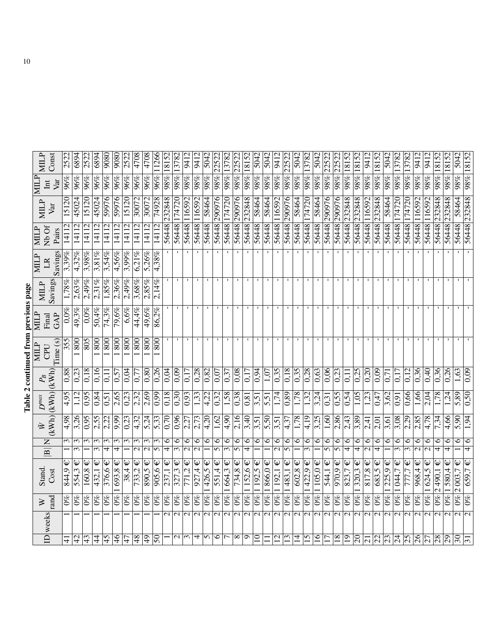| らくり |  |
|-----|--|
| ı   |  |
|     |  |
|     |  |
|     |  |
| 7   |  |

| <b>NIILP</b>                            | Const           | $\frac{25}{25}$         | 6894                           | 2522           | 6894                           | 9080                            | 9080                   | 2522           | 4708                        | 4708                         | 11266               | 18152                        | 13782                           | 9412                               | 9412                               | 5042          | 22522                   | 13782                                | 22522                     | 18152                              | 5042                       | 5042             | 9412                               | 22522                     | 5042              | 13782                                | 5042            | 22522                     | 22522                     | 18152                        | 18152                     | 9412                               | 18152                   | 5042                     | 3782                                 | 13782                          | 9412                               | 9412                         | 18152                        | 18152                        | 5042                           | 18152                        |
|-----------------------------------------|-----------------|-------------------------|--------------------------------|----------------|--------------------------------|---------------------------------|------------------------|----------------|-----------------------------|------------------------------|---------------------|------------------------------|---------------------------------|------------------------------------|------------------------------------|---------------|-------------------------|--------------------------------------|---------------------------|------------------------------------|----------------------------|------------------|------------------------------------|---------------------------|-------------------|--------------------------------------|-----------------|---------------------------|---------------------------|------------------------------|---------------------------|------------------------------------|-------------------------|--------------------------|--------------------------------------|--------------------------------|------------------------------------|------------------------------|------------------------------|------------------------------|--------------------------------|------------------------------|
| <b>MILP</b><br>$\overline{\text{int}}$  | Var             | 96%                     | 96%                            | 96%            | 96%                            | $\overline{96\%}$               | 96%                    | 96%            | 96%                         | $96\%$                       | 96%                 | $\overline{98\%}$            | 98%                             | $98\%$                             | $\overline{98\%}$                  | $98\%$        | $\overline{98\%}$       | $ 98\% $                             | $98\%$                    | $98\%$                             | 98%                        | $98\%$           | $98\%$                             | $98\%$                    | 98%               | $98\%$                               | $98\%$          | $\sqrt{98\%}$             | $98\%$                    | $\overline{98\%}$            | $ 98\% $                  | $98\%$                             | $\overline{98\%}$       | 98%                      | $98\%$                               | $98\%$                         | $\frac{98}{26}$                    | 98%                          | $98\%$                       | $98\%$                       | 98%                            | 98%                          |
| <b>NIILP</b>                            | Var             | 5120                    | 45024                          | 15120          | 45024                          | 92665                           | 9266                   | 15120          | 30072                       | 30072                        | 74928               | 232848                       | 56448 174720                    | 116592                             | 116592                             | 58464         | 290976                  | 56448 174720                         | 290976                    | 232848                             | 58464                      | 58464            | 56448 116592                       | 290976                    | 58464             | 56448 174720                         | 58464           | 290976                    | 290976                    | 232848                       | 232848                    | 116592                             | 232848                  | 58464                    | 74720                                | 56448 174720                   | 16592                              | 116592                       | 232848                       | 232848                       | 58464                          | 232848                       |
| Nb Of<br><b>MILP</b>                    | Pairs           | $\overline{4}$          | 14112                          | 14112          | 14112                          | 14112                           | 14112                  | 14112          | 14112                       | 14112                        | 14112               | 8448                         |                                 | 56448                              | 56448                              | 56448         | 56448                   |                                      | 56448                     | 56448                              | 56448                      | 56448            |                                    | 56448                     | 56448             |                                      | 56448           | 8448                      | 56448                     | 56448                        | 56448                     | 56448                              | 56448                   | 56448                    | 56448                                |                                | 56448                              | 86448                        | 56448                        | 56448                        | 56448                          | 56448                        |
| МЩР<br>$\mathbb{R}$                     | Savings         | 3,39%                   | $4,32\%$                       | 3,98%          | 3,81%                          | 3,54%                           | 4,56%                  | 3,99%          | 6,21%                       | 5,26%                        | 4,38%               |                              |                                 |                                    |                                    |               |                         |                                      |                           |                                    |                            |                  |                                    |                           |                   |                                      |                 |                           |                           |                              |                           |                                    |                         |                          |                                      |                                |                                    |                              |                              |                              |                                |                              |
| <b>MILP</b>                             | Savings         | 1,78%                   | 2,63%                          | 2.49%          | 2.31%                          | 1,85%                           | 2,36%                  | 2,49%          | 3,68%                       | 2,85%                        | 2,14%               |                              |                                 |                                    |                                    |               |                         |                                      |                           |                                    |                            |                  |                                    |                           |                   |                                      |                 |                           |                           |                              |                           |                                    |                         |                          |                                      |                                |                                    |                              |                              |                              |                                |                              |
| NIILP<br>Final                          | GAP             | $0,0\%$                 | 49,3%                          | $0.0\%$        | 50,4%                          | 74,3%                           | $\sqrt{79},6\%$        | $6.6\%$        | 44,4%                       | 49,6%                        | 86,2%               |                              | $\mathbf{I}$                    | $\mathbf{I}$                       | $\mathbf{I}$                       | $\mathbf{I}$  | $\mathbf{I}$            | $\mathbf{I}$                         | $\mathbf{I}$              | $\mathbf{I}$                       |                            |                  | $\mathbf{I}$                       | л.                        | J.                | $\mathbf{I}$                         |                 |                           | п.                        |                              |                           | $\mathbf{I}$                       | п.                      | $\mathbf{I}$             | п.                                   | $\mathbf{I}$                   |                                    | $\mathbf{I}$                 |                              |                              |                                |                              |
| <b>MILP</b><br>CPU                      | Time(s)         | 355                     | 800                            | 805            | 800                            | 800                             | 800                    | 800            | 800                         | 800                          | 800                 |                              | $\mathbf{I}$                    | $\mathbf{I}$                       |                                    | $\mathbf{I}$  |                         |                                      |                           |                                    |                            |                  | $\mathbf{I}$                       | т.                        | л.                | л.                                   |                 |                           | $\mathbf{I}$              |                              |                           |                                    |                         |                          |                                      | п.                             |                                    | п.                           |                              |                              |                                |                              |
| $\mathcal{P}_B$                         | (kWh)           | 0,88                    | 0,23                           | 0,18           | 0,16                           | 0,11                            | 0,57                   | 0.04           | 0.77                        | 0,80                         | 0,26                | 0,04                         | 0,09                            | 0.17                               | $\frac{8}{28}$                     | 0,82          | 0.07                    | $\sqrt{0.37}$                        | 0,08                      | $\overline{0}$ .                   | 0.94                       | 1,07             | 0,35                               | 0,18                      | $\sqrt{0.35}$     | 0,28                                 | 0,63            | 0,06                      | 0,23                      | 0,11                         | $\frac{0.25}{5}$          | 0,20                               | 0,09                    | 0,71                     | 0.17                                 | 0,12                           | $\sqrt{0.36}$                      | 0,40                         | 0.36                         | 0.26                         | 1,63                           | 0.09                         |
| $D^{max}$                               |                 | 4,95                    | 1,12                           | 0,95           | 0,84                           | 0,51                            | 2,65                   | 0,23           | 2,32                        | 2,69                         | 0,99                | 0,18                         | 0,30                            | 0,93                               | 1,33                               | 4,22          | $\overline{0,32}$       | 1,58                                 | 0,38                      | 0,81                               | 3,51                       | 5,51             | 1,74                               | 0,89                      | 1,78              | 1,32                                 | 3,24            | $\sqrt{0.31}$             | 0,55                      | $\sqrt{0,54}$                | 1,05                      | 1,23                               | 0,47                    | 3,62                     | $\overline{0.91}$                    | 0,66                           | 1,66                               | 2,04                         | 1,78                         | 1,24                         | 5,89                           | 0,50                         |
| $\bar{\aleph}$                          | $(kWh)$ $(kWh)$ | $4.98^{\circ}$          | 3,26                           | 0.95           | 2,55                           | 2,22                            | $\frac{666}{6}$        | 0.23           | 4,32                        | 5,24                         | 5,33                | $\overline{0,70}$            | 0,96                            | 2,27                               | 2,73                               | 4,20          | 1,62                    | $\sqrt{4.90}$                        | 2,16                      | 3,40                               | 3,51                       | 5,50             | 3,51                               | 4,37                      | 1,78              | 4,19                                 | 3,25            | 1,60                      | 2,86                      | $\frac{2.43}{ }$             | 3,89                      | 2,41                               | 2,01                    | 3,61                     | 3,08                                 | 2,29                           | 2,85                               | 4,78                         | 7,34                         | 4,66                         | 5.90                           | 1,94                         |
| $\mathsf{Z}$<br>$\overline{\mathbf{B}}$ |                 | $\epsilon$              | 3<br>$\overline{\mathfrak{c}}$ | $\mathfrak{c}$ | 3<br>$\overline{\mathfrak{c}}$ | $\epsilon$<br>$\overline{\tau}$ | ω<br>$\overline{\tau}$ | $\mathfrak{c}$ | $\epsilon$<br>$\mathcal{C}$ | 3<br>$\overline{\mathsf{c}}$ | 3<br>$\overline{5}$ | $\circ$<br>$\overline{\tau}$ | ∘<br>$\overline{\mathfrak{c}}$  | $\circ$<br>$\overline{\mathsf{c}}$ | $\circ$<br>$\overline{\mathsf{c}}$ | $\circ$       | $\circ$<br>ᠳ            | $\circ$<br>$\overline{\mathfrak{c}}$ | $\circ$<br>$\overline{5}$ | $\circ$<br>$\overline{\mathbf{f}}$ | $\circ$                    | $\circ$          | $\circ$<br>$\overline{\mathsf{c}}$ | $\circ$<br>$\overline{5}$ | $\circ$           | $\circ$<br>$\overline{\mathfrak{c}}$ | $\circ$         | $\circ$<br>$\overline{5}$ | $\circ$<br>$\overline{5}$ | $\circ$<br>$\overline{\tau}$ | $\circ$<br>$\overline{4}$ | $\circ$<br>$\overline{\mathsf{c}}$ | 6<br>$\overline{\tau}$  | $\circ$                  | $\circ$<br>$\overline{\mathfrak{c}}$ | ∘<br>$\overline{\mathfrak{c}}$ | $\circ$<br>$\overline{\mathbf{c}}$ | 6<br>$\overline{\mathsf{c}}$ | $\circ$<br>$\overline{\tau}$ | $\circ$<br>$\overline{\tau}$ | $\circ$                        | $\circ$<br>$\overline{\tau}$ |
| Stand.                                  | Cost            | ω<br>844,9              | $\mathsf \Psi$<br>554.3        | 160,8          | Ψ<br>432,1                     | Ψ<br>376,6                      | Ψ<br>693,8             | Ψ<br>38,4      | Ψ<br>733,2                  | Ψ<br>890,5                   | $905,6 \in$         | $\overline{237,1}$           | Ψ<br>$\frac{1}{327,3}$          | Ψ<br>771.2                         | Ψ<br>927,4                         | Ψ<br>426,5    | Ψ<br>551.4              | $\mathsf \Psi$<br>664.3              | Ψ<br>734,8                | 152,6                              | Ψ<br>S<br>$\overline{192}$ | Ψ<br>866,0       | Ψ<br>192,1                         | Ψ<br>483,1                | Ψ<br>602, 8       | Ψ<br>422,9                           | Ψ<br>105.0      | Ψ<br>544,1                | Ψ<br>970,9                | Ψ<br>823,                    | Ψ<br>320,3                | Ψ<br>817,8                         | 683,5                   | Ψ<br>225,9               | Ψ<br>044.                            | Ψ<br>777,7                     | 968,4                              | $\frac{624.5}{ }$            | Ψ<br>490,1<br>$\mathcal{C}$  | Ψ<br>580.4                   | ω<br>003.<br>$\mathbf{\Omega}$ | Ψ<br>659,7                   |
| ⋗                                       | rand            | $\mathcal{O}^{\otimes}$ | $0\%$                          | $0\%$          | $0\%$                          | $0\%$                           | $\overline{0\%}$       | $0\%$          | $0\%$                       | $0\%$                        | $0\%$               | $0\%$                        | $\mathcal{O}_{\infty}^{\infty}$ | $0\%$                              | $\overline{0\%}$                   | $ 9\%$        | $0\%$                   | $ 9\% $                              | $0\%$                     | $\overline{\mathcal{E}}$           | $\overline{\mathcal{E}}$   | $\overline{0\%}$ | $\overline{60}$                    | $\overline{68}$           | $0\%$             | $\overline{68}$                      | $ q_2$          | $0\%$                     | $0\%$                     | $0\%$                        | $ 9\%$                    | $0\%$                              | $0\%$                   | $0\%$                    | $ 0\% $                              | $\overline{0\%}$               | $\overline{0\%}$                   | $  \mathscr{C}  $            | $\frac{8}{2}$                | $\overline{60}$              | $\overline{0\%}$               | $0\%$                        |
| D weeks                                 |                 |                         |                                |                |                                |                                 |                        |                |                             |                              |                     | $\sim$                       | $\mathcal{L}$                   | $\sim$                             | $\overline{\mathsf{N}}$            | $\mathcal{L}$ | $\overline{\mathsf{c}}$ | $\overline{\mathsf{c}}$              | $\overline{\mathsf{c}}$   | $\overline{\mathsf{c}}$            | $\mathbf{c}$               | $\mathbf{\sim}$  | $\mathcal{L}$                      | $\overline{\mathsf{c}}$   | $\mathbf{\Omega}$ | $\mathbf{\Omega}$                    | $\mathcal{L}$   | $\overline{\mathsf{N}}$   | $\mathcal{L}$             | $\overline{\mathsf{c}}$      | $\overline{\mathcal{C}}$  | $\mathbf{\sim}$                    | $\overline{\mathsf{N}}$ | $\overline{\mathcal{C}}$ | $\mathbf{C}$                         | $\mathbf{C}$                   | $\overline{\mathsf{c}}$            | $\overline{\mathcal{C}}$     | $\mathbf{c}$                 | $\mathbf{C}$                 | $\mathbf{C}$                   | $\overline{\mathsf{c}}$      |
|                                         |                 | $\pm$                   | $\overline{d}$                 | 43             | $\overline{4}$                 | 45                              | $\frac{4}{6}$          | 47             | $\frac{8}{3}$               | $\overline{\mathbb{P}}$      | $\mathcal{S}$       |                              | $\sim$                          | $\omega$                           | 4                                  | n             | ७                       |                                      | $\infty$                  | ᡡ                                  | $\Xi$                      |                  | $\Xi$                              | $\mathbf{r}$              | ゴ                 | 15                                   | $\overline{16}$ |                           | $\overline{18}$           | $\overline{0}$               | $\overline{\mathbb{S}}$   | $\overline{\Omega}$                |                         | $\overline{23}$          | $\overline{c}$                       | $\overline{55}$                | $\frac{8}{2}$                      | $\overline{2}$               | $\overline{8}$               | $\overline{29}$              | $\mathcal{S}^{\mathcal{O}}$    |                              |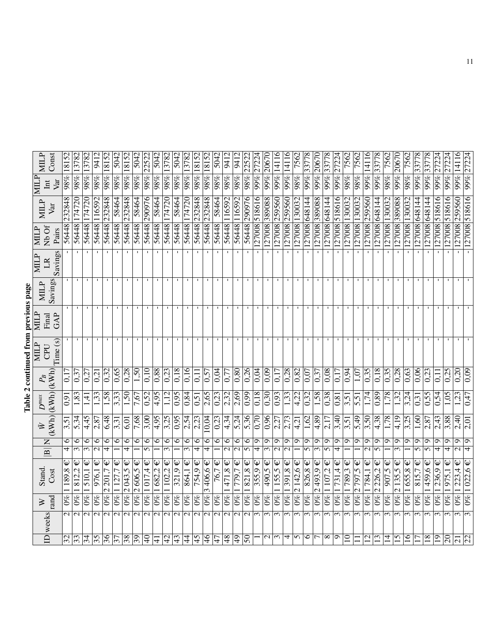## Table 2 continued from previous page Table 2 continued from previous page

| <b>MILP</b><br>Const                  |          | 18152        |                 | 13782           | 941                   | 18152                                  | 504             | 18152                   | 504                      | 2252.                    | 5042          | 13782           | 504                     | 13782                               |                         |                         | 504.            | 941                     | $-11$                   | 2252                    |                          |                 | $\frac{1}{99\%} 14116$ | 99% 14116        | 7562                            | 33778             | 2067                                   |                        | 27224                   | 7562                    | 7562                         | 14116                    | 33778                       | 7562                   | 20670                                  | 7562              | 33778             |                  | 27224             | 2722           | $99\%$ [14116   |                   |
|---------------------------------------|----------|--------------|-----------------|-----------------|-----------------------|----------------------------------------|-----------------|-------------------------|--------------------------|--------------------------|---------------|-----------------|-------------------------|-------------------------------------|-------------------------|-------------------------|-----------------|-------------------------|-------------------------|-------------------------|--------------------------|-----------------|------------------------|------------------|---------------------------------|-------------------|----------------------------------------|------------------------|-------------------------|-------------------------|------------------------------|--------------------------|-----------------------------|------------------------|----------------------------------------|-------------------|-------------------|------------------|-------------------|----------------|-----------------|-------------------|
| <b>NIIIN</b><br>Var<br>$\rm{I\!m}$    |          | $98\%$       | 98% 1378        | $98\%$          | $98\%$                | 98%                                    | $98\%$          | 98%                     | $98\%$                   | $\overline{98\%}$        | $98\%$        | 98%             | $\overline{98\%}$       | $98\%$                              | $98\%$ 1815.            | $98\%$ 18152            | $98\%$          | $\sqrt{98\%}$           | $ 98\% $                | $\overline{98\%}$       | 99% 27224                | 99% 20670       |                        |                  | 288                             | $ $ %66           | $\overline{99\%}$                      | 99% 377                | $\overline{99\%}$       | $98\%$                  | $98\%$                       | $\overline{99\%}$        | $\overline{99\%}$           | $\overline{98\%}$      | $\sqrt{99\%}$                          | $\overline{98\%}$ | 99%               | 99% 3377         | $\overline{99\%}$ | 99%            |                 | 99% 27224         |
| <b>MILP</b><br>Var                    |          | 232848       | 174720          | 174720          | 116592                | 232848                                 | 58464           | 232848                  | 58464                    | 290976                   | 58464         | 174720          | 58464                   | $\frac{1}{74720}$                   | 232848                  | 56448 232848            | 58464           | 116592                  | 56448 116592            | 290976                  |                          |                 | 259560                 |                  | 130032                          |                   | 389088                                 |                        |                         | 130032                  |                              | 259560                   | 648144                      |                        | 389088                                 |                   |                   |                  |                   | 518616         | 259560          |                   |
| Nb Of<br><b>MILP</b>                  | Pairs    | 56448        | 56448           | 56448           | 8448                  | 56448                                  | 8448            | 8448                    | 56448                    | 56448                    | 56448         | 56448           | 56448                   | 86448                               | 56448                   |                         | 56448           | 56448                   |                         | 56448                   | 127008 518616            | 127008 389088   | 127008                 | $-127008$ 259560 | 127008                          | 127008 648144     | 127008                                 | 127008 648144          | 127008 518616           | 127008                  | 127008 130032                | 127008                   | $\sqrt{127008}$             | 127008 130032          | 127008                                 | 127008 130032     | 127008 648144     | 127008 648144    | 127008 518616     | 127008         | 127008          | 127008 518616     |
| MILP<br>LR                            | Savings  |              |                 |                 |                       |                                        |                 |                         |                          |                          |               |                 |                         |                                     |                         |                         |                 |                         |                         |                         |                          |                 |                        |                  |                                 |                   |                                        |                        |                         |                         |                              |                          |                             |                        |                                        |                   |                   |                  |                   |                |                 |                   |
| Savings<br><b>MILP</b>                |          |              | $\mathbf{I}$    | п.              | -1                    |                                        |                 |                         |                          |                          |               |                 |                         |                                     |                         |                         |                 |                         |                         |                         |                          |                 |                        |                  |                                 |                   |                                        |                        |                         |                         |                              |                          |                             |                        |                                        |                   |                   | -1               |                   |                |                 |                   |
| MILP<br>Final                         | GAP      |              |                 |                 |                       |                                        |                 |                         |                          |                          |               |                 |                         |                                     |                         |                         |                 |                         |                         |                         |                          |                 |                        |                  |                                 |                   |                                        |                        |                         |                         |                              |                          |                             |                        |                                        |                   |                   |                  |                   |                |                 |                   |
| MILP<br>CPU                           | Time (s) |              |                 |                 |                       |                                        |                 |                         |                          |                          |               |                 |                         |                                     |                         |                         |                 |                         |                         |                         |                          |                 |                        |                  |                                 |                   |                                        |                        |                         |                         |                              |                          |                             |                        |                                        |                   |                   |                  |                   |                |                 |                   |
| $P_{\!B}$                             |          | $\Xi$        | 0,3             | 0,27            | 0.2                   | 0,32                                   | 0,65            | 87.0                    | 1,50                     | 0,10                     | 0,88          | 0,23            | 0,18                    | 0,16                                | 0,11                    | 0,57                    | 0,04            | $\sqrt{0,77}$           | 0,80                    | 0,26                    | 0,04                     | 0,09            | 0,17                   | 0,28             | 0,82                            | 0,07              | 0,37                                   | $\sqrt{0.08}$          | 0,17                    | 0,94                    | 1,07                         | 0,35                     | 0,18                        | $\sqrt{0.35}$          | 0,28                                   | 0,63              | 0,06              | 0,23             | $\Xi$             | 0,25           | 020             | 0.09              |
| $(kWh)$ $(kWh)$ $(kWh)$<br>$D^{\max}$ |          | 0.91         | 1,83            | न<br>न          | 1,33                  | 1,58                                   | 3,33            | $\overline{1,50}$       | 7,67                     | 0,52                     | 4,95          | 1,12            | 0,95                    | $\frac{84}{1}$                      | $\sqrt{0.51}$           | $\frac{2}{1}$ .65       | 0,23            | 2,32                    | 2,69                    | $\frac{66}{20}$         | $\sqrt{18}$              | 0,30            | 0,93                   | 1,33             | 4,22                            | $\overline{0.32}$ | $\frac{1,58}{x}$                       | $\frac{38}{2}$         | 0,81                    | 3,51                    | 5,51                         | 1,74                     | 0,89                        | $\sqrt{78}$            | 1,32                                   | 3,24              | $\overline{0.31}$ | 0,55             | 0,54              | 1,05           | 1,23            | 0,47              |
| 它                                     |          | 3,51         | 5,34            | 4,45            | 2,87                  | 6,48                                   | 3,31            | 6,01                    | 7,68                     | $\frac{3,00}{2}$         | 4,95          | 3,25            | $\frac{650}{26}$        | 2,54                                | $\frac{2.23}{2.23}$     | 10,04                   | 0,23            | 4,34                    | $\overline{5,24}$       | 5,36                    | $\sqrt{0,70}$            | 0,96            | 2,27                   | 2,73             | 4,21                            | 1,62              | 4,89                                   | 2,17                   | 3,40                    | 3,51                    | 5,49                         | 3,50                     | 4,38                        | 1,78                   | 4,19                                   | 3,25              | 1,60              | 2,87             | 2,43              | 3,88           | 2,40            | 2,01              |
| $\mathsf{z}$                          |          | $\circ$      | 6               | 6               | $\circ$               | $\circ$                                | $\circ$         | $\circ$                 | $\circ$                  | $\circ$                  | $\circ$       | $\circ$         | 6                       | 6                                   | 6                       | 6                       | 6               | 6                       | 6                       | 6                       | $\sigma$                 | $\sigma$        | ٩                      | $\sigma$         | ٥                               | $\sigma$          | Ò                                      | $\sigma$               | $\sigma$                | Ō                       | $\sigma$                     | $\sigma$                 | ٥                           | Ó                      | Ō                                      | $\sigma$          | $\sigma$          | $\sigma$         | ഗ                 | $\sigma$       | $\sigma$        | $\sigma$          |
| $\frac{1}{\mathbf{B}}$                |          | 4            | 3               | ω               |                       | $\overline{\tau}$                      |                 | 4                       |                          | 5                        |               | 3               |                         | $\overline{\mathfrak{c}}$           | 4                       | 4                       |                 | $\overline{\mathsf{c}}$ | $\overline{\mathbf{c}}$ | $\overline{5}$          | 4                        |                 |                        | $\mathcal{L}$    |                                 | 5                 | $\mathfrak{m}$                         | 5                      | 4                       |                         |                              |                          | $\sigma$                    |                        |                                        |                   | 5                 |                  | 4                 | 4              |                 | $\overline{\tau}$ |
| Cost<br><b>Stand</b>                  |          | ω<br>189,8   | Ψ<br>812,2      | Ψ<br>510,1      | 976,1                 | Ψ<br>201,7<br>$\overline{\mathcal{C}}$ | Ψ<br>127.       | Ψ<br>$\frac{2}{2}043,5$ | 2606,5                   | $\sqrt{1017,4}$          | Ψ<br>1682,2   | Ψ<br>102,2      | Ψ<br>321,9              | $\overline{\mathsf{\Psi}}$<br>864,1 | Ψ<br>754,9              | 406,6€<br>$\frac{1}{2}$ | Ψ<br>76,7       | Ψ<br>471,8              | Ψ<br>779,7              | Ψ<br>821,8              | Ψ<br>355,9               | Ψ<br>490,5      | Ψ<br>155,5             | 391,8 $\in$      | Ψ<br>142,6<br>$\mathbf{\Omega}$ | Ψ<br>826,8        | Ψ<br>493,9<br>$\overline{\mathcal{C}}$ | Ψ<br>$\frac{107,2}{ }$ | $\mathsf \Psi$<br>731,4 | ω<br>789,3              | Ψ<br>797,5<br>$\overline{C}$ | Ψ<br>784,1               | Ψ<br>226,2<br>$\mathcal{L}$ | Ψ<br>$\frac{907,5}{ }$ | ω<br>135,5<br>$\overline{\mathcal{C}}$ | Ψ<br>655,8        | Ψ<br>815,7        | ₩<br>459,6       | Ψ<br>236.9        | Ψ<br>975,1     | Ψ<br>223,4      | $0\%$  1 022,6 €  |
| rand<br>$\geq$                        |          | $0\%$        | $\overline{60}$ | $\overline{60}$ | $  \hat{\mathscr{C}}$ | $0\%$                                  | $\overline{60}$ | $\overline{0\%}$        | $\overline{\mathcal{E}}$ | 0%                       | $\frac{8}{2}$ | $ q_2$          | $\frac{1}{2}$           | $\overline{0\%}$                    | $ 0\% $                 | $ g_0$                  | $\overline{60}$ | $\overline{0\%} $       | $\overline{60}$         | $ 0\% $                 | $0\%$                    | $\overline{60}$ | $\overline{60}$        | $\frac{8}{26}$   | $ w_0 $                         | $0\%$             | $\overline{0\%}$                       | $\overline{0\%} $      | $ 0\%$                  | $\mathcal{O}^{\otimes}$ | $\overline{0\%}$             | $ w_0 $                  | $ w_0 $                     | $\mathcal{C}^{\infty}$ | $\overline{60}$                        | $ q_0$            | $\mathcal{E}$     | $\overline{0\%}$ | $0\%$             | $ 0\% $        | $\overline{68}$ |                   |
| weeks                                 |          | $\mathbf{C}$ | $\mathbf{C}$    | $\sim$          | $\mathbf{\Omega}$     | $\mathbf{\Omega}$                      | $\sim$          | $\overline{\mathsf{c}}$ | $\mathcal{L}$            | $\overline{\mathcal{C}}$ | $\sim$        | $\mathbf{\sim}$ | $\overline{\mathsf{N}}$ | $\overline{\mathsf{c}}$             | $\overline{\mathsf{c}}$ | $\sim$                  | $\sim$          | $\overline{\mathsf{c}}$ | $\overline{\mathsf{c}}$ | $\overline{\mathsf{c}}$ | $\epsilon$               | $\epsilon$      | $\epsilon$             | $\epsilon$       | $\epsilon$                      | $\sim$            | $\sim$                                 | $\sim$                 | 3                       | $\sim$                  | 3                            | $\overline{\mathcal{E}}$ | $\sim$                      | 3                      | $\mathfrak{g}$                         | 3                 | $\epsilon$        | $\epsilon$       | 3                 | $\sim$         | $\epsilon$      |                   |
| $\overline{\mathbf{p}}$               |          | $ z $ က္တ    |                 | 34              | 35                    | $\overline{36}$                        | $\overline{37}$ | $\sqrt{38}$             | $\overline{39}$          | ञ्                       | $\frac{1}{4}$ | 42              | $\sqrt{4}$              | $\ddot{4}$                          | $\overline{45}$         | $\overline{46}$         | $\overline{47}$ | $\overline{48}$         | $\overline{\Theta}$     | $\overline{50}$         | $\overline{\phantom{0}}$ | $\mathbf{C}$    | $\sim$                 | 4                | $\sim$                          | 9                 | $\overline{ }$                         | $\infty$               | $\bullet$               | $\overline{10}$         | $\Box$                       | $\overline{\Xi}$         | $\overline{13}$             | $\overline{4}$         | $\overline{15}$                        | $\overline{16}$   | $\overline{17}$   | $\overline{18}$  | $\overline{19}$   | $\overline{c}$ | $\overline{21}$ | $\overline{22}$   |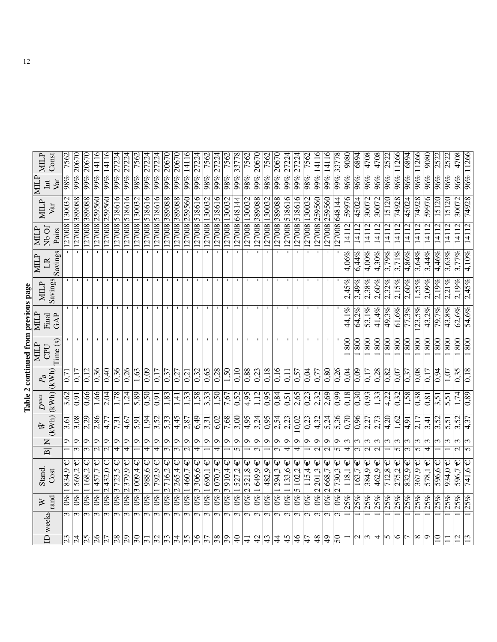| らくり                     |  |
|-------------------------|--|
| $-100$<br>in an an<br>ï |  |
|                         |  |
|                         |  |
|                         |  |
| ì<br>7                  |  |

|                                      | <b>MILP</b>  | Const                          | 7562                    | 20670                           | 99% 20670                      | 14116          | 99% 14116          | 99% 27224                   | 27224                       | 7562              | 27224                  |                               | 99% 20670                      | 20670                          | 99% 14116                    | 27224                         | 7562                     | 27224                    | 7562                     | 33778                    | 7562                                   | 20670                                      | 7562                     | 20670                                 | 27224                  | 27224             | 7562                    | 14116                        | $\frac{1}{99\%} 14116$                 | 33778                | $\overline{9080}$ | 6894                           | 4708                          | 4708                 | 2522                | 11266                               | 6894                   | 11266                      | 9080                       | 2522       | 2522     | 4708                                | 96% 11266                        |
|--------------------------------------|--------------|--------------------------------|-------------------------|---------------------------------|--------------------------------|----------------|--------------------|-----------------------------|-----------------------------|-------------------|------------------------|-------------------------------|--------------------------------|--------------------------------|------------------------------|-------------------------------|--------------------------|--------------------------|--------------------------|--------------------------|----------------------------------------|--------------------------------------------|--------------------------|---------------------------------------|------------------------|-------------------|-------------------------|------------------------------|----------------------------------------|----------------------|-------------------|--------------------------------|-------------------------------|----------------------|---------------------|-------------------------------------|------------------------|----------------------------|----------------------------|------------|----------|-------------------------------------|----------------------------------|
|                                      | <b>NIILP</b> | Var<br>$\overline{\text{int}}$ | $98\%$                  | $\overline{99\%}$               |                                | 99%            |                    |                             | $\sqrt{9\%}$                | $98\%$            | $99\%$                 | $\frac{1}{99}$                |                                | 99%                            |                              | 99%                           | $98\%$                   | 99%                      | $\sqrt{98\%}$            | $\overline{99\%}$        | $98\%$                                 | 99%                                        | $98\%$                   | $99\%$                                | $99\%$                 | $\overline{99\%}$ | $\sqrt{98\%}$           | $\overline{99\%}$            |                                        | $\frac{1}{99}$       | 96%               | 96%                            | 96%                           | 96%                  | 96%                 | 96%                                 | $96\%$                 | 96%                        | 96%                        | 96%        | 96%      | 96%                                 |                                  |
|                                      | <b>MILP</b>  | Var                            | 130032                  | 127008 389088                   | 127008 389088                  | 259560         | 259560             | 518616                      | 518616                      | 127008 130032     | 518616                 | 518616                        | 127008 80088                   | 127008 389088                  | 259560                       | 127008 518616                 | 127008 130032            | 518616                   | 127008 130032            | 127008 648144            | 130032                                 | 127008 389088                              | 127008 130032            | 389088                                | 518616                 | 518616            | 130032                  | 259560                       | 259560                                 | 27008 648144         | 59976             | 45024                          | 30072                         | 30072                | 15120               | 74928                               | 45024                  | 74928                      | 59976                      | 15120      | 15120    | 30072                               | 74928                            |
|                                      | MILP         | Nb Of<br>Pairs                 | 127008                  |                                 |                                | 127008         | 127008             | 127008                      | $\overline{127008}$         |                   | 127008                 | 127008                        |                                |                                | 127008                       |                               |                          | 127008                   |                          |                          | 127008                                 |                                            |                          | 127008                                | 127008                 | 127008            | 127008                  | 127008                       | 127008                                 |                      | 14112             | 14112                          | 14112                         | 14112                | 14112               | 14112                               | 14112                  | 14112                      | 14112                      | 14112      | 14112    | 14112                               | 4112                             |
|                                      | <b>MILP</b>  | Savings<br>$\mathbb{R}$        | T                       | $\overline{\phantom{a}}$        |                                | $\overline{1}$ | $\overline{1}$     |                             | T                           | Τ                 | T                      | T                             | $\overline{1}$                 | $\mathbf{1}$                   | $\mathbf{I}$                 | Ŧ                             | $\overline{\phantom{a}}$ | $\mathbf{L}$             | $\overline{\phantom{a}}$ | T                        | $\overline{\phantom{0}}$               | $\overline{1}$                             | T                        | $\overline{\phantom{0}}$              | $\mathbf{L}$           | Ŧ                 | $\overline{1}$          | $\overline{1}$               | $\overline{\phantom{a}}$               |                      | 4,06%             | 6.44%                          | $4,00\%$                      | 4,30%                | 3,79%               | 3,71%                               | 4,86%                  | 3,64%                      | 3,44%                      | 4,46%      | 3,63%    | 3,77%                               | 4,10%                            |
|                                      | <b>MILP</b>  | Savings                        |                         |                                 |                                |                |                    |                             |                             |                   |                        |                               |                                |                                |                              |                               |                          |                          |                          |                          |                                        |                                            |                          |                                       |                        |                   |                         |                              |                                        |                      | 2,45%             | 3,49%                          | 2,38%                         | 2,60%                | 2,32%               | $2,15\%$                            | 2,60%                  | 1,55%                      | $2,09\%$                   | 2.19%      | 2,21%    | 2,19%                               | 2,45%                            |
|                                      | ŊЩ           | GAP<br>Final                   |                         |                                 |                                |                |                    |                             |                             |                   |                        |                               |                                |                                |                              |                               |                          |                          |                          |                          |                                        |                                            |                          |                                       |                        |                   |                         |                              |                                        |                      | 44,1%             | 64,2%                          | 53,1%                         | $41.4\%$             | 49,3%               | 61,6%                               | 77,3%                  | 123,5%                     | 43,2%                      | 79,7%      | $43,8\%$ | 62,6%                               | 54,6%                            |
| Table 2 continued from previous page | <b>MILP</b>  | Time(s)<br>CPU                 |                         |                                 |                                |                |                    |                             |                             |                   |                        |                               |                                |                                |                              |                               |                          |                          |                          |                          |                                        |                                            |                          |                                       |                        |                   |                         |                              |                                        |                      | 800               | $\overline{800}$               | 800                           | 800                  | $\frac{80}{1}$      | 800                                 | $\overline{\text{80}}$ | $\overline{\frac{80}{50}}$ | 800                        | 800        | 800      | 800                                 | 800                              |
|                                      | $P_B$        |                                | 0.7                     | 0.17                            | 0.12                           | 0,36           | 0,40               | 0,36                        | 0,26                        | 1,63              | 0,09                   | 0.17                          | 0,37                           | 0,27                           | 0,21                         | 0,32                          | 0,65                     | 0,28                     | 1,50                     | 0,10                     | 0,88                                   | 0,23                                       | 0,18                     | 0,16                                  | 0.11                   | 0,57              | 0,04                    | 0.77                         | 0,80                                   | 0,26                 | 0,04              | 0,09                           | 0,17                          | 0,28                 | 0,82                | 0,07                                | 0,37                   | 0,08                       | 0.17                       | 0.94       | 1,07     | 0,35                                | 0,18                             |
|                                      | $D^{max}$    | $(kWh)$ $(kWh)$ $(kWh)$        | 3,62                    | 0,91                            | 0,66                           | 1,66           | 2,04               | 1,78                        | 1.24                        | 5,89              | 0,50                   | $\sqrt{91}$                   | 1,83                           | 1,41                           | 1,33                         | 1,58                          | 3,33                     | 1,50                     | 7,67                     | 0,52                     | $\sqrt{4.95}$                          | 1,12                                       | 0,95                     | 0,84                                  | $\sqrt{0,51}$          | 2,65              | $\frac{0.23}{2}$        | $\sqrt{2.32}$                | 2,69                                   | 0,99                 | 0,18              | 0,30                           | 0,93                          | 1,33                 | $\sqrt{4,22}$       | $\overline{0.32}$                   | 1,58                   | 0,38                       | 0,81                       | 3,51       | 5,51     | 1,74                                | 0,89                             |
|                                      |              |                                | 3,61                    | 3,08                            | 2,29                           | 2,86           | 4,77               | 7,31                        | 4,67                        | $\overline{5.91}$ | 1,94                   | $\frac{3,52}{ }$              | 5,33                           | 4,45                           | 2,87                         | 6,49                          | 3,31                     | 6,02                     | 7,68                     | 3,00                     | 4,95                                   | 3,24                                       | 0,95                     | 2,54                                  | 2,23                   | 10,02             | $\sqrt{0.23}$           | $\sqrt{4,32}$                | 5,24                                   | 5,36                 | $\sqrt{0.70}$     | 0,96                           | $\frac{2.27}{2.27}$           | 2,73                 | 4,20                | 1,62                                | $\sqrt{4.91}$          | 2,17                       | 3,41                       | 3,52       | 5,51     | 3,52                                | 4,37                             |
|                                      |              | Z<br>$\overline{\mathbf{B}}$   | $\circ$                 | ∣∽<br>$\overline{\mathfrak{c}}$ | ç<br>$\overline{\mathfrak{c}}$ | م<br>$\sim$    | Q<br>$\mathcal{C}$ | $\sigma$<br>4               | Ó<br>$\overline{\tau}$      | $\circ$           | ٥<br>$\overline{\tau}$ | ç<br>$\overline{\mathcal{A}}$ | ç<br>$\overline{\mathfrak{c}}$ | ٥<br>$\overline{\mathfrak{c}}$ | ç<br>$\overline{\mathbf{c}}$ | $\sigma$<br>$\overline{\tau}$ | G                        | م<br>$\overline{\tau}$   | ⊳                        | ٥<br>5                   | $\circ$                                | Q<br>$\overline{\mathfrak{c}}$             | Q                        | $\sigma$<br>$\overline{\mathfrak{c}}$ | P<br>$\overline{\tau}$ | Ó<br>4            | $\sigma$                | Q<br>$\overline{\mathsf{c}}$ | $\sigma$<br>$\overline{\mathbf{c}}$    | ç<br>᠊ᢦ              | $\epsilon$<br>4   | ω<br>$\overline{\mathfrak{c}}$ | 3<br>$\overline{\mathcal{C}}$ | $\epsilon$<br>$\sim$ | $\epsilon$          | 3<br>5                              | 3<br>$\infty$          | 3<br>$\overline{5}$        | 3<br>$\overline{\tau}$     | 3          | ω        | ω<br>$\overline{\mathcal{C}}$       | $\sqrt{2}$                       |
|                                      | Stand.       | Cost                           | $\sqrt{834.9}$          | Ψ<br>569.2                      | Ψ<br>168,2                     | 457,7          | Ψ<br>2432,0        | Ψ<br>723,5<br>$\frac{1}{2}$ | Ψ<br>379,9<br>$\mathcal{L}$ | $3009,4 \in$      | Ψ<br>988,6             | $\sqrt{792.9}$                | Ψ<br>2716,2                    | $\mathsf \Psi$<br>2265,4       | Ψ<br>1460,7                  | Ψ<br>$0\%$ 306,6              | Ψ<br>$0\%$  1690,1       | Ψ<br>3070,7              | Ψ<br>3910.4              | $\mathsf{\Psi}$<br>527,2 | Ψ<br>521,8<br>$\overline{\mathcal{L}}$ | $\overline{\mathsf{\Psi}}$<br>$0\%$ 1649,9 | $\mathsf{\Psi}$<br>482,9 | $\mathsf{Q}$<br>294,3                 | Ψ<br>133,6             | Ψ<br>5102,2       | $\mathsf \Psi$<br>115,4 | $\mathsf \Psi$<br>2 201.3    | Ψ<br>668,7<br>$\overline{\mathcal{C}}$ | Ψ<br>730,3<br>$\sim$ | Ψ<br>118,1        | Ψ<br>163,7                     | $384,9 \in$                   | Ψ<br>462,9           | Ψ<br>$\sqrt{712,8}$ | $\mathsf \Psi$<br>$\frac{275.2}{ }$ | Ψ<br>832,9             | 367,9                      | $\hat{\bm{\psi}}$<br>578,1 | Ψ<br>596,6 | 934,0    | $\overline{\mathbb{\Psi}}$<br>596.7 | $\overline{\mathsf{L}}$<br>741,6 |
|                                      | $\geq$       | rand                           | $ w_0 $                 | $\overline{\mathcal{E}}$        | $ 0\% $                        | $ 0\% $        | $0\%$              | $ 0\%$                      | $\overline{0\%}$            | $ 9\% $           | $\overline{60}$        | $ 9\%$                        | $ 0\% $                        | $0\%$                          | $  \omega_0  $               |                               |                          | $ 9\% $                  | $\overline{0\%}$         | 0%                       | $\overline{0\%}$                       |                                            | $\overline{0\%}$         | $ 9\%$                                | $\overline{0\%}$       | $0\%$             | $\overline{60}$         | $  \mathscr{C}  $            | $ 0\%$                                 | $ 0\%$               | 25%               | 25%                            | 25%                           | 25%                  | 25%                 | 25%                                 | 25%                    | 25%                        | 25%                        | 25%        | 25%      | 25%                                 | 25%                              |
|                                      |              | weeks                          | $\epsilon$              | $\sim$                          | 3                              | $\epsilon$     | $\epsilon$         | $\sim$                      | $\epsilon$                  | $\epsilon$        | $\sim$                 | $\sim$                        | $\epsilon$                     | 3                              | $\epsilon$                   | $\sim$                        | $\epsilon$               | $\overline{\mathcal{E}}$ | $\sim$                   | $\sim$                   | 3                                      | $\epsilon$                                 | $\epsilon$               | $\epsilon$                            | $\epsilon$             | 3                 | $\sim$                  | $\sim$                       | $\epsilon$                             | $\epsilon$           |                   |                                |                               |                      |                     |                                     |                        |                            |                            |            |          |                                     |                                  |
|                                      |              | $\overline{\mathsf{D}}$        | $\overline{\mathbb{C}}$ | $\overline{z}$                  | 25                             | $\frac{9}{2}$  | $\overline{27}$    | 28                          | $\overline{5}$              | $\overline{5}$    | $\overline{31}$        | $\overline{\mathcal{S}}$      | 33                             | 34                             | 35                           | 36                            | $\overline{37}$          | $\overline{38}$          | $\sqrt{3}$               | $\Theta$                 | $\frac{1}{4}$                          | $\overline{5}$                             | 43                       | 4                                     | 45                     | $\frac{4}{5}$     | $\frac{1}{4}$           | 48                           | $\overline{6}$                         | $50\,$               |                   | $\sim$                         | $\overline{\mathcal{E}}$      | 4                    | 5                   | 6                                   |                        | $\infty$                   | Ó                          | $\Xi$      |          | $\overline{5}$                      | 13                               |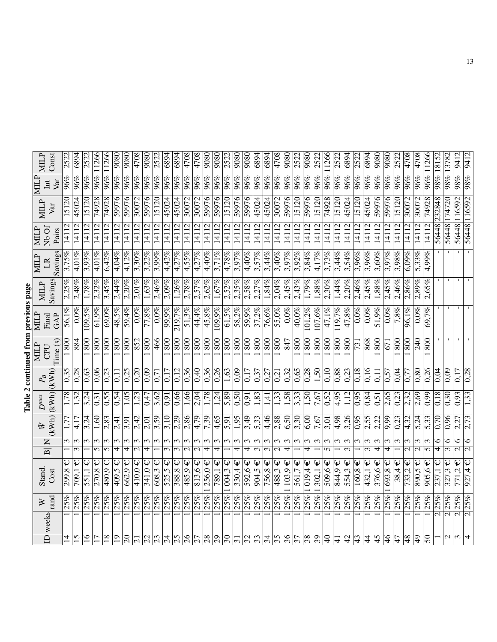| らくり                                                                                                                                           |  |
|-----------------------------------------------------------------------------------------------------------------------------------------------|--|
| <b>THE MANUFACTURE</b><br>֧֧֧֦֧֧֧֧֧֦֧֧֧֧֦֧֧֦֧֧֧֦֧֧֦֧֧֦֧֧֧֚֚֚֚֚֚֚֚֚֚֚֚֚֚֚֚֚֚֚֚֚֚֚֚֚֚֚֚֚֚֚֚֝֝֓֓֝֓֓֓֓֓֓֓֓֞֓֓<br>֧֧֧֧֪֧֪֧֧֪֧֧֧֧֪֪֪֪֪֪֪֚֚֚֚֚֜֜֜֜֝֜ |  |
| ror                                                                                                                                           |  |
|                                                                                                                                               |  |
| ì                                                                                                                                             |  |
|                                                                                                                                               |  |
| J                                                                                                                                             |  |

|                           |              | $\geq$           | Stand.                              |                                 | Ŵ                 | $D^{max}$        |                                                                              | <b>NIILP</b>                      | MILP         | <b>MILP</b> | <b>MILP</b>             | <b>MILP</b>                      | MILP           | MILP              | <b>MILP</b>      |
|---------------------------|--------------|------------------|-------------------------------------|---------------------------------|-------------------|------------------|------------------------------------------------------------------------------|-----------------------------------|--------------|-------------|-------------------------|----------------------------------|----------------|-------------------|------------------|
|                           | ID weeks     | rand             | Cost                                | $\frac{\mathbf{N}}{\mathbf{B}}$ | (KWh)             | (kWh)            | $\begin{array}{ c } \hline P_B \\ \hline \text{(KWh)} \\ \hline \end{array}$ | Time(s)<br><b>CPU</b>             | GAP<br>Final | Savings     | Savings<br>$\mathbb{R}$ | Nb Of<br>Pairs                   | Var            | Var<br>$\rm{Int}$ | Const            |
| $\overline{4}$            |              | 25%              | Ψ<br>299,8                          | $\epsilon$                      | 1,77              | 1,78             | 0,35                                                                         | 800                               | 56,1         |             | 3,75%                   | $\frac{11}{11}$                  | 15120          | 96%               | 2522             |
| 15                        |              | 25%              | Ψ<br>709,1                          | 3<br>$\overline{\mathfrak{c}}$  | 4,17              | 1,32             | 0,28                                                                         | 884                               | $0.0\%$      | 2,48%       | $4,01\%$                | 14112                            | 45024          | 96%               | 6894             |
| $\mathbf{5}$              |              | 25%              | 551,1                               | 3                               | 3,24              | 3,24             | 0,63                                                                         | 800                               | 109,5%       | 1,78%       | 3.93%                   | 14112                            | 15120          | 96%               | 2522             |
| $\overline{17}$           |              | 25%              | Ψ<br>270,8                          | 3<br>5                          | 1,60              | 0,31             | 0,06                                                                         | 800                               | 61,9%        | 2,32%       | 4,01%                   | 14112                            | 74928          | $96\%$            | 11266            |
| $\overline{18}$           |              | 25%              | Ψ<br>480,9                          | ω<br>$\overline{5}$             | 2,83              | 0,55             | 0,23                                                                         | 800                               | 69,0%        | 3,45%       | 6,42%                   | $\sqrt{14112}$                   | 74928          | 96%               | 11266            |
| $\overline{5}$            |              | 25%              | Ψ<br>409,5                          | ω<br>$\overline{4}$             | 2,41              | 0,54             | 0,11                                                                         | 800                               | 48,5%        | 2,44%       | 4,04%                   | 14112                            | 59976          | $96\%$            | 9080             |
| $\overline{\mathbb{S}}$   |              | $\frac{925}{25}$ | 662,9                               | ξ<br>4                          | 3,91              | 1,05             | 0,25                                                                         | 800                               | 59,4%        | 2,20%       | 4,12%                   | 14112                            | 59976          | 96%               | 9080             |
| $\overline{21}$           |              | 25%              | 410.0                               | ξ                               | 2,42              | 1,23             | 0,20                                                                         | 852                               | $0.0\%$      | 2,01%       | 3.30%                   | $\overline{2}$<br>$\frac{1}{4}$  | 30072          | 96%               | 4708             |
| $\overline{2}$            |              | 25%              | $341,0 \in$                         | ω<br>4                          | 2,01              | 0,47             | 0,09                                                                         | 800                               | $77,8\%$     | $1,63\%$    | 3,22%                   | 14112                            | 59976          | 96%               | 9080             |
| 23                        |              | 25%              | Ψ<br>608,3                          | ω                               | 3,59              | 3,62             | 0,71                                                                         | 466                               | $0.0\%$      | 2,46%       | 3,99%                   | 14112                            | 15120          | 96%               | 2522             |
| $\overline{5}$            |              | $\frac{92}{25}$  | 525,5                               | $\epsilon$<br>$\overline{3}$    | 3,10              | $\sqrt{91}$      | 0,17                                                                         | $\overline{\text{80}}$            | 99,9%        | $2,09\%$    | 4,42%                   | 1112                             | 45024          | $\frac{96}{96}$   | 6894             |
| $\overline{5}$            |              | 25%              | Ψ<br>388,8                          | 3<br>$\omega$                   | 2,29              | 0,66             | 0,12                                                                         | 800                               | 219,7%       | 1,26%       | 4,27%                   | 14112                            | 45024          | 96%               | 6894             |
| $\delta$                  |              | 25%              | Ψ<br>485,9                          | ω<br>$\overline{\mathsf{c}}$    | 2,86              | 1,66             | 0.36                                                                         | 800                               | 51,3%        | 2,78%       | 4,55%                   | $\overline{c}$<br>$\vec{=}$      | 30072          | 96%               | 4708             |
| $\overline{z}$            |              | 25%              | Ψ<br>813,6                          | $\epsilon$                      | $\frac{479}{3}$   | 2,04             | 0,40                                                                         | $\frac{80}{ }$                    | 44,4%        | 2,57%       | 4,27%                   | 14112                            | 30072          | 96%               | $\sqrt{4708}$    |
| 28                        |              | 25%              | Ψ<br>256,0.1                        | ω<br>$\overline{\tau}$          | 7,39              | 1,78             | 0,36                                                                         | 800                               | 45,8%        | 2,62%       | 4,40%                   | 14112                            | 59976          | 96%               | 9080             |
| $\overline{\mathcal{E}}$  |              | $\frac{92}{25}$  | $\mathsf \Psi$<br>$\frac{789.1}{ }$ | 3<br>4                          | 4,65              | $\frac{1.24}{ }$ | 0,26                                                                         | $\overline{\text{80}}$            | 109,9%       | 1,67%       | $3,71\%$                | 14112                            | 59976          | $\frac{96\%}{25}$ | $\frac{806}{5}$  |
| $\sqrt{6}$                |              | 25%              | $\overline{004,3} \in$              | ω                               | $\overline{5,91}$ | 5,89             | 1,63                                                                         | $\overline{\text{80}}$            | 61,5%        | $2,52\%$    | 4,78%                   | 14112                            | 15120          | $\overline{96\%}$ | $\frac{252}{25}$ |
| $ \overline{\mathbf{c}} $ |              | 25%              | Ψ<br>330,4                          | ω<br>4                          | 1,95              | 0,50             | 0,09                                                                         | 800                               | $58,2\%$     | 2,35%       | 3.97%                   | 14112                            | 59976          | 96%               | 9080             |
| $\overline{\omega}$       |              | 25%              | Ψ<br>592,6                          | 4                               | 3,49              | 0,91             | 0,17                                                                         | $\frac{80}{1}$                    | 59,9%        | 2,58%       | 4,40%                   | 14112                            | 59976          | $\frac{96}{26}$   | 9080             |
| 33                        |              | 25%              | Ψ<br>904,5                          | ω<br>$\sim$                     | 5,33              | 1,83             | 0,37                                                                         | 800                               | 37,2%        | 2.27%       | 3,57%                   | 14112                            | 45024          | 96%               | 6894             |
| 34                        |              | 25%              | 756,8                               | ω                               | 4,46              | 1,41             | 0,27                                                                         | 800                               | 76,6%        | 1,84%       | 3,44%                   | 12<br>$\overline{141}$           | 45024          | 96%               | 6894             |
| 35                        |              | 25%              | Ψ<br>488,3                          | ω<br>$\mathcal{L}$              | 2,88              | 1,33             | 0,21                                                                         | 800                               | 55,0%        | 2,04%       | 3,40%                   | 14112                            | 30072          | 96%               | 4708             |
| $\frac{8}{3}$             |              | 25%              | $\mathsf \Psi$<br>103,9             | ω<br>4                          | 6,50              | 85.1             | 0,32                                                                         | 847                               | $0.0\%$      | 2,45%       | 3,97%                   | 14112                            | 59976          | 96%               | 9080             |
| $\overline{\mathcal{E}}$  |              | 25%              | Ψ<br>561,7                          | ω                               | 3,30              | $\frac{3}{3}$    | 0,65                                                                         | 800                               | 40,0%        | 2,43%       | $3,92\%$                | 14112                            | 15120          | 96%               | 2522             |
| $\frac{8}{3}$             |              | 25%              | Ψ<br>019.4                          | ω<br>4                          | 6,00              | 1,50             | 0,28                                                                         | 800                               | 101,2%       | 1,79%       | 3,84%                   | 14112                            | 59976          | $\overline{96}$ % | 0806             |
| $\sqrt{6}$                |              | 25%              | Ψ<br>302,1                          | $\epsilon$                      | 7,67              | 7,67             | 1,50                                                                         | 800                               | 107,6%       | 1,88%       | 4,17%                   | $\overline{2}$<br>$\overline{4}$ | 15120          | 96%               | 252.             |
| ੩                         |              | 25%              | $\mathsf \omega$<br>509,6           | $\epsilon$<br>$\Omega$          | 3,01              | $\frac{52}{2}$   | 0,10                                                                         | $\frac{80}{1}$                    | 47,1%        | $2,30\%$    | 3,73%                   | 14112                            | 74928          | $\overline{96\%}$ | 11266            |
| $\pm$                     |              | 25%              | Ψ<br>844,9                          | ω                               | 4,98              | 4,95             | 0,88                                                                         | 800                               | 119,7%       | 1,44%       | 3,44%                   | 14112                            | 15120          | $96\%$            | 2522             |
| $\overline{5}$            |              | 25%              | Ψ<br>554,3                          | 3                               | 3,26              | 1,12             | 0,23                                                                         | $\overline{\overline{\text{80}}}$ | 47,8%        | 2,20%       | 3,54%                   | 14112                            | 45024          | $\frac{96}{96}$   | 6894             |
| 43                        |              | 25%              | $160.8 \in$                         | ω                               | $\frac{6}{6}$     | 0,95             | 0,18                                                                         | 731                               | $0.0\%$      | 2,46%       | $3,96\%$                | 14112                            | 15120          | 96%               | 2522             |
| $\ddot{4}$                |              | 25%              | Ψ<br>432,1                          | 3<br>$\infty$                   | 2,55              | 0,84             | 0,16                                                                         | 868                               | $0.0\%$      | 2,45%       | 3,96%                   | 14112                            | $\sqrt{45024}$ | 96%               | 6894             |
| $\frac{45}{5}$            |              | 25%              | Ψ<br>376,6                          | 4                               | 2,22              | 0,51             | 0,11                                                                         | 800                               | 51,9%        | $1.88\%$    | 3,60%                   | 12<br>$\frac{1}{4}$              | 59976          | 96%               | 9080             |
| $\frac{4}{6}$             |              | 25%              | Ψ<br>693,8                          | ω<br>4                          | 9,99              | 2,65             | 0,57                                                                         | 671                               | $0.0\%$      | 2,45%       | 3,97%                   | l4112                            | 59976          | 96%               | 9080             |
| $\overline{47}$           |              | 25%              | 38,4                                | $\mathfrak{c}$                  | 0,23              | 0,23             | 0,04                                                                         | 800                               | 7,8%         | 2,46%       | 3.98%                   | 14112                            | 15120          | 96%               | $\overline{252}$ |
| $\frac{8}{3}$             |              | 25%              | $\mathsf \Psi$<br>733,2             | ω<br>$\overline{\mathsf{c}}$    | $\frac{4.32}{ }$  | 2,32             | 0,77                                                                         | 800                               | 96,1%        | 2,86%       | 6,09%                   | 14112                            | 30072          | 96%               | 4708             |
| $\frac{6}{4}$             |              | 25%              | $\mathsf \Psi$<br>890,5             | 3<br>$\overline{c}$             | $\overline{5.24}$ | $\frac{2.69}{2}$ | $\sqrt{0.80}$                                                                | $\overline{5}$                    | 0.0%         | 2,89%       | 5,33%                   | 14112                            | 30072          | $\frac{96}{96}$   | 4708             |
| $\overline{50}$           |              | 25%              | Ψ<br>$\frac{905}{6}$                | 3                               | $\overline{5.33}$ | $\sqrt{6.0}$     | $\sqrt{0.26}$                                                                | $\frac{80}{1}$                    | 69,7%        | 2,65%       | 4,99%                   | 14112                            | 74928          | 96%               | 11266            |
|                           | N            | 25%              | Ψ<br>237,1                          | ∘<br>₹                          | 0,70              | 0,18             | 0,04                                                                         |                                   |              |             |                         | 56448                            | 232848         | $\overline{98\%}$ | 18152            |
| $\mathcal{L}$             | $\mathbf{C}$ | 25%              | Ψ<br>327,3                          | ∘                               | 0,96              | 0,30             | 60.0                                                                         |                                   |              |             |                         | 8448                             | 174720         | $98\%$            | 13782            |
| $\omega$                  | $\sim$       | 25%              | Ψ<br>771,2                          | 6<br>$\overline{\mathsf{c}}$    | 2,27              | 0,93             | 0,17                                                                         |                                   |              |             |                         | 56448                            | 116592         | 98%               | 9412             |
|                           |              | 25%              | Ψ<br>927,4                          | $\overline{\mathsf{c}}$         | 2,73<br>∘         | 1,33             | 0,28                                                                         |                                   |              |             |                         |                                  | 56448 116592   | $98\%$            | 9412             |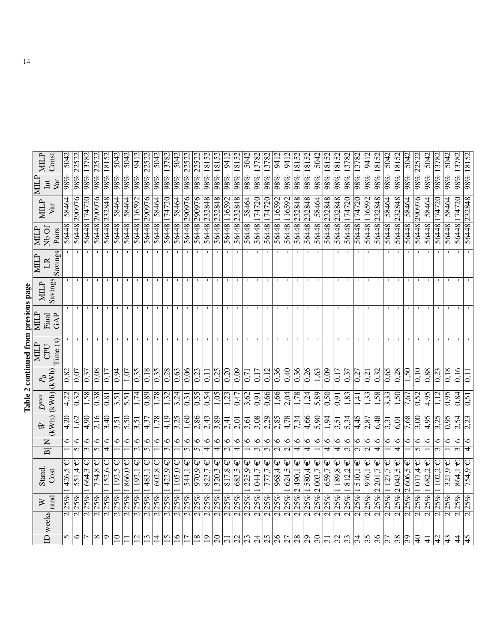| :<br>יולי היה היה |  |
|-------------------|--|
| ---------         |  |
|                   |  |
| $\sim$            |  |
|                   |  |
|                   |  |

| <b>NIILP</b>    | Const                          | 5042             | 22522                     | 13782                          | 22522                     | 18152                   | 5042              | 5042        | 9412               | 22522                     | 5042           | 13782                                | 5042                    | 22522               | 22522                     | $98\%$ 18152                 | 18152                                | 9412                               | 18152                                | 5042                    | 13782                          | 13782                          | 9412                         | 9412                               | 18152                     | 18152                     | 5042    | 18152                   | 98% 18152              | 13782                          | 13782                    | 9412                               | 18152                   | 5042            | 18152             | 5042            | 22522                     | 5042              | 13782                                | 5042   | 13782                               | 98% 18152         |
|-----------------|--------------------------------|------------------|---------------------------|--------------------------------|---------------------------|-------------------------|-------------------|-------------|--------------------|---------------------------|----------------|--------------------------------------|-------------------------|---------------------|---------------------------|------------------------------|--------------------------------------|------------------------------------|--------------------------------------|-------------------------|--------------------------------|--------------------------------|------------------------------|------------------------------------|---------------------------|---------------------------|---------|-------------------------|------------------------|--------------------------------|--------------------------|------------------------------------|-------------------------|-----------------|-------------------|-----------------|---------------------------|-------------------|--------------------------------------|--------|-------------------------------------|-------------------|
| NЩ              | Var<br>$\overline{\mathbf{m}}$ | 98%              | $98\%$                    | $98\%$                         | $98\%$                    | 288                     | $\overline{98\%}$ | 98%         | 288                | $98\%$                    | $98\%$         | $\overline{98\%}$                    | $98\%$                  | $98\%$              | $\sqrt{98\%}$             |                              | $ 98\% $                             | $\sqrt{98\%}$                      | $98\%$                               | $\overline{98\%}$       | $98\%$                         | $98\%$                         | $98\%$                       | $98\%$                             | $\overline{98\%}$         | 98%                       | $98\%$  | $\sqrt{98\%}$           |                        | $\overline{98\%}$              | 288                      | $98\%$                             | $\overline{98\%}$       | 98%             | $98\%$            | $98\%$          | $\sqrt{98\%}$             | $\overline{98\%}$ | 98%                                  | $98\%$ | $ 98\% $                            |                   |
| <b>MILP</b>     | Var                            | 58464            | 290976                    | 174720                         | 290976                    | 232848                  | 58464             | 58464       | 116592             | 290976                    | 58464          | 174720                               | 58464                   | 290976              | 290976                    | 232848                       | 232848                               | 56448 116592                       | 232848                               | 58464                   | 56448 174720                   | 174720                         | 56448 116592                 | 116592                             | 232848                    | 232848                    | 58464   | $\sqrt{232848}$         | 232848                 | 174720                         | 56448 174720             | 116592                             | 232848                  | 58464           | 232848            | 58464           | 290976                    | 58464             | 56448 174720                         | 58464  | 174720                              | 56448 232848      |
| <b>MILP</b>     | N <sub>b</sub> Of<br>Pairs     | 56448            | 56448                     | 56448                          | 56448                     | 56448                   | 56448             | 8448        | 56448              | 56448                     | 56448          | 8448                                 | 56448                   | 56448               | 56448                     | 56448                        | 56448                                |                                    | 56448                                | 56448                   |                                | 56448                          |                              | 56448                              | 8448                      | 56448                     | 56448   | 56448                   | 56448                  | 56448                          |                          | 56448                              | 56448                   | 56448           | 56448             | 56448           | 86448                     | 56448             |                                      | 56448  | 56448                               |                   |
| <b>MILP</b>     | Savings<br>$\mathbb{R}$        |                  |                           |                                |                           |                         |                   |             |                    |                           |                |                                      |                         |                     |                           |                              |                                      |                                    |                                      |                         |                                |                                |                              |                                    |                           |                           |         |                         |                        |                                |                          |                                    |                         |                 |                   |                 |                           |                   |                                      |        |                                     |                   |
| <b>MILP</b>     | Savings                        |                  |                           |                                |                           |                         |                   |             |                    |                           |                |                                      |                         |                     |                           |                              |                                      |                                    |                                      |                         |                                |                                |                              |                                    |                           |                           |         |                         |                        |                                |                          |                                    |                         |                 |                   |                 |                           |                   |                                      |        |                                     |                   |
| NЩP             | GAP<br>Final                   |                  | $\mathbf{I}$              | л.                             | $\blacksquare$            | п.                      |                   |             |                    | -11                       | л.             |                                      |                         | $\mathbf{I}$        | п.                        | - 1                          | п.                                   | $\mathbf{I}$                       | $\mathbf{I}$                         | п.                      |                                |                                | $\mathbf{I}$                 | л.                                 | J.                        | -1                        |         |                         | п.                     |                                | $\mathbf{I}$             | п.                                 | -1                      |                 |                   | $\mathbf{I}$    | п.                        | -1                |                                      |        |                                     |                   |
| <b>MILP</b>     | Time(s)<br>CPU                 |                  |                           |                                |                           |                         |                   |             |                    |                           | $\mathbf{L}$   |                                      |                         |                     |                           | $\blacksquare$               | -                                    |                                    | п.                                   |                         |                                |                                | $\blacksquare$               | л.                                 | $\mathbf{I}$              |                           |         |                         | $\mathbf{I}$           |                                |                          | $\mathbf{I}$                       | $\mathbf{I}$            |                 |                   | $\blacksquare$  |                           |                   |                                      |        |                                     |                   |
| $\mathcal{P}_B$ | (kWh)                          | $\frac{1}{0.82}$ | 0,07                      | $\sqrt{0.37}$                  | 0,08                      | 0,17                    | 0,94              | 1,07        | 0,35               | 0,18                      | 0,35           | $\sqrt{0.28}$                        | 0,63                    | 0,06                | $\frac{0.23}{2}$          | 0,11                         | $\frac{0.25}{5}$                     | $\sqrt{0.20}$                      | 0,09                                 | 0,71                    | 0.17                           | 0,12                           | 0,36                         | 0,40                               | 0,36                      | 0,26                      | 1,63    | $\sqrt{6}$              | 0,17                   | $\sqrt{0.37}$                  | $\sqrt{0.27}$            | 0,21                               | $\overline{0,32}$       | 0,65            | 0,28              | 1,50            | 0.10                      | $\sqrt{0.88}$     | 0,23                                 | 0,18   | 0,16                                | $\overline{0.11}$ |
| $D^{\max}$      | (kWh)                          | 4,22             | 0,32                      | 1,58                           | 0,38                      | 0,81                    | 3,51              | 5,51        | 1,74               | 0,89                      | 1,78           | 1,32                                 | 3,24                    | 0,31                | 0,55                      | 0,54                         | 1,05                                 | 1,23                               | 0,47                                 | 3,62                    | 0,91                           | 0,66                           | 1,66                         | 2,04                               | 1,78                      | 1,24                      | 5,89    | $\frac{0.50}{2}$        | 0,91                   | 1,83                           | 1,41                     | 1,33                               | 1,58                    | 3,33            | 1,50              | 7,67            | 0,52                      | 4,95              | 1,12                                 | 0.95   | 0,84                                | 0,51              |
| 它               | (KWh)                          | 4,20             | 1,62                      | $\sqrt{4.90}$                  | 2,16                      | 3,40                    | 3,51              | 5,50        | 3,51               | 4,37                      | 1,78           | 4,19                                 | 3,25                    | 1,60                | 2,86                      | 2,43                         | $\overline{3,89}$                    | 2,41                               | 2,01                                 | 3,61                    | 3,08                           | 2,29                           | 2,85                         | 4,78                               | 7,34                      | 4,66                      | 5,90    | $\frac{1.94}{ }$        | 3,51                   | $\frac{5.34}{ }$               | 4,45                     | 2,87                               | 6,48                    | 3,31            | 6,01              | 7,68            | $\overline{3,00}$         | 4,95              | 3,25                                 | 0,95   | 2,54                                | $\sqrt{2,23}$     |
|                 | $\mathsf{Z}$                   | ∘                | $\circ$<br>$\overline{5}$ | ७<br>$\overline{\mathfrak{c}}$ | $\circ$<br>$\overline{5}$ | $\circ$                 | 0                 | $\circ$     | ∘<br>$\mathcal{L}$ | $\circ$<br>$\overline{5}$ | $\circ$        | $\circ$<br>$\overline{\mathfrak{c}}$ | ∘                       | 6<br>$\overline{5}$ | $\circ$<br>$\overline{5}$ | $\circ$<br>$\overline{\tau}$ | $\circ$<br>$\overline{\overline{t}}$ | $\circ$<br>$\overline{\mathbf{c}}$ | $\circ$<br>$\overline{\overline{4}}$ | 0                       | 0<br>$\overline{\mathfrak{c}}$ | ∘<br>$\overline{\mathfrak{c}}$ | ∘<br>$\overline{\mathsf{c}}$ | $\circ$<br>$\overline{\mathsf{c}}$ | $\circ$<br>$\overline{4}$ | $\circ$<br>$\overline{4}$ | $\circ$ | $\circ$<br>₹            | ∘<br>$\overline{\tau}$ | 6<br>$\overline{\mathfrak{c}}$ | $\circ$<br>$\frac{1}{3}$ | $\circ$<br>$\overline{\mathsf{c}}$ | ۰<br>$\overline{\tau}$  | 6               | ∘<br>₹            | ∘               | $\circ$<br>$\overline{5}$ | $\circ$           | $\circ$<br>$\overline{\mathfrak{c}}$ | ∘      | $\circ$<br>$\overline{\mathcal{E}}$ | $\circ$<br>4      |
|                 | $\overline{\mathbf{B}}$        |                  | Ψ                         | Ψ                              | Ψ                         | Ψ                       |                   |             | Ψ                  | $\mathsf \Psi$            | Ψ              | Ψ                                    | Ψ                       | Ψ                   | Ψ                         | Ψ                            |                                      | Ψ                                  | Ψ                                    |                         | $\mathsf{\Psi}$                | Ψ                              | Ψ                            | Ψ                                  | Ψ                         | Ψ                         | Ψ       | $\overline{\mathsf{L}}$ | Ψ                      | Ψ                              | Ψ                        | Ψ                                  | Ψ                       | Ψ               | Ψ                 | Ψ               | Ψ                         |                   | Ψ                                    | Ψ      | $\overline{\Psi}$                   | Ψ                 |
| <b>Stand</b>    | Cost                           | 426,5            | 551,4                     | 664.3                          | 734,8                     | 152,6                   | 192,5             | $866.0 \in$ | 1192,1             | $\overline{483,1}$        | 602.8          | $\sqrt{422.9}$                       | 105,0                   | 544,1               | 970,9                     | 823,7                        | Ψ<br>$\frac{320.3}{ }$               | 817,8                              | 683,5                                | 225,9                   | 044,7                          |                                | 968,4                        | 624,5                              | $\sqrt{2490,1}$           | 580,4                     | 2003,7  | 659.7                   | 1189,8                 | 812,2                          | $25\%$ 1510,1            | 976,1                              | 201,7<br>$\mathcal{L}$  | 1 127           | 2043.5            | 2606,5          | 1017.4                    | 1682,2            | 1102,2                               | 321,9  | 864,1                               | 754,9             |
| $\geq$          | rand                           | 25%              | 25%                       | 25%                            | 25%                       | 25%                     | 25%               | 25%         | 25%                | 25%                       | 25%            | 25%                                  | 25%                     | 25%                 | 25%                       | 25%                          | 25%                                  | 25%                                | 25%                                  | 25%                     | $ 25\%$                        | 25%                            | 25%                          | 25%                                | 25%                       | 25%                       | 25%     | 25%                     | 25%                    | 25%                            |                          | 25%                                | 25%                     | 25%             | 25%               | 25%             | 25%                       | 25%               | 25%                                  | 25%    | 25%                                 | 25%               |
|                 | D weeks                        | $\sim$           | $\sim$                    | $\overline{\mathsf{C}}$        | $\sim$                    | $\overline{\mathsf{N}}$ | $\sim$            | $\sim$      | $\sim$             | $\sim$                    | $\sim$         | $\sim$                               | $\overline{\mathsf{N}}$ | $\sim$              | $\overline{\mathsf{N}}$   | $\overline{\mathsf{c}}$      | $\overline{\mathsf{N}}$              | $\overline{\mathsf{c}}$            | $\overline{\mathsf{c}}$              | $\overline{\mathsf{c}}$ | $\sim$                         | $\mathbf{\Omega}$              | $\sim$                       | $\sim$                             | $\sim$                    | $\sim$                    | $\sim$  | $\sim$                  | $\sim$                 | $\sim$                         | $\mathcal{L}$            | $\sim$                             | $\overline{\mathsf{N}}$ | $\sim$          | $\mathbf{\Omega}$ | $\sim$          | $\overline{\mathsf{c}}$   | $\sim$            | $\sim$                               | $\sim$ | $\alpha$ $\alpha$                   |                   |
|                 |                                | n                | $\circ$                   |                                | $\infty$                  | $\sigma$                | $\overline{10}$   |             | $\overline{c}$     | 13                        | $\overline{4}$ | 15                                   | $\mathbf{e}$            | $\overline{17}$     | $\overline{18}$           | $\overline{19}$              | $\overline{\mathcal{S}}$             | $\overline{5}$                     | $\overline{c}$                       | $\overline{c}$          | $\overline{24}$                | 25                             | $\delta$                     | 27                                 | 28                        | 29                        | 30      | $\overline{31}$         | 32                     | $\overline{3}$                 | 34                       | 35                                 | $\frac{96}{5}$          | $\overline{37}$ | 38                | $\overline{39}$ | $ \Theta$                 | $\frac{1}{4}$     | $\overline{4}$                       | 43     | 4                                   | 45                |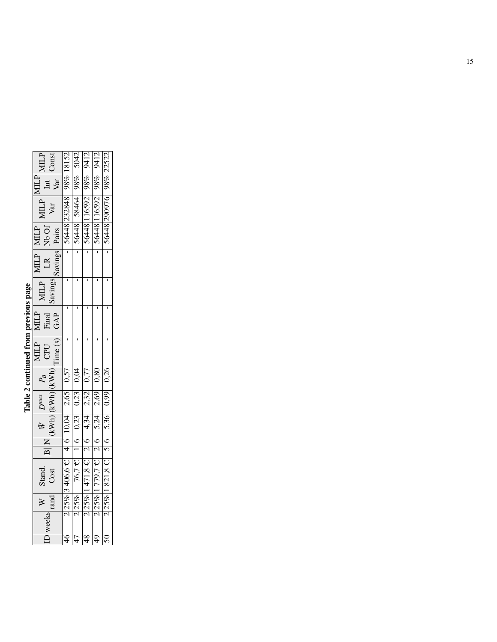| i           |  |
|-------------|--|
| ĺ<br>i<br>۱ |  |
|             |  |
| j           |  |
|             |  |
| ١           |  |

| MILP<br>Const                                                        |                                  |                                                                          |                                                                         | 9412                                 | 22522                     |
|----------------------------------------------------------------------|----------------------------------|--------------------------------------------------------------------------|-------------------------------------------------------------------------|--------------------------------------|---------------------------|
| $\begin{bmatrix} \text{MLP} \ \text{Int} \ \text{Var} \end{bmatrix}$ |                                  |                                                                          |                                                                         |                                      |                           |
| $\begin{tabular}{c} \bf MILP \\ \hline \tt Var \end{tabular}$        |                                  |                                                                          | 56448 232848 98% 18152<br>56448 58464 98% 5042<br>56448 116592 98% 9417 | 56448 116592 98%<br>56448 290976 98% |                           |
| MILP<br>Nb Of<br>Pairs                                               |                                  |                                                                          | 56448 1<br>56448 1                                                      |                                      |                           |
| MILP<br>LR<br>Savings                                                |                                  |                                                                          |                                                                         |                                      |                           |
| MILP<br>Savings                                                      |                                  |                                                                          |                                                                         |                                      |                           |
| MLP<br>Final<br>GAP                                                  |                                  |                                                                          |                                                                         |                                      |                           |
| Time (s)<br><b>NHLP</b><br>CPU                                       |                                  |                                                                          |                                                                         |                                      |                           |
| $\frac{P_B}{\rm (KWh)}$                                              |                                  |                                                                          | $\frac{0,57}{0,04}$                                                     | 0.80                                 | 0.26                      |
| $\begin{bmatrix} D^{max} \ (KWh) \end{bmatrix}$                      |                                  | $\begin{array}{ c c } \hline 2,65 & \\ \hline 0,23 & \hline \end{array}$ | $\frac{2,32}{2,69}$                                                     |                                      | 0,99                      |
| $\frac{\bar{W}}{(\text{kWh})}$                                       |                                  | $\frac{0.23}{4.34}$                                                      |                                                                         | 5,24                                 | 5,36                      |
|                                                                      |                                  | $\frac{6}{1}$                                                            |                                                                         | $\frac{6}{2}$                        |                           |
| Stand.<br>Cost                                                       | $2 25\% 3\;406,6 \in 4 6 10,04 $ | $76.7 \in$                                                               | $2 25\% 1471,8 \in  2 6$                                                | $2 25\% 1779,7 \in$                  | $2 25\% 1821,8 \in  5 $ 6 |
| $\geq$<br>rand                                                       |                                  | 2 25%                                                                    |                                                                         |                                      |                           |
| weeks                                                                |                                  |                                                                          |                                                                         |                                      |                           |
|                                                                      | $\overline{46}$                  | $\overline{47}$                                                          | $\overline{48}$                                                         |                                      |                           |
|                                                                      |                                  |                                                                          |                                                                         |                                      |                           |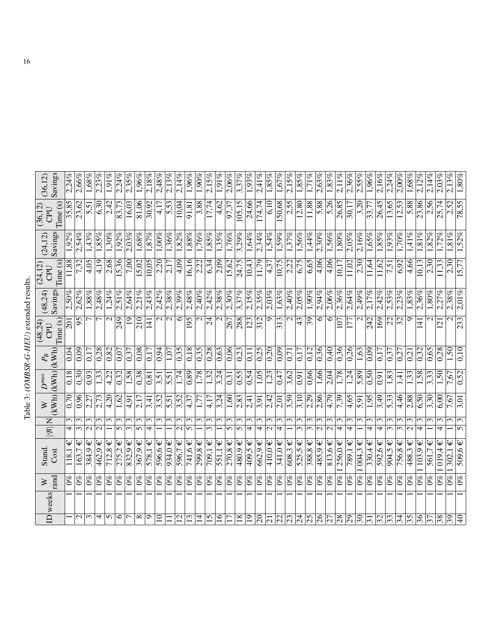| $-1111224$<br>֪ׅ֧֧֧֪ׅ֧֧֪ׅ֪ׅ֧֪ׅ֧ׅ֧֚֚֚֚֚֚֚֚֚֚֚֚֚֚֚֚֚֚֚֡֡֡֡֡֡֡֡֡֡֡֡֡֬֝֝֬֝֬֝֓֞֝֬֓֝֬֓֓֝֬֝֬֓֓֞֬֝֓֝֬֓֝֬֝<br>$tan \Delta C$<br>j |  |
|--------------------------------------------------------------------------------------------------------------------------|--|
| $\cdots$ (OMRSR-C-HEID)<br>$\ddot{ }$<br>ڹ<br>ŗ                                                                          |  |
| able $3:$ (<br>١<br>.<br>E                                                                                               |  |

| Savings<br>(36, 12)                                              | 2.24%         | 2,66%                            | $1,68\%$      | 2.23%         | 1,91%           | 2.24%          | 2,35%                           | 1.96%      | $2,18\%$        | 2,48%           | 2,13%                 | 2.14%                 | 1,96%            | $1.90\%$                        | 2,15%           | $1,91\%$            | 2.06%                           | 3,37%                           | 1,93%                           | 2,41%             | 1,85%           | 1,67%                           | 2,15%                           | $1,85\%$          | 1,71%                 | 2,63%         | 1,83%          | 2,11%            | 2,36%                           | $2.5\%$             | 1,96%           | 2,16%      | 2.24%      | 2.00%                    | $1,68\%$          | 2.12%           | 2,14%         | 2.03%                        | 2,13%                               | $1,80\%$                   |
|------------------------------------------------------------------|---------------|----------------------------------|---------------|---------------|-----------------|----------------|---------------------------------|------------|-----------------|-----------------|-----------------------|-----------------------|------------------|---------------------------------|-----------------|---------------------|---------------------------------|---------------------------------|---------------------------------|-------------------|-----------------|---------------------------------|---------------------------------|-------------------|-----------------------|---------------|----------------|------------------|---------------------------------|---------------------|-----------------|------------|------------|--------------------------|-------------------|-----------------|---------------|------------------------------|-------------------------------------|----------------------------|
| Time(s)<br>(36, 12)<br>CPU                                       | 35,85         | 23,62                            | 5,51          | 6,30          | 2,42            | 83,73          | 16,03                           | 81,06      | 30,92           | 4,17            | 5,53                  | 10,04                 | 91,81            | 3,88                            | 17,74           | 4,62                | 97,37                           | 105,15                          | 24,66                           | 174,74            | 6,10            | 150,68                          | 2,55                            | $\frac{12,80}{2}$ | 11,88                 | 5,88          | 5,26           | 26,85            | 30,17                           | 3,20                | 33,77           | 26,45      | 13,65      | $\frac{12.53}{2}$        | 5,88              | 23,86           | 2,56          | 25,74                        | 2,52                                | $\sqrt{8,55}$              |
| Savings<br>(24, 12)                                              | 1.92%         | 2.54%                            | 1,43%         | 1,85%         | $1,30\%$        | $1.92\%$       | 2,03%                           | $1.68\%$   | $\sqrt{1.87\%}$ | 1,00%           | $1,36\%$              | 1,82%                 | $1.88\%$         | 1,76%                           | 1,85%           | 1,35%               | 1.76%                           | $3,29\%$                        | 1,64%                           | 2,34%             | 1,54%           | $1,59\%$                        | 1,37%                           | $1,56\%$          | 1,44%                 | $2,30\%$      | 1,56%          | $1.80\%$         | 2,05%                           | 2,16%               | 1.65%           | 1,85%      | 1,93%      | $1.70\%$                 | 1,41%             | $.81\%$         | 1,82%         | 1,72%                        | $\overline{1,81\%}$                 | 1,52%                      |
| Time(s)<br>(24, 12)<br>CPU                                       | 11,88         | 7,32                             | 4,05          | 4,19          | 2,68            | 5,36           | 7,00                            | 15,02      | 10,05           | 2,20            | $\frac{2.17}{2.1}$    | $4,\overline{09}$     | 16,16            | 2,22                            | 6,34            | $\frac{2.09}{2.09}$ | 15,62                           | 24,75                           | 10,43                           | 11,79             | 4,37            | 10,75                           | 2,22                            | 6,75              | 6,65                  | 4,06          | 4,06           | 10,17            | 11,02                           | 2,30                | 11,64           | .1,62      | 7,51       | 6,92                     | 4,66              | 0,13            | 2,30          | .1,33                        | 2,30                                | 5.77                       |
| Savings<br>(48,24)                                               | 2,50%         | 2.62%                            | 1,88%         | 2,48%         | 1,24%           | 2,51%          | 2,64%                           | 2.21%      | 2,43%           | 2,42%           | 2,38%                 | 2.39%                 | 2,48%            | 2,40%                           | 2,42%           | 2,38%               | 2.30%                           | 3,37%                           | 2.15%                           | 2,35%             | 2.03%           | $1,63\%$                        | 2,40%                           | 2,05%             | $1,90\%$              | 2,94%         | $2,06\%$       | 2,36%            | 2,64%                           | 2.49%               | 2,17%           | 2.42%      | 2,53%      | 2.23%                    | 1,83%             | 2,36%           | $1,80\%$      | 2,27%                        | 2,38%                               | $2.01\%$                   |
| Time(s)<br>(48,24)<br>CPU                                        | 201           | $\overline{95}$                  |               | L             | $\mathbf{\sim}$ | 249            | $\overline{19}$                 | 210        | $\overline{4}$  | $\mathcal{L}$   | $\sim$                | $\circ$               | 195              | $\mathcal{L}$                   | $\overline{24}$ | $\mathbf{\Omega}$   | 267                             | 288                             | 123                             | 312               | $\sigma$        | 313                             | $\mathcal{L}$                   | 43                | $\overline{39}$       | 6             | $\circ$        | 107              | 177                             | $\mathbf{\sim}$     | 242             | 169        | 22         | $\overline{\mathcal{E}}$ | $\sigma$          | 141             | $\mathcal{L}$ | 121                          | $\mathbf{\sim}$                     | 233                        |
| $P_{\!B}$                                                        | 0.04          | 0,09                             | 0,17          | 0,28          | 0,82            | 0,07           | 0,37                            | 0.08       | 0.17            | 0,94            | 1,07                  | 0,35                  | 0,18             | 0,35                            | 0,28            | 0,63                | 0,06                            | 0,23                            | 0,11                            | $\overline{0.25}$ | 0,20            | 0,09                            | 0,71                            | 0,17              | 0.12                  | 0,36          | 0,40           | 0,36             | 0.26                            | 1,63                | 0.09            | 0,17       | 0,37       | 0,27                     | $\overline{0.21}$ | 0,32            | 0,65          | 0,28                         | $0$ s <sup><math>\cdot</math></sup> | 0.10                       |
| (kWh)(kWh)<br>$D^{max}$                                          | 0.18          | $0.30\,$                         | 0,93          | 1,33          | 4,22            | 0,32           | 1,58                            | 0.38       | 0,81            | 3,51            | 5,51                  | 1,74                  | $\sqrt{0.89}$    | 1,78                            | 1,32            | 3,24                | 0.31                            | 0,55                            | 0,54                            | 1,05              | 1,23            | 0,47                            | 3,62                            | 16.0              | 0,66                  | 1,66          | 2,04           | 1,78             | 1,24                            | 5,89                | $\sqrt{0.50}$   | 160        | 1,83       | 1,41                     | 1,33              | 1,58            | 3,33          | 1,50                         | 7,67                                | 0,52                       |
| (KWh)<br>$\gtrsim$                                               | 0,70          | 0,96                             | 2,27          | 2,73          | 4,20            | 1,62           | 4,91                            | 2.17       | 3,41            | 3,52            | $\overline{5,51}$     | 3,52                  | 4,37             | 1,77                            | 4,17            | 3,24                | 1,60                            | 2,83                            | 2,41                            | $\overline{3,91}$ | 2,42            | 2,01                            | <b>65'E</b>                     | 3,10              | 2,29                  | $\sqrt{2,86}$ | 4,79           | <b>1.39</b>      | 4,65                            | $\overline{5.91}$   | $\frac{195}{ }$ | 3,49       | 5,33       | 4,46                     | 2,88              | 6,50            | 3,30          | 6,00                         | 7,67                                | 3,01                       |
|                                                                  | Σ             | $\sim$                           | 3             | ω             | $\mathfrak{m}$  | $\mathfrak{m}$ | ω                               | ω          | $\mathfrak{g}$  | ω               | $\mathfrak{g}$        | $\mathfrak{c}$        | $\mathfrak{g}$   | 3                               | $\mathfrak{m}$  | $\mathfrak{g}$      | $\mathfrak{g}$                  | ω                               | $\mathfrak{c}$                  | $\mathfrak{m}$    | $\mathfrak{g}$  | ω                               | ω                               | $\mathfrak{g}$    | 3                     | $\epsilon$    | $\mathfrak{g}$ | $\mathfrak{c}$   | ω                               | ς                   | $\mathfrak{m}$  | 3          | 3          | 3                        | $\mathfrak{c}$    | ω               | ω             | ω                            | $\epsilon$                          | $\mathfrak{g}$             |
| $\frac{\mathbf{N}\left\vert \mathbf{B}\right\vert }{\mathbf{B}}$ | 4             | $\infty$                         | $\mathcal{L}$ | $\mathcal{L}$ |                 | $\sqrt{ }$     | $\epsilon$                      | 5          | 4               |                 |                       | $\mathcal{L}$         | 5                |                                 | $\mathfrak{m}$  |                     | $\mathcal{L}$                   | 5                               | 4                               | 4                 | $\mathbf{\sim}$ | 4                               |                                 | $\sim$            | ω                     | $\sim$        | $\mathbf{C}$   | 4                | 4                               |                     | 4               | 4          | ω          | $\infty$                 | $\sim$            | 4               |               | 4                            |                                     | $\sqrt{ }$                 |
| Stand.<br>Cost                                                   | Ψ<br>118,1    | $\overline{\mathsf{L}}$<br>163,7 | Ψ<br>384,9    | Ψ<br>462,9    | Ψ<br>712,8      | Ψ<br>275,2     | Ψ<br>832,9                      | Ψ<br>367,9 | Ψ<br>578,1      | Ψ<br>596,6      | $\downarrow$<br>934,0 | $\downarrow$<br>596,7 | Ψ<br>741,6       | Ψ<br>299,8                      | Ψ<br>709,1      | $ \Psi\>$<br>551,1  | Ψ<br>270.8                      | $\boldsymbol{\psi}$<br>480,9    | Ψ<br>409.5                      | Ψ<br>662.9        | Ψ<br>410.0      | Ψ<br>341,0                      | Ψ<br>608,3                      | 525,5             | $\downarrow$<br>388,8 | Ψ<br>485,9    | ₠<br>813,6     | 256,0            | Ψ<br>789,1                      | Ψ<br>$\sqrt{004.3}$ | Ψ<br>330,4      | Ψ<br>592,6 | Ψ<br>904,5 | 756,8                    | Ψ<br>488,3        | Ψ<br>103,9      | 561,7         | Ψ<br>019.4                   | $\overline{\mathsf{L}}$<br>302,1    | $\overline{\Psi}$<br>509.6 |
| rand<br>$\geq$                                                   | $\mathscr{E}$ | $0\%$                            | $0\%$         | $0\%$         | $\mathcal{O}\%$ | $0\%$          | $\mathcal{O}_{\infty}^{\infty}$ | $0\%$      | $\frac{6}{2}$   | $0\%$           | $0\%$                 | $0\%$                 | $\overline{0\%}$ | $\mathcal{O}_{\infty}^{\infty}$ | $0\%$           | $0\%$               | $\mathcal{O}_{\infty}^{\infty}$ | $\mathcal{O}_{\infty}^{\infty}$ | $\mathcal{O}_{\infty}^{\infty}$ | $\frac{6}{2}$     | $0\%$           | $\mathcal{O}_{\infty}^{\infty}$ | $\mathcal{O}_{\infty}^{\infty}$ | $\mathcal{O}\%$   | $0\%$                 | $\omega_0$    | $0\%$          | $\overline{0\%}$ | $\mathcal{O}_{\infty}^{\infty}$ | $0\%$               | $0\%$           | $0\%$      | $0\%$      | $\frac{6}{2}$            | $\sqrt{6}$        | $0\%$           | $0\%$         | $\partial_{\alpha}^{\alpha}$ | $\overline{0\%}$                    | $0\%$                      |
| ID weeks                                                         |               |                                  |               |               |                 |                |                                 |            |                 |                 |                       |                       |                  |                                 |                 |                     |                                 |                                 |                                 |                   |                 |                                 |                                 |                   |                       |               |                |                  |                                 |                     |                 |            |            |                          |                   |                 |               |                              |                                     |                            |
|                                                                  |               | $\mathbf{\Omega}$                | 3             | 4             | $\sigma$        | $\circ$        |                                 | $\infty$   | $\sigma$        | $\overline{10}$ |                       | $\mathcal{C}$         | $\epsilon$       | 4                               | 5               | $\overline{16}$     |                                 | $\overline{18}$                 | $\overline{0}$                  | $\overline{c}$    | $\overline{c}$  | 22                              | 23                              | 24                | 57                    | 26            | 27             | $\overline{28}$  | 97                              | $30\,$              | $\overline{31}$ | 32         | 33         | $\overline{34}$          | $\overline{35}$   | $\overline{36}$ | 37            | $\overline{38}$              | 65                                  | $\overline{Q}$             |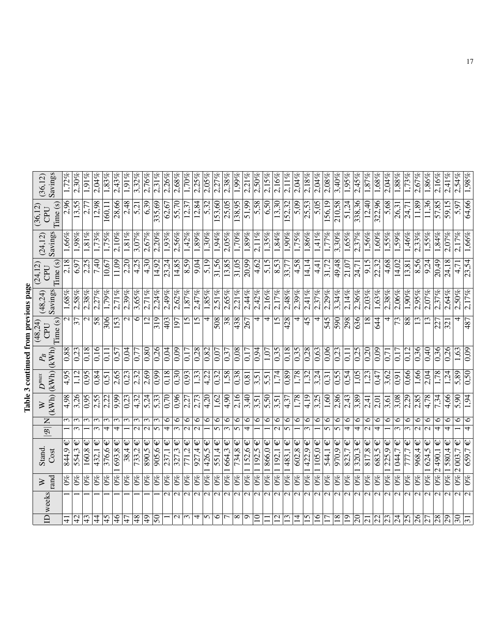| らくり           |  |
|---------------|--|
|               |  |
| i             |  |
|               |  |
| --------<br>í |  |
|               |  |
|               |  |
|               |  |
|               |  |
|               |  |
| י<br>י        |  |
|               |  |
|               |  |
| l             |  |
|               |  |
| 1             |  |
|               |  |
|               |  |
|               |  |

| Time(s)<br>Savings<br>1,87%<br>2,58%<br>2.27%<br>2,71%<br>2,39%<br>2,71%<br>2,24%<br>2,62%<br>2,47%<br>2.51%<br>2,44%<br>2,42%<br>2,48%<br>2.41%<br>2,37%<br>2,14%<br>1,63%<br>$1,68\%$<br>2,38%<br>1,79%<br>3.65%<br>2,49%<br>1,85%<br>2,65%<br>2.21%<br>2,16%<br>2.17%<br>2,39%<br>3,34%<br>2,36%<br>$2,03\%$<br>2,38%<br>$2,06\%$<br>1,90%<br>2.95%<br>2.29%<br>(48,24)<br>$\mathcal{L}$<br>$\overline{58}$<br>306<br>$\overline{\mathcal{C}}$<br>$\circ$<br>$\overline{15}$<br>508<br>438<br>4<br>4<br>$\overline{590}$<br>153<br>319<br>403<br>15<br>4<br>$\overline{\mathcal{S}8}$<br>4<br>15<br>428<br>4<br>45<br>545<br>298<br>636<br>18<br>44<br>4<br>$\overline{73}$<br>88<br>13<br>$\mathbf{\Omega}$<br>12<br>Time (s)<br>37<br>197<br>267<br>(48, 24)<br>CPU<br>(kWh)<br>0,18<br>0,16<br>0,80<br>0,26<br>0,28<br>$\frac{1}{20.08}$<br>0,18<br>$\frac{8}{28}$<br>0,63<br>0,06<br>$\sqrt{36}$<br>$0,\!\frac{88}{8}$<br>0,23<br>0,04<br>0,09<br>0,82<br>0,94<br>0,35<br>0,35<br>$\frac{23}{2}$<br>0,25<br>$\frac{0.20}{20}$<br>0,09<br>0,12<br>0,04<br>0,57<br>0.17<br>$\overline{0,11}$<br>0,17<br>0,07<br>0,17<br>$1,\overline{07}$<br>$\sqrt{0.37}$<br>$\Xi$<br>0.77<br>$\overline{0.71}$<br>$P_B$<br>(kWh)<br>0,89<br>$0,\!66$<br>4,95<br>$56^{0}$<br>0,84<br>2,65<br>2,69<br>0.99<br>0,18<br>0,30<br>0,93<br>1,33<br>1,58<br>0,38<br>1,74<br>1,78<br>1,32<br>3,24<br>0,54<br>1,05<br>661<br>0,23<br>2,32<br>4,22<br>0,32<br>0,55<br>$\overline{1,23}$<br>3,62<br>3,51<br>0,47<br>$\sqrt{91}$<br>$\overline{0.81}$<br>$\overline{5,51}$<br>0,31<br>0,51<br>$D^{max}$<br>(KWh)<br>0,96<br>2,16<br>2,86<br>4,98<br>3,26<br>0,95<br>2,55<br>9,99<br>5,24<br>$\overline{0,70}$<br>2,73<br>4,20<br>1,62<br>3,40<br>5,50<br>1,78<br>4,19<br>3,25<br>2,43<br>3,08<br>2,29<br>2,22<br>0,23<br>4,32<br>5,33<br>$\sqrt{4,90}$<br>1,60<br>3,89<br>2,85<br>2.27<br>3,51<br>4,37<br>2,01<br>3,51<br>$\frac{1}{2,41}$<br>3,61<br>$\geq$ |
|----------------------------------------------------------------------------------------------------------------------------------------------------------------------------------------------------------------------------------------------------------------------------------------------------------------------------------------------------------------------------------------------------------------------------------------------------------------------------------------------------------------------------------------------------------------------------------------------------------------------------------------------------------------------------------------------------------------------------------------------------------------------------------------------------------------------------------------------------------------------------------------------------------------------------------------------------------------------------------------------------------------------------------------------------------------------------------------------------------------------------------------------------------------------------------------------------------------------------------------------------------------------------------------------------------------------------------------------------------------------------------------------------------------------------------------------------------------------------------------------------------------------------------------------------------------------------------------------------------------------------------------------------------------------------------------------------------------------------------------------------------------------------------------------------------------------------------------------------------------------------------------------------------------------------------------|
|                                                                                                                                                                                                                                                                                                                                                                                                                                                                                                                                                                                                                                                                                                                                                                                                                                                                                                                                                                                                                                                                                                                                                                                                                                                                                                                                                                                                                                                                                                                                                                                                                                                                                                                                                                                                                                                                                                                                        |
|                                                                                                                                                                                                                                                                                                                                                                                                                                                                                                                                                                                                                                                                                                                                                                                                                                                                                                                                                                                                                                                                                                                                                                                                                                                                                                                                                                                                                                                                                                                                                                                                                                                                                                                                                                                                                                                                                                                                        |
|                                                                                                                                                                                                                                                                                                                                                                                                                                                                                                                                                                                                                                                                                                                                                                                                                                                                                                                                                                                                                                                                                                                                                                                                                                                                                                                                                                                                                                                                                                                                                                                                                                                                                                                                                                                                                                                                                                                                        |
|                                                                                                                                                                                                                                                                                                                                                                                                                                                                                                                                                                                                                                                                                                                                                                                                                                                                                                                                                                                                                                                                                                                                                                                                                                                                                                                                                                                                                                                                                                                                                                                                                                                                                                                                                                                                                                                                                                                                        |
|                                                                                                                                                                                                                                                                                                                                                                                                                                                                                                                                                                                                                                                                                                                                                                                                                                                                                                                                                                                                                                                                                                                                                                                                                                                                                                                                                                                                                                                                                                                                                                                                                                                                                                                                                                                                                                                                                                                                        |
|                                                                                                                                                                                                                                                                                                                                                                                                                                                                                                                                                                                                                                                                                                                                                                                                                                                                                                                                                                                                                                                                                                                                                                                                                                                                                                                                                                                                                                                                                                                                                                                                                                                                                                                                                                                                                                                                                                                                        |
|                                                                                                                                                                                                                                                                                                                                                                                                                                                                                                                                                                                                                                                                                                                                                                                                                                                                                                                                                                                                                                                                                                                                                                                                                                                                                                                                                                                                                                                                                                                                                                                                                                                                                                                                                                                                                                                                                                                                        |
|                                                                                                                                                                                                                                                                                                                                                                                                                                                                                                                                                                                                                                                                                                                                                                                                                                                                                                                                                                                                                                                                                                                                                                                                                                                                                                                                                                                                                                                                                                                                                                                                                                                                                                                                                                                                                                                                                                                                        |
|                                                                                                                                                                                                                                                                                                                                                                                                                                                                                                                                                                                                                                                                                                                                                                                                                                                                                                                                                                                                                                                                                                                                                                                                                                                                                                                                                                                                                                                                                                                                                                                                                                                                                                                                                                                                                                                                                                                                        |
|                                                                                                                                                                                                                                                                                                                                                                                                                                                                                                                                                                                                                                                                                                                                                                                                                                                                                                                                                                                                                                                                                                                                                                                                                                                                                                                                                                                                                                                                                                                                                                                                                                                                                                                                                                                                                                                                                                                                        |
|                                                                                                                                                                                                                                                                                                                                                                                                                                                                                                                                                                                                                                                                                                                                                                                                                                                                                                                                                                                                                                                                                                                                                                                                                                                                                                                                                                                                                                                                                                                                                                                                                                                                                                                                                                                                                                                                                                                                        |
|                                                                                                                                                                                                                                                                                                                                                                                                                                                                                                                                                                                                                                                                                                                                                                                                                                                                                                                                                                                                                                                                                                                                                                                                                                                                                                                                                                                                                                                                                                                                                                                                                                                                                                                                                                                                                                                                                                                                        |
|                                                                                                                                                                                                                                                                                                                                                                                                                                                                                                                                                                                                                                                                                                                                                                                                                                                                                                                                                                                                                                                                                                                                                                                                                                                                                                                                                                                                                                                                                                                                                                                                                                                                                                                                                                                                                                                                                                                                        |
|                                                                                                                                                                                                                                                                                                                                                                                                                                                                                                                                                                                                                                                                                                                                                                                                                                                                                                                                                                                                                                                                                                                                                                                                                                                                                                                                                                                                                                                                                                                                                                                                                                                                                                                                                                                                                                                                                                                                        |
|                                                                                                                                                                                                                                                                                                                                                                                                                                                                                                                                                                                                                                                                                                                                                                                                                                                                                                                                                                                                                                                                                                                                                                                                                                                                                                                                                                                                                                                                                                                                                                                                                                                                                                                                                                                                                                                                                                                                        |
|                                                                                                                                                                                                                                                                                                                                                                                                                                                                                                                                                                                                                                                                                                                                                                                                                                                                                                                                                                                                                                                                                                                                                                                                                                                                                                                                                                                                                                                                                                                                                                                                                                                                                                                                                                                                                                                                                                                                        |
|                                                                                                                                                                                                                                                                                                                                                                                                                                                                                                                                                                                                                                                                                                                                                                                                                                                                                                                                                                                                                                                                                                                                                                                                                                                                                                                                                                                                                                                                                                                                                                                                                                                                                                                                                                                                                                                                                                                                        |
|                                                                                                                                                                                                                                                                                                                                                                                                                                                                                                                                                                                                                                                                                                                                                                                                                                                                                                                                                                                                                                                                                                                                                                                                                                                                                                                                                                                                                                                                                                                                                                                                                                                                                                                                                                                                                                                                                                                                        |
|                                                                                                                                                                                                                                                                                                                                                                                                                                                                                                                                                                                                                                                                                                                                                                                                                                                                                                                                                                                                                                                                                                                                                                                                                                                                                                                                                                                                                                                                                                                                                                                                                                                                                                                                                                                                                                                                                                                                        |
|                                                                                                                                                                                                                                                                                                                                                                                                                                                                                                                                                                                                                                                                                                                                                                                                                                                                                                                                                                                                                                                                                                                                                                                                                                                                                                                                                                                                                                                                                                                                                                                                                                                                                                                                                                                                                                                                                                                                        |
|                                                                                                                                                                                                                                                                                                                                                                                                                                                                                                                                                                                                                                                                                                                                                                                                                                                                                                                                                                                                                                                                                                                                                                                                                                                                                                                                                                                                                                                                                                                                                                                                                                                                                                                                                                                                                                                                                                                                        |
|                                                                                                                                                                                                                                                                                                                                                                                                                                                                                                                                                                                                                                                                                                                                                                                                                                                                                                                                                                                                                                                                                                                                                                                                                                                                                                                                                                                                                                                                                                                                                                                                                                                                                                                                                                                                                                                                                                                                        |
|                                                                                                                                                                                                                                                                                                                                                                                                                                                                                                                                                                                                                                                                                                                                                                                                                                                                                                                                                                                                                                                                                                                                                                                                                                                                                                                                                                                                                                                                                                                                                                                                                                                                                                                                                                                                                                                                                                                                        |
|                                                                                                                                                                                                                                                                                                                                                                                                                                                                                                                                                                                                                                                                                                                                                                                                                                                                                                                                                                                                                                                                                                                                                                                                                                                                                                                                                                                                                                                                                                                                                                                                                                                                                                                                                                                                                                                                                                                                        |
|                                                                                                                                                                                                                                                                                                                                                                                                                                                                                                                                                                                                                                                                                                                                                                                                                                                                                                                                                                                                                                                                                                                                                                                                                                                                                                                                                                                                                                                                                                                                                                                                                                                                                                                                                                                                                                                                                                                                        |
|                                                                                                                                                                                                                                                                                                                                                                                                                                                                                                                                                                                                                                                                                                                                                                                                                                                                                                                                                                                                                                                                                                                                                                                                                                                                                                                                                                                                                                                                                                                                                                                                                                                                                                                                                                                                                                                                                                                                        |
|                                                                                                                                                                                                                                                                                                                                                                                                                                                                                                                                                                                                                                                                                                                                                                                                                                                                                                                                                                                                                                                                                                                                                                                                                                                                                                                                                                                                                                                                                                                                                                                                                                                                                                                                                                                                                                                                                                                                        |
|                                                                                                                                                                                                                                                                                                                                                                                                                                                                                                                                                                                                                                                                                                                                                                                                                                                                                                                                                                                                                                                                                                                                                                                                                                                                                                                                                                                                                                                                                                                                                                                                                                                                                                                                                                                                                                                                                                                                        |
|                                                                                                                                                                                                                                                                                                                                                                                                                                                                                                                                                                                                                                                                                                                                                                                                                                                                                                                                                                                                                                                                                                                                                                                                                                                                                                                                                                                                                                                                                                                                                                                                                                                                                                                                                                                                                                                                                                                                        |
|                                                                                                                                                                                                                                                                                                                                                                                                                                                                                                                                                                                                                                                                                                                                                                                                                                                                                                                                                                                                                                                                                                                                                                                                                                                                                                                                                                                                                                                                                                                                                                                                                                                                                                                                                                                                                                                                                                                                        |
|                                                                                                                                                                                                                                                                                                                                                                                                                                                                                                                                                                                                                                                                                                                                                                                                                                                                                                                                                                                                                                                                                                                                                                                                                                                                                                                                                                                                                                                                                                                                                                                                                                                                                                                                                                                                                                                                                                                                        |
|                                                                                                                                                                                                                                                                                                                                                                                                                                                                                                                                                                                                                                                                                                                                                                                                                                                                                                                                                                                                                                                                                                                                                                                                                                                                                                                                                                                                                                                                                                                                                                                                                                                                                                                                                                                                                                                                                                                                        |
|                                                                                                                                                                                                                                                                                                                                                                                                                                                                                                                                                                                                                                                                                                                                                                                                                                                                                                                                                                                                                                                                                                                                                                                                                                                                                                                                                                                                                                                                                                                                                                                                                                                                                                                                                                                                                                                                                                                                        |
|                                                                                                                                                                                                                                                                                                                                                                                                                                                                                                                                                                                                                                                                                                                                                                                                                                                                                                                                                                                                                                                                                                                                                                                                                                                                                                                                                                                                                                                                                                                                                                                                                                                                                                                                                                                                                                                                                                                                        |
|                                                                                                                                                                                                                                                                                                                                                                                                                                                                                                                                                                                                                                                                                                                                                                                                                                                                                                                                                                                                                                                                                                                                                                                                                                                                                                                                                                                                                                                                                                                                                                                                                                                                                                                                                                                                                                                                                                                                        |
|                                                                                                                                                                                                                                                                                                                                                                                                                                                                                                                                                                                                                                                                                                                                                                                                                                                                                                                                                                                                                                                                                                                                                                                                                                                                                                                                                                                                                                                                                                                                                                                                                                                                                                                                                                                                                                                                                                                                        |
| 2,07%<br>13<br>0,40<br>2,04<br>4,78                                                                                                                                                                                                                                                                                                                                                                                                                                                                                                                                                                                                                                                                                                                                                                                                                                                                                                                                                                                                                                                                                                                                                                                                                                                                                                                                                                                                                                                                                                                                                                                                                                                                                                                                                                                                                                                                                                    |
| 2,37%<br>227<br>0,36<br>1,78<br>7,34                                                                                                                                                                                                                                                                                                                                                                                                                                                                                                                                                                                                                                                                                                                                                                                                                                                                                                                                                                                                                                                                                                                                                                                                                                                                                                                                                                                                                                                                                                                                                                                                                                                                                                                                                                                                                                                                                                   |
| 2.64%<br>321<br>0,26<br>$\ddot{c}$<br>4,66                                                                                                                                                                                                                                                                                                                                                                                                                                                                                                                                                                                                                                                                                                                                                                                                                                                                                                                                                                                                                                                                                                                                                                                                                                                                                                                                                                                                                                                                                                                                                                                                                                                                                                                                                                                                                                                                                             |
| $2,50\%$<br>4<br>1,63<br>5,89<br>5,90                                                                                                                                                                                                                                                                                                                                                                                                                                                                                                                                                                                                                                                                                                                                                                                                                                                                                                                                                                                                                                                                                                                                                                                                                                                                                                                                                                                                                                                                                                                                                                                                                                                                                                                                                                                                                                                                                                  |
| 2,17%<br>487<br>0.09<br>0.50                                                                                                                                                                                                                                                                                                                                                                                                                                                                                                                                                                                                                                                                                                                                                                                                                                                                                                                                                                                                                                                                                                                                                                                                                                                                                                                                                                                                                                                                                                                                                                                                                                                                                                                                                                                                                                                                                                           |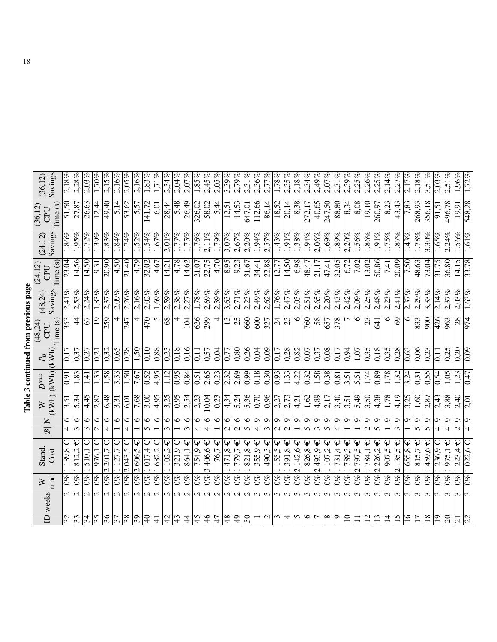|                                      | Savings<br>(36, 12)      |          | 2,18%                    | 2.28%                                | 2,03%                          | $1,70\%$        | 2.15%                        | 2,16%            | $2,05\%$          | 2,16%                   | 1,83%                   | $\frac{1}{21\%}$        | 2,34%                          | 2,04%         | 2,07%                          | 1,85%                          | 2,45%                         | 2,05%                   | 3,39%                              | 2,79%                   | 2,31%                     | 2,36%                                 | $\frac{1}{2}77%$                          | 1,78%                     | 2,35%                     | $2,18\%$    | 2,34%                     | 2,49%                         | 2,07%                     | 2,31%         | $2,39\%$        | 2,25%                  | 2,26%             | 2,25%                    | $2,14\%$                   | 2.27%                   | 2.17%                    | $2,18\%$          | 3,51%               | 2.03%                        | $2,51\%$                | 1,96%          | 1,72%                     |
|--------------------------------------|--------------------------|----------|--------------------------|--------------------------------------|--------------------------------|-----------------|------------------------------|------------------|-------------------|-------------------------|-------------------------|-------------------------|--------------------------------|---------------|--------------------------------|--------------------------------|-------------------------------|-------------------------|------------------------------------|-------------------------|---------------------------|---------------------------------------|-------------------------------------------|---------------------------|---------------------------|-------------|---------------------------|-------------------------------|---------------------------|---------------|-----------------|------------------------|-------------------|--------------------------|----------------------------|-------------------------|--------------------------|-------------------|---------------------|------------------------------|-------------------------|----------------|---------------------------|
|                                      | (36, 12)<br>CPU          | Time(s)  | 51,50                    | 27,87                                | 26,63                          | 12,44           | 49,40                        | 5,14             | 53,62             | 5,57                    | 141,72                  | 6,01                    | 28,44                          | 5,48          | 26,49                          | 326,02                         | 58,02                         |                         | $\frac{5,44}{12,51}$               | 14,53                   | 647,01                    | 112,66                                | 86,14                                     | 18,52                     | $\sqrt{20,14}$            | 8,38        | $\sqrt{272.17}$           | 40,65                         | 247,50                    | 88,80         | $\sqrt{8,34}$   | 8,08                   | 19,10             | 260,97                   | $\overline{\frac{8.23}{}}$ | 43,43                   | 7,83                     | 268,93            | 356,18              | 91,51                        | 496,78                  | 19,91          | 548,28                    |
|                                      | Savings<br>(24, 12)      |          | 1,86%                    | 1,95%                                | 1.72%                          | $1,39\%$        | $1{,}83\%$                   | 1,84%            | 1,74%             | $1,52\%$                | $1,54\%$                | $1,67\%$                | $2,01\%$                       | $1,77\%$      | $1,75\%$                       | 1,76%                          | $2,11\%$                      | $1,79\%$                | 3,07%                              | 2,67%                   | 2.20%                     | 1,94%                                 | 2,57%                                     | 1,43%                     | $\sqrt{1.91\%}$           | $1,38\%$    | 1,94%                     | $2.06\%$                      | $1,69\%$                  | $1,89\%$      | 2,20%           | $1,56\%$               | $1,86\%$          | $1.91\%$                 | $\overline{1,75\%}$        | $1,87\%$                | 1,43%                    | $1,78\%$          | $3,30\%$            | 1.65%                        | $2,24\%$                | 1,56%          | 1,61%                     |
|                                      | (24, 12)<br>CPU          | Time (s) | 23,04                    | 14,56                                | 14,50                          | 9,31            | 20,90                        | 4,50             | 21,40             | 4,79                    | 32,02                   | 4,67                    | 14,21                          | 4,78          | 14,62                          | $\sqrt{21,07}$                 | 22,75                         | 4,70                    | 8,95                               | $\frac{9,23}{2}$        | 31,67                     | 34,41                                 | 22,88                                     | 12,77                     | 14,50                     | 6,98        | 48,47                     | 21,17                         | 47,41                     | 32,05         | 6,72            | 7,02                   | 13,02             | 50,86                    | $\frac{1}{7,41}$           | 20,09                   | $\frac{7.50}{ }$         | $\frac{48,63}{ }$ | 73,04               | 31,75                        | 36,80                   | 14,15          | 33,78                     |
|                                      | Savings<br>(48, 24)      |          | 2,41%                    | 2,53%                                | 2,24%                          | $1,83\%$        | 2,37%                        | 2,09%            | 2,26%             | $2,16\%$                | 2,02%                   | $1,\overline{69\%}$     | $2,59\%$                       | 2,38%         | 2,27%                          | $1,78\%$                       | $2,69\%$                      | $2,39\%$                | 3,63%                              | $2,71\%$                | 2.23%                     | 2,49%                                 | 2,62%                                     | 1,76%                     | 2,47%                     | 2,03%       | $2,51\%$                  | 2,65%                         | $2,20\%$                  | 2,43%         | 2,42%           | $2,09\%$               | 2,25%             | 2,48%                    | 2,23%                      | $\frac{2.41\%}{2.41\%}$ | 2,37%                    | 2,29%             | 3,33%               | 2.14%                        | 2,37%                   | 2,03%          | 1,63%                     |
| Table 3 continued from previous page | (48,24)<br>CPU           | Time(s)  | 353                      | 4                                    | 67                             | $\overline{19}$ | 259                          | 4                | 247               | 4                       | 470                     | 5                       | 8 <sup>9</sup>                 | 4             | 104                            | 626                            | 299                           | 4                       | $\overline{13}$                    | $\overline{25}$         | 660                       | 009                                   | 327                                       | $\overline{c}$            | 23                        | 0           | $\overline{760}$          | $\overline{58}$               | 657                       | 378           |                 | 6                      | $\overline{23}$   | 641                      | 0                          | 69                      | $\circ$                  | 833               | $\overline{900}$    | 426                          | 963                     | 28             | 974                       |
|                                      | (kWh)                    |          | $\overline{0}$           | 0,37                                 | 0,27                           | 0,21            | 0,32                         | 0,65             | 0,28              | 1,50                    | 0,10                    | 0,88                    | 0,23                           | 0,18          | 0,16                           | $\overline{0}$ ,11             | 0,57                          | 0,04                    | $\sqrt{0,77}$                      | 0,80                    | 0,26                      | 0,04                                  | 0,09                                      | 0,17                      | $\frac{8}{28}$            | 0,82        | $\overline{0,07}$         | $\sqrt{6.0}$                  | 0,08                      | 0,17          | <b>b6'0</b>     | 1,07                   | $\frac{1}{0.35}$  | 0,18                     | 0,35                       | 0,28                    | 0,63                     | 0,06              | $\overline{0.23}$   | $\Xi$                        | 0,25                    | $\frac{1}{20}$ | 0,09                      |
|                                      | (kWh)                    |          | $\overline{6}$           | 1,83                                 | 1,41                           | 1,33            | 1,58                         | 3,33             | $0$ s 1           | 7,67                    | 0,52                    | 4,95                    | 1,12                           | 0,95          | 0,84                           | 0,51                           | 2,65                          | $\sqrt{0.23}$           | 2,32                               | $\sqrt{2,69}$           | 660                       | 0,18                                  | 0.30                                      | 0,93                      | 1,33                      | 4,22        | $\sqrt{0,32}$             | 85                            | 0,38                      | 0,81          | 3,51            | 5,51                   | 1,74              | 0,89                     | 1,78                       | 1,32                    | 3,24                     | 0,31              | 0,55                | 0,54                         | 1,05                    | 1,23           | 0,47                      |
|                                      | (KWh)                    |          | 3,51                     | 5,34                                 | 4,45                           | 2,87            | 6,48                         | 3,31             | 6,01              | 7,68                    | 3,00                    | 4,95                    | 3,25                           | 0,95          | 2,54                           | $\sqrt{2,23}$                  | 10,04                         | 0,23                    | 4,34                               | 5,24                    | 5,36                      | 0,70                                  | 0,96                                      | 2,27                      | 2,73                      | 4,21        | 1,62                      | 4,89                          | 2,17                      | 3,40          | 3,51            | 5,49                   | 3,50              | 4,38                     | 1,78                       | 4,19                    | 3,25                     | 1,60              | 2,87                | 2,43                         | <b>88'S</b>             | 2,40           | 2,01                      |
|                                      | $\mathsf{Z}$             |          | 6<br>4                   | $\circ$<br>$\overline{\mathfrak{c}}$ | ∘<br>$\overline{\mathfrak{c}}$ | 6<br>$\sim$     | ∘<br>$\overline{\mathbf{f}}$ | $\circ$          | $\circ$<br>₹      | $\circ$                 | $\circ$<br>5            | $\circ$                 | 6<br>$\overline{\mathfrak{c}}$ | 6             | 6<br>$\overline{\mathfrak{c}}$ | 6<br>$\overline{\overline{t}}$ | 6<br>$\overline{\mathcal{F}}$ | 0                       | $\circ$<br>$\overline{\mathsf{c}}$ | $\circ$<br>$\sim$       | $\circ$<br>$\overline{5}$ | $\sigma$<br>$\overline{\overline{t}}$ | ç<br>$\overline{\mathfrak{c}}$            | Ó<br>$\mathcal{L}$        | $\circ$<br>$\sim$         | ం           | $\circ$<br>$\overline{5}$ | ٥<br>$\overline{\mathcal{E}}$ | $\circ$<br>$\overline{5}$ | $\sigma$<br>4 | $\circ$         | م                      | ç<br>$\mathbf{C}$ | $\sigma$<br>$\mathbf{v}$ | ๑                          | O<br>$\mathfrak{g}$     | ഗ                        | ం<br>5            | ⊙<br>$\overline{5}$ | ం<br>$\overline{\mathbf{f}}$ | $\overline{\mathbf{f}}$ | Ō<br>$\sim$    | $\circ$<br>$\overline{ }$ |
|                                      | $\overline{\mathscr{B}}$ |          |                          | Ψ                                    | Ψ                              | ω               |                              |                  | Ψ                 | $\overline{\Psi}$       | Ψ                       | Ψ                       | Ψ                              | Ψ             |                                |                                |                               | Ψ                       | lΨ                                 |                         | Ψ                         | Ψ                                     |                                           | Ψ                         | Ψ                         |             |                           |                               | Ψ                         | Ψ             |                 | Ψ                      | Ψ                 | Ψ                        | Ψ                          | Ψ                       |                          |                   |                     | ω                            |                         | Ψ              | $\mathsf{\psi}$           |
|                                      | Stand.<br>Cost           |          | $\sqrt{189.8}$           | 812.2                                | 510,1                          | 976,1           | 201,7<br>$\mathcal{C}$       | 127,7            | $\sqrt{2043,5}$   | 2606,5                  | 017,4                   | 682,                    | 1102,2                         | 321,9         | Ψ<br>$\frac{1}{864,1}$         | Ψ<br>754,9                     | Ψ<br>$406, 6 =$<br>$\omega$   | 76,7                    | 471,8                              | $\downarrow$<br>779,7   | 821,8                     | 355.9                                 | $\boldsymbol{\psi}$<br>$\overline{490,5}$ | 155,5                     | $\sqrt{391,8}$            | Ψ<br>2142,6 | Ψ<br>826,8                | Ψ<br>2493,9                   | 1107,2                    | 731,4         | 1789,3          | 797,5<br>$\mathcal{L}$ | 1784,1            | 2226,2                   | 907,5                      | $\frac{2135}{5}$        | Ψ<br>$\sqrt{165.8}$      | $\frac{8}{15,7}$  | $\overline{459.6}$  | 236,9                        | 975,1                   | 223.4          | 1022,6                    |
|                                      | rand<br>⋗                |          | $\mathcal{O}\%$          | $\mathscr{E}$                        | $\overline{60}$                | $0\%$           | $\mathcal{S}^{\infty}$       | $\overline{0\%}$ | $  \omega_0$      | $ 0\% $                 | $\overline{0\%}$        | $\overline{0\%}$        | $0\%$                          | $ 0\% $       | $0\%$                          | $\overline{0\%}$               | $0\%$                         | $\frac{6}{2}$           | $\sqrt{6}$                         | $\overline{0\%}$        | $\overline{0\%}$          | $\mathcal{O}\%$                       | $\overline{0\%}$                          | $\mathcal{O}^{\otimes 0}$ | $\mathcal{O}^{\otimes 0}$ | $0\%$       | $0\%$                     | $\omega_0$                    | $0\%$                     | $0\%$         | $ 0\% $         | $ 0\% $                | $\overline{60}$   | $ 0\% $                  | $ 9\% $                    | $\mathcal{O}^{\otimes}$ | $ 0\% $                  | $\overline{0\%}$  | $\frac{8}{2}$       | $\overline{60}$              | $0\%$                   | $\mathscr{E}$  | $ 0\%$                    |
|                                      | weeks                    |          | $\frac{1}{\sqrt{2}}$     |                                      | $\mathcal{L}$                  | $\sim$          | $\mathbf{\Omega}$            | $\sim$           | $\mathbf{\Omega}$ | $\overline{\mathsf{N}}$ | $\overline{\mathsf{N}}$ | $\overline{\mathsf{N}}$ | $\sim$                         | $\mathcal{L}$ | $\overline{\mathsf{c}}$        | $\overline{\mathsf{c}}$        | $\mathcal{L}$                 | $\overline{\mathsf{c}}$ | $\overline{\mathsf{N}}$            | $\overline{\mathsf{c}}$ | $\mathbf{\Omega}$         | $\sim$                                | $\sim$                                    | $\sim$                    | $\sim$                    | $\epsilon$  | $\sim$                    | $\sim$                        | $\epsilon$                | $\epsilon$    | $\sim$          | $\sim$                 | $\sim$            | $\sim$                   | $\sim$                     | $\sim$                  | $\overline{\mathcal{E}}$ | $\sim$            | $\overline{5}$      | 3                            | $\sim$                  | $\epsilon$     |                           |
|                                      | $\overline{\Xi}$         |          | $\overline{\mathcal{S}}$ | $\overline{33}$                      | 34                             | $\frac{5}{5}$   | $\frac{96}{5}$               | $\overline{37}$  | $\frac{8}{3}$     | $\sqrt{9}$              | $\frac{1}{4}$           | $\overline{1}$          | 42                             | 43            | $\frac{4}{3}$                  | $\frac{5}{4}$                  | $\frac{4}{6}$                 | $\overline{47}$         | $\frac{8}{4}$                      | $\overline{5}$          | $\overline{50}$           |                                       | $\mathbf{C}$                              | $\epsilon$                | 4                         | 5           | 6                         |                               | ∞                         | $\sigma$      | $\overline{10}$ |                        | $\overline{12}$   | 13                       | $\overline{4}$             | $\overline{15}$         | $\frac{6}{1}$            |                   | $\overline{18}$     | $\overline{1}$               | $\overline{0}$          | $\overline{c}$ | $\overline{22}$           |

| くじょう                  |  |
|-----------------------|--|
| .<br>.<br>.           |  |
| i                     |  |
| $\sim$                |  |
|                       |  |
| ì                     |  |
| i                     |  |
|                       |  |
| Jle∵<br>$\frac{1}{2}$ |  |
|                       |  |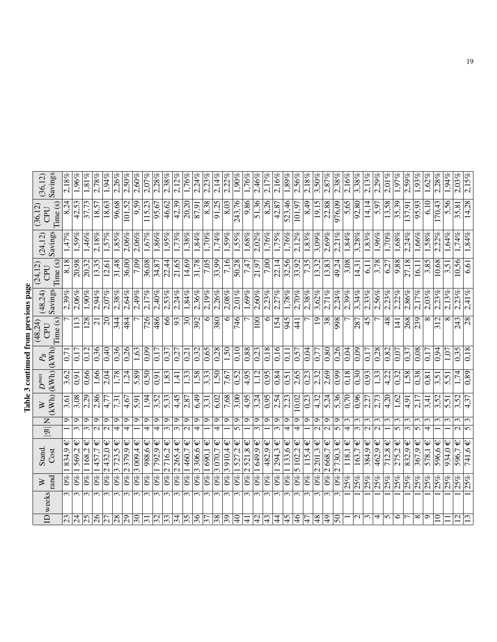| from previous page                        |                                                                                                                                                                                                         |
|-------------------------------------------|---------------------------------------------------------------------------------------------------------------------------------------------------------------------------------------------------------|
|                                           | $\begin{array}{c} \begin{array}{c} \begin{array}{c} \begin{array}{c} \end{array} \\ \end{array} \\ \begin{array}{c} \end{array} \\ \begin{array}{c} \end{array} \\ \end{array} \end{array} \end{array}$ |
|                                           |                                                                                                                                                                                                         |
|                                           |                                                                                                                                                                                                         |
|                                           |                                                                                                                                                                                                         |
| continuar                                 |                                                                                                                                                                                                         |
| ֧֦֧֦֧֦֧֦֧֦֧֦֧֦֧֦֧֦֧֦֧֦֧֧֧֦֧֞֝֜֜֓<br>֧֛֛֛֜ |                                                                                                                                                                                                         |
|                                           |                                                                                                                                                                                                         |
| Table.                                    |                                                                                                                                                                                                         |
|                                           |                                                                                                                                                                                                         |

| Savings<br>(36, 12)                  | $\frac{2.18\%}{2.5\%}$ | 1,96%                                 | $1,81\%$        | 2,78%                        | 1,94%                  | 2,26%                  | 2,50%                         | 2,60%               | $2.07\%$               | 2,28%                | 2,38%                                  | 2,12%                          | $1,76\%$                 | 2.24%            | 2.23%           | $\frac{2,14\%}{8}$               | 2.22%         | 1,90%                 | $1,76\%$                               | 2.46%                        | 2,17%      | $2,16\%$              | 1,89%                | $2,56\%$               | 2,18%                        | 3,50%                                              | 2,87%              | 2,38%                | 2,16%             | $3,38\%$          | 2.13%                  | 2,29%                        | $2.01\%$           | 1,97%               | 2,59%                        | $1.93\%$          | $1,62\%$ | 2,28%       | $1,94\%$ | $2,03\%$                   | 2,15%                      |
|--------------------------------------|------------------------|---------------------------------------|-----------------|------------------------------|------------------------|------------------------|-------------------------------|---------------------|------------------------|----------------------|----------------------------------------|--------------------------------|--------------------------|------------------|-----------------|----------------------------------|---------------|-----------------------|----------------------------------------|------------------------------|------------|-----------------------|----------------------|------------------------|------------------------------|----------------------------------------------------|--------------------|----------------------|-------------------|-------------------|------------------------|------------------------------|--------------------|---------------------|------------------------------|-------------------|----------|-------------|----------|----------------------------|----------------------------|
| Time(s)<br>(36, 12)<br>CPU           | 8.24                   | 42,53                                 | 37,73           | 18,57                        | 18,63                  | 96,68                  | 101,52                        | 9,59                | 115,23                 | 95,67                | 46,62                                  | 42,39                          | 20,20                    | 87,91            | 8,38            | $\sqrt{91,25}$                   | 8,03          | 243,76                | 9,86                                   | 51,36                        | 8,26       | 42,87                 | 523,46               | 101,97                 | 8,49                         | 19,15                                              | 22,88              | 976,09               | 5,65              | 92,80             | 14,14                  | 5,97                         | 13,58              | 35,39               | 137,91                       | 95,93             | 6,10     | 170,43      | 5,56     | 35,81                      | 14,28                      |
| Savings<br>(24, 12)                  | 1,47%                  | $1,59\%$                              | 1,46%           | 2,18%                        | 1,57%                  | 1,85%                  | $2.06\%$                      | $2,\overline{06\%}$ | $1,67\%$               | 1,86%                | $\sqrt{1.95\%}$                        | 1,73%                          | 1.38%                    | $1,84\%$         | $1.70\%$        | 1,74%                            | $1,59\%$      | $1,55\%$              | $1,68\%$                               | 2,02%                        | 1,76%      | 1,75%                 | 1,76%                | $2,12\%$               | 1,83%                        | 3,09%                                              | $2,69\%$           | 2,21%                | 1,84%             | 3.28%             | 1,83%                  | $1.96\%$                     | $1,70\%$           | $1.68\%$            | 2,24%                        | 1,66%             | 1,58%    | 2,22%       | 1.64%    | 1,74%                      | 1,84%                      |
| Time (s)<br>(24, 12)<br>CPU          | 8,18                   | 20,98                                 | 20,32           | 13,35                        | 12,61                  | 31,48                  | 36,00                         | 7,09                | 36,08                  | 34,87                | $\frac{22,44}{5}$                      | 21,65                          | 14,69                    | 31,78            | 7,05            | $\overline{33,99}$               | 7,16          | 50,28                 | $\frac{1}{7}47$                        | 21,97                        | 7,00       | 22,14                 | 32,56                | 33,92                  | 7,35                         | 13,32                                              | 13,83              | 49,24                | 3,08              | 14,31             | 6.11                   | $\frac{3}{78}$               | 6,27               | 9,88                | 27,18                        | 16,11             | 3,85     | 10,68       | 3,51     | 10,56                      | 6,61                       |
| Savings<br>(48, 24)                  | 2.39%                  | $2,06\%$                              | $1,90\%$        | 2,94%                        | 2,07%                  | 2,38%                  | 2,64%                         | 2,49%               | 2,17%                  | 2,40%                | 2,53%                                  | 2,24%                          | 1,84%                    | 2,36%            | 2,19%           | 2,26%                            | 2.08%         | $2.01\%$              | $1,\!\overline{69\%}$                  | 2,60%                        | 2,23%      | 2,27%                 | 1,78%                | 2,70%                  | 2,38%                        | 3,62%                                              | 2,71%              | 2,24%                | $2,39\%$          | 3,34%             | 2,33%                  | 2,56%                        | 2.23%              | 2.22%               | 2,86%                        | 2,17%             | $2,03\%$ | 2,23%       | 2.13%    | 2.23%                      | 2,41%                      |
| Time (s)<br>(48,24)<br>CPU           |                        | 113                                   | 128             | $\overline{c}$               | 0 <sup>2</sup>         | 344                    | 484                           |                     | 726                    | 486                  | $\overline{\mathcal{E}}$               | 93                             | $\overline{\mathcal{E}}$ | 392              | 6               | $\overline{380}$                 | ∘             | 746                   |                                        | 100                          | ∘          | 154                   | 945                  | 441                    |                              | $\overline{0}$                                     | 38                 | 998                  |                   | 287               | 45                     |                              | 48                 | 141                 | 268                          | 239               | ∞        | 312         |          | 243                        | $\overline{28}$            |
| $P_{\!B}$                            | 0,7                    | 0,17                                  | 0,12            | 0,36                         | 0,40                   | 0,36                   | 0,26                          | 1,63                | 0,09                   | 0.17                 | $\sqrt{6.0}$                           | 0,27                           | $\overline{0.21}$        | 0,32             | 0,65            | $\frac{8}{28}$                   | $\sqrt{50}$   | 0,10                  | 0,88                                   | 0,23                         | 0,18       | 0,16                  | $\overline{0}$       | 0,57                   | 0,04                         | 0,77                                               | 0,80               | 0,26                 | ।<br> <br> 2      | $\frac{1}{20}$    | 0.17                   | 0,28                         | $\overline{0,82}$  | $\sqrt{0.07}$       | 0,37                         | 0,08              | 0,17     | 0,94        | 1,07     | 0,35                       | 0,18                       |
| (kWh)(kWh)<br>$\boldsymbol{D}^{max}$ | 3,62                   | 0,91                                  | 0,66            | 1,66                         | 2,04                   | 1,78                   | 1,24                          | 68 <sup>5</sup>     | 0.50                   | $\overline{6}$ :0    | 1,83                                   | 1,4                            | $\overline{33}$          | 1,58             | 3,33            | $\overline{1,50}$                | 7,67          | 0,52                  | 4,95                                   | 1,12                         | 0,95       | 0,84                  | 0,51                 | 2,65                   | 0,23                         | 2,32                                               | 2,69               | 0,99                 | 0,18              | 0,30              | 0,93                   | 1,33                         | 4,22               | $\sqrt{0.32}$       | 1,58                         | 0,38              | 0,81     | 3,51        | 5,5      | 1,74                       | 0,89                       |
| (KWh)<br>$\gtrsim$                   | 3,61                   | 3,08                                  | 2,29            | 2,86                         | 4,77                   | 7,31                   | 4,67                          | 5,91                | 1,94                   | 3,52                 | 5,33                                   | 4,45                           | 2,87                     | 6,49             | 3,31            | 6,02                             | 7,68          | $\overline{3,00}$     | 4,95                                   | 3,24                         | 66.0       | 2,54                  | 2,23                 | 10,02                  | 0,23                         | 4,32                                               | 5,24               | 5,36                 | $\overline{0,70}$ | 0.96              | 2,27                   | 2,73                         | 4,20               | 1,62                | 4,91                         | 2.17              | 3,41     | 3,52        | 5,51     | 3,52                       | 4,37                       |
| Z<br>$\overline{\mathscr{B}}$        | Ó                      | $\sigma$<br>$\overline{\mathfrak{c}}$ | Ō<br>$\omega$   | ç<br>$\overline{\mathsf{c}}$ | ం<br>$\mathbf{\Omega}$ | $\sigma$<br>4          | ᢒ<br>4                        | ూ                   | ᢒ<br>4                 | Ō<br>4               | Ó<br>$\infty$                          | ó<br>$\overline{\mathfrak{c}}$ | ᡋ<br>$\sim$              | ç<br>4           | ᢒ               | ٥<br>$\overline{\mathcal{F}}$    | Ó             | $\circ$<br>$\sqrt{ }$ | Ó                                      | Ō<br>$\epsilon$              | Ō          | c<br>$\omega$         | ం<br>4               | ഗ<br>4                 | ా                            | ๑<br>$\mathcal{C}$                                 | ç<br>$\mathcal{L}$ | ഗ<br>$\mathbf{v}$    | ω<br>4            | 3<br>$\infty$     | 3<br>$\mathbf{\Omega}$ | 3<br>$\overline{\mathsf{c}}$ | 3                  | $\mathfrak{m}$<br>5 | ω<br>$\omega$                | ω<br>ln.          | ω<br>4   | ω           | ↶        | 3<br>$\mathbf{\Omega}$     | $\mathfrak{m}$<br>$\Omega$ |
| Stand.<br>Cost                       | Ψ<br>$\sqrt{834.9}$    | $\overline{\Psi}$<br>569,2            | 168,2           | Ψ<br>457,7                   | 2432.0                 | Ψ<br>723,5<br>$\omega$ | $\boldsymbol{\psi}$<br>2379.9 | $\frac{3009.4}{$    | $988,6 \in$            | $\overline{792.9}$ € | Ψ<br>716,2<br>$\overline{\mathcal{C}}$ | Ψ<br>2265,4                    | Ψ<br>l 460,7             | Ψ<br>3306,6      | Ψ<br>1690,1     | $\downarrow$<br>$\frac{3070}{7}$ | 3910,4€       | Ψ<br>1527,2           | Ψ<br>521,8<br>$\overline{\mathcal{C}}$ | $\boldsymbol{\psi}$<br>649.9 | Ψ<br>482,9 | $\downarrow$<br>294,3 | $133.6 \in$          | Ψ<br>$\frac{102,2}{ }$ | $\boldsymbol{\psi}$<br>115,4 | Ψ<br>$\frac{201.3}{ }$<br>$\overline{\mathcal{C}}$ | $2668,7 \in$       | Ψ<br>730,3           | Ψ<br>118,1        | $163,7 \in$       | Ψ<br>384,9             | Ψ<br>462,9                   | Ψ<br>$\sqrt{12.8}$ | Ψ<br>275.2          | $\boldsymbol{\psi}$<br>832,9 | 367,9 $\in$       | 578,1    | 596,6 $\in$ | 934,0    | $\overline{\Psi}$<br>596,7 | Ψ<br>741,6                 |
| rand<br>$\gtrsim$                    | $0\%$                  | $0\% 1$                               | $\overline{60}$ | $\overline{0\%}$             | $\overline{68}$        | $\overline{60}$        | $6\%$                         | $\overline{0\%}$    | $\mathcal{S}^{\infty}$ | $ 0\% $              | $ 0\% $                                | $6\%$                          | $\overline{60}$          | $\overline{0}\%$ | $\overline{60}$ | $\overline{0\%}$                 | $\frac{8}{2}$ | $ 0\% $               | $ 0\% $                                | $\overline{60}$              | $0\%$      | $\mathcal{S}$         | $\overline{60}$      | $ 0\% $                | $\mathcal{O}^{\mathcal{B}}$  | $0\%$                                              | $0\%$              | $ 9\% $              | 25%               | 25%               | 25%                    | 25%                          | 25%                | $\frac{92}{25}$     | 25%                          | $\overline{25\%}$ | 25%      | 25%         | 25%      | 25%                        | 25%                        |
| ID weeks                             | ω                      | $\sim$                                | $\epsilon$      | $\sim$                       |                        |                        |                               |                     |                        |                      |                                        | $\sim$                         |                          | ω                | $\sim$          | $\sim$                           | 3             |                       | $\sim$                                 | ω                            | $\infty$   | 3                     | $\mathbf{\tilde{c}}$ |                        |                              |                                                    | ω                  | $\mathbf{\tilde{c}}$ |                   |                   |                        |                              |                    |                     |                              |                   |          |             |          |                            |                            |
|                                      | $\overline{23}$        | $\overline{24}$                       | $\overline{25}$ | 26                           | 27                     | 28                     | 29                            | 30                  | ಸ                      | 32                   |                                        | 34                             | 35                       | 36               |                 | 38                               | 39            | ₹                     | ਰ                                      | 4<br>4                       |            | 4                     | 45                   | $\frac{4}{6}$          |                              | $\frac{8}{4}$                                      | $\frac{1}{4}$      | $50\,$               |                   | $\mathbf{\Omega}$ | 3                      | 4                            | 5                  | ७                   |                              | $\infty$          | $\circ$  | $\supseteq$ |          | $\overline{2}$             |                            |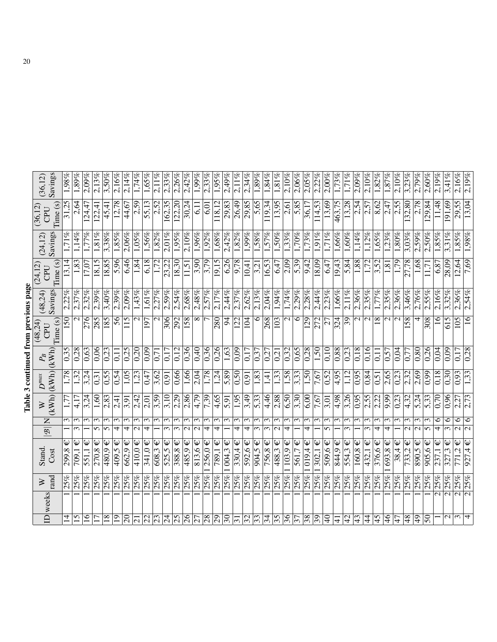|                           |                         |                   |                                                    |                          |                          |                   |                   |                    | Table 3 continued from previous page |                 |                     |                     |                     |                         |
|---------------------------|-------------------------|-------------------|----------------------------------------------------|--------------------------|--------------------------|-------------------|-------------------|--------------------|--------------------------------------|-----------------|---------------------|---------------------|---------------------|-------------------------|
|                           | ID weeks                | $\geq$            | Stand.                                             | $\overline{\mathscr{B}}$ | $\mathsf{Z}$             |                   |                   |                    | (48,24)<br>CPU                       | (48,24)         | (24,12<br>CPU       | (24, 12)            | (36, 12)<br>CPU     | (36, 12)                |
|                           |                         | rand              | Cost                                               |                          |                          | (KWh)             | (kWh)             | (KWh)              | Time(s)                              | Savings         | Time (s)            | Savings             | Time(s)             | Savings                 |
|                           |                         | 25%               | $\sqrt{299.8}$                                     |                          | 3                        |                   | 1,78              | $\sqrt{0.35}$      | 150                                  | 2,22%           | 13,14               | 1,71%               | 31,25               | $1,98\%$                |
| $\overline{15}$           |                         | 25%               | Ψ<br>$\frac{709}{1}$                               | $\tilde{c}$              | $\overline{\mathcal{E}}$ | 4,17              | 1,32              | 0,28               | $\mathbf{\sim}$                      | 2,37%           | 1,83                | 1,14%               | 2,64                | 1,89%                   |
| $\overline{16}$           |                         | 25%               | Ψ<br>551,1                                         |                          | 3                        | 3,24              | 3,24              | 0,63               | 276                                  | 2,32%           | 17,07               | 1,77%               | 124,47              | 2,09%                   |
|                           |                         | 25%               | 270,8                                              | $\sigma$                 | ω                        | 1,60              | 0,31              | 0.06               | 285                                  | $2,39\%$        | 18,15               | $1,81\%$            | 122,41              | 2,13%                   |
| 18                        |                         | 25%               | Ψ<br>480,9                                         | $\overline{5}$           | 3                        | 2,83              | 0.55              | $\overline{0.23}$  | 581                                  | 3,40%           | 18,85               | 3,38%               | 45,41               | $3,50\%$                |
| $\overline{19}$           |                         | 25%               | 409,5                                              | 4                        | $\mathfrak{m}$           | $\frac{1}{2,41}$  | 0,54              | 0,11               | 56                                   | 2,39%           | 5,96                | 1,85%               | 12,78               | 2,16%                   |
| $\overline{\overline{6}}$ |                         | $\frac{925}{25}$  | 662.9                                              | 4                        | ξ                        | 3,91              | 1,05              | $\frac{0.25}{5}$   | 115                                  | $\sqrt{2,09\%}$ | 6,46                | $2,06\%$            | 44,67               | 2,14%                   |
|                           |                         | 25%               | 410,0€                                             | $\sim$                   | 3                        | 2,42              | $\overline{1,23}$ | 0,20               | $\mathcal{C}$                        | 1,43%           | 1,84                | $\overline{1,05\%}$ | 2,59                | 1,74%                   |
|                           |                         | 25%               | Ψ<br>341,0                                         | 4                        | 3                        | 2,01              | 0,47              | 0,09               | 197                                  | 1,61%           | 6,18                | 1,56%               | 55,13               | 1,65%                   |
|                           |                         | 25%               | 608,3                                              |                          | $\epsilon$               | 3,59              | 3,62              | $\overline{0}$ ,71 | $\mathbf{\sim}$                      | 2,27%           | 1,72                | $1,82\%$            | $\sqrt{2,52}$       | $\frac{2,11\%}{2,11\%}$ |
| z z z z z z               |                         | $\overline{25\%}$ | Ψ<br>525,5                                         | $\epsilon$               | 3                        | 3,10              | 0,91              | 0,17               | 306                                  | $2,59\%$        | 23,22               | $2,\overline{01\%}$ | 162,35              | 2,33%                   |
|                           |                         | 25%               | Ψ<br>388,8                                         | $\epsilon$               | 3                        | 2,29              | 0,66              | 0,12               | 292                                  | 2,54%           | 18,30               | 1,95%               | 122,20              | 2,26%                   |
|                           |                         | 25%               | 485,9                                              | $\sim$                   | 3                        | 2,86              | 1,66              | 0,36               | 158                                  | 2,68%           | 11,51               | 2,10%               | 30,24               | 2,42%                   |
| $\frac{26}{27}$           |                         | 25%               | $\overline{813,6}$ €                               | $\overline{\mathsf{c}}$  | 3                        | $\frac{4.79}{ }$  | 2,04              | 0,40               | $\infty$                             | 2,48%           | $\frac{3,90}{2}$    | 1,96%               | 6.11                | $1,99\%$                |
|                           |                         | 25%               | $256,0 \in$                                        | 4                        | $\epsilon$               | 7,39              | 1,78              | 0,36               |                                      | 2,57%           | 3,79                | 1,92%               | 6,01                | 2,33%                   |
| $38 - 31$                 |                         | 25%               | Ψ<br>$\frac{789,1}{ }$                             | 4                        | ω                        | 4,65              | 1,24              | 0,26               | 280                                  | 2.17%           | 19,15               | $1,68\%$            | 118,12              | 1,95%                   |
|                           |                         | 25%               | Ψ<br>004,3                                         |                          | $\sim$                   | 5,91              | 5,89              | $\overline{1,63}$  | 2                                    | 2,44%           | 6,26                | 2,42%               | 29,83               | 2,49%                   |
|                           |                         | 25%               | $330,4 \in$                                        | 4                        | 3                        | $\sqrt{1,95}$     | 0,50              | $\frac{1}{2}$      | 122                                  | 2,37%           | 9,78                | 1,82%               | 26,49               | $2,11\%$                |
|                           |                         | 25%               | Ψ<br>592,6                                         | 4                        | 3                        | 3,49              | $\overline{16.0}$ | 0.17               | 104                                  | 2,62%           | $\overline{10,41}$  | $1,99\%$            | 29,85               | 2,34%                   |
|                           |                         | 25%               | Ψ<br>904,5                                         | $\epsilon$               | 3                        | 5,33              | 1,83              | $\overline{0,37}$  | ∘                                    | 2,13%           | 3,21                | $1,58\%$            | 5,65                | 1,89%                   |
| 3 2 4 8 8 2               |                         | 25%               | $756,8 \in$                                        | $\sim$                   | 3                        | 4,46              | 1,41              | 0,27               | 268                                  | $2,04\%$        | 16,53               | $1,57\%$            | 119,34              | $1,84\%$                |
|                           |                         | $5\%$             | Ψ<br>488,3                                         | $\mathbf{\sim}$          | $\epsilon$               | 2,88              | 1,33              | 0,21               | 103                                  | 1,94%           | 6,47                | $1,50\%$            | 13,95               | 1,81%                   |
|                           |                         | 25%               | $\sqrt{103.9}$                                     | 4                        | $\sim$                   | 6,50              | 58                | $\frac{1}{2}$      | $\mathbf{\Omega}$                    | 1,74%           | $\frac{2,09}{5,39}$ | 1,33%               | $\frac{2,61}{5,85}$ | 2,10%                   |
|                           |                         | 25%               | $\downarrow$<br>561,7                              |                          | 3                        | 3,30              | 3,33              | 0,65               | ∘                                    | $2,29\%$        |                     | 1,70%               |                     | 2,06%                   |
| $\sqrt{38}$               |                         | 25%               | $\downarrow$<br>$\frac{19.4}{\frac{19.4}{\cdots}}$ | 4                        | $\epsilon$               | $\overline{6,00}$ | $ 05^{\circ}$     | $\frac{8}{28}$     | $\overline{129}$                     | 2,28%           | 9,42                | $\overline{1,73\%}$ | 36,17               | 2,05%                   |
| $\overline{39}$           |                         | 25%               | Ψ<br>$\frac{1}{302.1}$                             |                          | $\epsilon$               | 7,67              | 7,67              | $\sqrt{50}$        | 272                                  | 2,44%           | $\frac{18,09}{2}$   | $1,91\%$            | 114,53              | 2.22%                   |
| $\overline{\mathsf{R}}$   |                         | 25%               | Ψ<br>509,6                                         | $\sigma$                 | Σ                        | $\frac{3}{0}$     | 0,52              | 0,10               | 27                                   | 2,23%           | 6,47                | $1,71\%$            | 13,69               | 2,00%                   |
| $\frac{1}{4}$             |                         | 25%               | Ψ<br>844,9                                         |                          | ω                        | 4,98              | $56^{+}$          | 0,88               | $\overline{324}$                     | 1,66%           | 19,43               | 1,66%               | 463,75              | 1,73%                   |
| $\frac{1}{4}$             |                         | 25%               | 554,3                                              | $\sim$                   | $\epsilon$               | 3,26              | 1,12              | 0,23               | $\overline{39}$                      | $2,11\%$        | 5,84                | $\frac{1}{1,60\%}$  | 13,28               | $\frac{1}{71\%}$        |
|                           |                         | 25%               | Ψ<br>160,8                                         |                          | 3                        | 0,95              | 0,95              | 0,18               | Z                                    | $2,36\%$        | 1,88                | $1,14\%$            | 2,54                | 2,09%                   |
| $\overline{4}$            |                         | 25%               | Ψ<br>432,1                                         | 3                        | $\epsilon$               | 2,55              | 0,84              | 0,16               | $\overline{\mathsf{N}}$              | 2,35%           | 1,72                | $1,12\%$            | 2,57                | 2,10%                   |
| 45                        |                         | 25%               | Ψ<br>376,6                                         | 4                        | $\epsilon$               | 2,22              | 0,51              | 0,11               | $\overline{18}$                      | 1,77%           | 3,52                | $1,65\%$            | $\frac{8,62}{2,47}$ | 1,82%                   |
| $\overline{46}$           |                         | 25%               | Ψ<br>693,8                                         | 4                        | 3                        | 9,99              | 2,65              | 0,57               | $\sim$                               | 2,35%           | $\overline{1.81}$   | 1,23%               |                     | $1,\overline{87\%}$     |
| $\overline{47}$           |                         | $\overline{25\%}$ | $38,4 \in$                                         |                          | $\mathfrak{g}$           | $\sqrt{0.23}$     | 0.23              | 0,04               | $\overline{\mathsf{c}}$              | 2.36%           | 1,79                | $1,80\%$            | 2,55                | 2.10%                   |
| $\overline{48}$           |                         | 25%               | Ψ<br>$\sqrt{733.2}$                                | $\mathcal{L}$            | $\mathfrak{c}$           | 4,32              | 2,32              | 0,77               | $\overline{S8}$                      | 3,46%           | 27,78               | $3.03\%$            | $\sqrt{132.80}$     | 3,23%                   |
| $\overline{5}$            |                         | 25%               | $\frac{890}{5}$                                    | $\mathcal{L}$            | ω                        | 5,24              | $\frac{2}{0}$ .69 | 0,80               | 4                                    | 2,76%           | 1,68                | $2,59\%$            | 2,78                | $2,79\%$                |
| $\overline{50}$           |                         | 25%               | $\overline{905,6}$                                 | $\overline{5}$           | 3                        | 5,33              | 66.0              | 0,26               | $\overline{308}$                     | 2,55%           | 11,71               | $2,50\%$            | 129,84              | 2,60%                   |
|                           | $\overline{\mathsf{c}}$ | 25%               | 237,1                                              | 4                        | ∘                        | 0.70              | 0.18              | 0.04               | $\tilde{=}$                          | 2,16%           | 6,87                | 1,85%               | 11,48               | 2,19%                   |
| $\sim$ ത                  | নিনিনি                  | 25%               | 327,3                                              | $\sim$                   | $\bullet$                | 0,96              | 0.30              | 0,09               | 615                                  | 3,32%           | 28,09               | 3,31%               | 191,69              | 3,41%                   |
|                           |                         | 25%               | Ψ<br>$\frac{7}{71.2}$                              | $\overline{\mathcal{C}}$ | ٥                        | 2,27              | $\sqrt{0.93}$     | 0.17               | 105                                  | 2,36%           | 12,64               | $\overline{1,85\%}$ | 29,55               | $2,16\%$                |
|                           |                         | 25%               | Ψ<br>927,4                                         | $\overline{\mathsf{c}}$  | $\circ$                  | $\sqrt{2.73}$     | $\epsilon$ c      | 0,28               | $\overline{16}$                      | 2,54%           | $\frac{7,69}{ }$    | 1,98%               | 13,04               | 2,19%                   |

| くじょう                  |  |
|-----------------------|--|
| .<br>.<br>.           |  |
| i                     |  |
| $\sim$                |  |
|                       |  |
| ì                     |  |
| i                     |  |
|                       |  |
| Jle∵<br>$\frac{1}{2}$ |  |
|                       |  |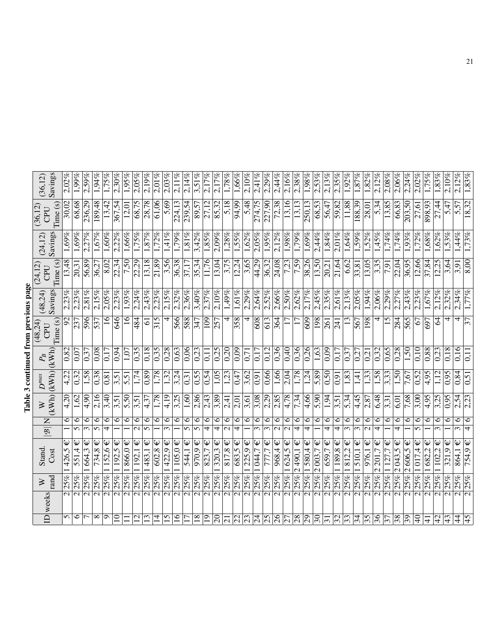| nrevinus naoe<br>ì     |  |
|------------------------|--|
| mou <sub>1</sub><br>Ì, |  |
| <b>CONTRACTOR</b>      |  |
| i                      |  |
| ì                      |  |

| (36, 12)   | Savings                                                                      | 2,02%             | $1,99\%$     | $2,59\%$               | $1.94\%$      | 1,75%           | $2,30\%$    | $1,95\%$          | $2,05\%$                 | 2,19%                                     | $2.01\%$          | $2,03\%$                                     | $2,11\%$              | 2,14%                        | 3,51%                  | 2,17%                           | 2,17%                | 1,78%                    | 1,66%                        | 2,10%             | 2,41%         | 2.29%            | 2,44%              | $2,16\%$    | 2,38%               | $1,98\%$          | 2,53%                    | 2,13%           | 2,35%           | $1,92\%$                | $1.87\%$      | 1,82%                | 2,12%                              | $2.08\%$      | 2.06%             | 2,24%         | $2.02\%$              | 1,75%         | 1,83%                    | $2,10\%$   | $2,12\%$        |
|------------|------------------------------------------------------------------------------|-------------------|--------------|------------------------|---------------|-----------------|-------------|-------------------|--------------------------|-------------------------------------------|-------------------|----------------------------------------------|-----------------------|------------------------------|------------------------|---------------------------------|----------------------|--------------------------|------------------------------|-------------------|---------------|------------------|--------------------|-------------|---------------------|-------------------|--------------------------|-----------------|-----------------|-------------------------|---------------|----------------------|------------------------------------|---------------|-------------------|---------------|-----------------------|---------------|--------------------------|------------|-----------------|
| (36,12)    | Time (s)<br>CPU                                                              | 30,02             | 68,68        | 236,29                 | 189,48        | 13,42           | 367,54      | 12,01             | 68.75                    | 28,78                                     | 61,06             | 5,69                                         | 224,13                | 239,54                       | 89,57                  | 27,12                           | 85,32                | 5,18                     | 94,99                        | 5,48              | 274,75        | 227,90           | 72,38              | 13,16       | 13,13               | 250,13            | 68,53                    | 56,47           | 59,82           | 11,88                   | 188.39        | 28,01                | 5,34                               | 13,85         | 66,83             | 203,50        | $\overline{27,61}$    | 898,93        | 27,44                    | 5,47       | 5,57            |
| (24, 12)   | Savings                                                                      | 1,69%             | 1,69%        | 2,27%                  | 1,67%         | 1,60%           | 2,22%       | 1,66%             | $1,75\%$                 | 1,87%                                     | $1,72\%$          | $1,41\%$                                     | $1,79\%$              | $1,81\%$                     | $3,42\%$               | 1,85%                           | $2,09\%$             | 1.28%                    | 1,55%                        | $1,62\%$          | 2,05%         | 1.95%            | $2,12\%$           | $1,98\%$    | $\overline{1,79\%}$ | 1,69%             | 2.44%                    | 1,84%           | $2,01\%$        | 1,64%                   | $1,59\%$      | 1,52%                | $1,45\%$                           | $1,74\%$      | $1.74\%$          | 1,93%         | 1,72%                 | $1,68\%$      | $1,62\%$                 | 1,53%      | 1,44%           |
| (24, 12)   | Time (s)<br>CPU                                                              | 13,48             | 20,31        | 56,89                  | 36,27         | 8,02            | 22,34       | 7,50              | 22.29                    | 13,18                                     | 21,89             | $\sqrt{3,56}$                                | 36,38                 | $\sqrt{37.17}$               | 35,34                  | 11,76                           | 13,04                | 3,75                     | 12,24                        | $\overline{3,65}$ | 44,29         | 36,32            | 24,08              | 7,23        | 7,59                | 38,26             | 13,50                    | 20,21           | 21,64           | 6,62                    | 33,81         | 13,05                | $\overline{3,35}$                  | $\frac{1}{2}$ | 22,04             | 36,95         | 12,66                 | 37,84         | 12,25                    | 3,64       | 3,91            |
| (48, 24)   | Savings                                                                      | 2.23%             | 2.23%        | 2,81%                  | 2,15%         | 2,05%           | 2,23%       | 1,93%             | 2.24%                    | 2,43%                                     | 2.23%             | $2,15\%$                                     | 2,32%                 | 2,36%                        | 3,40%                  | 2,37%                           | $2,10\%$             | $1,49\%$                 | 1,61%                        | 2,29%             | 2,64%         | 2.52%            | 2,66%              | 2,50%       | 2,62%               | 2,17%             | 2.45%                    | 2,35%           | $2,61\%$        | 2,13%                   | 2.05%         | 1,94%                | 2,06%                              | $2,29\%$      | 2,27%             | 2,43%         | 2.23%                 | 1,67%         | $2,12\%$                 | 2.32%      | 2,34%           |
| (48,24)    | Time (s)<br>CPU                                                              | $\overline{56}$   | 237          | 596                    | 537           | $\overline{16}$ | 646         | $\frac{8}{1}$     | 484                      | $\overline{5}$                            | 315               | 4                                            | 566                   | 588                          | 347                    | 109                             | $\overline{257}$     | 4                        | 358                          | 4                 | 608           | 613              | 364                |             |                     | 609               | 198                      | 261             | 241             | 13                      | 567           | 198                  | 4                                  | 15            | 284               | 565           | 67                    | 697           | $\overline{\mathcal{Z}}$ | 4          | 4               |
|            | $\begin{array}{ c } \hline P_B \\ \hline \text{(kWh)} \\ \hline \end{array}$ | $\overline{0,82}$ | 0,07         | 0,37                   | 0,08          | 0.17            | 0,94        | $1,0\overline{7}$ | 0,35                     | 0,18                                      | 0.35              | $\sqrt{0,28}$                                | 0,63                  | 0,06                         | $\overline{0.23}$      | $\overline{0}$ , $\overline{1}$ | 0,25                 | $\overline{0.20}$        | 0,09                         | 0,71              | 0,17          | 0,12             | 0,36               | 0,40        | $9\xi$ <sup>0</sup> | 0,26              | 1,63                     | 0,09            | 0,17            | 0,37                    | $\sqrt{27}$   | 0,21                 | 0,32                               | 0,65          | 0,28              | 1,50          | 0,10                  | $\sqrt{0.88}$ | 0,23                     | 0,18       | 0,16            |
| $D^{\max}$ | (kWh)                                                                        | 4,22              | 0,32         | 1,58                   | 0,38          | $\frac{8}{18}$  | 3,51        | 5,51              | 1,74                     | 0,89                                      | 1,78              | $\sqrt{1.32}$                                | 3,24                  | $\overline{0,}3\overline{1}$ | 0,55                   | 0,54                            | 1,05                 | $\overline{123}$         | 0,47                         | 3,62              | (60)          | 0,66             | 1,66               | 2,04        | $\sqrt{1,78}$       | 1,24              | 5,89                     | 0,50            | 0,91            | 1,83                    | $\dot{1}$     | 1,33                 | $\sqrt{1.58}$                      | 3,33          | 1,50              | 7,67          | 0,52                  | 564           | 1,12                     | 0,95       | 0,84            |
| $\gtrsim$  | (KWh)                                                                        | 4,20              | 1,62         | 4,90                   | 2,16          | 3,40            | 3,51        | 5,50              | 3,51                     | 4,37                                      | 1,78              | $\sqrt{4,19}$                                | 3,25                  | 1,60                         | 2,86                   | 2,43                            | 3,89                 | 2,41                     | 2,01                         | 3,61              | 3,08          | 2,29             | 2,85               | 4,78        | 7,34                | 4,66              | 5,90                     | 1,94            | 3,51            | 5,34                    | 4,45          | 2,87                 | 6,48                               | 3,31          | $\overline{6,01}$ | 7,68          | 3,00                  | 4,95          | 3,25                     | 0,95       | 2,54            |
|            | Z<br>$\overline{\mathscr{B}}$                                                | $\circ$           | $\circ$<br>5 | $\circ$<br>$\tilde{c}$ | ∘<br>5        | ∘<br>4          | $\circ$     | ∘                 | $\circ$<br>$\mathcal{C}$ | ٥<br>$\sqrt{ }$                           | ∘                 | $\circ$<br>$\overline{\mathfrak{c}}$         | $\circ$               | ٥<br>5                       | 6<br>$\mathbf{v}$      | ∘<br>4                          | ७<br>4               | ∘<br>$\mathcal{L}$       | ∘<br>$\overline{\mathbf{f}}$ | ٥                 | ∘<br>$\omega$ | ७<br>$\tilde{c}$ | ∘<br>$\mathcal{L}$ | ٥<br>$\sim$ | ∘<br>4              | ∘<br>4            | ٥                        | ∘<br>4          | ∘<br>4          | ∘<br>$\infty$           | ∘<br>3        | ∘<br>$\mathcal{L}$   | O<br>4                             | ∘             | ७<br>4            | ٥             | $\circ$<br>$\sqrt{ }$ | 0             | ∘<br>$\omega$            | ٥          | 6<br>$\epsilon$ |
| Stand.     | Cost                                                                         | Ψ<br>426,5        | Ψ<br>551,4   | 664,3                  | Ψ<br>734,8    | Ψ<br>152,6      | 192,5       | 866,0€            | Ψ<br>192.1               | $\boldsymbol{\psi}$<br>$\overline{483,1}$ | Ψ<br>602,8        | $\overline{\mathsf{\psi}}$<br>$\sqrt{422.9}$ | $\downarrow$<br>105,0 | Ψ<br>544,1                   | Ψ<br>$\frac{970,9}{ }$ | 823,7                           | Ψ<br>$\frac{320}{3}$ | Ψ<br>817.8               | Ψ<br>683,5                   | Ψ<br>225,9        | Ψ<br>044,7    | Ψ<br>777,7       | Ψ<br>968,4         | Ψ<br>624,5  | 2490.1              | Ψ<br>580,4        | Ψ<br>2003,7              | Ψ<br>659,7      | Ψ<br>189,8      | 812,2                   | Ψ<br>510,1    | Ψ<br>$\frac{6}{976}$ | $\frac{201.7}{ }$<br>$\mathcal{L}$ | Ψ<br>127.     | Ψ<br>2043.5       | Ψ<br>2606,5   | Ψ<br>1017.4           | 682,2         | Ψ<br>102.2               | Ψ<br>321,9 | Ψ<br>864,1      |
| $\geq$     | rand                                                                         | $ 25\% $          | 25%          | 25%                    | 25%           | 25%             | 25%         | $ ^{965}$         | $ ^{965}$                | $25%$ <sub>1</sub>                        | 25%               | 25%                                          | 25%                   | 25%                          | 25%                    | 25%                             | 25%                  | 25%                      | 25%                          | 25%               | 25%           | 25%              | 25%                | $ ^{965}$   | 25%                 | 25% 1             | 25%                      | 25%             | 25%             | 25%                     | 25%           | 25%                  | 25%                                | $ 25\% 1$     | 25%               | 25%           | $ 25\% $              | 25%           | 25%                      | 25%        | 25%             |
|            | ID weeks                                                                     |                   |              | $\mathbf{\Omega}$      | $\mathcal{L}$ |                 |             | $\mathcal{L}$     | $\sim$                   | $\mathcal{L}$                             | $\mathbf{\Omega}$ | $\sim$                                       | $\mathbf{\Omega}$     | $\mathcal{L}$                | $\mathbf{\sim}$        | $\sim$                          | $\sim$               | $\mathbf{C}$             | $\mathbf{\sim}$              | $\sim$            | $\mathcal{L}$ | $\sim$           | $\mathcal{L}$      | $\sim$      | $\sim$              | $\mathbf{\Omega}$ | $\mathcal{C}$            | $\mathbf{\sim}$ | $\mathbf{\sim}$ | $\overline{\mathsf{c}}$ | $\mathcal{L}$ | $\mathbf{\sim}$      | $\sim$                             | $\mathcal{L}$ | $\mathbf{\Omega}$ | $\mathcal{L}$ | $\sim$                | $\sim$        | $\mathbf{\Omega}$        | $\sim$     | $\sim$          |
|            |                                                                              | 5                 | ७            |                        | ∞             | ᡋ               | $\supseteq$ |                   | $\mathbf{C}$             | $\overline{13}$                           | 4                 | v                                            | $\mathbf{e}$          |                              | $\frac{8}{1}$          | ⊇                               | $\overline{c}$       | $\overline{\mathcal{S}}$ | 22                           |                   | र्य           | 25               | 26                 | 27          | 28                  | 29                | $\overline{\mathcal{E}}$ | $\overline{5}$  | 32              | 33                      | 34            | 35                   | 36                                 | 37            | 38                | 39            | $\partial_0$          | $\pm$         | 4<br>4                   | 43         | $\overline{4}$  |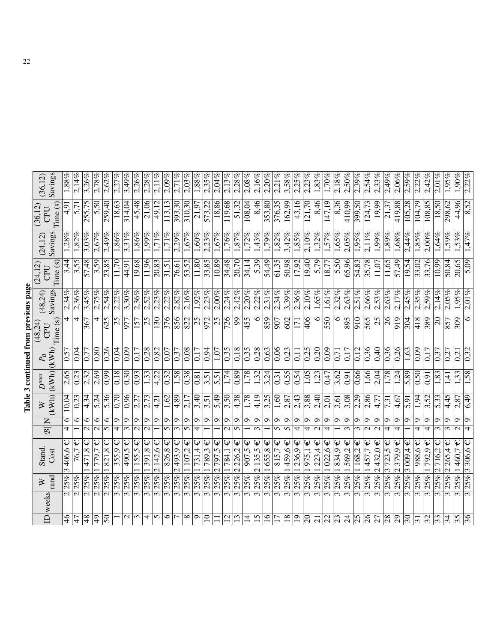| $\geq$<br>$\frac{\mathcal{B}}{\mathcal{B}}$<br>Stand.<br>$\gtrsim$<br><b>ID</b> weeks                                     |  |  |  | $\boldsymbol{D}^{max}$ | $P_{B}$           | Table 3 continued from previous page<br>(48,24)<br>CPU | (48, 24)       | (24, 12)<br>CPU    | (24, 12)                   | (36, 12)<br>CPU   | (36, 12)           |
|---------------------------------------------------------------------------------------------------------------------------|--|--|--|------------------------|-------------------|--------------------------------------------------------|----------------|--------------------|----------------------------|-------------------|--------------------|
| $\vert$ (kWh)<br>(KWh)<br>Cost<br>rand                                                                                    |  |  |  |                        | (kWh)             | Time (s)                                               | Savings        | Time (s)           | Savings                    | Time(s)           | Savings            |
| 2,65<br>10,04<br>6<br>$\overline{\mathbf{f}}$<br>$\overline{\Psi}$<br>406,6<br>$\omega$<br>25%<br>$\overline{\mathsf{c}}$ |  |  |  |                        | 0,57              | 4                                                      | 2,34%          | 3,44               | 1,28%                      | 4,91              | $1.88\%$           |
| 0,23<br>0,23<br>6<br>76,7<br>25%<br>$\overline{\mathsf{c}}$                                                               |  |  |  |                        | 0.04              | 4                                                      | 2,36%          | 3,55               | 1,82%                      | 5,71              | 2,14%              |
| 2,32<br>4,34<br>$\circ$<br>$\mathcal{C}$<br>$\mathsf{\psi}$<br>471,8<br>25%<br>2                                          |  |  |  |                        | 0,77              | 367                                                    | 3,45%          | <b>SP.78</b>       | 3.03%                      | 255,75            | 3,26%              |
| 2,69<br>5,24<br>$\circ$<br>$\mathcal{L}$<br>Ψ<br>779,7<br>25%<br>$\overline{\mathbf{c}}$                                  |  |  |  |                        | 0,80              | 4                                                      | 2,75%          | 3,59               | 2,67%                      | 5,50              | 2,78%              |
| 0,99<br>5,36<br>$\circ$<br>$\overline{5}$<br>$\boldsymbol{\psi}$<br>821,8<br>25%<br>$\overline{\mathsf{c}}$               |  |  |  |                        | 0.26              | 625                                                    | 2,54%          | 23,85              | 2,49%                      | 259,40            | 2,62%              |
| 070<br>$\circ$<br>4<br>355,9<br>25%<br>$\overline{\mathfrak{c}}$                                                          |  |  |  | 0,18                   | 0,04              | 25                                                     | 2.22%          | 11.70              | 1,86%                      | 18,63             | 2.27%              |
| 0,96<br>$\sigma$<br>ω<br>$\hat{\bm{\psi}}$<br>490,5<br>25%<br>$\overline{\mathcal{E}}$                                    |  |  |  | 0,30                   | 0,09              | 977                                                    | 3,30%          | 44,91              | 3,31%                      | 314,04            | 3,49%              |
| 2,27<br>$\sigma$<br>155,5<br>25%<br>$\overline{\mathfrak{c}}$                                                             |  |  |  | 0,93                   | 0.17              | $\overline{157}$                                       | 2,36%          | 19,68              | 1,86%                      | 45,48             | 2,26%              |
| 2,73<br>Ó<br>$\downarrow$<br>$\sqrt{1391.8}$<br>25%<br>$\overline{\mathfrak{c}}$                                          |  |  |  | 1,33                   | 0,28              | $\overline{25}$                                        | $2,52\%$       | 11.96              | $\overline{1.99\%}$        | 21,06             | 2.28%              |
| 4,21<br>$\sigma$<br>ᢒ<br>$\overline{\mathsf{P}}$<br>2142,6<br>25%<br>25%<br>$\overline{\mathfrak{c}}$                     |  |  |  | 4,22<br>$\sqrt{0,32}$  | 0,82              | 130                                                    | 2,23%<br>2,22% | 20,83              | $1,71\%$<br>$\sqrt{171\%}$ | 49,12             | 2,11%<br>$2,09\%$  |
| 1,62<br>5<br>826,8<br>$\overline{\mathfrak{c}}$                                                                           |  |  |  |                        | 0,07              | 976                                                    |                | 31,51              |                            | 113,13            |                    |
| 4,89<br>Ó<br>$\infty$<br>$\frac{2493,9}{ }$<br>25%<br>$\overline{\mathfrak{c}}$                                           |  |  |  | 1,58                   | 0,37              | 856                                                    | 2,82%          | 76,61              | 2,29%                      | 393,30            | $2,71\%$           |
| 2,17<br>Ō<br>5<br>Ψ<br>1107,2<br>25%<br>$\overline{\mathfrak{c}}$                                                         |  |  |  | 0,38                   | 0,08              | 822                                                    | 2,16%          | 53,52              | $1,67\%$                   | 310,30            | $2.03\%$           |
| 3,40<br>Ō<br>4<br>$\boldsymbol{\psi}$<br>731,4<br>25%<br>$\overline{\mathfrak{c}}$                                        |  |  |  | 0,81                   | 0.17              | $\overline{25}$                                        | 1,92%          | 11,80              | 1,60%                      | $\sqrt{21.97}$    | 1.88%              |
| $\overline{3,51}$<br>ç<br>25% 1789.3<br>$\overline{\mathcal{E}}$                                                          |  |  |  | $\overline{3.51}$      | $\sqrt{6.0}$      | 972                                                    | 2,23%          | 33,85              | 2,23%                      | 573,22            | 2,35%              |
| 5,49<br>Ō<br>Ψ<br>2797,5<br>25%<br>$\overline{\mathfrak{c}}$                                                              |  |  |  | 5,51                   | 1,07              | $\overline{25}$                                        | $2,00\%$       | 10,89              | 1,67%                      | 18,86             | 2,04%              |
| 3,50<br>ం<br>Ψ<br>784,1<br>25%<br>$\overline{\mathfrak{c}}$                                                               |  |  |  | 1,74                   | 0,35              | 726                                                    | 2,24%          | 34,48              | 1,76%                      | 119,68            | 2.13%              |
| 4,38<br>ᡋ<br>5<br>2226,2<br>25%<br>$\overline{\mathfrak{m}}$                                                              |  |  |  | $\sqrt{6.89}$          | 0,18              | $\overline{99}$                                        | 2,42%          | $\overline{20,70}$ | $\sqrt{1.87\%}$            | 51,32             | 2.28%              |
| 1,78<br>Ö<br>$907,5 \in$<br>25%<br>$\overline{\mathfrak{c}}$                                                              |  |  |  | 1,78                   | 0,35              | 455                                                    | 2,20%          | $\frac{34.14}{ }$  | 1,72%                      | 108,04            | 2,08%              |
| 4,19<br>ం<br>$\omega$<br>$\downarrow$<br>2135,5<br>25%<br>$\overline{\mathfrak{c}}$                                       |  |  |  | 1,32                   | 0,28              | $\circ$                                                | 2,22%          | 5,39               | 1,43%                      | 8,46              | 2.16%              |
| 3,25<br>Ò<br>1655,8<br>25%<br>$\overline{\mathfrak{c}}$                                                                   |  |  |  | 3,24                   | 0,63              | 859                                                    | 2,31%          | 54,49              | 1,79%                      | 353,80            | 2,20%              |
| 1,60<br>๑<br>5<br>$\hat{\bm{\psi}}$<br>815,7<br>25%<br>$\overline{\mathfrak{c}}$                                          |  |  |  | 0,31                   | 0,06              | 907                                                    | 2,34%          | 61,35              | 1,82%                      | 376,35            | 2,21%              |
| 2,87<br>Ō<br>5<br>1459,6<br>25%<br>$\overline{\mathfrak{m}}$                                                              |  |  |  | S5                     | 0,23              | 602                                                    | 3,39%          | 50,98              | 3,42%                      | 162,99            | 3,58%              |
| 2,43<br>ᡋ<br>4<br>$\frac{236.9}{ }$<br>25%<br>$\overline{\mathfrak{c}}$                                                   |  |  |  | $\frac{0.54}{0.54}$    | 0,11              | 171                                                    | 2,36%          | 17,92              | $\overline{1,85\%}$        | 43,16             | 2.25%              |
| 3,88<br>ഗ<br>4<br>$\boldsymbol{\psi}$<br>$\sqrt{1975,1}$<br>25%<br>$\overline{\mathfrak{c}}$                              |  |  |  | 1,05                   | 0,25              | 406                                                    | $2,10\%$       | 19,40              | $2,10\%$                   | 121,70            | 2.23%              |
| 2,40<br>Ō<br>$\overline{1223}$ ,4 €<br>25%<br>$\overline{\mathfrak{c}}$                                                   |  |  |  | 1,23                   | 0,20              | $\circ$                                                | $1,65\%$       | 5,79               | $1,32\%$                   | 8,46              | 1.83%              |
| 2,01<br>Q<br>4<br>Ψ<br>$\frac{1022.6}{ }$<br>25%<br>$\overline{\mathcal{E}}$                                              |  |  |  | 0,47                   | 0,09              | 550                                                    | 1,61%          | $\frac{18,77}{ }$  | $\sqrt{.57\%}$             | 147,19            | $\frac{6}{1,70\%}$ |
| 3,61<br>ഗ<br>$\downarrow$<br>1834,9<br>25%<br>$\overline{\mathfrak{c}}$                                                   |  |  |  | 3,62                   | 0,71              | $\overline{\bullet}$                                   | 2,32%          | 5,50               | 1,65%                      | 8,36              | 2,18%              |
| 3,08<br>Ō<br>ω<br>Ψ<br>569,2<br>25%<br>$\overline{\mathfrak{c}}$                                                          |  |  |  | $\sqrt{91}$            | 0,17              | 895                                                    | 2,63%          | 65,96              | 2,05%                      | 410,99            | 2,50%              |
| 2,29<br>O<br>$\sim$<br>Ψ<br>1168,2<br>25%<br>$\overline{\mathfrak{m}}$                                                    |  |  |  | 0,66                   | 0,12              | 910                                                    | 2,51%          | 54,83              | 1.95%                      | 399,50            | 2.39%              |
| 2,86<br>٥<br>$\downarrow$<br>25% 1457,7<br>$\overline{\mathfrak{c}}$                                                      |  |  |  | 1,66                   | 0,36              | $\overline{565}$                                       | 2,66%          | 35,78              | $2.11\%$                   | $\sqrt{124,73}$   | 2,54%              |
| 4,77<br>๑<br>$2432,0 \in$<br>25%<br>$\overline{\mathfrak{m}}$                                                             |  |  |  | 2,04                   | 0,40              | $\overline{25}$                                        | 2.53%          | 11,07              | $1.99\%$                   | 19,99             | 2,33%              |
| 7,31<br>م<br>$\overline{\mathbf{f}}$<br>$\downarrow$<br>$\sqrt{3723,5}$<br>25%<br>$\overline{\mathfrak{c}}$               |  |  |  | 1,78                   | 0,36              | $\overline{26}$                                        | 2,63%          | 11,65              | $\sqrt{1,89\%}$            | 21,37             | 2,49%              |
| 4,67<br>Ō<br>4<br>Ψ<br>25% 2379,9<br>$\overline{\mathfrak{c}}$                                                            |  |  |  | 1,24                   | 0,26              | 919                                                    | 2,17%          | 57,49              | 1,68%                      | 419,88            | 2,06%              |
| $\overline{5,}$<br>െ<br>$\frac{3009.4}{ }$<br>25%<br>$\overline{\mathfrak{m}}$                                            |  |  |  | 5,89                   | 1,63              | $\overline{304}$                                       | 2.45%          | 19,54              | 2,44%                      | 105,28            | 2.59%              |
| 1,94<br>$\sigma$<br>4<br>$\downarrow$<br>$\frac{988}{6}$<br>25%<br>$\overline{\mathfrak{c}}$                              |  |  |  | $\overline{0,50}$      | 0,09              | 418                                                    | 2,35%          | 33,02              | $1,85\%$                   | 104,79            | 2.22%              |
| 3,52<br>๑<br>$\overline{\mathsf{\psi}}$<br>792,9<br>25%<br>$\overline{\mathfrak{c}}$                                      |  |  |  | 0,91                   | 0,17              | 389                                                    | $2,59\%$       | 33,76              | 2,00%                      | 108,85            | 2,42%              |
| 5,33<br>จ<br>716,2<br>$\overline{\mathcal{C}}$<br>25%<br>$\overline{\mathcal{E}}$                                         |  |  |  | 1,83                   | $\overline{0,37}$ | $\overline{20}$                                        | 2.14%          | 10,99              | 1,64%                      | $\frac{18,50}{2}$ | $2,01\%$           |
| 4,45<br>$\sigma$<br>$\omega$<br>$\downarrow$<br>2265,4<br>25%<br>$\overline{\mathfrak{c}}$                                |  |  |  | 1,41                   | $\sqrt{27}$       | 857                                                    | 2,05%          | 50,84              | $1,59\%$                   | 298,62            | $1,95\%$           |
| 2,87<br>٩<br>$\overline{\mathsf{L}}$<br>1460,7<br>25%<br>$\overline{\mathfrak{c}}$                                        |  |  |  | 1,33                   | 0,21              | 309                                                    | 1,95%          | 20,65              | 1,53%                      | 44,96             | 1,90%              |
| 6.49<br>$\sigma$<br>$\overline{\mathcal{F}}$<br>$25\%$ 3 306,6 €<br>$\overline{\mathfrak{c}}$                             |  |  |  | 1,58                   | 0.32              | $\overline{\circ}$                                     | $2,01\%$       | 5.09               | 1,47%                      | 8,52              | 2.22%              |

 $36 \begin{array}{|l|} 3 \mid 25\% \mid 3\,306, 6 \,\infty \mid & 4 \mid 9 \mid & 6,49 \mid & 1,58 \mid & 0,32 \mid & 6 \mid & 2,01\% \mid & 5,09 \mid & 1,47\% \mid & 8,52 \mid & 2,22\% \end{array}$ 

| ž                   |                     |
|---------------------|---------------------|
|                     |                     |
|                     |                     |
|                     |                     |
|                     | <b>DIRECT ROLLS</b> |
|                     |                     |
|                     |                     |
|                     |                     |
| <b>THE PROPERTY</b> |                     |
|                     |                     |
|                     |                     |
|                     |                     |
|                     |                     |
|                     |                     |
|                     |                     |
|                     |                     |
|                     |                     |
|                     |                     |
|                     |                     |
| ì                   |                     |
|                     |                     |
|                     |                     |
|                     |                     |
|                     |                     |
|                     |                     |
|                     |                     |
| č                   |                     |
|                     |                     |
|                     |                     |
|                     |                     |
|                     |                     |
|                     |                     |
|                     |                     |
|                     |                     |
|                     |                     |
|                     |                     |
|                     |                     |
|                     |                     |
|                     |                     |
|                     |                     |
|                     | 2. W.H.U.H.U.U.     |
|                     |                     |
|                     |                     |
|                     |                     |
|                     |                     |
|                     |                     |
|                     |                     |
|                     |                     |
|                     | <b>Lable</b>        |
|                     |                     |
|                     |                     |
|                     |                     |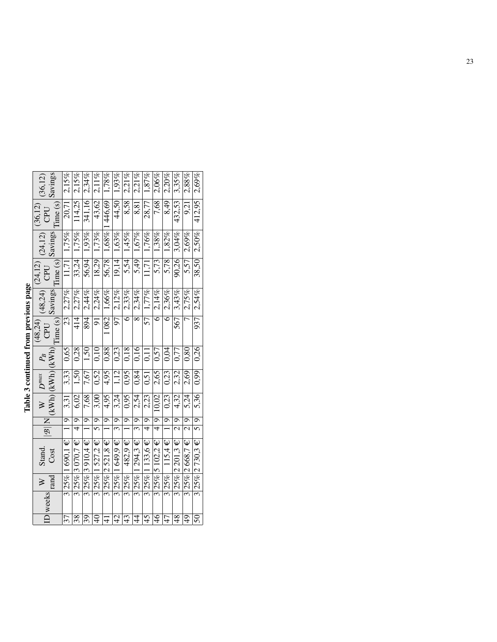| S<br>S<br>S |  |
|-------------|--|
|             |  |
| ŗ           |  |
|             |  |
|             |  |
|             |  |
| --------    |  |
|             |  |
|             |  |
| ì           |  |
|             |  |
|             |  |
|             |  |
|             |  |
|             |  |
|             |  |
|             |  |
|             |  |
|             |  |
|             |  |
|             |  |
|             |  |
|             |  |
|             |  |
|             |  |

| Savings<br>(36, 12)                                                                                                        | 2,15%                 | 2,15%             | 2,34%                | 2,11%                     |                                   | 44,50 1,93%         | 2.21%          | 2.21%                     | 1,87%                    | $7,68$ 2,06%                 | $2.20\%$             |                     | $2.88\%$             | $2,69\%$             |
|----------------------------------------------------------------------------------------------------------------------------|-----------------------|-------------------|----------------------|---------------------------|-----------------------------------|---------------------|----------------|---------------------------|--------------------------|------------------------------|----------------------|---------------------|----------------------|----------------------|
| (36, 12)<br>CPU                                                                                                            | 20,71<br>Time (s)     | 114,25            | 341,16               | 43,62                     |                                   |                     | 8,58           | 8,81                      | 28,77                    |                              | 8,49                 | $432,53$ 3,35%      | 9,21                 | 412,95               |
| (24, 12)                                                                                                                   |                       | $33,24$ 1,75%     | $56,94$ 1,93%        | $18,29$ 1,73%             | $56,78$   1,68%   1446,69   1,78% | $19,14$ 1,63%       | 1,45%          | 1,67%                     | $1,76\%$                 | 5,73 1,38%                   | 5,78 1,82%           | $90,26$ 3,04%       | $5.57$ 2.69%         | $38,50$ 2,50%        |
| $\overline{\text{Time (s)}}$ Savings<br>CPU<br>(24, 12)                                                                    | $\boxed{11,71}$ 1,75% |                   |                      |                           |                                   |                     | 5,54           | 5,49                      | 11,71                    |                              |                      |                     |                      |                      |
| Savings <br>(48,24)                                                                                                        | 2,27%                 | 2,27%             | 2,44%                | 2,24%                     | 1 082 1,66%                       | 97 2,12%            | 6 2,33%        | 2,34%                     | 57 1,77%                 | 6 2,14%                      | 6 2,36%              | 567 3,43%           | 7 2.75%              | 937 2,54%            |
| Time(s)<br>(48,24)<br>CPU                                                                                                  | 23                    | $\frac{414}{ }$   | 894                  | $\overline{5}$            |                                   |                     |                | $\overline{\infty}$       |                          |                              |                      |                     |                      |                      |
|                                                                                                                            | 0.65                  | 0,28              | 1,50                 | 0.10                      | 0.88                              | 0,23                | 0.18           | 0.16                      | 0,11                     | 0.57                         | 0.04                 | 0.77                | 0.80                 | 0.26                 |
| $\frac{1}{ {\mathcal B} } \frac{1}{ {\mathcal B} } \left  \frac{W}{(kWh)} \frac{P^{max}}{(kWh)} \frac{P_B}{(kWh)} \right $ | 3,33                  | 1,50              | 7,67                 | 0,52                      | 4,95                              | 1,12                | 0,95           | 0,84                      | 0,51                     | 2,65                         | 0,23                 | 2,32                | 2,69                 | 0.99                 |
|                                                                                                                            | 3,31                  | 6,02              | 7,68                 | 3,00                      | 4,95                              | 3,24                | 0,95           | 2,54                      | 2,23                     |                              | 0.23                 | 4,32                | 5.24                 | 5,36                 |
|                                                                                                                            |                       |                   |                      |                           |                                   |                     |                |                           |                          |                              |                      |                     |                      |                      |
|                                                                                                                            |                       |                   |                      |                           |                                   |                     |                |                           |                          |                              |                      |                     |                      |                      |
| Stand.<br>Cost                                                                                                             | 3 25% 1 690,1 € 1 9   | 325% 3070,7 € 4 9 | 3 25% 3 9 10,4 € 1 9 | $3 25\% 1527,2 \in  5 9 $ | 3 25% 2521,8 €  1  9              | $3 25\% 1649,9E 39$ | $482.9 \in 19$ | $3 25\% 1294,3 \in  $ 3 9 | $3 25\% 1133,6 \in  4 9$ | 3 25% 5 102,2 €  4  9  10,02 | 3 25%  115,4 €  1  9 | 3 25% 2 201,3 € 2 9 | 3 25% 2668,7 €  2  9 | 3 25% 2730,3 €  5  9 |
|                                                                                                                            |                       |                   |                      |                           |                                   |                     | 3 25%          |                           |                          |                              |                      |                     |                      |                      |
| $\frac{W}{W}$ weeks $\frac{W}{V}$                                                                                          |                       |                   |                      |                           |                                   |                     |                |                           |                          |                              |                      |                     |                      |                      |
|                                                                                                                            | $\overline{37}$       | $\frac{8}{38}$    | 39                   | $\frac{1}{4}$             | $\frac{4}{4}$                     | $\overline{42}$     | 43             | $\frac{4}{4}$             | 45                       | $\overline{6}$               | $-47$                | $\frac{8}{3}$       | $\overline{6}$       |                      |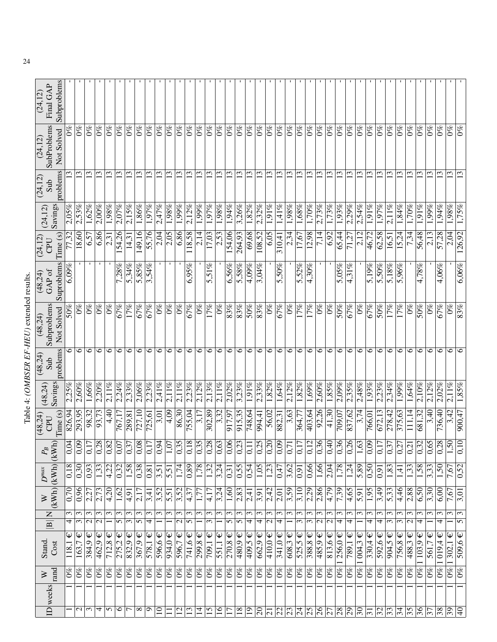| Subproblems<br>Final GAP<br>(24, 12)  |                  |                   |                               | л.                              |                                 |                       |                                 |                     |                                 |                     |                                     |                                        |                                  |                                 |                                 |                   |                   |                                 |                      |                         |                             |               |         |                                  |                                            |                               |                                       |                      |                                 |                          |                           |                     |                       |                                    |                                  |                                             |                                 |                              |                              |                     |
|---------------------------------------|------------------|-------------------|-------------------------------|---------------------------------|---------------------------------|-----------------------|---------------------------------|---------------------|---------------------------------|---------------------|-------------------------------------|----------------------------------------|----------------------------------|---------------------------------|---------------------------------|-------------------|-------------------|---------------------------------|----------------------|-------------------------|-----------------------------|---------------|---------|----------------------------------|--------------------------------------------|-------------------------------|---------------------------------------|----------------------|---------------------------------|--------------------------|---------------------------|---------------------|-----------------------|------------------------------------|----------------------------------|---------------------------------------------|---------------------------------|------------------------------|------------------------------|---------------------|
| SubProblems<br>Not Solved<br>(24, 12) |                  | $0\%$             | $0\%$                         | $\mathcal{O}_{\infty}^{\infty}$ | $\mathcal{O}_{\infty}^{\infty}$ | $0\%$                 | $\mathcal{O}_{\infty}^{\infty}$ | $0\%$               | $0\%$                           | $0\%$               | $0\%$                               | $\mathcal{O}_{\infty}^{\infty}$        | $0\%$                            | $\mathcal{O}_{\infty}^{\infty}$ | $\mathcal{O}_{\infty}^{\infty}$ | $0\%$             | $\frac{8}{2}$     | $\mathcal{O}_{\infty}^{\infty}$ | $0\%$                | $\mathcal{S}^{\otimes}$ | $0\%$                       | $0\%$         | $0\%$   | $0\%$                            | $\mathcal{O}_{\infty}^{\infty}$            | $0\%$                         | $\mathcal{O}_{\infty}^{\infty}$       | $0\%$                | $\mathcal{O}_{\infty}^{\infty}$ | $0\%$                    | $\mathcal{O}^{\otimes 0}$ | $0\%$               | $\partial\%$          | $0\%$                              | $0\%$                            | $0\%$                                       | $\mathcal{O}^{\otimes 0}$       | $0\%$                        | $\partial_{\infty}^{\infty}$ | $ 8\rangle$         |
| problems<br>$(24,12)$<br>Sub          |                  | $\mathfrak{c}$    | 13                            | $\overline{13}$                 | 13                              | $\mathbf{C}$          | $\frac{3}{2}$                   | $\overline{13}$     | $\frac{3}{2}$                   | ن                   | 13                                  | $\overline{13}$                        | 13                               | $\overline{13}$                 | 13                              | 13                | $\overline{13}$   | $\mathbf{13}$                   | 13                   | $\frac{3}{2}$           | $\overline{13}$             | $\mathbf{13}$ | ن       | S                                | ن                                          | $\mathbf{13}$                 | 13                                    | 13                   | $\overline{13}$                 | $\mathbf{C}$             | 13                        | 13                  | $\overline{13}$       | $\mathbf{C}$                       | $\mathbf{13}$                    | $\tilde{\phantom{0}}$                       | W                               | ≌                            | 13                           |                     |
| Savings<br>(24, 12)                   | 2,05%            | $2,53\%$          | 1,62%                         | 2,00%                           | 1,98%                           | 2,07%                 | 2,15%                           | 1,86%               | 1.97%                           | 2,47%               | 1,98%                               | $1.99\%$                               | $2,12\%$                         | $1,99\%$                        | 1,97%                           | 1,98%             | 1,94%             | 3,26%                           | 1,82%                | 2.32%                   | 1,91%                       | 1,41%         | 1,98%   | 1,68%                            | 1,70%                                      | 2,73%                         | 1,73%                                 | $1,93\%$             | 2.29%                           | 2,54%                    | $1.91\%$                  | $1.97\%$            | $2,11\%$              | 1,84%                              | 1,70%                            | 1,91%                                       | 1,99%                           | 1,94%                        | $1,98\%$                     | 1,75%               |
| Time(s)<br>(24, 12)<br>CPU            | 77,32            | 18,60             | 6,57                          | 6,86                            | 2,31                            | 154,26                | 14,31                           | 149,16              | 55,76                           | 2,04                | $\sqrt{2,05}$                       | 6,86                                   | 118,58                           | 2,14                            | 17,03                           | 2,53              | 154,06            | 264,93                          | 69.68                | 108,52                  | 6.05                        | 310,41        | 2,34    | $\sqrt{1,67}$                    | 2.98                                       | 7,14                          | 6,92                                  | 65,44                | 71,27                           | 2,12                     | 46,72                     | 62,58               | 16,51                 | 15,24                              | 7,34                             | 56,48                                       | 2,13                            | 57,28                        | 2,04                         | 126,92              |
| Suproblems<br>GAP of<br>(48,24)       | $6,09\%$         |                   |                               |                                 |                                 | 7,28%                 | 5,34%                           | 5,85%               | 3,54%                           |                     |                                     |                                        | 6.95%                            |                                 | 5,51%                           |                   | 6.56%             | 5,58%                           | 4,09%                | 3,04%                   |                             | 5,50%         |         | 5,52%                            | $4.30\%$                                   |                               |                                       | $5,05\%$             | $4.31\%$                        |                          | 5.19%                     | 5,50%               | $5,18\%$              | 5,96%                              |                                  | 4,78%                                       |                                 | 4,06%                        |                              | $6.06\%$            |
| Subproblems<br>Not Solved<br>(48,24)  | 50%              | $0\%$             | $0\%$                         | $0\%$                           | $0\%$                           | 67%                   | 17%                             | 67%                 | 67%                             | $0\%$               | $0\%$                               | $0\%$                                  | $\overline{67\%}$                | $\mathcal{O}_{\infty}$          | $\overline{17\%}$               | $0\%$             | $\frac{83\%}{8}$  | 83%                             | 50%                  | 83%                     | $0\%$                       | 67%           | $0\%$   | $\overline{17\%}$                | 17%                                        | $\mathcal{O}^{\mathcal{O}}$   | $0\%$                                 | 50%                  | 67%                             | $0\%$                    | 67%                       | 50%                 | $\overline{17\%}$     | 17%                                | $\overline{0\%}$                 | 50%                                         | $\mathcal{S}^{\otimes}$         | 67%                          | $0\%$                        | 83%                 |
| problems<br>$(48,24)$<br>Sub          | ٥                | $\circ$           | $\circ$                       | 6                               | $\circ$                         | $\circ$               | ७                               | $\circ$             | 6                               | $\circ$             | $\circ$                             | $\circ$                                | $\circ$                          | $\circ$                         | 6                               | 6                 | $\circ$           | $\circ$                         | $\circ$              | ∘                       | $\circ$                     | 6             | $\circ$ | $\circ$                          | $\circ$                                    | 6                             | $\circ$                               | $\circ$              | $\circ$                         | $\circ$                  | 0                         | $\circ$             | $\circ$               | $\circ$                            | $\circ$                          | $\circ$                                     | $\circ$                         | ∘                            | 6                            | ৩                   |
| Savings<br>(48,24)                    | $\frac{2.25}{6}$ | 2,60%             | 1,66%                         | 2,20%                           | $2,11\%$                        | 2.24%                 | 2,33%                           | 2.06%               | 2.23%                           | 2,41%               | $2,11\%$                            | $2.11\%$                               | 2.23%                            | 2.12%                           | 2,13%                           | $2,11\%$          | 2,02%             | 3,23%                           | 1.91%                | 2.33%                   | 1,82%                       | 1,64%         | 2,12%   | 1,82%                            | 1,69%                                      | 2,60%                         | 1,85%                                 | $2,09\%$             | $2.35\%$                        | 2,48%                    | $\frac{1.93}{6}$          | 2.23%               | 2,34%                 | $1.99\%$                           | 1,64%                            | 2,10%                                       | $2,12\%$                        | 2.02%                        | $2,11\%$                     | 1,85%               |
| Time(s)<br>(48,24)<br>CPU             | 826,94           | 293,95            | 98,32                         | 93,73                           | 4,40                            | $\sqrt{67}$ , I'      | 289,81                          | $\overline{727,10}$ | 725,61                          | 3,01                | 4,09                                | 86,30                                  | 755,04                           | 3,17                            | 302,89                          | 3,32              | 917,97            | 915,35                          | 748,64               | 994,41                  | 56,02                       | 882,31        | 3,63    | 364,77                           | 403,64                                     | 92,26                         | 41,30                                 | 709,07               | 837,62                          | 3,74                     | 766,01                    | 672,13              | 278,42                | $\frac{2}{375,63}$                 | 11,14                            | 681,32                                      | 3,40                            | 736,40                       | 3,42                         | $\frac{1}{900}$ ,47 |
| $P_{\!B}$                             | 0,04             | 0,09              | $\frac{1}{2}$                 | $\infty$<br>0,2                 | 0,82                            | $\overline{ }$<br>0,0 | $\overline{ }$<br>0,3           | $\frac{80}{6}$      | $\overline{ }$<br>$\frac{1}{2}$ | $\frac{0,94}{1,07}$ | $\overline{1,0}$                    |                                        | $\frac{0.35}{0.18}$              |                                 |                                 | $\overline{0,63}$ | 0,06              | $\sim$<br>0,2                   | $\overline{0.1}$     | $\Omega$<br>0.2         | $\frac{1}{0.20}$            | 0,09          | 0,7     | $\overline{ }$<br>$\overline{0}$ | $\overline{\mathcal{C}}$<br>$\overline{c}$ | $\frac{0.36}{0.40}$           |                                       | $\sqrt{0.36}$        | 9<br>0,2                        | 1,63                     | $\overline{0.09}$         | ה<br>$\overline{0}$ | $\overline{ }$<br>0,3 | $\overline{ }$<br>$\overline{0,2}$ | 0,2                              | $\overline{\mathsf{c}}$<br>$\overline{0.3}$ | ln<br>0,6                       | $\infty$<br>$\overline{0.2}$ | 1,50                         | 0,10                |
| $(kWh)$ $(kWh)$ $(kW)$<br>$D^{max}$   | 0,18             | $\overline{0.30}$ | 0,93                          | 1,33                            | 4,22                            | $\frac{1}{0.32}$      | 1,58                            | $\frac{0,38}{0,81}$ |                                 | 3,51                | 5,51                                | $\frac{1}{74}$                         | $\frac{68}{20}$                  | 1,78                            | 1,32                            | 3,24              | $\overline{0,31}$ | $\overline{0.55}$               | $\overline{0.54}$    | $\overline{1,05}$       | 1,23                        | 0,47          | 3,62    | $\sqrt{0.91}$                    | 0,66                                       | 1,66                          | 2,04                                  | $\sqrt{1.78}$        | 1,24                            | 5,89                     | $\overline{0.50}$         | 0,91                | 1,83                  | 1,4                                | 1,33                             | $\frac{1,58}{\sqrt{2}}$                     | 3,33                            | 1,50                         | 7,67                         | 0,52                |
| $\geq$                                | 0,70             | 0,96              | $\frac{2.27}{2.27}$           | 2,73                            | 4,20                            | 1,62                  | 4,91                            | 2.17                | 3,41                            | 3,52                | 5,51                                | $\frac{3,52}{2}$                       | $\sqrt{4,37}$                    | $1,7\overline{7}$               | 4.17                            | 3,24              | 1,60              | $\frac{2.83}{2}$                | 2,41                 | 3,91                    | 2,42                        | 2,01          | 3,59    | $\frac{3,10}{ }$                 | 2,29                                       | 2,86                          | $\sqrt{4,79}$                         | $\overline{7,39}$    | 4,65                            | 5,91                     | $\overline{.95}$          | 3,49                | 5,33                  | 4,46                               | $\frac{2.88}{5}$                 | 6,50                                        | 3,30                            | 6,00                         | 7,67                         | $\overline{3.01}$   |
| $\frac{\mathbf{N}}{\mathbf{B}}$       | ξ<br>4           | $\epsilon$<br>3   | ς<br>$\overline{\mathcal{C}}$ | $\epsilon$                      | $\epsilon$                      | $\epsilon$<br>5       | ω<br>ω                          | 3<br>5              | $\epsilon$<br>4                 | $\epsilon$          | 3                                   | $\epsilon$<br>$\overline{\mathcal{C}}$ | $\mathfrak{c}$<br>$\overline{5}$ | ω                               | $\epsilon$                      | 3                 | $\omega$<br>5     | 3<br>5                          | $\epsilon$<br>4      | 3<br>4                  | $\epsilon$<br>$\mathcal{L}$ | 3<br>4        | 3       | $\tilde{5}$<br>3                 | ξ<br>ω                                     | 3<br>$\overline{\mathcal{C}}$ | $\epsilon$<br>$\overline{\mathbf{c}}$ | $\mathfrak{c}$<br>4  | 3<br>4                          | $\epsilon$               | $\mathfrak{c}$<br>4       | $\mathfrak{c}$<br>4 | 3<br>3                | 3<br>3                             | 3<br>$\overline{\mathcal{C}}$    | 3<br>4                                      | 3                               | ω                            | $\epsilon$                   | 3<br>$\overline{5}$ |
| Stand.<br>Cost                        | Ψ<br>118,        | Ψ<br>163,7        | Ψ<br>384,9                    | 462,9                           | $712.8 \in$                     | 275,2                 | 832,9                           | Ψ<br>367.9          | Ψ<br>578,1                      | Ψ<br>596,6          | $\mathsf \Psi$<br>$\frac{1}{934,0}$ | $\mathsf \omega$<br>596,7              | Ψ<br>$\frac{741,6}{ }$           | Ψ<br>299,8                      | Ψ<br>$\frac{709}{1}$            | Ψ<br>551,1        | Ψ<br>270,8        | $\mathsf \Psi$<br>480,9         | Ψ<br>$\frac{409}{5}$ | $\mathsf \Psi$<br>662.9 | $410,0 \in$                 | $341,0 \in$   | 608,3   | Ψ<br>525,5                       | Ψ<br>388,8                                 | Ψ<br>485,9                    | $813,6 \in$                           | Ψ<br>$\frac{256}{0}$ | $\mathsf \omega$<br>789,1       | 004,3                    | ₩<br>330,4                | 592.6               | $904,5 \in$           | 756,8                              | $\mathsf \Psi$<br>$\sqrt{488.3}$ | $\mathsf \Psi$<br>103,9                     | Ψ<br>561,7                      | Ψ<br>019.4                   | Ψ<br>302,1                   | $\overline{509,6}$  |
| rand<br>$\geq$                        | $0\%$            | $\frac{6}{2}$     | $0\%$                         | $0\%$                           | $0\%$                           | $\mathcal{O}\%$       | $\overline{0\%}$                | $0\%$               | $\frac{8}{2}$                   | $0\%$               | $\overline{0\%}$                    | $0\%$                                  | $\frac{8}{2}$                    | $0\%$                           | $\frac{6}{2}$                   | $0\%$             | $\overline{0\%}$  | $0\%$                           | $0\%$                | $0\%$                   | $0\%$                       | $0\%$         | $0\%$   | $\frac{8}{2}$                    | $0\%$                                      | $0\%$                         | $0\%$                                 | $\overline{0\%}$     | $\mathcal{O}_{\infty}^{\infty}$ | $\overline{0\%}$         | $0\%$                     | $0\%$               | $0\%$                 | $0\%$                              | $\overline{0\%}$                 | $ 0\% $                                     | $\mathcal{O}_{\infty}^{\infty}$ | $ 0\% $                      | $\frac{1}{2}$                | $\overline{0\%}$    |
| $ID$ weeks                            |                  | $\mathbf{\Omega}$ | $\epsilon$                    | 4                               | 5                               | $\circ$               | Γ                               | $\infty$            | $\circ$                         | $\overline{10}$     | $\mathbf{I}$                        | $\overline{c}$                         | $\overline{\mathcal{C}}$         | $\overline{4}$                  | $\overline{5}$                  | $\overline{16}$   | Ξ                 | $\overline{18}$                 | $\overline{1}$       | $\Omega$                | $\overline{21}$             | 22            | 52      | 24                               | 57                                         | $\overline{6}$                | 27                                    | 87                   | $\overline{29}$                 | $\overline{\mathcal{E}}$ | $\overline{31}$           | $\frac{2}{3}$       |                       | 34                                 | 35                               | $\overline{36}$                             | $\overline{57}$                 | 38                           | -<br>39                      | $\frac{1}{4}$       |
|                                       |                  |                   |                               |                                 |                                 |                       |                                 |                     |                                 |                     |                                     |                                        |                                  |                                 |                                 |                   |                   |                                 |                      |                         |                             |               |         |                                  |                                            |                               |                                       |                      |                                 |                          |                           |                     |                       |                                    |                                  |                                             |                                 |                              |                              |                     |

| $\overline{1}$    |
|-------------------|
| i                 |
| ŀ<br>ı            |
| 「「こくしょう<br>۱<br>ï |
|                   |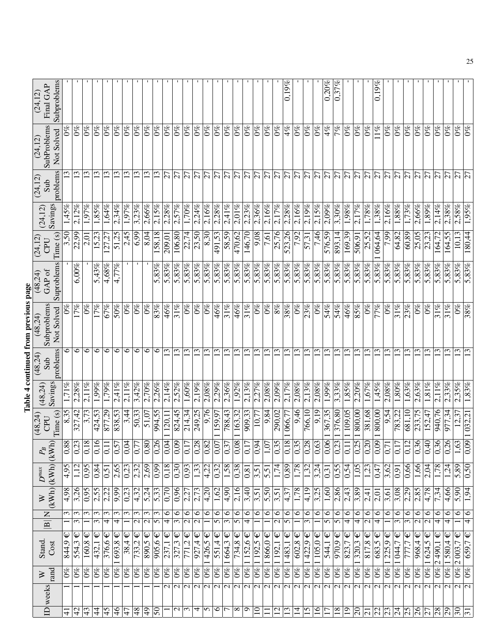| (24, 12)               | Subproblems<br>Final GAP                     |                             |                                       |                                 |                   |                                                |                   |                         |                                 |                                 |                         |                                     |                                             |                                     |                          |                                                     |                          |                                     |                                  |                          |                          |                    |                          | 0.19%                    |                          |                         |                   | $\frac{0.20\%}{2.00\%}$   | 0,37%                           |                 | $\mathbf{I}$                       |                                     | $\overline{0.19}\%$     |                  |                                    |                                            |                          |                                     |                                 |                          |                  |                         |
|------------------------|----------------------------------------------|-----------------------------|---------------------------------------|---------------------------------|-------------------|------------------------------------------------|-------------------|-------------------------|---------------------------------|---------------------------------|-------------------------|-------------------------------------|---------------------------------------------|-------------------------------------|--------------------------|-----------------------------------------------------|--------------------------|-------------------------------------|----------------------------------|--------------------------|--------------------------|--------------------|--------------------------|--------------------------|--------------------------|-------------------------|-------------------|---------------------------|---------------------------------|-----------------|------------------------------------|-------------------------------------|-------------------------|------------------|------------------------------------|--------------------------------------------|--------------------------|-------------------------------------|---------------------------------|--------------------------|------------------|-------------------------|
| (24, 12)               | SubProblems<br>Not Solved                    |                             | $\mathcal{S}^{\infty}$                | $\mathcal{O}_{\infty}^{\infty}$ | $0\%$             | $\mathcal{O}_{\infty}^{\infty}$                | $0\%$             | $0\%$                   | $\mathcal{O}_{\infty}^{\infty}$ | $0\%$                           | $0\%$                   | $0\%$                               | $\mathcal{O}\%$                             | $\mathcal{O}_{\mathscr{C}}$         | $0\%$                    | $\overline{0}\%$                                    | $0\%$                    | $0\%$                               | $0\%$                            | $0\%$                    | $0\%$                    | $0\%$              | $0\%$                    | 4%                       | $\mathcal{S}^{\otimes}$  | $0\%$                   | $0\%$             | $4\%$                     | $\overline{7\%}$                | $0\%$           | $0\%$                              | $^{66}$                             | $11\%$                  | $0\%$            | $\frac{96}{20}$                    | $\mathcal{O}_{\infty}^{\infty}$            | $0\%$                    | $\sqrt{6}$                          | $\mathcal{O}_{\infty}^{\infty}$ | $0\%$                    | $0\%$            | $\mathcal{S}^{\otimes}$ |
| (24, 12)               | problems<br>Sub                              |                             | ω                                     | $\mathfrak{c}$                  | $\mathfrak{L}$    | $\overline{13}$                                | $\mathbf{C}$      | $\mathbf{C}$            | $\overline{13}$                 | 13                              | 13                      | 27                                  | $\overline{27}$                             | $\overline{27}$                     | $\overline{27}$          | $\overline{5}$                                      | $\overline{27}$          | $\overline{5}$                      | $\overline{27}$                  | $\overline{27}$          | $\overline{27}$          | $\overline{27}$    | $\overline{27}$          | 27                       | $\overline{27}$          | 27                      | $\overline{27}$   | $\overline{27}$           | 27                              | $\overline{27}$ | $\overline{27}$                    | $\overline{27}$                     | $\overline{5}$          | $\overline{27}$  | $\overline{5}$                     | $\overline{27}$                            | $\overline{27}$          | $\overline{2}$                      | $\overline{27}$                 | $\overline{z}$           | 27               | $\overline{2}$          |
|                        | Savings<br>(24, 12)                          | 1,45%                       | 2,12%                                 | 1,97%                           | 1,85%             | $1,64\%$                                       | 2,34%             | 1,97%                   | 3,23%                           | 2.66%                           | 2,15%                   | 2,28%                               | 2,57%                                       | 1,70%                               | 2,24%                    | 2,16%                                               | $2,28\%$                 | 2,41%                               | 2,01%                            | 2,23%                    | 2.36%                    | 2,16%              | 2,17%                    | 2,28%                    | 2,16%                    | 2,19%                   | 2,15%             | $2.09\%$                  | $3,30\%$                        | 1,98%           | 2,17%                              | $1,78\%$                            | 1,38%                   | 2,16%            | $\overline{1,88\%}$                | 1,73%                                      | 2,66%                    | 1,89%                               | 2,14%                           | 2,38%                    | 2,58%            | 1.95%                   |
| (24, 12)               | Time (s)<br><b>CPU</b>                       | 3,50                        | 22.99                                 | 2,01                            | 15,23             | 127.27                                         | 51,25             | 2,45                    | $\sqrt{6.9}$                    | 8.04                            | 158,18                  | 209,01                              | 106,80                                      | 22,74                               | 23,50                    | $\sqrt{8,30}$                                       | 491,53                   | 58,59                               | 470,62                           | 146,70                   | 80'6                     | $\overline{7,61}$  | 25,76                    | 523,26                   | 7,92                     | 57,31                   | 7,46              | 576,59                    | 893,14                          | 169,39          | 506,91                             | 25,52                               | 064,64                  | $\frac{66}{2}$   | 64,82                              | 60,89                                      | 25,05                    | 23,23                               | [64, 72]                        | 164,55                   | S<br>$\Xi$       | .80,44                  |
|                        | Suproblems<br>$\frac{(48,24)}{GAP}$ of       |                             | 6,00%                                 |                                 | 5,43%             | $4,68\%$                                       | 4,77%             |                         |                                 |                                 | 5,83%                   | 5,83%                               | 5,83%                                       | 5,83%                               | 5,83%                    | 5,83%                                               | 5,83%                    | 5,83%                               | 5,83%                            | 5,83%                    | 5,83%                    | 5,83%              | 5,83%                    | 283%                     | 5,83%                    | 5,83%                   | 5,83%             | 5,83%                     | 5,83%                           | 5,83%           | 5,83%                              | 5,83%                               | 5,83%                   | 5,83%            | 5,83%                              | 5,83%                                      | 5,83%                    | 5,83%                               | 5,83%                           | 5,83%                    | $5,83\%$         | $\overline{5,83\%}$     |
| (48,24)                | Subproblems<br>Not Solved                    | $\mathcal{S}^{\mathcal{B}}$ | 17%                                   | $0\%$                           | $\overline{17\%}$ | 67%                                            | $\overline{50\%}$ | $0\%$                   | $0\%$                           | $0\%$                           | 83%                     | 46%                                 | 31%                                         | $\mathcal{O}_{\infty}$              | $0\%$                    | $\overline{0\%}$                                    | 46%                      | 31%                                 | 46%                              | 31%                      | $0\%$                    | $0\%$              | $\frac{8}{6}$            | 38%                      | $0\%$                    | 23%                     | $0\%$             | 54%                       | 54%                             | 46%             | 85%                                | $\overline{0\%}$                    | $\overline{77\%}$       | $\overline{6}$   | 31%                                | 23%                                        | $0\%$                    | $\frac{8}{2}$                       | 31%                             | 31%                      | $0\%$            | 38%                     |
|                        | problems<br>$(48,24)$<br>Sub                 | 6                           | 6                                     | $\circ$                         | $\circ$           | 6                                              | $\circ$           | $\circ$                 | 6                               | $\circ$                         | 0                       | $\overline{\mathbb{C}}$             | $\overline{\mathbf{C}}$                     | $\overline{c}$                      | $\mathbf{C}$             | $\overline{13}$                                     | $\overline{13}$          | $\overline{13}$                     | $\overline{13}$                  | $\overline{13}$          | $\overline{13}$          | $\mathbf{13}$      | $\overline{13}$          | $\mathfrak{L}$           | 13                       | $\overline{13}$         | $\mathbf{13}$     | 13                        | $\mathbf{13}$                   | $\overline{13}$ | $\overline{13}$                    | $\overline{13}$                     | $\overline{13}$         | $\overline{13}$  | $ \mathfrak{D} $                   | $\overline{13}$                            | $\overline{13}$          | $\overline{\mathfrak{D}}$           | $\overline{\mathcal{C}}$        |                          |                  |                         |
|                        | Savings<br>(48,24)                           |                             | 2,28%                                 | $2.11\%$                        | 1,99%             | 1,79%                                          | 2,41%             | $\frac{2,11\%}{2,11\%}$ | 3,42%                           | 2.70%                           | 2,26%                   | 2,14%                               | $2,52\%$                                    | $1,60\%$                            | 2,19%                    | $2,08\%$                                            | 2,29%                    | 2.36%                               | 1,92%                            | 2,13%                    | 2.27%                    | $2,08\%$           | 2,09%                    | 2,17%                    | 2,08%                    | 2,13%                   | $2,08\%$          | 1,99%                     | 3,33%                           | $1,85\%$        | 2.20%                              | 1,67%                               | $1,45\%$                | 2.08%            | $\overline{1,80\%}$                | 1,63%                                      | 2,63%                    | 1,81%                               | $2.11\%$                        | 2.33%                    | 2,35%            | 1,83%                   |
| (48,24)                | Time (s)<br>CPU                              | 8,35                        | 327,42                                | 3,73                            | 424,53            | 877,29                                         | 838,53            | 3,44                    | 50,33                           | 51,07                           | 994,55                  | $\frac{120.1}{ }$                   | 824,45                                      | $2\overline{1}4,34$                 | 249,25                   | $\frac{976}{6}$                                     | 159,97                   | 788,43                              | 163,32                           | 909,33                   | 10,77                    | 9,84               | 290,02                   | 1 066,77                 | 9,46                     | 766,10                  | 9,19              | 367,35                    | 376,80                          | 109,05          | 800,00                             | 381,68                              | $\frac{800}{800}$ ,00   | 9,54             | 783,22                             | $\overline{68}1,10$                        | 233,75                   | 152,47                              | 940,76                          | 977,34                   | $\overline{5}$   | 032,21                  |
|                        | $\supset$<br>$ K$ W<br>$\mathcal{P}_B$       |                             | $\frac{88}{0,33}$<br>$\frac{8}{0,18}$ |                                 |                   | $\overline{\phantom{0}}$<br>$\overline{0}$ , 1 | $\overline{0.57}$ | $\frac{0,04}{0,77}$     |                                 | $\frac{0.80}{0.26}$             |                         |                                     | $\frac{0.09}{0.17}$                         | 0,1                                 | 0,28                     | $\overline{\mathsf{c}}$<br>$\overline{\frac{8}{6}}$ | $\overline{0,07}$        | $\overline{ }$<br>$\overline{0.3}$  | $\frac{0,08}{0,17}$              |                          | $\frac{0,94}{1,07}$      |                    | 0,35                     | $\frac{0.18}{0.35}$      |                          | $\frac{0,28}{0,63}$     |                   | 0,06                      | $\epsilon$<br>$ \widetilde{C} $ | 0,1             | $\frac{0.25}{25}$                  | 0,20                                | $\boxed{0.09}$          | $\overline{0.7}$ | $\overline{5}$<br>$\overline{0,1}$ | $\overline{\mathcal{C}}$<br>$\overline{c}$ | $\sqrt{0.36}$            | $\sqrt{0,40}$                       | 0,36                            | $\frac{0.26}{5}$         | 1,63             | 0.09                    |
| $\boldsymbol{D}^{max}$ |                                              | 4.95                        | 1,12                                  | 0,95                            | 0,84              | 0,51                                           | 2,65              | $\frac{23}{2}$          | $\frac{2}{3}$                   | $\frac{2,69}{2}$                | $\sqrt{99}$             | $\sqrt{0.18}$                       | $\frac{1}{0.30}$                            | $\frac{1}{0.93}$                    |                          | $\frac{1,33}{4,22}$                                 | $\frac{32}{2}$           | $\frac{1,58}{0,38}$                 |                                  | 0,81                     | $\overline{3,51}$        | 5,51               | $\overline{1,74}$        | $\frac{0,89}{1,78}$      |                          | 1,32                    | 3,24              | $\sqrt{0,31}$             | 0,55                            | 0,54            | $\overline{1,05}$                  | $\overline{1,23}$                   | 0,47                    | 3,62             | $\sqrt{91}$                        | 0,66                                       | 1,66                     | 2,04                                | 1,78                            | 1,24                     | 5,89             | $\frac{0.50}{2}$        |
|                        | (kWh)(kWh)<br>$\gtrsim$                      | 4,98                        | 3,26                                  | 0,95                            | 2,55              | 2,22                                           | 66.6              | $\frac{0.23}{2}$        | $\sqrt{4,32}$                   | $\overline{5.24}$               | 5,33                    | $\frac{0.20}{0.20}$                 | 0,96                                        | $\sqrt{2,27}$                       | 2,73                     | $\frac{4,20}{5}$                                    | 1,62                     | $\sqrt{4.90}$                       | $\sqrt{2,16}$                    | 3,40                     | $\frac{3,51}{3}$         | $\overline{5,50}$  | 3,51                     | 4,37                     | 1,78                     | 4,19                    | $\overline{3,25}$ | 1,60                      | 2,86                            | 2,43            | 3,89                               | $\sqrt{2,41}$                       | $\frac{2,01}{2}$        | 3,61             | $\frac{3,08}{2}$                   | $\frac{2.29}{ }$                           | $\frac{2.85}{2}$         | 4,78                                | 7,34                            | 4,66                     | 5,90             | 1,94                    |
|                        | $\equiv$<br>$\boxed{\underline{\mathbf{B}}}$ | $\epsilon$                  | $\omega$<br>ω                         | $\epsilon$                      | $\epsilon$<br>3   | $\omega$<br>4                                  | $\epsilon$<br>4   | $\epsilon$              | $\epsilon$<br>$\mathcal{L}$     | $\epsilon$<br>$\mathbf{\Omega}$ | $\epsilon$<br>5         | $\circ$<br>$\overline{\mathcal{A}}$ | $\overline{6}$<br>$\overline{\mathfrak{c}}$ | 6<br>$\mathbf{C}$                   | $\circ$<br>$\mathcal{L}$ | $\circ$                                             | $\circ$<br>5             | $\circ$<br>$\overline{\mathcal{E}}$ | $\overline{6}$<br>$\overline{5}$ | $\circ$<br>4             | $\circ$                  | $\circ$            | $\circ$<br>$\mathcal{L}$ | $\circ$<br>$\sigma$      | $\circ$                  | $\circ$<br>3            | $\circ$           | $\circ$<br>$\overline{5}$ | $\circ$<br>5                    | $\circ$<br>4    | $\circ$<br>$\overline{\mathbf{f}}$ | $\infty$<br>$\overline{\mathsf{c}}$ | $\circ$<br>4            | $\circ$          | $\circ$<br>3                       | $\circ$<br>$\epsilon$                      | $\circ$<br>$\mathcal{L}$ | $\infty$<br>$\overline{\mathsf{c}}$ | $\circ$<br>4                    | $\circ$<br>4             | 6                | $\circ$<br>4            |
|                        | Stand.<br>Cost                               | Ψ<br>844,9                  | Ψ<br>554,3                            | Ψ<br>160,8                      | 432,1             | $376,6 \in$                                    | 693,8             | 38,4                    | Ψ<br>733,2                      | 890.5                           | $\mathsf \Psi$<br>905,6 | $\mathsf \Psi$<br>$\frac{237,1}{ }$ | $\sqrt{327.3}$                              | $\mathsf \Psi$<br>$\frac{771,2}{ }$ | Ψ<br>927,4               | Ψ<br>426,5                                          | $\overline{551,4} \in$   | $\mathsf \Psi$<br>1664,3            | $\hat{\bm{\psi}}$<br>734,8       | $\mathsf{\Psi}$<br>152,6 | $\mathsf{\Psi}$<br>192,5 | $866,0 \in$        | $\mathsf \Psi$<br>192,1  | $\mathsf \Psi$<br>483,1  | $\mathsf \Psi$<br>602.8  | $\mathsf \Psi$<br>422,9 | Ψ<br>105,0        | Ψ<br>544,1                | Ψ<br>970.9                      | Ψ<br>823,7      | $\mathsf \Psi$<br>320,3            | $\sqrt{817.8}$                      | $\mathsf \Psi$<br>683,5 | Ψ<br>225,9       | $\frac{1}{044}$ ,7                 | $\mathsf \Psi$<br>777,7                    | $\mathsf \Psi$<br>968,4  | Ψ                                   | $\mathsf \Psi$<br>490,1         | Ψ<br>580,4               | Ψ<br>2003,7      | Ψ<br>659,7              |
|                        |                                              | $0\%$                       | $0\%$                                 | $0\%$                           | $0\%$             | $0\%$                                          | $ 0\% $           | $\overline{0\%}$        | $0\%$                           | $0\%$                           | $0\%$                   | $0\%$                               | $\overline{0\%}$                            | $0\%$                               | $0\%$                    | $ 9\% $                                             | $ 0\% $                  | $ 0\% $                             | $\overline{0\%}$                 | $ 0\% $                  | $ 0\% $                  | $\overline{0\%} 1$ | $0\% 1$                  | $ q_{\phi} $             | $0\%$                    | $ 0\%$                  | $ w_0 $           | $\overline{0\%}$          | $\omega_0$                      | $0\%$           | $ 0\% $                            | $\overline{0\%}$                    | $\overline{0\%}$        | $ 0\% $          | $\overline{0\%}$                   | $\frac{1}{2}$                              | $\overline{0\%}$         | $\frac{1}{624.5}$                   | $\overline{C}$<br>$ 0\% $       | $ 0\%$                   | $\overline{0\%}$ | $\overline{0\%}$        |
|                        | rand<br>⋗                                    |                             |                                       |                                 |                   |                                                |                   |                         |                                 |                                 |                         | $\mathcal{L}$                       | a                                           |                                     |                          | $\frac{1}{\sqrt{2}}$                                | $\overline{\mathcal{C}}$ |                                     |                                  | a                        | $\sim$                   | $\sim$             | $\overline{\mathcal{C}}$ | $\overline{\mathcal{C}}$ | $\overline{\mathcal{C}}$ |                         | $\sim$ $\sim$     | $\overline{\mathsf{c}}$   | a                               |                 | $\sim$                             | $\overline{\mathcal{C}}$            | a                       |                  | $\overline{\mathsf{c}}$            | $\overline{\mathsf{c}}$                    | $\overline{\mathcal{C}}$ | $\overline{\mathsf{c}}$             | $\overline{\mathcal{C}}$        | $\overline{\mathcal{C}}$ | $\sim$ $\sim$    |                         |
|                        | $ID$ weeks                                   | $\frac{1}{4}$               | 42                                    | 43                              | $\frac{4}{3}$     | 5 <sub>b</sub>                                 | 46                | $\frac{1}{4}$           | 8 <sub>b</sub>                  | $\frac{1}{2}$                   | $\overline{50}$         |                                     |                                             | $\frac{1}{2}$                       | 4                        | ln.                                                 | 6                        | $\overline{5}$                      | ∣∞                               | $\sigma$                 | 0                        | $\mathbf{1}$       | $\overline{c}$           | $\overline{13}$          | $\vec{a}$                | $\overline{5}$          | $\frac{6}{1}$     | $\overline{\phantom{0}}$  | $\overline{18}$                 | $\overline{0}$  | $\overline{0}$                     | $\overline{21}$                     | $\frac{22}{23}$         |                  | $\overline{24}$                    | $\overline{25}$                            | $\overline{6}$           | $\overline{27}$                     | $\overline{82}$                 | $\overline{29}$          | $0\epsilon$      | $\overline{31}$         |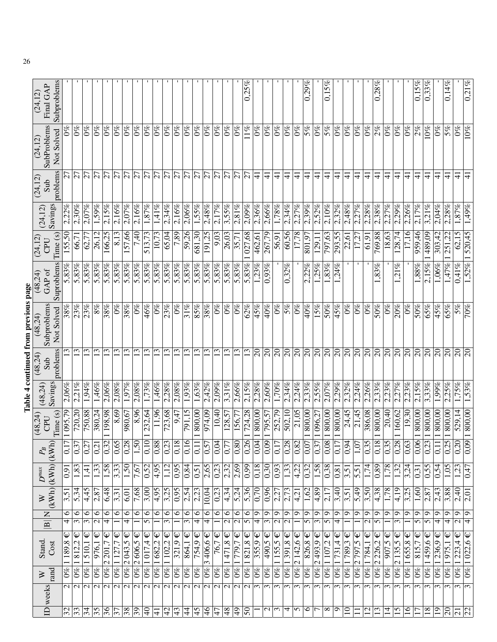| Stand.                                             | $\gtrsim$           | $D^{max}$           | $P_{\!B}$                            | (48, 24)              | (48,24)             | (48,24)                   | Table 4 continued from previous page<br>(48,24) | (48,24)              | (24, 12)            | (24, 12) | (24, 12)        | (24, 12)                        | (24, 12)                 |
|----------------------------------------------------|---------------------|---------------------|--------------------------------------|-----------------------|---------------------|---------------------------|-------------------------------------------------|----------------------|---------------------|----------|-----------------|---------------------------------|--------------------------|
| $\overline{z}$<br>$\boxed{\underline{\mathbf{B}}}$ | (KWh)(KWh)          |                     | $\mathbb{K}$                         | Time (s)<br>CPU       | Savings             | problems<br>Sub           | Subproblems<br>Not Solved                       | Suproblems<br>GAP of | Time (s)<br>CPU     | Savings  | problems<br>Sub | SubProblems<br>Not Solved       | Subproblems<br>Final GAP |
| $\circ$<br>4                                       | 3,51                | 0,91                | S                                    | 1 095,79              | $2,06\%$            |                           | 38%                                             | 5,83%                | 155,50              | 2,22%    | 5Ī              |                                 |                          |
| $\circ$<br>$\overline{\mathfrak{c}}$               | 5,34                | 1,83                | 0.3                                  | 720,20                | 2.21%               | 13                        | 23%                                             | 5,83%                | 66,7                | 2,30%    | $\overline{27}$ | $\mathcal{O}\%$                 |                          |
| $\overline{\circ}$<br>$\overline{\mathfrak{c}}$    | 4,45                | 1,41                | $\overline{0,2}$                     | 88'054                | 1,94%               | 13                        | 23%                                             | 5,83%                | 62,77               | 2,07%    | $\overline{27}$ | $\frac{6}{2}$                   |                          |
| $\circ$<br>$\overline{\mathcal{C}}$                | 2,87                | 1,33                | 0,2                                  | 380,24                | 1,46%               | $\overline{13}$           | $8\%$                                           | 5,83%                | 26,12               | 1,59%    | 27              | $\mathcal{O}\%$                 |                          |
| $\circ$<br>$\overline{\mathcal{F}}$                | 6,48                | $\frac{1,58}{x}$    | $\sim$<br>$\overline{0,3}$           | 198,88                | 2,06%               | $\tilde{\omega}$          | 38%                                             | 5,83%                | 166,25              | 2,15%    | $\overline{27}$ | $0\%$                           |                          |
| $\bullet$                                          | $\overline{3,31}$   | 3,33                | <b>S</b><br>0,6                      | 8,69                  | $2,08\%$            | $\overline{\mathbb{C}}$   | $0\%$                                           | 5,83%                | $\sqrt{8,13}$       | $2,16\%$ | $\overline{27}$ | $0\%$                           |                          |
| $\circ$<br>4                                       | 6,01                | $\sqrt{50}$         | $\sqrt{0,28}$                        | 980,67                | 1,97%               | $\overline{13}$           | $\frac{988}{5}$                                 | 5,83%                | 157,66              | 2.07%    | $\overline{27}$ | $0\%$                           |                          |
| $\circ$                                            | 7,68                | 7,67                | $\sqrt{1.50}$                        | 8,96                  | 2,08%               | $\overline{13}$           | $^{66}$                                         | 5,83%                | 7,40                | 2,16%    | 27              | $0\%$                           |                          |
| $\circ$<br>$\overline{5}$                          | $\frac{3,00}{ }$    | $\frac{1}{0,52}$    |                                      | 232,64                | 1,73%               | 13                        | 46%                                             | 5,83%                | 513,73              | 1,87%    | $\overline{5}$  | $\sqrt{6}$                      |                          |
| $\circ$                                            | 4,95                | 4,95                | $\frac{0.10}{0.88}$                  | 11,96                 | 1,46%               | $\overline{13}$           | $\mathcal{S}^{\infty}$                          | 5,83%                | 10,73               | 1,41%    | $\overline{z}$  | $0\%$                           |                          |
| $\overline{\circ}$<br>$\overline{\mathfrak{c}}$    | 3,25                | 1,12                | $\omega$<br>$\sqrt{0.2}$             | 723,68                | 2,28%               | $\mathfrak{L}$            | 23%                                             | 5,83%                | 65,04               | 2,34%    | $\overline{27}$ | $0\%$                           |                          |
| $\infty$                                           | $\sqrt{0.95}$       | $\sqrt{0.95}$       | ∣∞∣ೂ<br>0,1                          | 9,47                  | 2.08%               | $\overline{13}$           | $\overline{60}$                                 | 5,83%                | 7,89                | 2.16%    | $\overline{27}$ | $\sqrt{6}$                      |                          |
| $\circ$<br>$\overline{\mathfrak{c}}$               | 2,54                | $\overline{0.84}$   | $\overline{6}$                       | $\overline{791,15}$   | $1,\overline{93\%}$ | 13                        | 31%                                             | 5,83%                | 59,26               | 2,06%    | $\overline{5}$  | $0\%$                           |                          |
| $\frac{6}{4}$                                      | $\frac{2}{3}$       | $\overline{0,51}$   | 1<br>0,1                             | 800,00                | 1,63%               | 13                        | 85%                                             | 5,83%                | 681,30              | 1,55%    | $\overline{5}$  | $0\%$                           |                          |
| $\overline{\circ}$<br>$\overline{4}$               | 10,04               | 2,65                | 0,5                                  | 974,09                | 2,42%               | $\overline{13}$           | 38%                                             | 5,83%                | 191,25              | 2,48%    | $\overline{27}$ | $\frac{6}{2}$                   |                          |
| $\overline{\circ}$<br>$\overline{\phantom{0}}$     | $\overline{0.23}$   | $\overline{0.23}$   | $\overline{0.04}$                    | 10,40                 | $2,09\%$            | $\overline{13}$           | $0\%$                                           | 5,83%                | $\sqrt{9,03}$       | 2,17%    | $\overline{27}$ | $\sqrt{6}$                      |                          |
| $\overline{\circ}$<br>$\overline{\mathbf{c}}$      | $\sqrt{4,34}$       | $\sqrt{2.32}$       | $\overline{7}$<br>0,7                | 128,57                | 3,31%               | $\overline{13}$           | $0\%$                                           | 5,83%                | 26,03               | 3,55%    | $\overline{27}$ | $\frac{8}{2}$                   |                          |
| $\circ$<br>$\overline{c}$                          | 5,24                | $\frac{2,69}{2}$    | 0,80                                 | 156,77                | 2,66%               | 13                        | $0\%$                                           | $5,83\%$             | 35,71               | 2,81%    | $\overline{27}$ | $0\%$                           |                          |
| $\bullet$<br>$\overline{5}$                        | 5,36                | $\frac{1}{0.99}$    | Q<br>$\overline{0,2}$                | 724,28                | $2,15\%$            | 13                        | 62%                                             | $\frac{1}{5,83\%}$   | $\overline{027,68}$ | 2,09%    | $\overline{5}$  | 11%                             | 0.25%                    |
| $\sqrt{4}$                                         | $\sqrt{0,70}$       | $\sqrt{0,18}$       | $\overline{0,04}$                    | $\frac{800,000}{800}$ | 2,28%               | $\overline{0}$            | 45%                                             | 1.23%                | 462,61              | 2,36%    | ╤               | $0\%$                           |                          |
| $\overline{9}$<br>$\overline{\mathcal{E}}$         | 0,96                | $\overline{0.30}$   | 0,09                                 | 795,57                | 2,60%               | $\overline{5}$            | 40%                                             | 0.93%                | 267,79              | 2,66%    | ╤               | $0\%$                           |                          |
| $\overline{\mathbf{c}}$<br>$\overline{\mathbf{c}}$ | 2,27                | $\frac{6}{10}$      | $\overline{7}$<br>$\overline{0,1}$   | 252,79                | 1,70%               | $\infty$                  | $0\%$                                           |                      | 56,91               | 1,78%    | $\pm$           | $0\%$                           |                          |
| $\mathsf{\Theta}$<br>$\overline{\mathbf{c}}$       | 2,73                | $\overline{1,33}$   | $\infty$<br>0,2                      | 502,10                | 2,34%               | $\overline{\Omega}$       | 5%                                              | 0,32%                | $\sqrt{60,56}$      | 2,34%    | ₹               | $0\%$                           |                          |
| Q                                                  | 4,21                | 4,22                | $\sim$<br>0,8                        | 21,05                 | 2,24%               | $\overline{\overline{6}}$ | $0\%$                                           |                      | 17,78               | 2,27%    | ₹               | $\mathcal{O}_{\infty}^{\infty}$ |                          |
| $\circ$<br>$\overline{5}$                          | 1,62                | $\frac{0,32}{1,58}$ | Ŀ<br>0,0                             | 800,00                | 2,33%               | $\overline{\mathcal{E}}$  | 40%                                             | $2,22\%$             | 801,97              | 2,39%    | $\Delta$        | 5%                              | 0.29%                    |
| $\mathsf{O}$<br>$\overline{\mathcal{E}}$           | $\frac{4,89}{3}$    |                     | 0,3                                  | 096,27                | 2,55%               | $\overline{\mathcal{S}}$  | $\frac{92}{15}$                                 | 1,25%                | $\frac{129,11}{2}$  | $2,52\%$ | 4               | $\frac{8}{2}$                   |                          |
| $\mathbf{\hat{o}}$<br>$\overline{5}$               | 2,17                | $\sqrt{0.38}$       | $\infty$<br>$_{0,0}$                 | $\overline{800},00$   | 2,07%               | $\overline{\mathcal{E}}$  | 50%                                             | 1,83%                | 797,63              | 2,10%    | ╤               | $5\%$                           | $0.15\%$                 |
| $\sigma$<br>$\overline{\overline{4}}$              | 3,40                | 0,81                | $\overline{c}$                       | 800,00                | 2,29%               | $\overline{\mathcal{S}}$  | 45%                                             | 1,24%                | 293,55              | 2,32%    | ਚ               | $0\%$                           |                          |
| $\sigma$                                           | 3,51                | $\overline{3,51}$   | 4<br>$\overline{0,0}$                | $\frac{24.45}{ }$     | 2,32%               | $\overline{\mathcal{E}}$  | $\overline{60}$                                 |                      | 22,61               | 2,48%    | ╤               | $\overline{0\%}$                |                          |
| $\sigma$                                           | $\frac{6}{5,49}$    | $\overline{5,51}$   | ח<br>$\frac{1}{2}$                   | $\frac{21,45}{ }$     | 2,24%               | $\overline{\mathcal{E}}$  | $\overline{0\%}$                                |                      | 17,27               | 2,27%    | $\pm$           | $0\%$                           |                          |
| $\circ$<br>$\overline{\mathbf{c}}$                 | $\overline{3,50}$   | $\frac{174}{ }$     | ln.<br>0.3                           | 386,08                | 2.26%               | $\overline{\mathcal{S}}$  | $0\%$                                           |                      | $\frac{1}{61}$      | 2.28%    | $\pm$           | $0\%$                           |                          |
| ∣ഗ<br>$\overline{5}$                               | $\sqrt{4,38}$       | $\sqrt{0.89}$       | $\infty$   $\infty$<br>$\frac{1}{2}$ | $\frac{800,000}{800}$ | 2.33%               | $\overline{\mathbb{R}}$   | $\overline{50\%}$                               | 1,83%                | 769,88              | 2.38%    | $\pm$           | $\frac{2\%}{\%}$                | $0.28\%$                 |
| $\mathbf{\Omega}$                                  | 1,78                | 1,78                | $\overline{0}3$                      | $\frac{20,40}{ }$     | 2,23%               | $\overline{\mathcal{E}}$  | $\overline{0\%}$                                |                      | 18,63               | 2,27%    | ╤               | $\frac{6}{2}$                   |                          |
| Q<br>3                                             | 4,19                | 1,32                | 0,28                                 | 160,62                | 2.27%               | $\overline{\mathcal{S}}$  | 20%                                             | 1,21%                | 128,74              | 2.29%    | $\exists$       | $0\%$                           |                          |
| $\circ$                                            | $\overline{3,25}$   | 3,24                | $\tilde{\omega}$<br>0,6              | $\sqrt{19.30}$        | 2.23%               | $\overline{\mathcal{S}}$  | $\overline{6}$                                  |                      | $\sqrt{17,16}$      | 2.26%    | $\Delta$        | $\frac{8}{2}$                   |                          |
| $\circ$<br>$\overline{5}$                          | 1,60                | 0,31                | $\frac{1}{0,06}$                     | 800,00                | 2,15%               | $\overline{\mathcal{E}}$  | 50%                                             | 1,88%                | 959,46              | 2,17%    | $\frac{1}{4}$   | $\frac{8}{2}$                   | $0,15\%$                 |
| $\sigma$<br>5                                      | 2,87                | $\frac{6}{5}$       | $\omega$<br>0,2                      | 800,00                | 3,33%               | $\overline{0}$            | 65%                                             | $2,15\%$             | 489,09              | 3,21%    | ₹               | 10%                             | $0,33\%$                 |
| $\circ$<br>$\overline{\mathbf{f}}$                 | 2,43                | 0,54                | 0,1                                  | 800,00                | 1,99%               | $\overline{c}$            | 45%                                             | 1,06%                | 303,42              | 2,04%    | $\Delta$        | $0\%$                           |                          |
| G<br>$\overline{\mathcal{A}}$                      | 3,88                | 1,05                | $\sigma$<br>0,2                      | $\frac{800,000}{800}$ | .25%                | $\overline{\mathcal{S}}$  | 65%                                             | 1,47%                | 251,22              | 2,28%    | $\overline{4}$  | 5%                              | 0,14%                    |
| $\overline{\circ}$<br>$\overline{c}$               | $\frac{2,40}{2,01}$ | 1,23                | $\sqrt{0,20}$                        | 529,14                | 1,75%               | $\infty$                  | $\overline{28}$                                 | $0.41\%$             | $\overline{5}$      | 1,87%    | ╤               | $0\%$                           |                          |
| Q<br>4                                             |                     | 0,47                | 0,09                                 | 800,00                | 53%                 | $\overline{\mathcal{S}}$  | 70%                                             | 1,52%                | 520,45              | 1,49%    | 4               | $0\%$                           | 0,21%                    |
|                                                    |                     |                     |                                      |                       |                     |                           |                                                 |                      |                     |          |                 |                                 |                          |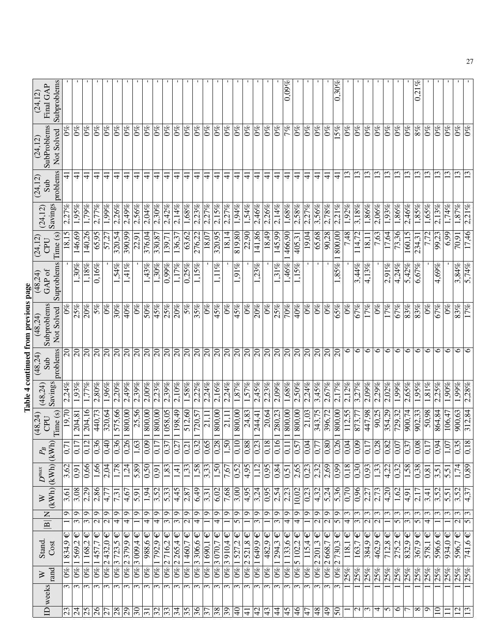|                          |                           |                                             |                                    |                                                      |                     |                   |                                    |                      |                     |                           | Table 4 continued from previous page |                      |                   |                     |                       |                                 |                                |
|--------------------------|---------------------------|---------------------------------------------|------------------------------------|------------------------------------------------------|---------------------|-------------------|------------------------------------|----------------------|---------------------|---------------------------|--------------------------------------|----------------------|-------------------|---------------------|-----------------------|---------------------------------|--------------------------------|
|                          | ID weeks                  | ⋗                                           | Stand.                             | Z<br>$\boxed{\mathbf{B}}$                            | $\gtrsim$           | $D^{max}$         | $P_{\!B}$                          | (48, 24)<br>CPU      | (48,24)             | (48, 24)<br>Sub           | Subproblems<br>(48,24)               | GAP of<br>(48,24)    | (24, 12)<br>CPU   | (24, 12)            | (24, 12)<br>Sub       | SubProblems<br>(24, 12)         | Final GAP<br>(24, 12)          |
|                          |                           | rand                                        | Cost                               |                                                      |                     | $(kWh)$ $(kWh)$   | (kWh                               | Time (s)             | Savings             | problems                  | Not Solved                           | Suproblems           | Time (s)          | Savings             | problems              | Not Solved                      | Subproblems                    |
| $\overline{23}$          | $\epsilon$                | $ 0\% $                                     | Ψ<br>834,9                         | ٩                                                    | 3,61                | 3,62              | $\overline{0}$                     | 19,70                | 2,24%               | $\overline{\Omega}$       | $\mathcal{S}^{\infty}$               |                      | 5<br>18,1         | 2,27%               | ╤                     | $\mathcal{O}^{\not\!\!\!S\!C}$  |                                |
| $\overline{24}$          | $\overline{\mathcal{E}}$  | $\overline{68}$                             | Ψ<br>569,2                         | O<br>$\overline{\mathcal{E}}$                        | $\frac{3,08}{2}$    | $\overline{0.91}$ | $\overline{ }$<br>$\overline{c}$   | 204,81               | $1.93\%$            | $\overline{\Omega}$       | 25%                                  | 1,30%                | 146,69            | 1,95%               | ₹                     | $0\%$                           |                                |
| $\overline{52}$          | $\epsilon$                | $\overline{0\%}$                            | $\mathbb{Q}$<br>1168,2             | Q<br>3                                               | 2,29                | 0,66              | $\mathcal{L}$<br>$\overline{0,1}$  | 204,16               | 1,77%               | $\overline{c}$            | 20%                                  | 1,18%                | 140,26            | 1,79%               | ₹                     | $\frac{6}{6}$                   |                                |
| $\overline{26}$          | $\epsilon$                |                                             | $\mathsf{Q}$<br>$0\%$ 1457,7       | Q<br>$\mathcal{L}$                                   | 2,86                | 1,66              | 6<br>$0,\tilde{3}$                 | 440,73               | 2,80%               | $\Omega$                  | $5\%$                                | $0.16\%$             | 65,95             | 2,77%               | ₹                     | $0\%$                           |                                |
| $\overline{27}$          | $\epsilon$                | $\overline{68}$                             | $\mathsf \Psi$<br>2432,0           | Q<br>$\mathcal{L}$                                   | 4,77                | 2,04              | 0,40                               | 320,64               | 1,96%               | $\Omega$                  | $\frac{96}{6}$                       |                      | 57,27             | 1,99%               | $\overset{-}{\dashv}$ | $^{66}$                         |                                |
| $\overline{28}$          | $\omega$                  | $ 9\% $                                     | Ψ<br>3723,5                        | $\circ$<br>4                                         | $\overline{7,31}$   | 1,78              | 0,36                               | 575,66               | 2,20%               | $\overline{\mathcal{S}}$  | 30%                                  | $1,54\%$             | 320,54            | 2,26%               | ₹                     | $\frac{6}{2}$                   |                                |
| $\overline{29}$          | $\epsilon$                | $ 0\%$                                      | $\hat{\bm{\psi}}$<br>2379,9        | Q<br>4                                               | 4,67                | 1,24              | 0,26                               | 800,00               | 2,49%               | $\overline{\mathcal{S}}$  | 40%                                  | 1,41%                | 390,99            | 2,49%               | ╤                     | $\mathcal{O}_{\infty}^{\infty}$ |                                |
| $0\epsilon$              | $\epsilon$                | $\overline{60}$                             | $\mathsf \Psi$<br>3009,4           | ٩                                                    | 5,91                | 5,89              | 1,63                               | 25,56                | 2.39%               | $\Omega$                  | $0\%$                                |                      | $\frac{22.91}{2}$ | 2,56%               | ╤                     | $0\%$                           |                                |
| $\overline{31}$          | $\sim$                    | $0\%$                                       | Ψ<br>$\frac{988}{6}$               | $\circ$<br>4                                         | 1,94                | $\overline{0.50}$ | 0,09                               | $\frac{1800,000}{2}$ | $\overline{2,00\%}$ | $\overline{\mathbb{S}}$   | 50%                                  | 1,43%                | 376,04            | 2,04%               | ₹                     | $\frac{96}{6}$                  |                                |
| $\frac{32}{33}$          | $\epsilon$                | $\frac{8}{2}$                               | Ψ<br>$\overline{792.9}$            | Ó<br>4                                               | 3,52                | 0,91              | $\overline{0}$                     | 800,00               | 2.23%               | $\overline{\overline{6}}$ | 45%                                  | 1,30%                | 330,87            | 2,30%               | $\overset{-}{4}$      | $\mathcal{O}^{\otimes 0}$       |                                |
|                          | $\sim$                    | $\overline{68}$                             | Ψ<br>2716,2                        | $\sigma$<br>$\epsilon$                               | 5,33                | 1,83              | $\overline{0,3}$                   | 058,05               | 2,39%               | $\mathbb{R}$              | 25%                                  | $\frac{99\%}{200\%}$ | 139,71            | 2,42%               | $\pm$                 | $0\%$                           | $\mathbf{I}$                   |
| $\overline{34}$          | $\overline{\mathfrak{c}}$ | $  \omega_0  $                              | $\mathsf \Psi$<br>$\sqrt{2.265,4}$ | $\circ$<br>3                                         | $\frac{4,45}{ }$    | 1,41              | $\overline{02}$                    | 198.49               | $2.10\%$            | $\overline{\mathcal{S}}$  | $\overline{20\%}$                    | $\frac{1}{1.17\%}$   | 136.37            | 2.14%               | 4                     | $\frac{8}{6}$                   |                                |
| $\overline{35}$          | $\epsilon$                |                                             | Ψ<br>0% 1460,7                     | G<br>$\overline{\mathcal{C}}$                        | 2,87                | 1,33              | $\sqrt{0,21}$                      | 512,60               | $1,58\%$            | $\overline{\infty}$       | 5%                                   | 0,25%                | 63,62             | $1,68\%$            | ₹                     | $\frac{96}{2}$                  |                                |
| $\overline{\mathcal{E}}$ | $\epsilon$                |                                             | $0\%$  3 306,6 €                   | ∣ഗ<br>$\overline{\mathcal{A}}$                       | 6,49                | 1,58              | 0,32                               | 720,57               | 2,22%               | $\overline{\mathcal{S}}$  | 35%                                  | 1,15%                | 276,22            | 2.23%               | $\pm$                 | $0\%$                           | $\mathbf{I}$                   |
| $\overline{37}$          | $\epsilon$                |                                             | $\mathsf \Psi$<br>$0\%$ 1 690,1    | $\sigma$                                             | 3,31                | $\overline{3,33}$ | $\frac{0,65}{0,28}$                | $\frac{1}{21,11}$    | 2,24%               | $\overline{\mathcal{S}}$  | $\overline{0\%}$                     |                      | 18,07             | 2.27%               | ₹                     | $0\%$                           |                                |
| $\sqrt{38}$              | $\sim$                    |                                             | $\mathsf \Psi$<br>$0\%$ 3 070,7    | G<br>4                                               | 6,02                | 1,50              |                                    | 800,00               | $2,16\%$            | $\overline{\mathcal{S}}$  | 45%                                  | of<br>$\frac{1}{2}$  | 320,95            | 2,15%               | $\pm$                 | $0\%$                           |                                |
| $\overline{65}$          | $\overline{\mathcal{E}}$  |                                             | $0\%$ 3 910,4 €                    | $\overline{\circ}$                                   | 7,68                | 7,67              | 1,50                               | $\frac{1}{21,11}$    | 2,24%               | $\overline{5}$            | $0\%$                                |                      | 18,14             | 2.27%               | ₹                     | $0\%$                           |                                |
| $\overline{40}$          | 3                         |                                             | Ψ<br>0% 1527,2                     | $\circ$<br>5                                         | $\frac{3,00}{2}$    | 0,52              |                                    | $\frac{800,00}{800}$ | 1,87%               | $\overline{\Omega}$       | 45%                                  | oz<br>5              | $\sqrt{819,80}$   | 1,94%               | ╤                     | $0\%$                           |                                |
| $\overline{4}$           | $\epsilon$                | $\overline{\mathcal{C}}$<br>$\overline{68}$ | $\mathsf{\Psi}$<br>521,8           | $\sigma$                                             | 4,95                | $\sqrt{4,95}$     | $\frac{0.10}{0.88}$                | 24,83                | 1,57%               | $\overline{\mathcal{E}}$  | $0\%$                                |                      | 22,90             | 1,54%               | ₹                     | $\sqrt{6}$                      |                                |
| $\overline{2}$           | $\epsilon$                |                                             | $0\%$  1649.9 €                    | $\circ$<br>ω                                         | 3,24                | 1,12              | $\boxed{0.23}$                     | 244,41               | 2.45%               | $\overline{0}$            | 20%                                  | 1,23%                | 141,86            | $2.46\%$            | ₹                     | $0\%$                           |                                |
| $\overline{43}$          | $\epsilon$                | $\overline{68}$                             | $\mathsf \Psi$<br>482,9            | $\sigma$                                             | 0,95                | $\sqrt{0.95}$     | $\infty$<br>0,1                    | 20,64                | 2,23%               | $\overline{\mathcal{S}}$  | $0\%$                                |                      | 18,49             | 2,26%               | $\frac{1}{4}$         | $0\%$                           |                                |
| $\overline{4}$           | $\epsilon$                | $ 0\% $                                     | $\mathsf{\Psi}$<br>294,3           | $\circ$<br>3                                         | 2,54                | 0,84              | $\circ$<br>$\overline{0}$          | 280,23               | $2,09\%$            | $\infty$                  | 25%                                  | eg<br>1,31           | 145,99            | 2,14%               | ╤                     | $0\%$                           |                                |
| 5 <sub>b</sub>           | $\epsilon$                | $\overline{60}$                             | $1133,6 \in$                       | $\circ$<br>4                                         | $\overline{2.23}$   | $\overline{0,51}$ | $\overline{\phantom{0}}$<br>0,1    | 800,00               | 489.1               | $\overline{\infty}$       | 70%                                  | 1,46%                | 466,00            | 1,68%               | ₹                     | 7%                              | 0.09%                          |
| $\overline{\frac{6}{}}$  | 3                         | $ 0\%$                                      | $\mathsf \Psi$<br>5102,2           | Q<br>4                                               | 10,02               | 2,65              | 0,5                                | 800,00               | 2,50%               | $\Omega$                  | 40%                                  | $1,15\%$             | 405,31            | 2,58%               | $\pm$                 | $\mathcal{O}_{\infty}^{\infty}$ |                                |
| $\frac{4}{7}$            | $\epsilon$                | $\mathcal{O}^{\otimes 0}$                   | $\mathsf \Psi$<br>115,4            | $\sigma$                                             | 0,23                | $\overline{0.23}$ |                                    | 21,03                | 2.24%               | $\overline{\mathcal{S}}$  | $0\%$                                |                      | 19,04             | 2,27%               | ╤                     | $0\%$                           |                                |
| 8 <sup>b</sup>           | $\sim$                    | $ \mathscr{B}0\rangle$                      | $\mathsf \Psi$<br>$\sqrt{2.201,3}$ | $\sigma$<br>$\mathcal{L}$                            | $\frac{4.32}{ }$    | $\frac{2}{3}$     | $\frac{0,04}{0,77}$                | 343,75               | $3,45\%$            | $\overline{\mathcal{E}}$  | $\frac{8}{2}$                        |                      | 65,68             | 3,56%               | $\frac{4}{5}$         | $0\%$                           |                                |
| $\overline{6}$           | $\epsilon$                | $\overline{0\%}$                            | $\mathsf \Psi$<br> 2668,7          | $\mathbf{\hat{o}}$<br>Z                              | $\overline{5,24}$   | 2,69              | 0,80                               | 396,72               | 2,67%               | $\overline{\mathbb{S}}$   | $0\%$                                |                      | 90,28             | 2,78%               | ╤                     | $\mathcal{O}^{\otimes 0}$       |                                |
| 0S                       | $\epsilon$                | $\overline{\mathcal{C}}$<br>$ 0\% $         | Ψ<br>730,3                         | $\circ$<br>5                                         | 5,36                | $\sqrt{9}$        | 0,26                               | 800,00               | 2,17%               | $\Omega$                  | 65%                                  | 1,85%                | 800,00            | 2,21%               | $\pm$                 | 5%                              | 0.30%                          |
|                          | ⊣                         | 25%                                         | Ψ<br>118,1                         | $\sim$<br>4                                          | $\frac{0,70}{2}$    | 0,18              | $\sqrt{0.04}$                      | $\frac{112,55}{2}$   | $2,12\%$            | $\circ$                   | $\overline{0\%}$                     |                      | 7,48              | $1.92\%$            | 13                    | $0\%$                           |                                |
| $\mathcal{L}$            |                           | 25%                                         | $\mathsf \Psi$<br>163,7            | $\epsilon$<br>3                                      | 0,96                | 0.30              | G<br>$\frac{5}{6}$                 | 873,77               | 3,27%               | $\circ$                   | 67%                                  | 3,44%                | 114,72            | $3,\overline{18\%}$ | 13                    | $0\%$                           |                                |
| $\sim$                   |                           | 25%                                         | $\mathsf \Psi$<br>384,9            | 3<br>$\mathbf{\sim}$                                 | 2,27                | $\sqrt{93}$       | $\overline{5}$<br>$\overline{0,1}$ | 447,98               | $2,09\%$            | $\circ$                   | 17%                                  | 4,13%                | 18,1              | 1,86%               | $\overline{13}$       | $0\%$                           | $\mathbf{I}$                   |
| 4                        |                           | 25%                                         | Ψ<br>462.9                         | $\overline{\mathfrak{c}}$<br>$\overline{\mathsf{c}}$ | 2,73                | 1,33              | $\frac{0,28}{0,82}$                | $\frac{52.06}{5}$    | 2.29%               | $\circ$                   | $\overline{0\%}$                     |                      | 7,63              | 2,06%               | $\overline{13}$       | $0\%$                           |                                |
| 5                        |                           | 25%                                         | Ψ<br>712,8                         | 3                                                    | 4,20                | $\frac{4,22}{ }$  |                                    | 354,29               | 2,02%               | $\circ$                   | 17%                                  | $2,91\%$             | 17,64             | 1,93%               | 13                    | $\mathcal{O}\%$                 |                                |
| $\overline{\circ}$       |                           | 25%                                         | $\mathsf \Psi$<br>275,2            | $\mathfrak{c}$<br>5                                  | 1,62                | $\overline{0.32}$ | $\frac{1}{0.07}$                   | 729,32               | $1.99\%$            | $\circ$                   | 67%                                  | $4,24\%$             | 73,36             | 1,86%               | 13                    | $0\%$                           |                                |
| $\overline{ }$           |                           | 25%                                         | $\hat{\bm{\psi}}$<br>832,9         | 3<br>3                                               | $\sqrt{4,91}$       | 1,58              | $\overline{03}$                    | 900,74               | 2.65%               | $\circ$                   | $\overline{83\%}$                    | 5,42%                | 160,15            | 2.46%               | $\overline{\omega}$   | $\sqrt{6}$                      |                                |
| $\infty$                 |                           | 25%                                         | $\mathsf{\Psi}$<br>367,9           | ξ<br>5                                               | $\frac{2.17}{2.17}$ | 0,38              | $\frac{0.08}{0}$                   | $\frac{902,33}{5}$   | 1,95%               | $\circ$                   | 83%                                  | 6,67%                | 234,31            | $1,85\%$            | 13                    | 8%                              | B,<br>$\overline{\Omega}$<br>ö |
| $\circ$                  |                           | 25%                                         | $\downarrow$<br>578,1              | 3<br>4                                               | 3,41                | 0,81              | $\overline{0,1}$                   | 50,98                | 1,81%               | $\circ$                   | $0\%$                                |                      |                   | 1,65%               | 13                    | $0\%$                           |                                |
| $\overline{10}$          |                           | 25%                                         | $\mathsf \Psi$<br>596,6            | 3                                                    | 3,52                | 3,51              | 4<br>$\overline{0,0}$              | 864,84               | 2,25%               | $\circ$                   | 67%                                  | 4,69%                | 99,23             | 2.13%               | $\mathfrak{c}$        | $0\%$                           |                                |
| $\exists$                |                           | 25%                                         | Ψ<br>934,0                         | 3                                                    | $\overline{5,51}$   | 5,51              | 1,0                                | 106,47               | 1,90%               | $\circ$                   | $\mathcal{S}^{\infty}$               |                      | 6,99              | 1,74%               | ن                     | $0\%$                           |                                |
| 12                       |                           | 25%                                         | $\overline{\mathsf{L}}$<br>596,7   | $\omega$<br>$\mathcal{L}$                            | 3,52                | 1,74              | 0,35                               | 900,63               | 1,99%               | $\circ$                   | 83%                                  | 3,84%                | 70.91             | 1,87%               | $\mathbf{C}$          | $0\%$                           |                                |
| $\overline{13}$          |                           | 25%                                         | Ψ<br>741,6                         | $\epsilon$<br>ln                                     | 4,37                | 0,89              | $\infty$<br>$\overline{0}$         | 312,84               | 2,28%               | ৩                         | 17%                                  | 5,74%                | 17,46             | 2,21%               |                       | $0\%$                           |                                |
|                          |                           |                                             |                                    |                                                      |                     |                   |                                    |                      |                     |                           |                                      |                      |                   |                     |                       |                                 |                                |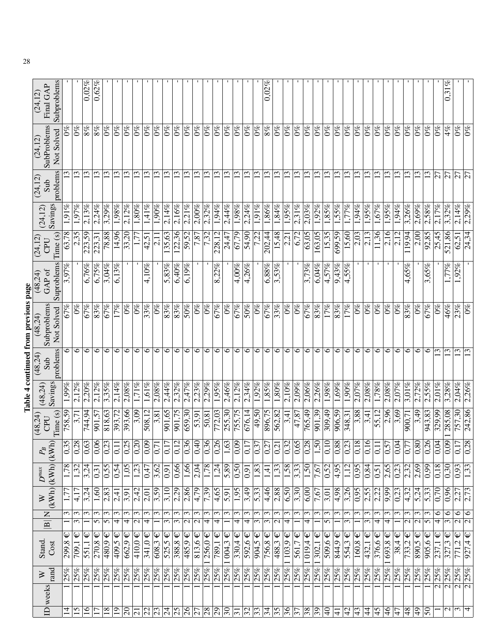|                           |                                 |                                      |                                                              |                     |                            |                                              |                         |                     |                 | Table 4 continued from previous page |                         |                 |          |                 |                                 |                       |
|---------------------------|---------------------------------|--------------------------------------|--------------------------------------------------------------|---------------------|----------------------------|----------------------------------------------|-------------------------|---------------------|-----------------|--------------------------------------|-------------------------|-----------------|----------|-----------------|---------------------------------|-----------------------|
| ID weeks                  | ⋗                               | Stand.                               | Z<br>$\boxed{\mathbf{B}}$                                    | $\gtrsim$           | $\boldsymbol{D}^{max}$     | $P_{\!B}$                                    | (48, 24)<br>CPU         | (48,24)             | (48, 24)<br>Sub | Subproblems<br>(48,24)               | GAP of<br>(48.24)       | (24, 12)<br>CPU | (24, 12) | (24, 12)<br>Sub | SubProblems<br>(24, 12)         | Final GAP<br>(24, 12) |
|                           | rand                            | Cost                                 |                                                              | (KWh)               | (KWh)                      | KWh                                          | Time(s)                 | Savings             | problems        | Not Solved                           | Suproblems              | Time (s)        | Savings  | problems        | Not Solved                      | Subproblems           |
| $\overline{4}$            | 25%                             | Ψ<br>299,8                           | 3                                                            |                     | 1,78                       | n<br>$\overline{0.3}$                        | 758,59                  | $1,99\%$            | $\circ$         | 67%                                  | 3,97%                   | 63,78           | 1,91%    |                 | $\mathcal{O}_{\infty}^{\infty}$ |                       |
| 15                        | 25%                             | Ψ<br>$\frac{709.1}{ }$               | $\epsilon$<br>3                                              | 4,17                | 1,32                       | $\frac{0,28}{0,63}$                          |                         | $2.12\%$            | ७               | $\mathcal{O}^{\otimes 0}$            |                         | 2.35            | 1.97%    |                 | $0\%$                           |                       |
| $\frac{8}{1}$             | 25%                             | $\overline{\mathsf{\Psi}}$<br>551,1  | 3                                                            | 3,24                | 3,24                       |                                              | 744,94                  | 2,20%               | $\circ$         | 67%                                  | 6,76%                   | 223,59          | 2,13%    | $\overline{13}$ | $8\%$                           | $0,02\%$              |
| $\overline{17}$           | 25%                             | $\overline{\mathsf{\Psi}}$<br>270,8  | ξ<br>5                                                       | 1,60                | 0,31                       | 6<br>$\tilde{\mathrm{o}}$                    | 901,57                  | 2.12%               | $\circ$         | 83%                                  | 6,75%                   | 223,31          | 2,24%    | 13              | $8\%$                           | $0.62\%$              |
| $\overline{18}$           | 25%                             | Ψ<br>480,9                           | $\epsilon$<br>5                                              | 2,83                | 0,55                       | $\epsilon$<br>$ \widetilde{0}\widetilde{2} $ | 818,63                  | $3,35\%$            | $\circ$         | 67%                                  | 3,04%                   | 78,88           | 3,29%    |                 | $^{66}$                         |                       |
| $\overline{0}$            | 25%                             | Ψ<br>409.5                           | $\epsilon$<br>4                                              | 2,41                | $\frac{0.54}{5}$           | $\overline{\phantom{0}}$<br>0,1              | 393,72                  | 2,14%               | $\circ$         | $\overline{17\%}$                    | 6,13%                   | 14,96           | 7886     | S               | $0\%$                           |                       |
| $\overline{20}$           | 25%                             | $\mathsf \Psi$<br>662,9              | 3<br>4                                                       | $\overline{3.91}$   | $\overline{1,05}$          | 0,25                                         | 393,66                  | $2.08\%$            | $\circ$         | $\mathcal{O}_{\infty}$               |                         | 33,20           | 2,12%    | 13              | $\mathcal{O}_{\infty}^{\infty}$ |                       |
| $\overline{21}$           | 25%                             | $\mathsf \Psi$<br>410.0              | Σ<br>Z                                                       | 2,42                | 1,23                       | 0,20                                         | 3,09                    | 1,71%               | $\circ$         | $0\%$                                |                         |                 | 1,80%    | $\overline{13}$ | $0\%$                           |                       |
| $\overline{2}$            | 25%                             | Ψ<br>$\sqrt{341,0}$                  | $\sim$<br>4                                                  | $\overline{2,01}$   | $\sqrt{6.47}$              |                                              | $\frac{508,12}{ }$      | $1,61\%$            | 6               | 33%                                  | $4,10\%$                | 42,51           | 1,41%    | 13              | $0\%$                           |                       |
| $\overline{23}$           | 25%                             | Ψ<br>608,3                           | 3                                                            | $\overline{3,59}$   | 3,62                       | $\frac{0.00}{0.71}$                          | 3,81                    | $2,08\%$            | ७               | $\mathcal{S}^{\infty}$               |                         | 2,11            | $1.90\%$ | 13              | $\mathcal{O}^{\otimes 0}$       |                       |
| 24                        | 25%                             | Ψ<br>525,5                           | $\mathfrak{c}$<br>3                                          | 3,10                | $\sqrt{0.91}$              |                                              | $\frac{901}{,}65$       | 2,44%               | $\circ$         | 83%                                  | $5,83\%$                | 135,63          | 2,14%    | 13              | $0\%$                           | $\mathbf{I}$          |
| $\overline{5}$            | 25%                             | $\mathsf{\Psi}$<br>388,8             | $\epsilon$<br>$\overline{3}$                                 | $\frac{2.29}{2.29}$ | 0,66                       |                                              | $\frac{901.75}{ }$      | 2.32%               | $\circ$         | 83%                                  | $6,40\%$                | 122.36          | 2.16%    | $\overline{13}$ | $\frac{8}{6}$                   |                       |
| $\overline{\frac{26}{5}}$ | 25%                             | $\mathsf \Psi$<br>485,9              | $\epsilon$<br>$\mathcal{L}$                                  | 2,86                | 1,66                       | $\frac{12}{0,36}$                            | 659,30                  | 2,47%               | $\circ$         | 50%                                  | 6,19%                   | 59,52           | 2,21%    | 13              | $\frac{96}{2}$                  |                       |
| $\overline{27}$           | 25%                             | $\overline{813,6} \in$               | $\overline{\mathcal{E}}$<br>$\overline{\mathcal{C}}$         | 4,79                | 2,04                       |                                              | 53,91                   | 2,23%               | 6               | $0\%$                                |                         | 7,87            | 2,00%    | 13              | $0\%$                           | $\mathbf{I}$          |
| $\frac{8}{29}$            | 25%                             | $256,0 \in$                          | $\epsilon$<br>4                                              | 7,39                | 1,78                       |                                              | $\sqrt{50,81}$          | 2.29%               | $\circ$         | $\overline{0\%}$                     |                         | 7,32            | 2,32%    | $\overline{13}$ | $\overline{0\%}$                |                       |
|                           | 25%                             | Ψ<br>789,1                           | $\epsilon$<br>4                                              | 4,65                | $\frac{1}{24}$             | $\frac{0,36}{0,26}$                          | 772,03                  | 1,95%               | $\circ$         | 67%                                  | $\frac{22}{\%}$<br>∞໌   | 228,12          | 1,94%    | $\overline{13}$ | $0\%$                           |                       |
| $\overline{30}$           | 25%                             | $1004,3 \in$                         | 3                                                            | $\overline{5.91}$   | 5,89                       | 1,63                                         | 255,30                  | 2,46%               | $\circ$         | $\overline{0\%}$                     |                         | 24,47           | 2,44%    | $\overline{13}$ | $0\%$                           |                       |
| $\overline{5}$            | 25%                             | $\downarrow$<br>330,4                | 3<br>4                                                       | $\overline{.95}$    | $\frac{0,50}{0,91}$        | 0,09                                         | 755,75                  | 2.12%               | $\circ$         | 67%                                  | $\frac{4,00\%}{2}$      | 67,79           | 1,98%    | $\mathbf{L}$    | $0\%$                           | $\mathbf{I}$          |
| $\frac{32}{33}$           | 25%                             | Ψ<br>592,6                           | $\omega$<br>4                                                | $\frac{3,49}{ }$    |                            | $\frac{0.17}{0.37}$                          | 676,14                  | 2,34%               | 6               | 50%                                  | $4,26\%$                | 54,90           | 2,24%    | $\overline{13}$ | $\sqrt{6}$                      | $\mathbf I$           |
|                           | 25%                             | $\hat{\bm{\psi}}$<br>904,5           | $\epsilon$<br>3                                              | 5,33                | $\frac{1,83}{2}$           |                                              | 49,50                   | $1,92\%$            | $\circ$         | $0\%$                                |                         | 7.22            | 1,91%    | $\overline{13}$ | $0\%$                           |                       |
| $\overline{34}$           | 25%                             | $\overline{\mathsf{\Psi}}$<br>756,8  | $\epsilon$<br>$\overline{3}$                                 | 4,46                | 1,41                       |                                              | 896,75                  | 1,85%               | $\circ$         | 67%                                  | 6,88%                   | 202,44          | 1,86%    | $\mathbf{13}$   | 8%                              | 0.02%                 |
| $\overline{35}$           | 25%                             | $\mathsf{\Psi}$<br>488,3             | $\epsilon$<br>$\mathcal{L}$                                  | $\frac{2,88}{ }$    | $\overline{1,33}$          | $\frac{1}{0.32}$<br>0.32                     | 562,82                  | 1,80%               | 6               | 33%                                  | 3,53%                   | 15,48           | 1,84%    | 13              | $0\%$                           |                       |
| $\sqrt{36}$               | 25%                             | $103,9 \in$                          | $\mathfrak{c}$<br>4                                          | 6,50                | $\frac{1,58}{\sqrt{1,58}}$ |                                              | 3,41                    | 2,10%               | ७               | $\overline{0\%}$                     |                         | 2,21            | 1.95%    | 13              | $0\%$                           |                       |
| 37                        | 25%                             | $\mathsf \Psi$<br>561,7              | 3                                                            | 3,30                | 3,33                       |                                              | 47,87                   | $2,09\%$            | 6               | $0\%$                                |                         | 6,72            | 2,31%    | 13              | $\mathcal{O}_{\infty}^{\infty}$ |                       |
| $\frac{8}{39}$            | 25%                             | $\mathsf{\Psi}$<br>$\frac{1}{10194}$ | $\epsilon$<br>4                                              | $\frac{1}{6}$       | $\frac{1,50}{7,67}$        | $\infty$<br>$ \tilde{c} $                    | 765,49                  | 2,06%               | $\circ$         | 67%                                  | $3,73\%$                | 63,05           | 2,03%    | $\mathbf{C}$    | $0\%$                           |                       |
|                           | 25%                             | Ψ<br>$\frac{302,1}{ }$               | $\epsilon$                                                   | 7,67                |                            | 1,50                                         | $\frac{901,39}{ }$      | 2,26%               | $\circ$         | $\overline{83\%}$                    | 6,04%                   | 163,05          | 1,92%    | $\mathbf{L}$    | $0\%$                           |                       |
| 0 <sub>b</sub>            | 25%                             | Ψ<br>509,6                           | $\epsilon$<br>5                                              | 3,01                | $\frac{0.52}{0}$           | $\circ$<br>$\overline{0}$                    | $\frac{309}{49}$        | $1,98\%$            | $\circ$         | 17%                                  | 4,57%                   | 15,35           | 1,85%    | 13              | $\mathcal{O}_{\infty}^{\infty}$ |                       |
| $\frac{1}{4}$             | 25%                             | Ψ<br>844,9                           | $\epsilon$                                                   | 4,98                | $\frac{4.95}{ }$           | $\sqrt{0.88}$                                | $\frac{906,59}{906,59}$ | 1,69%               | $\circ$         | 83%                                  | 9,43%                   | $\sqrt{699,59}$ | 55%      | S               | $0\%$                           |                       |
| 42                        | 25%                             | Ψ<br>554,3                           | $\overline{\mathcal{E}}$<br>3                                | 3,26                | $1,1\overline{2}$          | $\omega$<br>$\overline{0}$                   | 348,31                  | $\overline{1,90\%}$ | $\circ$         | $\overline{17\%}$                    | $\frac{4.55\%}{4.55\%}$ | 15,60           | 1,77%    | 13              | $\frac{96}{6}$                  |                       |
| $\sqrt{43}$               | 25%                             | $\mathsf \Psi$<br>160,8              | $\epsilon$                                                   | $\frac{0.95}{2.55}$ | 0,95                       | $\infty$<br>$\overline{0,1}$                 | 3,88                    | 2.07%               | $\circ$         | $\mathcal{O}_{\mathscr{C}}$          |                         | $\sqrt{2,03}$   | $1.94\%$ | $\mathbf{C}$    | $0\%$                           |                       |
| $\overline{4}$            | 25%                             | $\mathsf \Psi$<br>432,1              | 3<br>3                                                       |                     | $\frac{0.84}{$             | $\circ$<br>$\overline{0,1}$                  | $\overline{3,41}$       | 2.08%               | $\circ$         | $\overline{0\%}$                     |                         | $\sqrt{2.13}$   | 1.95%    | $\overline{13}$ | $\overline{68}$                 | л.                    |
| $\frac{5}{4}$             | 25%                             | $\downarrow$<br>376,6                | $\overline{\mathfrak{c}}$<br>4                               | $\frac{2.22}{ }$    | $\overline{0.51}$          | $\frac{0,11}{0,57}$                          | 55,12                   | 1,78%               | $\circ$         | $\frac{6}{2}$                        |                         | 11,36           | 1,67%    | $\overline{13}$ | $0\%$                           |                       |
| $\overline{46}$           | 25%                             | Ψ<br>693,8                           | 3<br>4                                                       | 9,99                | $\frac{2,65}{ }$           |                                              | $\frac{2.96}{2}$        | 2,08%               | $\circ$         | $0\%$                                |                         | 2,16            | 1,95%    | 13              | $\mathcal{O}\%$                 |                       |
| $\overline{47}$           | 25%                             | $\hat{\bm{\psi}}$<br>38,4            | $\epsilon$                                                   | $\overline{0.23}$   | 0,23                       | 0,04                                         | 3,69                    | 2.07%               | $\circ$         | $\overline{0\%}$                     |                         | $\frac{212}{ }$ | 1,94%    | $\overline{13}$ | $0\%$                           |                       |
| $\overline{8}$            | 25%                             | Ψ<br>733,2                           | 3<br>$\mathcal{L}$                                           | $\frac{4.32}{4}$    | $\frac{2}{3}$              | $\overline{0.7}$                             | $\frac{900,71}{2}$      | $\sqrt{3,01\%}$     | $\circ$         | $\overline{83\%}$                    | 4,65%                   | 19.94           | 3.26%    |                 | $\sqrt{6}$                      |                       |
| $\overline{49}$           | 25%                             | $\mathsf \Psi$<br>890,5              | ξ<br>$\mathcal{L}$                                           | 5,24                | 2,69                       | $\overline{0,80}$                            | 3,49                    | 2,72%               | $\circ$         | $0\%$                                |                         | 2,00            | $2,69\%$ | 13              | $\overline{0\%}$                |                       |
| $\overline{50}$           | 25%<br>$\equiv$                 | $\overline{905,6} \in$               | 3<br>S                                                       | $\overline{5.33}$   | $\sqrt{6.0}$               | $\frac{1}{0,26}$                             | 943,83                  | 2,55%               | $\circ$         | 67%                                  | 3,65%                   | 92,85           | 2,58%    | $\overline{13}$ | $0\%$                           |                       |
|                           | 25%<br>$\overline{\mathcal{C}}$ | Ψ<br>237,1                           | $\circ$<br>$\overline{\mathcal{F}}$                          | $\overline{0,70}$   | 0,18                       | 4<br>$\overline{0,0}$                        | 329,99                  | $2.01\%$            | $\omega$        | $0\%$                                |                         | 25,45           | 2,17%    | 27              | $0\%$                           |                       |
| $\mathcal{L}$             | 25%<br>নিমিন                    | $\mathsf \Psi$<br>327,3              | ∘<br>$\overline{\mathfrak{c}}$                               | 0,96                | 0,30                       | $\sigma$<br>0,0                              | 285,08                  | 3,28%               | $\mathbf{13}$   | 46%                                  | $1,77\%$                | 521,86          | 3,32%    | $\overline{27}$ | 4%                              | ez<br>C<br>0.31       |
| $\sim$                    | 25%                             | $\mathbb Q$<br>771,2                 | $\circ$<br>$\overline{\mathcal{N}}$ $\overline{\mathcal{N}}$ | $\frac{2,27}{2,73}$ | 0,93                       | $\overline{0,1}$                             | 757,30                  | 2,04%               | $\mathbf{13}$   | 23%                                  | $1.92\%$                | 62,51           | 2,14%    | $\overline{5}$  | $\mathcal{O}^{\not\!\!\!S\!C}$  |                       |
| 4                         | 25%                             | Ψ<br>927,4                           | $\circ$                                                      |                     | 1,33                       | $\infty$<br>0,2                              | 242,86                  | 2,26%               |                 | $^{66}$                              |                         | 24,34           | 2,29%    |                 | $0\%$                           |                       |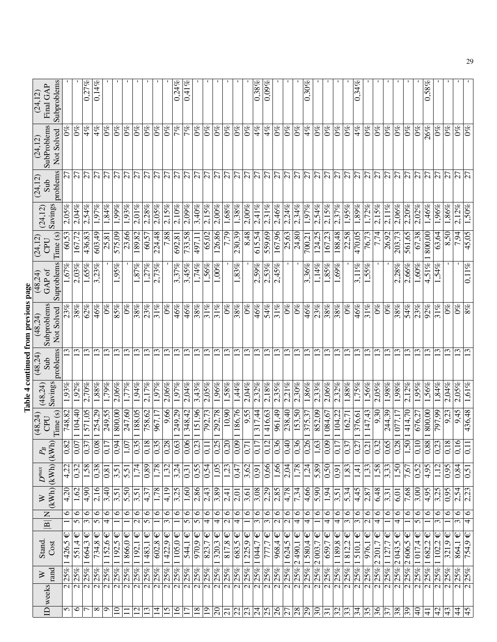|                                                               |                            |                            |                                                 |                     |                                 |                                          | (48,24)                   |                     | (48, 24)              | Table 4 continued from previous page<br>(48,24) | (48,24)                 | (24, 12)            |                         | (24, 12)        | (24, 12)                        | (24, 12)                 |
|---------------------------------------------------------------|----------------------------|----------------------------|-------------------------------------------------|---------------------|---------------------------------|------------------------------------------|---------------------------|---------------------|-----------------------|-------------------------------------------------|-------------------------|---------------------|-------------------------|-----------------|---------------------------------|--------------------------|
| Stand.<br>Cost<br>rand<br>$\geq$<br>ID weeks                  |                            | $\boxed{\mathbf{B}}$       | Z                                               | (KWh)<br>$\gtrsim$  | (KWh)<br>$\boldsymbol{D}^{max}$ | (kWh<br>$P_{\!B}$                        | Time (s)<br>CPU           | Savings<br>(48,24)  | problems<br>Sub       | Subproblems<br>Not Solved                       | Suproblems<br>GAP of    | Time (s)<br>CPU     | Savings<br>(24, 12)     | problems<br>Sub | SubProblems<br>Not Solved       | Subproblems<br>Final GAP |
| $\frac{426,5}{ }$<br>25%<br>$\overline{\mathsf{c}}$           | ω                          |                            | 0                                               | $\sqrt{4,20}$       | $\frac{4,22}{ }$                | $\overline{\mathsf{c}}$<br>$ \tilde{s} $ | 748,82                    | 1,93%               |                       | 23%                                             | 1,67%                   | ට.                  | $\frac{2.056}{50}$      |                 | $\%$                            |                          |
| 551,4<br>25%<br>$\overline{\mathcal{C}}$                      | Ψ                          |                            | $\circ$<br>$\overline{5}$                       | 1,62                | $\overline{0.32}$               | $\overline{7}$<br>$\overline{0,0}$       | 1104,40                   | 1.92%               | 13                    | 38%                                             | 2,03%                   | 167,72              | 2,04%                   | $\overline{z}$  | $0\%$                           |                          |
| 664,3<br>25%<br>$\overline{\mathbf{c}}$                       | $\overline{\mathsf{\Psi}}$ |                            | 6<br>3                                          | $\frac{4,90}{4}$    | 1,58                            | $\sqrt{0.37}$                            | 571,05                    | 2,70%               | 13                    | 62%                                             | 1,65%                   | 436,83              | 2,54%                   | $\overline{z}$  | 4%                              | 0,27%                    |
| 734,8<br>25%<br>$\overline{c}$                                |                            | $\overline{\mathsf{\Psi}}$ | 6<br>$\overline{5}$                             | 2,16                | 0,38                            | $\overline{8}$<br>$\tilde{\mathrm{C}}$   | 254,29                    | 1,88%               | $\overline{13}$       | 46%                                             | 3,23%                   | 603,49              | 1,97%                   | 27              | $4\%$                           | 0,14%                    |
| 152,6<br>25%<br>7                                             | Ψ                          |                            | $\circ$<br>4                                    | $\overline{3,40}$   | 0,81                            | $\overline{ }$<br>$\overline{0,1}$       | 249,55<br>800,00          | 1,79%               | $\overline{13}$       | $\overline{0\%}$                                |                         | 25,81               | 1,84%                   | $\overline{z}$  | $^{66}$                         |                          |
| 192,5<br>25%<br>$\overline{\mathsf{c}}$                       | Ψ                          |                            | $\overline{\circ}$                              | 3,51                | 3,51                            | $\overline{ }$<br>$\overline{0}$         |                           | 2,06%               | $\overline{13}$       | 85%                                             | 1,95%                   | 575,09              | 1,99%                   | $\overline{z}$  | $\partial\%$                    |                          |
| $866,0 \in$<br>$ 25\% 1$<br>$\overline{\mathsf{c}}$           |                            |                            | $\overline{\circ}$                              | $\overline{5,50}$   | $\overline{5,51}$               | 1,07                                     | 247,60                    | 1,77%               | $\overline{13}$       | $\overline{0\%}$                                |                         | 23,66               | 1,93%                   | $\overline{27}$ | $\mathcal{O}_{\infty}^{\infty}$ |                          |
| $\frac{1}{1}$ 192,1<br>25%<br>$\overline{\mathbf{c}}$         | Ψ                          |                            | $\overline{\circ}$<br>$\overline{\mathcal{C}}$  | 3,51                | 1,74                            | $\sigma$<br>0,3                          | 188,05                    | 1,94%               | 13                    | 38%                                             | 1,87%                   | 189,82              | 2,01%                   | $\overline{27}$ | $0\%$                           | $\mathbf{1}$             |
| $\frac{483,1}{ }$<br>25%<br>$\overline{\mathsf{N}}$ মি        | Ψ                          |                            | $\circ$<br>$\overline{5}$                       | $\sqrt{4.37}$       | $\frac{89}{2}$                  |                                          | 758,62                    | 2,17%               | 13                    | 23%                                             | 1,27%                   | 60,57               | 2,28%                   | $\overline{27}$ | $\frac{8}{2}$                   | $\mathbf{1}$             |
| 602,8<br>25%                                                  | $\overline{\mathsf{\Psi}}$ |                            | 0                                               | 1,78                | 1,78                            |                                          | 967,17                    | 1.97%               | 13                    | $\frac{31\%}{25}$                               | 2,73%                   | 224,48              | 2,05%                   | $\overline{5}$  | $0\%$                           | $\mathbf{I}$             |
| 422,9<br> 25%                                                 | $\mathbb \Psi$             |                            | $\overline{\circ}$<br>$\overline{\mathcal{E}}$  | 4,19                | $\overline{1,32}$               | $\frac{8}{0.38}$                         | 9,66                      | 2,06%               | $\mathfrak{L}$        | $\overline{0\%}$                                |                         | 7,88                | 2,15%                   | $\overline{27}$ | $0\%$                           | $\mathbf{I}$             |
| $\overline{1105.0}$<br>25%<br>$\overline{\mathsf{c}}$         |                            |                            | $\circ$                                         | $\overline{3,25}$   | 3,24                            | $\overline{0.63}$                        | 249.29                    | $\sqrt{1.97\%}$     | 13                    | 46%                                             | 3.37%                   | $\sqrt{692.81}$     | $\frac{2.10\%}{2.10\%}$ | $\overline{27}$ | $\frac{2}{6}$                   | 0,24%                    |
| 544,1<br>25%<br>$\overline{\sim}$                             | $\mathbb Q$                |                            | $\overline{\circ}$<br>$\overline{5}$            | 1,60                | $\frac{0,31}{0,55}$             | $\frac{0,06}{0,23}$                      | 348,42                    | 2,04%               | 13                    | 46%                                             | 3,45%                   | 733,58              | $2,\!\!\overline{09\%}$ | $\overline{5}$  | 7%                              | 0,41%                    |
| $\overline{970,9} \in$<br> 25%<br>$\overline{\triangleright}$ |                            |                            | $\overline{\circ}$<br>$\overline{5}$            | 2,86                |                                 |                                          | 151,96                    | 3,43%               | 13                    | 38%                                             | $1,74\%$                | 497,11              | 3,40%                   | $\overline{27}$ | $0\%$                           |                          |
| 823,7<br>$ 25\% $<br>নি $\overline{\mathsf{N}}$               | $\mathbb Q$                |                            | $\overline{\circ}$<br>$\overline{\mathcal{A}}$  | $\frac{2.43}{ }$    | $\frac{0,54}{1,05}$             | $\frac{1}{\frac{1}{100}}$                | 792,73                    | $2.05\%$            | $\overline{13}$       | 31%                                             | 1,56%                   | 65,02               | 2,15%                   | $\overline{27}$ | $0\%$                           |                          |
| 320,3<br>$ 25\% 1$                                            | $\overline{\mathsf{\Psi}}$ |                            | $\overline{\circ}$<br>$\overline{4}$            | $\frac{3,89}{2}$    |                                 |                                          | 292,78                    | $1,96\%$            | $\overline{13}$       | $\overline{31\%}$                               | $1,00\%$                | 126,86              | $2,00\%$                | $\frac{5}{27}$  | $\sqrt{6}$                      |                          |
| $\sqrt{817,8}$<br> 25%<br>$\overline{\triangleright}$         |                            |                            | $\overline{\circ}$<br>$\overline{\mathbf{c}}$   | $\sqrt{2,41}$       | $\overline{1,23}$               |                                          | $\sqrt{10,90}$            | 1,58%               | $\overline{13}$       | $\overline{0\%}$                                |                         | 7,79                | $1,68\%$                |                 | $\overline{6}$                  |                          |
| 683,5<br>25%<br>$\overline{\mathbf{c}}$                       | $\mathbb Q$                |                            | $\overline{\circ}$<br>$\overline{\overline{4}}$ | $\overline{2,01}$   | $\sqrt{0,47}$                   |                                          | 186,76                    | 1,44%               | $\omega$              | $\overline{38\%}$                               | 1,83%                   | 230,39              | 1,38%                   | $\overline{27}$ | $\sqrt{6}$                      | л.                       |
| 225,9<br>25%<br>$\overline{\mathbf{c}}$                       | $\mathsf{Q}$               |                            | $\overline{\mathbf{6}}$                         | $\overline{3,61}$   | $\frac{3,62}{0,91}$             | $\frac{8}{0.77}$                         | $\frac{9,55}{317,44}$     | 2,04%               | $\overline{13}$       | $\overline{0\%}$                                |                         | 8,48                | 2,00%                   | $\frac{5}{2}$   | $\frac{6}{6}$                   |                          |
| 1044,7<br> 25%<br>নি $\overline{\alpha}$                      | $\overline{\mathsf{L}}$    |                            | $\overline{\circ}$<br>$\overline{\mathcal{E}}$  | $\frac{3,08}{2}$    |                                 |                                          |                           | 2,32%               | $\overline{13}$       | 46%                                             | $2,59\%$                | 615,54              | 2,41%                   |                 | 4%                              | $0,38\%$                 |
| 777,7<br> 25%                                                 | $\overline{\mathbb{Q}}$    |                            | $\overline{\circ}$<br>$\overline{\mathcal{E}}$  | 2,29                | 0,66                            |                                          | 416,63                    | 2,18%               | 13                    | 54%                                             | $\frac{2,53\%}{2,45\%}$ | 559,69              | 2,31%                   |                 | 4%                              | $0,09\%$                 |
| $\frac{968.4}{968.4}$<br>25%<br>$\overline{\mathbf{c}}$       | $\overline{\mathbb{\Psi}}$ |                            | $\overline{\circ}$<br>$\overline{\mathbf{c}}$   | 2,85                | $\frac{1,66}{2,04}$             |                                          | 961,49                    | 2.35%               | $\overline{13}$       | 31%                                             |                         | 167,96              | 2,46%                   |                 | $0\%$                           | $\mathbf{I}$             |
| 25% 1624,5<br>$\overline{\mathsf{c}}$                         | $\overline{\mathbb{\Psi}}$ |                            | $\circ$<br>7                                    | 4,78                |                                 |                                          | 238,40                    | 2,21%               | 13                    | $\overline{0\%}$                                |                         | 25,63               | 2,24%                   | $\overline{27}$ | $0\%$                           |                          |
| 25% 2490,1<br>$\overline{\mathsf{N}}$                         | $\overline{\mathsf{\Psi}}$ |                            | $\overline{\circ}$<br>$\overline{\mathcal{F}}$  | 7,34                | 1,78                            | 0,36                                     | 153,50                    | 2,30%               | 13                    | $ 9\% $                                         |                         | 24,80               | 2,34%                   | $\overline{27}$ | $\partial_{\infty}^{\infty}$    |                          |
| 580,4<br>$ 25\% 1$<br>$\frac{1}{2}$                           | $\mathsf \Psi$             |                            | $\overline{\circ}$<br>4                         | 4,66                | $\frac{1,24}{5,89}$             | $\overline{0,26}$                        | 375,37                    | 3.86%               | $\mathbf{13}$         | 46%                                             | 3,36%                   | $\frac{700,21}{ }$  | 1,97%                   | $\overline{27}$ | 4%                              | 0,30%                    |
| $\frac{2003,7}{ }$<br>25%                                     | $\overline{\mathsf{\Psi}}$ |                            | $\overline{\circ}$                              | $\overline{5,90}$   |                                 | 1,63                                     | 852,09                    | 2,33%               | $\overline{13}$       | 23%                                             | $1,14\%$                | $\overline{124,25}$ | 2,54%                   | $\frac{1}{2}$   | $0\%$                           |                          |
| 659,7<br>25%<br>$\overline{\sim}$                             | $\overline{\Psi}$          |                            | $\circ$<br>$\overline{\mathcal{A}}$             | $\sqrt{1.94}$       | $\frac{0,50}{0}$                | $\overline{50}$                          | 084,67                    | 2,06%               | 13                    | $\overline{38\%}$                               | 1,85%                   | 167,23              | 2,15%                   |                 | $\frac{26}{96}$                 |                          |
| 1189,8<br>25%<br>$\overline{\sim}$                            | Ψ                          |                            | $\overline{\circ}$<br>$\overline{\mathcal{F}}$  | 3,51                | $\sqrt{0.91}$                   | 0,1                                      | 104,22                    | 2,32%               | $\overline{13}$       | 38%                                             | 1,69%                   | 188,48              | 2,37%                   | $\overline{27}$ | $0\%$                           |                          |
| 1812,2<br>$ 25\% $<br>$\overline{\mathsf{N}}$                 | Ψ                          |                            | $\Theta$<br>$\overline{\mathcal{E}}$            | 5,34                | $\overline{1,83}$               | $\overline{03}$                          | 162,71                    | $\overline{1,88\%}$ | 13                    | $\overline{0\%}$                                |                         | 22,58               | 1,95%                   | $\overline{27}$ | $\frac{8}{2}$                   |                          |
| 510,1<br>$ 25\% 1$<br>$\overline{\mathbf{c}}$                 | $\mathsf{\Psi}$            |                            | $\overline{\circ}$<br>$\overline{\mathcal{E}}$  | 4,45                | 1,41                            | $\overline{0,27}$                        | 376,61                    | 1,75%               | $\overline{13}$       | 46%                                             | $3,11\%$                | 470,05              | 1,89%                   | $\overline{5}$  | $\frac{4}{6}$                   | 0,34%                    |
| 976,1<br> 25%<br>$\overline{\triangleright}$                  | Ψ                          |                            | $\overline{6}$<br>$\overline{\mathbf{c}}$       | 2,87                | 1,33                            | $\overline{\phantom{0}}$<br>$ S_2 $      | 147,43                    | 1,56%               | $\overline{13}$       | $\frac{21}{\%}$                                 | $1,55\%$                | 76,73               | 1,72%                   | $\overline{27}$ | $0\%$                           |                          |
| 201.7<br>$\overline{\mathsf{c}}$<br>25%<br>$\overline{\sim}$  | Ψ                          |                            | $\circ$<br>$\overline{\mathcal{F}}$             | 6,48                | 1,58                            | $\frac{0,32}{0,65}$                      | 9,30                      | $2.05\%$            | $ \mathfrak{D} $      | $\overline{0\%}$                                |                         | $\frac{1}{7}$       | 2.15%                   | $\overline{27}$ | $\frac{8}{2}$                   |                          |
| 25% 127,7<br>$\overline{\mathbf{c}}$                          | Ψ                          |                            | 6                                               | 3,31                | $\overline{3,33}$               |                                          | 244,39                    | $1,98\%$            | 13                    | $\overline{0\%}$                                |                         | 26,92               | $2,11\%$                | $\overline{5}$  | $\frac{92}{6}$                  |                          |
| 2043,5<br>$ 25\% $<br>$\overline{\mathsf{c}}$                 | Ψ                          |                            | $\circ$<br>4                                    | 6,01                | $\sqrt{50}$                     | 82,0                                     | 077,17                    | $1.98\%$            | 13                    | 38%                                             | 2,28%                   | 203,73              | 2,06%                   | $\overline{27}$ | $0\%$                           |                          |
| 2,606,5<br> 25%<br>$\overline{\mathbf{c}}$                    | Ψ                          |                            | $\circ$                                         | 7,68                | 7,67                            | $ \circ $<br>$\overline{5}$              | 414,70                    | 2.12%               | $ \mathbb{C} $        | 54%                                             | 2,66%                   | 561,65              | 2.20%                   | 12              | $ 0\%$                          |                          |
| 1017,4<br>25%<br>$\overline{\mathbf{c}}$                      | Ψ                          |                            | $\overline{\circ}$<br>5                         | $\frac{3,00}{5}$    | 0,52                            | $\overline{0,1}$                         | 676,27                    | 1,95%               | $\overline{13}$       | 23%                                             | $1,60\%$                | 67,38               | $2,02\%$                | $\overline{27}$ | $0\%$                           |                          |
| 1682,2<br> 25%<br>$\overline{\mathbf{c}}$                     | $\overline{\mathsf{\Psi}}$ |                            | $\circ$                                         | $\sqrt{4,95}$       | 4,95                            | 88                                       | $\frac{800,000}{800,000}$ | 1,56%               | $\overline{13}$       | 92%                                             | $4,51\%$                | 800,00              | 1,46%                   | $\overline{27}$ | 26%                             | 0,58%                    |
| 1102,2<br>25%<br>$\overline{\mathsf{c}}$                      | $\overline{\mathbf{\Psi}}$ |                            | $\overline{\circ}$<br>$\overline{\mathfrak{c}}$ | 3,25                | 1,12                            | $\sim$<br>$\overline{0.2}$               | 66' L6L                   | 1,84%               | $\tilde{\bm{\omega}}$ | 31%                                             | 1,54%                   | 63,64               | 1,96%                   | $\overline{27}$ | $0\%$                           |                          |
| 321,9<br>25%<br>$\overline{\mathcal{N}}$ মি                   | $\overline{\mathsf{\Psi}}$ |                            | $\overline{\circ}$                              | 0,95                | 0,95                            | $\infty$ $\infty$<br>$\overline{0,1}$    | 9,23                      | 2,04%               | $\mathbf{13}$         | $\mathcal{O}\%$                                 |                         | 8,50<br>7,94        | 1,86%                   | $\overline{c}$  | $0\%$                           |                          |
| 864,1<br>25%                                                  | $\mathbb Q$                |                            | $\circ$<br>$\overline{\mathcal{E}}$             | $\frac{2,54}{2,23}$ | 0,84                            | $\overline{0}$ , 1                       | 9,45                      | 2,05%               | $\mathfrak{S}$        | $\frac{26}{10}$                                 |                         |                     | 2,12%                   | $\overline{5}$  | $0\%$                           |                          |
| 754,9<br>25%                                                  | $\overline{\mathsf{\Psi}}$ |                            | $\circ$<br>4                                    |                     | 0,51                            | $\overline{c}$                           | 436,48                    | 1,61%               |                       | $8\%$                                           | $0.11\%$                | 45,05               | 1,50%                   |                 | $0\%$                           |                          |
|                                                               |                            |                            |                                                 |                     |                                 |                                          |                           |                     |                       |                                                 |                         |                     |                         |                 |                                 |                          |